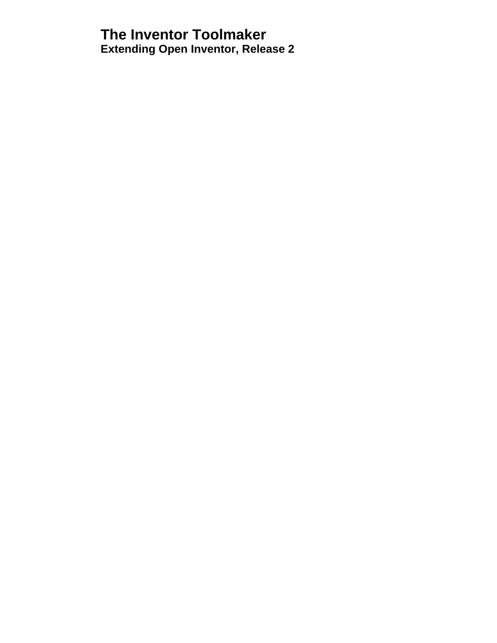# **The Inventor Toolmaker Extending Open Inventor, Release 2**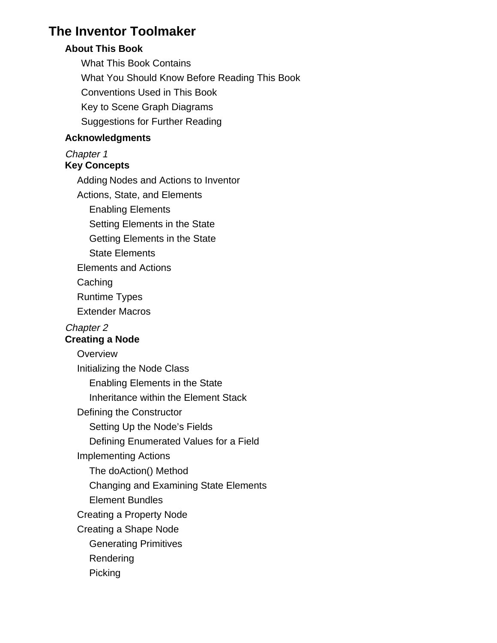# **The Inventor Toolmaker**

## **About This Book**

What This Book Contains What You Should Know Before Reading This Book Conventions Used in This Book Key to Scene Graph Diagrams Suggestions for Further Reading

## **Acknowledgments**

### Chapter 1 **Key Concepts**

Adding Nodes and Actions to Inventor Actions, State, and Elements Enabling Elements Setting Elements in the State Getting Elements in the State State Elements Elements and Actions **Caching** Runtime Types Extender Macros Chapter 2 **Creating a Node Overview** Initializing the Node Class

Enabling Elements in the State Inheritance within the Element Stack Defining the Constructor Setting Up the Node's Fields Defining Enumerated Values for a Field Implementing Actions The doAction() Method Changing and Examining State Elements Element Bundles Creating a Property Node Creating a Shape Node Generating Primitives Rendering Picking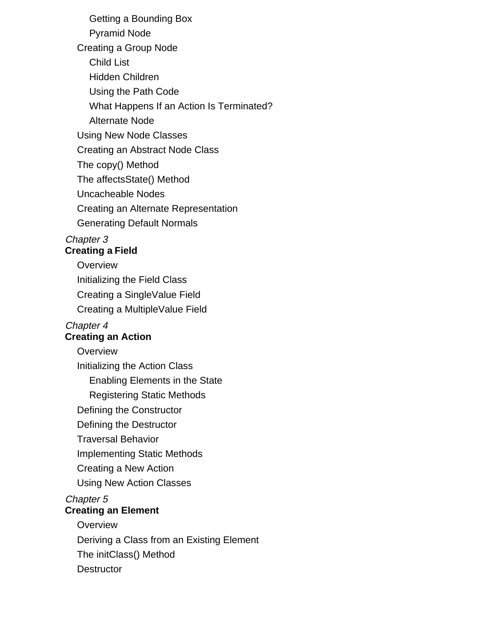Getting a Bounding Box Pyramid Node Creating a Group Node Child List Hidden Children Using the Path Code What Happens If an Action Is Terminated? Alternate Node Using New Node Classes Creating an Abstract Node Class The copy() Method The affectsState() Method Uncacheable Nodes Creating an Alternate Representation Generating Default Normals Chapter 3 **Creating a Field Overview** Initializing the Field Class Creating a SingleÿValue Field Creating a MultipleÿValue Field Chapter 4 **Creating an Action Overview** Initializing the Action Class Enabling Elements in the State Registering Static Methods Defining the Constructor Defining the Destructor Traversal Behavior Implementing Static Methods Creating a New Action Using New Action Classes Chapter 5 **Creating an Element Overview** Deriving a Class from an Existing Element The initClass() Method **Destructor**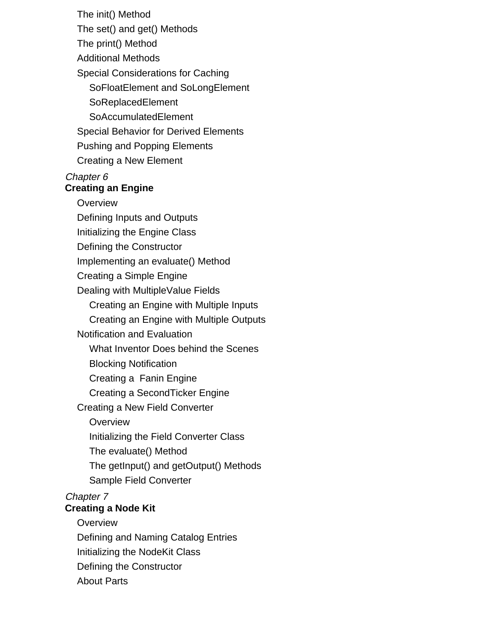The init() Method The set() and get() Methods The print() Method Additional Methods Special Considerations for Caching SoFloatElement and SoLongElement **SoReplacedElement** SoAccumulatedElement Special Behavior for Derived Elements Pushing and Popping Elements Creating a New Element Chapter 6 **Creating an Engine Overview** Defining Inputs and Outputs

Initializing the Engine Class Defining the Constructor Implementing an evaluate() Method Creating a Simple Engine Dealing with MultipleÿValue Fields Creating an Engine with Multiple Inputs Creating an Engine with Multiple Outputs Notification and Evaluation What Inventor Does behind the Scenes Blocking Notification Creating a Fanÿn Engine Creating a SecondÿTicker Engine Creating a New Field Converter **Overview** Initializing the Field Converter Class The evaluate() Method The getInput() and getOutput() Methods Sample Field Converter

### Chapter 7

### **Creating a Node Kit**

**Overview** Defining and Naming Catalog Entries Initializing the NodeÿKit Class Defining the Constructor About Parts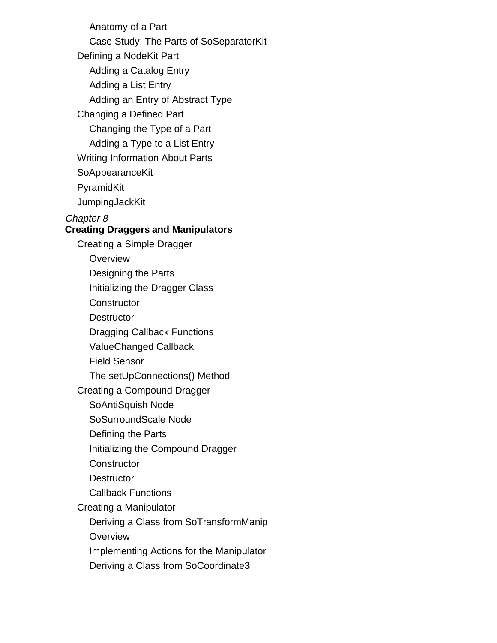Anatomy of a Part Case Study: The Parts of SoSeparatorKit Defining a NodeÿKit Part Adding a Catalog Entry Adding a List Entry Adding an Entry of Abstract Type Changing a Defined Part Changing the Type of a Part Adding a Type to a List Entry Writing Information About Parts SoAppearanceKit PyramidKit **JumpingJackKit** Chapter 8 **Creating Draggers and Manipulators** Creating a Simple Dragger **Overview** Designing the Parts Initializing the Dragger Class **Constructor Destructor** Dragging Callback Functions ValueÿChanged Callback Field Sensor The setUpConnections() Method Creating a Compound Dragger SoAntiSquish Node SoSurroundScale Node Defining the Parts Initializing the Compound Dragger **Constructor Destructor** Callback Functions Creating a Manipulator Deriving a Class from SoTransformManip **Overview** Implementing Actions for the Manipulator Deriving a Class from SoCoordinate3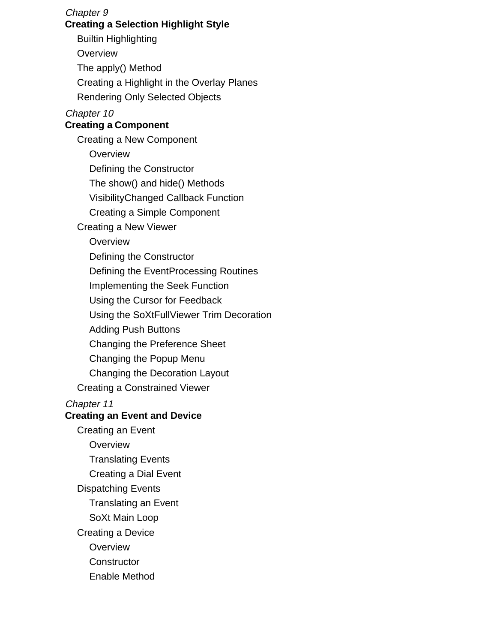### Chapter 9

## **Creating a Selection Highlight Style**

Builtÿn Highlighting

**Overview** 

The apply() Method

Creating a Highlight in the Overlay Planes

Rendering Only Selected Objects

Chapter 10

## **Creating a Component**

Creating a New Component

**Overview** 

Defining the Constructor

The show() and hide() Methods

VisibilityÿChanged Callback Function

Creating a Simple Component

Creating a New Viewer

**Overview** 

Defining the Constructor

Defining the EventÿProcessing Routines

Implementing the Seek Function

Using the Cursor for Feedback

Using the SoXtFullViewer Trim Decoration

Adding Push Buttons

Changing the Preference Sheet

Changing the Popÿup Menu

Changing the Decoration Layout

Creating a Constrained Viewer

Chapter 11

## **Creating an Event and Device**

Creating an Event **Overview** 

Translating Events

Creating a Dial Event

Dispatching Events

Translating an Event

SoXt Main Loop

Creating a Device

**Overview** 

**Constructor** 

Enable Method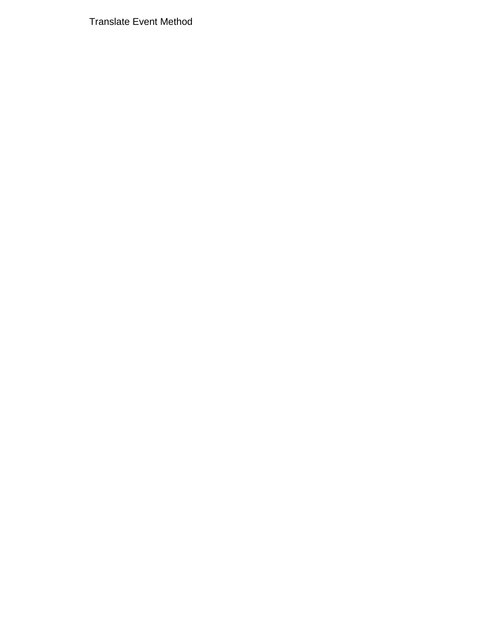Translate Event Method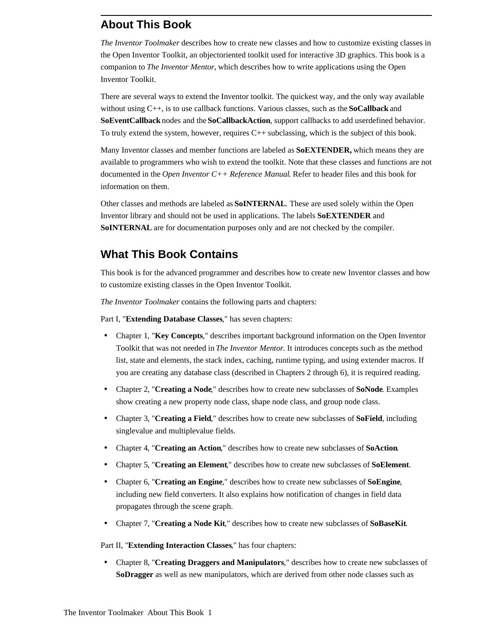## **About This Book**

*The Inventor Toolmaker* describes how to create new classes and how to customize existing classes in the Open Inventor Toolkit, an objectÿoriented toolkit used for interactive 3D graphics. This book is a companion to *The Inventor Mentor*, which describes how to write applications using the Open Inventor Toolkit.

There are several ways to extend the Inventor toolkit. The quickest way, and the only way available without using C++, is to use callback functions. Various classes, such as the **SoCallback** and **SoEventCallback** nodes and the **SoCallbackAction**, support callbacks to add userÿdefined behavior. To truly extend the system, however, requires C++ subclassing, which is the subject of this book.

Many Inventor classes and member functions are labeled as **SoEXTENDER,** which means they are available to programmers who wish to extend the toolkit. Note that these classes and functions are not documented in the *Open Inventor C++ Reference Manual*. Refer to header files and this book for information on them.

Other classes and methods are labeled as **SoINTERNAL**. These are used solely within the Open Inventor library and should not be used in applications. The labels **SoEXTENDER** and **SoINTERNAL** are for documentation purposes only and are not checked by the compiler.

## **What This Book Contains**

This book is for the advanced programmer and describes how to create new Inventor classes and how to customize existing classes in the Open Inventor Toolkit.

*The Inventor Toolmaker* contains the following parts and chapters:

Part I, "**Extending Database Classes**," has seven chapters:

- Chapter 1, "**Key Concepts**," describes important background information on the Open Inventor Toolkit that was not needed in *The Inventor Mentor*. It introduces concepts such as the method list, state and elements, the stack index, caching, runtime typing, and using extender macros. If you are creating any database class (described in Chapters 2 through 6), it is required reading.
- Chapter 2, "**Creating a Node**," describes how to create new subclasses of **SoNode**. Examples show creating a new property node class, shape node class, and group node class.
- Chapter 3, "**Creating a Field**," describes how to create new subclasses of **SoField**, including singleÿvalue and multipleÿvalue fields.
- Chapter 4, "**Creating an Action**," describes how to create new subclasses of **SoAction**.
- Chapter 5, "**Creating an Element**," describes how to create new subclasses of **SoElement**.
- Chapter 6, "**Creating an Engine**," describes how to create new subclasses of **SoEngine**, including new field converters. It also explains how notification of changes in field data propagates through the scene graph.
- Chapter 7, "**Creating a Node Kit**," describes how to create new subclasses of **SoBaseKit**.

Part II, "**Extending Interaction Classes**," has four chapters:

 • Chapter 8, "**Creating Draggers and Manipulators**," describes how to create new subclasses of **SoDragger** as well as new manipulators, which are derived from other node classes such as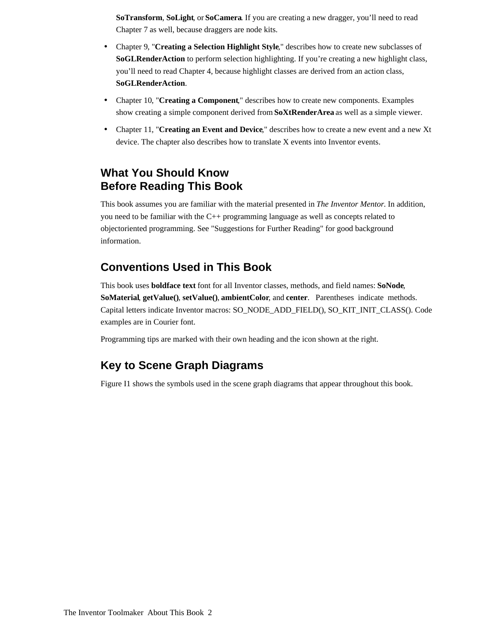**SoTransform**, **SoLight**, or **SoCamera**. If you are creating a new dragger, you'll need to read Chapter 7 as well, because draggers are node kits.

- Chapter 9, "**Creating a Selection Highlight Style**," describes how to create new subclasses of **SoGLRenderAction** to perform selection highlighting. If you're creating a new highlight class, you'll need to read Chapter 4, because highlight classes are derived from an action class, **SoGLRenderAction**.
- Chapter 10, "**Creating a Component**," describes how to create new components. Examples show creating a simple component derived from **SoXtRenderArea** as well as a simple viewer.
- Chapter 11, "**Creating an Event and Device**," describes how to create a new event and a new Xt device. The chapter also describes how to translate X events into Inventor events.

## **What You Should Know Before Reading This Book**

This book assumes you are familiar with the material presented in *The Inventor Mentor*. In addition, you need to be familiar with the C++ programming language as well as concepts related to objectÿoriented programming. See "Suggestions for Further Reading" for good background information.

# **Conventions Used in This Book**

This book uses **boldface text** font for all Inventor classes, methods, and field names: **SoNode**, **SoMaterial**, **getValue()**, **setValue()**, **ambientColor**, and **center**. Parentheses indicate methods. Capital letters indicate Inventor macros: SO\_NODE\_ADD\_FIELD(), SO\_KIT\_INIT\_CLASS(). Code examples are in Courier font.

Programming tips are marked with their own heading and the icon shown at the right.

# **Key to Scene Graph Diagrams**

Figure I'll shows the symbols used in the scene graph diagrams that appear throughout this book.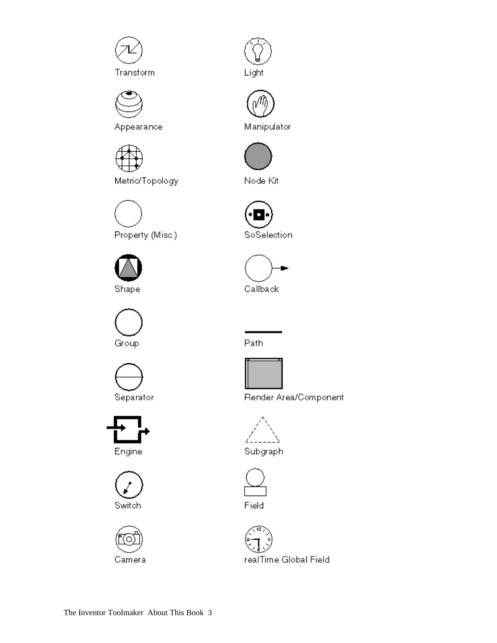



Appearance



Metric/Topology



Property (Misc.)



















Manipulator



Node Kit





Callback

Path



Render Area/Component



Subgraph



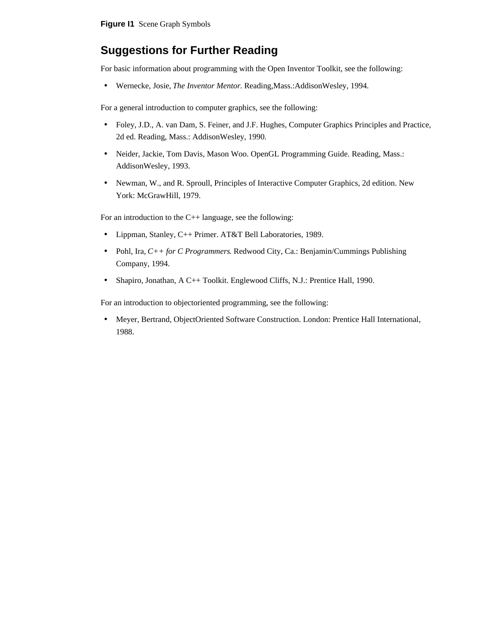**Figure Iÿ1** Scene Graph Symbols

## **Suggestions for Further Reading**

For basic information about programming with the Open Inventor Toolkit, see the following:

• Wernecke, Josie, *The Inventor Mentor*. Reading,Mass.:AddisonÿWesley, 1994.

For a general introduction to computer graphics, see the following:

- Foley, J.D., A. van Dam, S. Feiner, and J.F. Hughes, Computer Graphics Principles and Practice, 2d ed. Reading, Mass.: AddisonÿWesley, 1990.
- Neider, Jackie, Tom Davis, Mason Woo. OpenGL Programming Guide. Reading, Mass.: AddisonÿWesley, 1993.
- Newman, W., and R. Sproull, Principles of Interactive Computer Graphics, 2d edition. New York: McGrawiHill, 1979.

For an introduction to the  $C_{++}$  language, see the following:

- Lippman, Stanley, C++ Primer. AT&T Bell Laboratories, 1989.
- Pohl, Ira, *C++ for C Programmers*. Redwood City, Ca.: Benjamin/Cummings Publishing Company, 1994.
- Shapiro, Jonathan, A C++ Toolkit. Englewood Cliffs, N.J.: Prentice Hall, 1990.

For an introduction to objectÿoriented programming, see the following:

 • Meyer, Bertrand, ObjectÿOriented Software Construction. London: Prentice Hall International, 1988.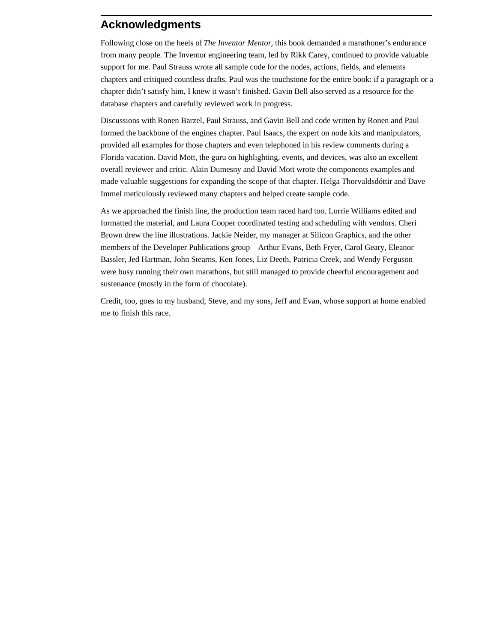## **Acknowledgments**

Following close on the heels of *The Inventor Mentor*, this book demanded a marathoner's endurance from many people. The Inventor engineering team, led by Rikk Carey, continued to provide valuable support for me. Paul Strauss wrote all sample code for the nodes, actions, fields, and elements chapters and critiqued countless drafts. Paul was the touchstone for the entire book: if a paragraph or a chapter didn't satisfy him, I knew it wasn't finished. Gavin Bell also served as a resource for the database chapters and carefully reviewed work in progress.

Discussions with Ronen Barzel, Paul Strauss, and Gavin Bell and code written by Ronen and Paul formed the backbone of the engines chapter. Paul Isaacs, the expert on node kits and manipulators, provided all examples for those chapters and even telephoned in his review comments during a Florida vacation. David Mott, the guru on highlighting, events, and devices, was also an excellent overall reviewer and critic. Alain Dumesny and David Mott wrote the components examples and made valuable suggestions for expanding the scope of that chapter. Helga Thorvaldsdóttir and Dave Immel meticulously reviewed many chapters and helped create sample code.

As we approached the finish line, the production team raced hard too. Lorrie Williams edited and formatted the material, and Laura Cooper coordinated testing and scheduling with vendors. Cheri Brown drew the line illustrations. Jackie Neider, my manager at Silicon Graphics, and the other members of the Developer Publications group—Arthur Evans, Beth Fryer, Carol Geary, Eleanor Bassler, Jed Hartman, John Stearns, Ken Jones, Liz Deeth, Patricia Creek, and Wendy Ferguson were busy running their own marathons, but still managed to provide cheerful encouragement and sustenance (mostly in the form of chocolate).

Credit, too, goes to my husband, Steve, and my sons, Jeff and Evan, whose support at home enabled me to finish this race.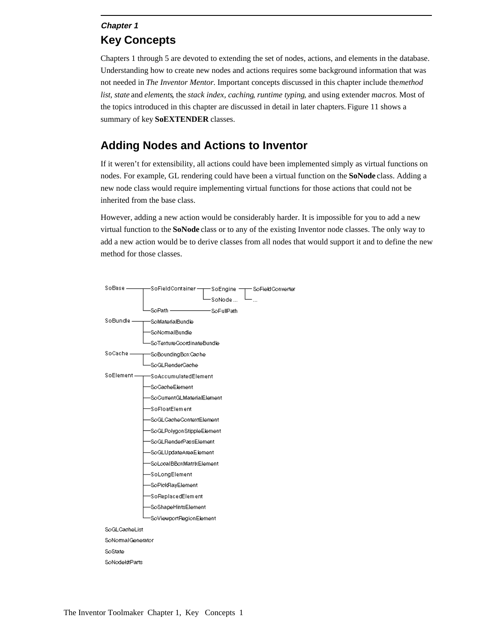## **Chapter 1 Key Concepts**

Chapters 1 through 5 are devoted to extending the set of nodes, actions, and elements in the database. Understanding how to create new nodes and actions requires some background information that was not needed in *The Inventor Mentor*. Important concepts discussed in this chapter include the *method list*, *state* and *elements*, the *stack index, caching*, *runtime typing*, and using extender *macros*. Most of the topics introduced in this chapter are discussed in detail in later chapters. Figure 1ÿ1 shows a summary of key **SoEXTENDER** classes.

## **Adding Nodes and Actions to Inventor**

If it weren't for extensibility, all actions could have been implemented simply as virtual functions on nodes. For example, GL rendering could have been a virtual function on the **SoNode** class. Adding a new node class would require implementing virtual functions for those actions that could not be inherited from the base class.

However, adding a new action would be considerably harder. It is impossible for you to add a new virtual function to the **SoNode** class or to any of the existing Inventor node classes. The only way to add a new action would be to derive classes from all nodes that would support it and to define the new method for those classes.

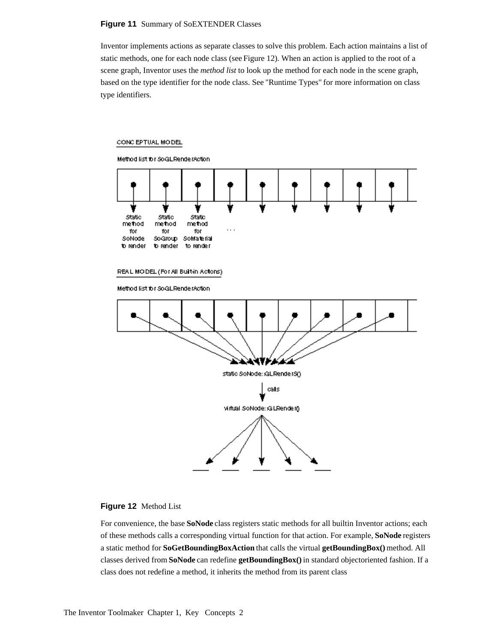#### **Figure 1ÿ1** Summary of SoEXTENDER Classes

Inventor implements actions as separate classes to solve this problem. Each action maintains a list of static methods, one for each node class (see Figure  $1\cancel{\mathcal{D}}$ ). When an action is applied to the root of a scene graph, Inventor uses the *method list* to look up the method for each node in the scene graph, based on the type identifier for the node class. See "Runtime Types" for more information on class type identifiers.

#### CONCIEPTUAL MODEL

Method list for SoGLRenderAction



#### **Figure 1ÿ2** Method List

For convenience, the base **SoNode** class registers static methods for all builtÿn Inventor actions; each of these methods calls a corresponding virtual function for that action. For example, **SoNode** registers a static method for **SoGetBoundingBoxAction** that calls the virtual **getBoundingBox()** method. All classes derived from **SoNode** can redefine **getBoundingBox()** in standard objectÿoriented fashion. If a class does not redefine a method, it inherits the method from its parent class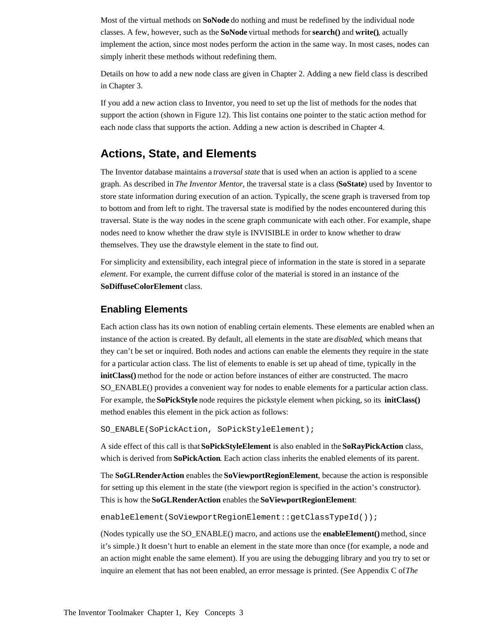Most of the virtual methods on **SoNode** do nothing and must be redefined by the individual node classes. A few, however, such as the **SoNode** virtual methods for **search()** and **write()**, actually implement the action, since most nodes perform the action in the same way. In most cases, nodes can simply inherit these methods without redefining them.

Details on how to add a new node class are given in Chapter 2. Adding a new field class is described in Chapter 3.

If you add a new action class to Inventor, you need to set up the list of methods for the nodes that support the action (shown in Figure 1 $\mathcal{P}$ ). This list contains one pointer to the static action method for each node class that supports the action. Adding a new action is described in Chapter 4.

## **Actions, State, and Elements**

The Inventor database maintains a *traversal state* that is used when an action is applied to a scene graph. As described in *The Inventor Mentor*, the traversal state is a class (**SoState**) used by Inventor to store state information during execution of an action. Typically, the scene graph is traversed from top to bottom and from left to right. The traversal state is modified by the nodes encountered during this traversal. State is the way nodes in the scene graph communicate with each other. For example, shape nodes need to know whether the draw style is INVISIBLE in order to know whether to draw themselves. They use the drawÿstyle element in the state to find out.

For simplicity and extensibility, each integral piece of information in the state is stored in a separate *element*. For example, the current diffuse color of the material is stored in an instance of the **SoDiffuseColorElement** class.

### **Enabling Elements**

Each action class has its own notion of enabling certain elements. These elements are enabled when an instance of the action is created. By default, all elements in the state are *disabled*, which means that they can't be set or inquired. Both nodes and actions can enable the elements they require in the state for a particular action class. The list of elements to enable is set up ahead of time, typically in the **initClass()** method for the node or action before instances of either are constructed. The macro SO\_ENABLE() provides a convenient way for nodes to enable elements for a particular action class. For example, the **SoPickStyle** node requires the pickÿstyle element when picking, so its **initClass()** method enables this element in the pick action as follows:

SO\_ENABLE(SoPickAction, SoPickStyleElement);

A side effect of this call is that **SoPickStyleElement** is also enabled in the **SoRayPickAction** class, which is derived from **SoPickAction**. Each action class inherits the enabled elements of its parent.

The **SoGLRenderAction** enables the **SoViewportRegionElement**, because the action is responsible for setting up this element in the state (the viewport region is specified in the action's constructor). This is how the **SoGLRenderAction** enables the **SoViewportRegionElement**:

enableElement(SoViewportRegionElement::getClassTypeId());

(Nodes typically use the SO\_ENABLE() macro, and actions use the **enableElement()** method, since it's simple.) It doesn't hurt to enable an element in the state more than once (for example, a node and an action might enable the same element). If you are using the debugging library and you try to set or inquire an element that has not been enabled, an error message is printed. (See Appendix C of *The*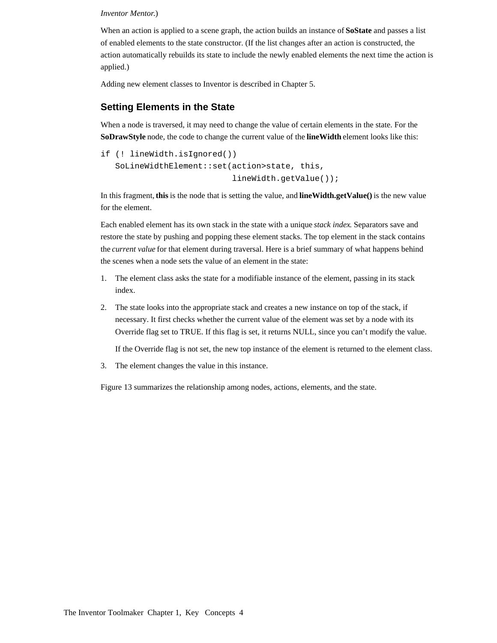#### *Inventor Mentor*.)

When an action is applied to a scene graph, the action builds an instance of **SoState** and passes a list of enabled elements to the state constructor. (If the list changes after an action is constructed, the action automatically rebuilds its state to include the newly enabled elements the next time the action is applied.)

Adding new element classes to Inventor is described in Chapter 5.

### **Setting Elements in the State**

When a node is traversed, it may need to change the value of certain elements in the state. For the **SoDrawStyle** node, the code to change the current value of the **lineWidth** element looks like this:

```
if (! lineWidth.isIgnored())
   SoLineWidthElement::set(actionÿ>state, this,
                             lineWidth.getValue());
```
In this fragment, **this** is the node that is setting the value, and **lineWidth.getValue()** is the new value for the element.

Each enabled element has its own stack in the state with a unique *stack index*. Separators save and restore the state by pushing and popping these element stacks. The top element in the stack contains the *current value* for that element during traversal. Here is a brief summary of what happens behind the scenes when a node sets the value of an element in the state:

- 1. The element class asks the state for a modifiable instance of the element, passing in its stack index.
- 2. The state looks into the appropriate stack and creates a new instance on top of the stack, if necessary. It first checks whether the current value of the element was set by a node with its Override flag set to TRUE. If this flag is set, it returns NULL, since you can't modify the value.

If the Override flag is not set, the new top instance of the element is returned to the element class.

3. The element changes the value in this instance.

Figure 1 $\beta$  summarizes the relationship among nodes, actions, elements, and the state.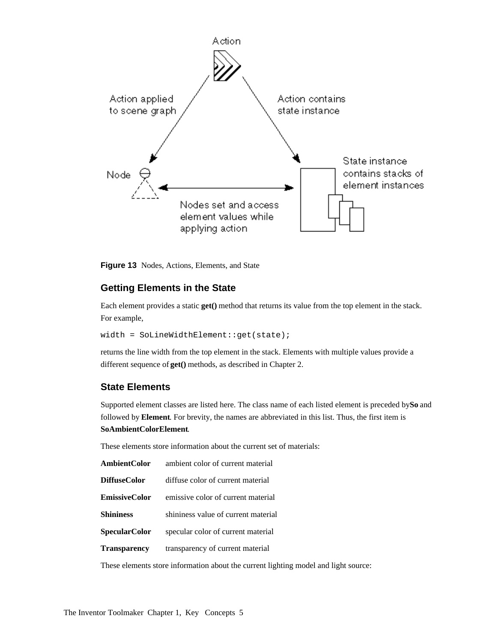

**Figure 1ÿ3** Nodes, Actions, Elements, and State

### **Getting Elements in the State**

Each element provides a static **get()** method that returns its value from the top element in the stack. For example,

width = SoLineWidthElement::get(state);

returns the line width from the top element in the stack. Elements with multiple values provide a different sequence of **get()** methods, as described in Chapter 2.

### **State Elements**

Supported element classes are listed here. The class name of each listed element is preceded by **So** and followed by **Element**. For brevity, the names are abbreviated in this list. Thus, the first item is **SoAmbientColorElement**.

These elements store information about the current set of materials:

| AmbientColor         | ambient color of current material   |
|----------------------|-------------------------------------|
| <b>DiffuseColor</b>  | diffuse color of current material   |
| <b>EmissiveColor</b> | emissive color of current material  |
| <b>Shininess</b>     | shininess value of current material |
| SpecularColor        | specular color of current material  |
| <b>Transparency</b>  | transparency of current material    |

These elements store information about the current lighting model and light source: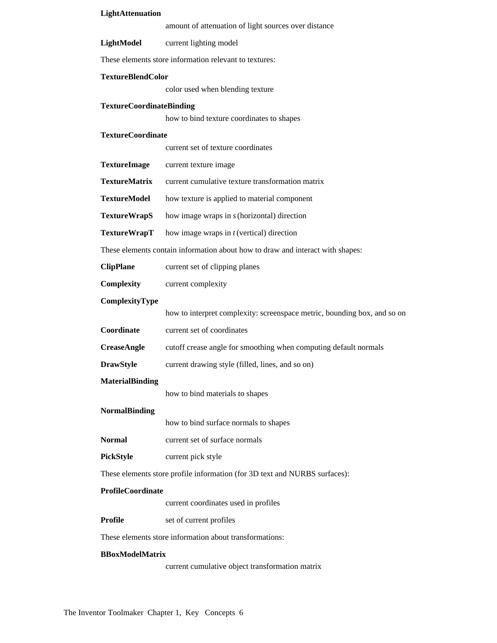#### **LightAttenuation**

amount of attenuation of light sources over distance

| LightModel | current lighting model |
|------------|------------------------|
|            |                        |

These elements store information relevant to textures:

#### **TextureBlendColor**

color used when blending texture

#### **TextureCoordinateBinding**

how to bind texture coordinates to shapes

#### **TextureCoordinate**

current set of texture coordinates **TextureImage** current texture image **TextureMatrix** current cumulative texture transformation matrix **TextureModel** how texture is applied to material component **TextureWrapS** how image wraps in *s* (horizontal) direction **TextureWrapT** how image wraps in *t* (vertical) direction These elements contain information about how to draw and interact with shapes: **ClipPlane** current set of clipping planes **Complexity** current complexity **ComplexityType** how to interpret complexity: screenÿpace metric, bounding box, and so on **Coordinate** current set of coordinates **CreaseAngle** cutoff crease angle for smoothing when computing default normals **DrawStyle** current drawing style (filled, lines, and so on) **MaterialBinding** how to bind materials to shapes **NormalBinding** how to bind surface normals to shapes **Normal** current set of surface normals

**PickStyle** current pick style

These elements store profile information (for 3D text and NURBS surfaces):

#### **ProfileCoordinate**

current coordinates used in profiles

**Profile** set of current profiles

These elements store information about transformations:

#### **BBoxModelMatrix**

current cumulative object transformation matrix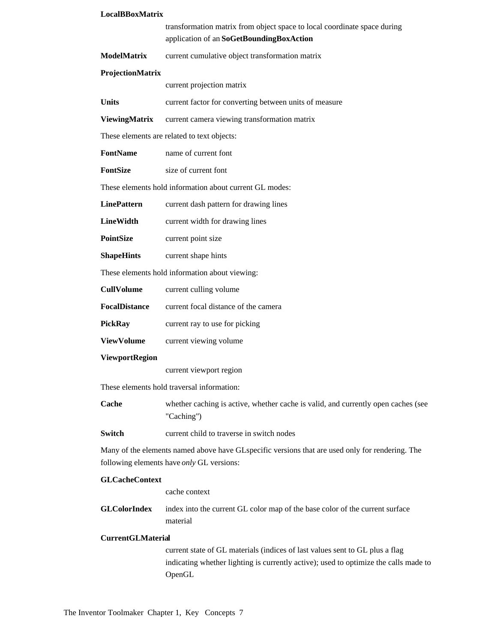| <b>LocalBBoxMatrix</b>   |                                                                                                                                                                                |
|--------------------------|--------------------------------------------------------------------------------------------------------------------------------------------------------------------------------|
|                          | transformation matrix from object space to local coordinate space during<br>application of an SoGetBoundingBoxAction                                                           |
| <b>ModelMatrix</b>       | current cumulative object transformation matrix                                                                                                                                |
| ProjectionMatrix         |                                                                                                                                                                                |
|                          | current projection matrix                                                                                                                                                      |
| <b>Units</b>             | current factor for converting between units of measure                                                                                                                         |
| <b>ViewingMatrix</b>     | current camera viewing transformation matrix                                                                                                                                   |
|                          | These elements are related to text objects:                                                                                                                                    |
| <b>FontName</b>          | name of current font                                                                                                                                                           |
| <b>FontSize</b>          | size of current font                                                                                                                                                           |
|                          | These elements hold information about current GL modes:                                                                                                                        |
| <b>LinePattern</b>       | current dash pattern for drawing lines                                                                                                                                         |
| <b>LineWidth</b>         | current width for drawing lines                                                                                                                                                |
| <b>PointSize</b>         | current point size                                                                                                                                                             |
| <b>ShapeHints</b>        | current shape hints                                                                                                                                                            |
|                          | These elements hold information about viewing:                                                                                                                                 |
| <b>CullVolume</b>        | current culling volume                                                                                                                                                         |
| <b>FocalDistance</b>     | current focal distance of the camera                                                                                                                                           |
| <b>PickRay</b>           | current ray to use for picking                                                                                                                                                 |
| <b>ViewVolume</b>        | current viewing volume                                                                                                                                                         |
| <b>ViewportRegion</b>    |                                                                                                                                                                                |
|                          | current viewport region                                                                                                                                                        |
|                          | These elements hold traversal information:                                                                                                                                     |
| Cache                    | whether caching is active, whether cache is valid, and currently open caches (see<br>"Caching")                                                                                |
| <b>Switch</b>            | current child to traverse in switch nodes                                                                                                                                      |
|                          | Many of the elements named above have GL specific versions that are used only for rendering. The<br>following elements have only GL versions:                                  |
| <b>GLCacheContext</b>    |                                                                                                                                                                                |
|                          | cache context                                                                                                                                                                  |
| <b>GLColorIndex</b>      | index into the current GL color map of the base color of the current surface<br>material                                                                                       |
| <b>CurrentGLMaterial</b> |                                                                                                                                                                                |
|                          | current state of GL materials (indices of last values sent to GL plus a flag<br>indicating whether lighting is currently active); used to optimize the calls made to<br>OpenGL |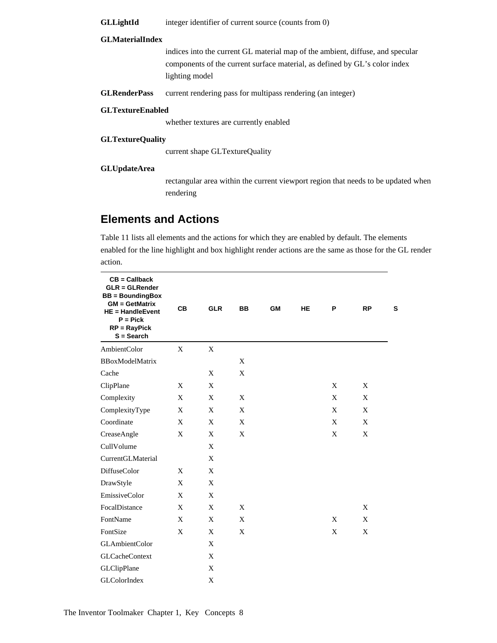#### **GLLightId** integer identifier of current source (counts from 0)

#### **GLMaterialIndex**

indices into the current GL material map of the ambient, diffuse, and specular components of the current surface material, as defined by GL's color index lighting model

**GLRenderPass** current rendering pass for multiÿpass rendering (an integer)

#### **GLTextureEnabled**

whether textures are currently enabled

#### **GLTextureQuality**

current shape GLTextureQuality

#### **GLUpdateArea**

rectangular area within the current viewport region that needs to be updated when rendering

## **Elements and Actions**

Table 1ÿl lists all elements and the actions for which they are enabled by default. The elements enabled for the line highlight and box highlight render actions are the same as those for the GL render action.

| $CB = Callback$<br><b>GLR = GLRender</b><br><b>BB</b> = BoundingBox<br>$GM = GetMatrix$<br><b>HE = HandleEvent</b><br>$P = Pick$<br>$RP = RayPick$<br>$S = Search$ | <b>CB</b> | <b>GLR</b>  | BB | <b>GM</b> | <b>HE</b> | P | <b>RP</b> | S |
|--------------------------------------------------------------------------------------------------------------------------------------------------------------------|-----------|-------------|----|-----------|-----------|---|-----------|---|
| AmbientColor                                                                                                                                                       | X         | X           |    |           |           |   |           |   |
| BBoxModelMatrix                                                                                                                                                    |           |             | X  |           |           |   |           |   |
| Cache                                                                                                                                                              |           | X           | X  |           |           |   |           |   |
| ClipPlane                                                                                                                                                          | X         | $\mathbf X$ |    |           |           | X | X         |   |
| Complexity                                                                                                                                                         | X         | X           | X  |           |           | X | X         |   |
| ComplexityType                                                                                                                                                     | X         | X           | X  |           |           | X | X         |   |
| Coordinate                                                                                                                                                         | X         | X           | X  |           |           | X | X         |   |
| CreaseAngle                                                                                                                                                        | X         | X           | X  |           |           | X | X         |   |
| CullVolume                                                                                                                                                         |           | X           |    |           |           |   |           |   |
| CurrentGLMaterial                                                                                                                                                  |           | X           |    |           |           |   |           |   |
| DiffuseColor                                                                                                                                                       | X         | X           |    |           |           |   |           |   |
| DrawStyle                                                                                                                                                          | X         | X           |    |           |           |   |           |   |
| EmissiveColor                                                                                                                                                      | X         | X           |    |           |           |   |           |   |
| FocalDistance                                                                                                                                                      | X         | X           | X  |           |           |   | X         |   |
| FontName                                                                                                                                                           | X         | X           | X  |           |           | X | X         |   |
| FontSize                                                                                                                                                           | X         | X           | X  |           |           | X | X         |   |
| GLAmbientColor                                                                                                                                                     |           | X           |    |           |           |   |           |   |
| <b>GLCacheContext</b>                                                                                                                                              |           | X           |    |           |           |   |           |   |
| GLClipPlane                                                                                                                                                        |           | X           |    |           |           |   |           |   |
| GLColorIndex                                                                                                                                                       |           | X           |    |           |           |   |           |   |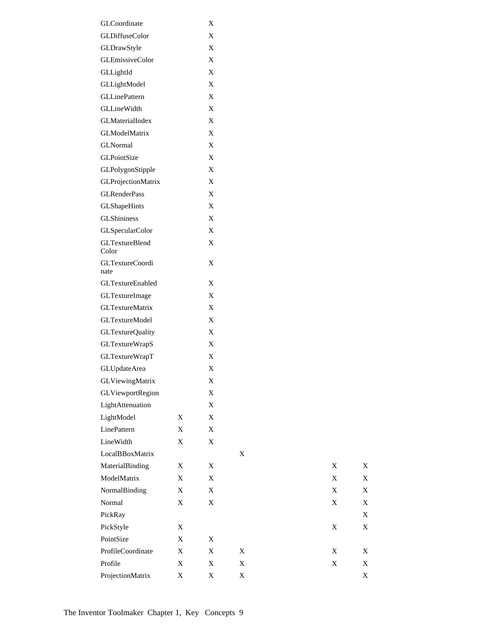| GLCoordinate             |   | X           |             |   |   |
|--------------------------|---|-------------|-------------|---|---|
| <b>GLDiffuseColor</b>    |   | X           |             |   |   |
| GLDrawStyle              |   | X           |             |   |   |
| <b>GLEmissiveColor</b>   |   | X           |             |   |   |
| GLLightId                |   | X           |             |   |   |
| GLLightModel             |   | X           |             |   |   |
| <b>GLLinePattern</b>     |   | X           |             |   |   |
| GLLineWidth              |   | X           |             |   |   |
| <b>GLMaterialIndex</b>   |   | X           |             |   |   |
| <b>GLModelMatrix</b>     |   | X           |             |   |   |
| GLNormal                 |   | X           |             |   |   |
| GLPointSize              |   | X           |             |   |   |
| GLPolygonStipple         |   | X           |             |   |   |
| GLProjectionMatrix       |   | X           |             |   |   |
| <b>GLRenderPass</b>      |   | X           |             |   |   |
| GLShapeHints             |   | X           |             |   |   |
| <b>GLShininess</b>       |   | X           |             |   |   |
| <b>GLSpecularColor</b>   |   | X           |             |   |   |
| GLTextureBlendÿ<br>Color |   | X           |             |   |   |
| GLTextureCoordiÿ<br>nate |   | X           |             |   |   |
| GLTextureEnabled         |   | X           |             |   |   |
| GLTextureImage           |   | X           |             |   |   |
| <b>GLTextureMatrix</b>   |   | X           |             |   |   |
| <b>GLTextureModel</b>    |   | X           |             |   |   |
| GLTextureQuality         |   | X           |             |   |   |
| <b>GLTextureWrapS</b>    |   | X           |             |   |   |
| <b>GLTextureWrapT</b>    |   | X           |             |   |   |
| <b>GLUpdateArea</b>      |   | X           |             |   |   |
| GLViewingMatrix          |   | X           |             |   |   |
| GLViewportRegion         |   | X           |             |   |   |
| LightAttenuation         |   | $\mathbf X$ |             |   |   |
| LightModel               | X | X           |             |   |   |
| LinePattern              | X | $\mathbf X$ |             |   |   |
| LineWidth                | X | X           |             |   |   |
| LocalBBoxMatrix          |   |             | X           |   |   |
| MaterialBinding          | X | X           |             | X | X |
| ModelMatrix              | X | X           |             | X | X |
| NormalBinding            | X | X           |             | X | X |
| Normal                   | X | X           |             | X | X |
| PickRay                  |   |             |             |   | X |
| PickStyle                | X |             |             | X | X |
| PointSize                | X | X           |             |   |   |
| ProfileCoordinate        | X | $\mathbf X$ | X           | X | X |
| Profile                  | X | X           | X           | X | X |
| ProjectionMatrix         | X | $\mathbf X$ | $\mathbf X$ |   | X |
|                          |   |             |             |   |   |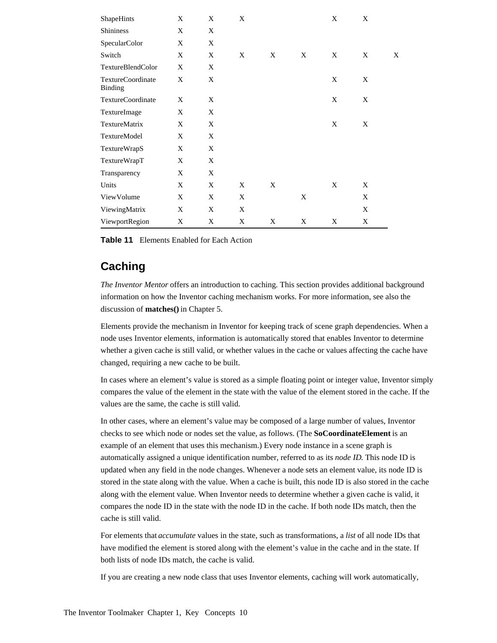| ShapeHints                    | X | X | X |   |   | X | X |   |
|-------------------------------|---|---|---|---|---|---|---|---|
| <b>Shininess</b>              | X | X |   |   |   |   |   |   |
| SpecularColor                 | X | X |   |   |   |   |   |   |
| Switch                        | X | X | X | X | X | X | X | X |
| TextureBlendColor             | X | X |   |   |   |   |   |   |
| TextureCoordinatey<br>Binding | X | X |   |   |   | X | X |   |
| TextureCoordinate             | X | X |   |   |   | X | X |   |
| TextureImage                  | X | X |   |   |   |   |   |   |
| TextureMatrix                 | X | X |   |   |   | X | X |   |
| TextureModel                  | X | X |   |   |   |   |   |   |
| TextureWrapS                  | X | X |   |   |   |   |   |   |
| TextureWrapT                  | X | X |   |   |   |   |   |   |
| Transparency                  | X | X |   |   |   |   |   |   |
| Units                         | X | X | X | X |   | X | X |   |
| ViewVolume                    | X | X | X |   | X |   | X |   |
| ViewingMatrix                 | X | X | X |   |   |   | X |   |
| ViewportRegion                | X | X | X | X | X | X | X |   |

**Table 1ÿ1** Elements Enabled for Each Action

## **Caching**

*The Inventor Mentor* offers an introduction to caching. This section provides additional background information on how the Inventor caching mechanism works. For more information, see also the discussion of **matches()** in Chapter 5.

Elements provide the mechanism in Inventor for keeping track of scene graph dependencies. When a node uses Inventor elements, information is automatically stored that enables Inventor to determine whether a given cache is still valid, or whether values in the cache or values affecting the cache have changed, requiring a new cache to be built.

In cases where an element's value is stored as a simple floating point or integer value, Inventor simply compares the value of the element in the state with the value of the element stored in the cache. If the values are the same, the cache is still valid.

In other cases, where an element's value may be composed of a large number of values, Inventor checks to see which node or nodes set the value, as follows. (The **SoCoordinateElement** is an example of an element that uses this mechanism.) Every node instance in a scene graph is automatically assigned a unique identification number, referred to as its *node ID*. This node ID is updated when any field in the node changes. Whenever a node sets an element value, its node ID is stored in the state along with the value. When a cache is built, this node ID is also stored in the cache along with the element value. When Inventor needs to determine whether a given cache is valid, it compares the node ID in the state with the node ID in the cache. If both node IDs match, then the cache is still valid.

For elements that *accumulate* values in the state, such as transformations, a *list* of all node IDs that have modified the element is stored along with the element's value in the cache and in the state. If both lists of node IDs match, the cache is valid.

If you are creating a new node class that uses Inventor elements, caching will work automatically,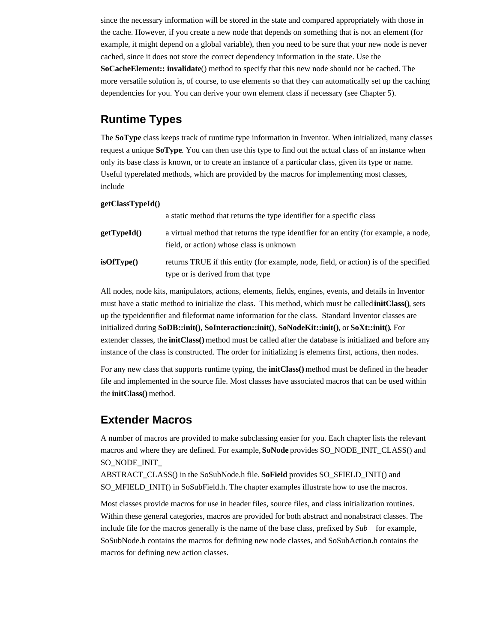since the necessary information will be stored in the state and compared appropriately with those in the cache. However, if you create a new node that depends on something that is not an element (for example, it might depend on a global variable), then you need to be sure that your new node is never cached, since it does not store the correct dependency information in the state. Use the **SoCacheElement:: invalidate**() method to specify that this new node should not be cached. The more versatile solution is, of course, to use elements so that they can automatically set up the caching dependencies for you. You can derive your own element class if necessary (see Chapter 5).

## **Runtime Types**

The **SoType** class keeps track of runtime type information in Inventor. When initialized, many classes request a unique **SoType**. You can then use this type to find out the actual class of an instance when only its base class is known, or to create an instance of a particular class, given its type or name. Useful typeÿelated methods, which are provided by the macros for implementing most classes, include

#### **getClassTypeId()**

|             | a static method that returns the type identifier for a specific class                                                             |
|-------------|-----------------------------------------------------------------------------------------------------------------------------------|
| getTypeId() | a virtual method that returns the type identifier for an entity (for example, a node,<br>field, or action) whose class is unknown |
| isOfType()  | returns TRUE if this entity (for example, node, field, or action) is of the specified<br>type or is derived from that type        |

All nodes, node kits, manipulators, actions, elements, fields, engines, events, and details in Inventor must have a static method to initialize the class. This method, which must be called **initClass()**, sets up the typeÿdentifier and fileÿformat name information for the class. Standard Inventor classes are initialized during **SoDB::init()**, **SoInteraction::init()**, **SoNodeKit::init()**, or **SoXt::init()**. For extender classes, the **initClass()** method must be called after the database is initialized and before any instance of the class is constructed. The order for initializing is elements first, actions, then nodes.

For any new class that supports runtime typing, the **initClass()** method must be defined in the header file and implemented in the source file. Most classes have associated macros that can be used within the **initClass()** method.

### **Extender Macros**

A number of macros are provided to make subclassing easier for you. Each chapter lists the relevant macros and where they are defined. For example, **SoNode** provides SO\_NODE\_INIT\_CLASS() and SO\_NODE\_INIT\_ÿ

ABSTRACT\_CLASS() in the SoSubNode.h file. **SoField** provides SO\_SFIELD\_INIT() and SO\_MFIELD\_INIT() in SoSubField.h. The chapter examples illustrate how to use the macros.

Most classes provide macros for use in header files, source files, and class initialization routines. Within these general categories, macros are provided for both abstract and nonabstract classes. The include file for the macros generally is the name of the base class, prefixed by  $Sub$ —for example, SoSubNode.h contains the macros for defining new node classes, and SoSubAction.h contains the macros for defining new action classes.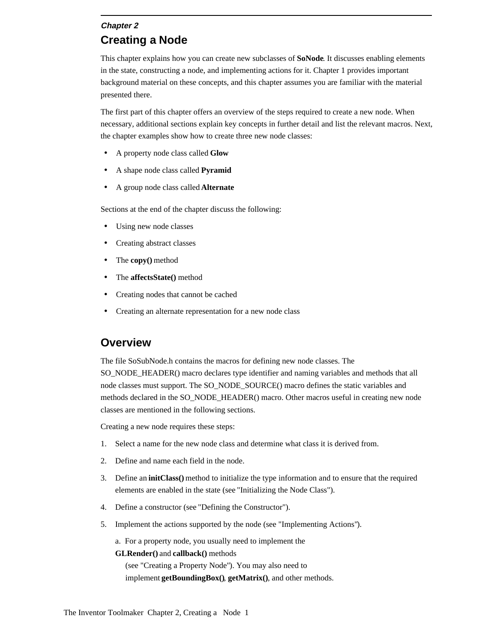## **Chapter 2 Creating a Node**

This chapter explains how you can create new subclasses of **SoNode**. It discusses enabling elements in the state, constructing a node, and implementing actions for it. Chapter 1 provides important background material on these concepts, and this chapter assumes you are familiar with the material presented there.

The first part of this chapter offers an overview of the steps required to create a new node. When necessary, additional sections explain key concepts in further detail and list the relevant macros. Next, the chapter examples show how to create three new node classes:

- A property node class called **Glow**
- A shape node class called **Pyramid**
- A group node class called **Alternate**

Sections at the end of the chapter discuss the following:

- Using new node classes
- Creating abstract classes
- The **copy()** method
- The **affectsState()** method
- Creating nodes that cannot be cached
- Creating an alternate representation for a new node class

### **Overview**

The file SoSubNode.h contains the macros for defining new node classes. The SO\_NODE\_HEADER() macro declares type identifier and naming variables and methods that all node classes must support. The SO\_NODE\_SOURCE() macro defines the static variables and methods declared in the SO\_NODE\_HEADER() macro. Other macros useful in creating new node classes are mentioned in the following sections.

Creating a new node requires these steps:

- 1. Select a name for the new node class and determine what class it is derived from.
- 2. Define and name each field in the node.
- 3. Define an **initClass()** method to initialize the type information and to ensure that the required elements are enabled in the state (see "Initializing the Node Class").
- 4. Define a constructor (see "Defining the Constructor").
- 5. Implement the actions supported by the node (see "Implementing Actions").

a. For a property node, you usually need to implement the

#### **GLRender()** and **callback()** methods

 (see "Creating a Property Node"). You may also need to implement **getBoundingBox()**, **getMatrix()**, and other methods.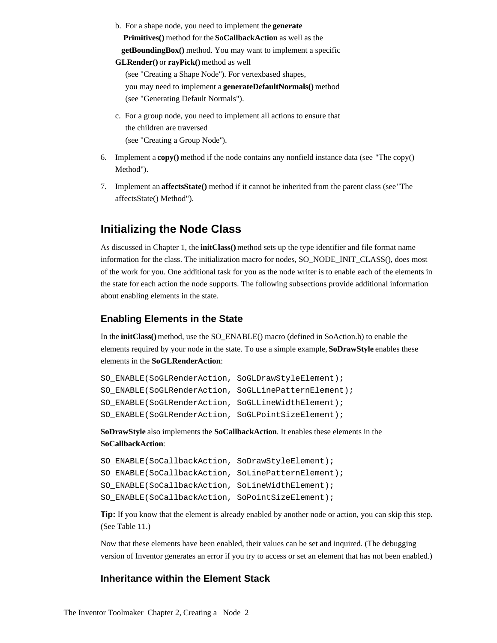- b. For a shape node, you need to implement the **generateÿ Primitives()** method for the **SoCallbackAction** as well as the  **getBoundingBox()** method. You may want to implement a specific **GLRender()** or **rayPick()** method as well (see "Creating a Shape Node"). For vertexÿbased shapes, you may need to implement a **generateDefaultNormals()** method (see "Generating Default Normals"). c. For a group node, you need to implement all actions to ensure that the children are traversed (see "Creating a Group Node").
- 6. Implement a **copy()** method if the node contains any nonÿfield instance data (see "The copy() Method").
- 7. Implement an **affectsState()** method if it cannot be inherited from the parent class (see "The affectsState() Method").

## **Initializing the Node Class**

As discussed in Chapter 1, the **initClass()** method sets up the type identifier and file format name information for the class. The initialization macro for nodes, SO\_NODE\_INIT\_CLASS(), does most of the work for you. One additional task for you as the node writer is to enable each of the elements in the state for each action the node supports. The following subsections provide additional information about enabling elements in the state.

### **Enabling Elements in the State**

In the **initClass()** method, use the SO\_ENABLE() macro (defined in SoAction.h) to enable the elements required by your node in the state. To use a simple example, **SoDrawStyle** enables these elements in the **SoGLRenderAction**:

```
SO_ENABLE(SoGLRenderAction, SoGLDrawStyleElement);
SO ENABLE(SoGLRenderAction, SoGLLinePatternElement);
SO_ENABLE(SoGLRenderAction, SoGLLineWidthElement);
SO_ENABLE(SoGLRenderAction, SoGLPointSizeElement);
```
**SoDrawStyle** also implements the **SoCallbackAction**. It enables these elements in the **SoCallbackAction**:

```
SO_ENABLE(SoCallbackAction, SoDrawStyleElement);
SO_ENABLE(SoCallbackAction, SoLinePatternElement);
SO_ENABLE(SoCallbackAction, SoLineWidthElement);
SO_ENABLE(SoCallbackAction, SoPointSizeElement);
```
**Tip:** If you know that the element is already enabled by another node or action, you can skip this step. (See Table 1ÿ1.)

Now that these elements have been enabled, their values can be set and inquired. (The debugging version of Inventor generates an error if you try to access or set an element that has not been enabled.)

### **Inheritance within the Element Stack**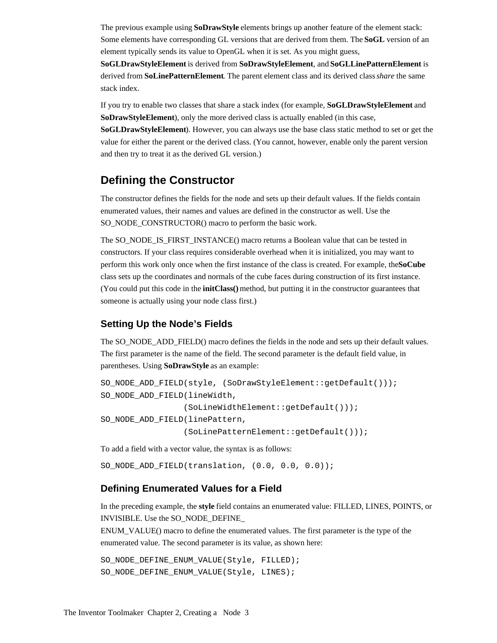The previous example using **SoDrawStyle** elements brings up another feature of the element stack: Some elements have corresponding GL versions that are derived from them. The **SoGL** version of an element typically sends its value to OpenGL when it is set. As you might guess,

**SoGLDrawStyleElement** is derived from **SoDrawStyleElement**, and **SoGLLinePatternElement** is derived from **SoLinePatternElement**. The parent element class and its derived class *share* the same stack index.

If you try to enable two classes that share a stack index (for example, **SoGLDrawStyleElement** and **SoDrawStyleElement**), only the more derived class is actually enabled (in this case,

**SoGLDrawStyleElement**). However, you can always use the base class static method to set or get the value for either the parent or the derived class. (You cannot, however, enable only the parent version and then try to treat it as the derived GL version.)

## **Defining the Constructor**

The constructor defines the fields for the node and sets up their default values. If the fields contain enumerated values, their names and values are defined in the constructor as well. Use the SO\_NODE\_CONSTRUCTOR() macro to perform the basic work.

The SO\_NODE\_IS\_FIRST\_INSTANCE() macro returns a Boolean value that can be tested in constructors. If your class requires considerable overhead when it is initialized, you may want to perform this work only once when the first instance of the class is created. For example, the **SoCube** class sets up the coordinates and normals of the cube faces during construction of its first instance. (You could put this code in the **initClass()** method, but putting it in the constructor guarantees that someone is actually using your node class first.)

### **Setting Up the Node's Fields**

The SO\_NODE\_ADD\_FIELD() macro defines the fields in the node and sets up their default values. The first parameter is the name of the field. The second parameter is the default field value, in parentheses. Using **SoDrawStyle** as an example:

```
SO_NODE_ADD_FIELD(style, (SoDrawStyleElement::getDefault()));
SO_NODE_ADD_FIELD(lineWidth,
                  (SoLineWidthElement::getDefault()));
SO_NODE_ADD_FIELD(linePattern,
                  (SoLinePatternElement::getDefault()));
```
To add a field with a vector value, the syntax is as follows:

SO\_NODE\_ADD\_FIELD(translation,  $(0.0, 0.0, 0.0)$ );

### **Defining Enumerated Values for a Field**

In the preceding example, the **style** field contains an enumerated value: FILLED, LINES, POINTS, or INVISIBLE. Use the SO\_NODE\_DEFINE\_ÿ

ENUM\_VALUE() macro to define the enumerated values. The first parameter is the type of the enumerated value. The second parameter is its value, as shown here:

```
SO_NODE_DEFINE_ENUM_VALUE(Style, FILLED);
SO_NODE_DEFINE_ENUM_VALUE(Style, LINES);
```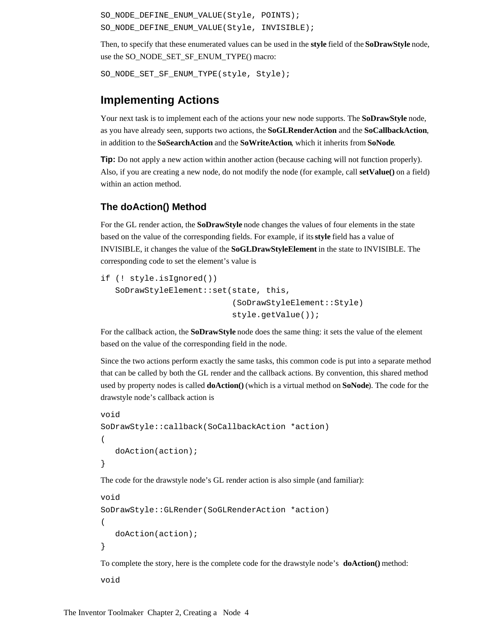SO\_NODE\_DEFINE\_ENUM\_VALUE(Style, POINTS); SO\_NODE\_DEFINE\_ENUM\_VALUE(Style, INVISIBLE);

Then, to specify that these enumerated values can be used in the **style** field of the **SoDrawStyle** node, use the SO\_NODE\_SET\_SF\_ENUM\_TYPE() macro:

SO\_NODE\_SET\_SF\_ENUM\_TYPE(style, Style);

## **Implementing Actions**

Your next task is to implement each of the actions your new node supports. The **SoDrawStyle** node, as you have already seen, supports two actions, the **SoGLRenderAction** and the **SoCallbackAction**, in addition to the **SoSearchAction** and the **SoWriteAction**, which it inherits from **SoNode**.

**Tip:** Do not apply a new action within another action (because caching will not function properly). Also, if you are creating a new node, do not modify the node (for example, call **setValue()** on a field) within an action method.

### **The doAction() Method**

For the GL render action, the **SoDrawStyle** node changes the values of four elements in the state based on the value of the corresponding fields. For example, if its **style** field has a value of INVISIBLE, it changes the value of the **SoGLDrawStyleElement** in the state to INVISIBLE. The corresponding code to set the element's value is

```
if (! style.isIgnored())
   SoDrawStyleElement::set(state, this,
                             (SoDrawStyleElement::Style)
                             style.getValue());
```
For the callback action, the **SoDrawStyle** node does the same thing: it sets the value of the element based on the value of the corresponding field in the node.

Since the two actions perform exactly the same tasks, this common code is put into a separate method that can be called by both the GL render and the callback actions. By convention, this shared method used by property nodes is called **doAction()** (which is a virtual method on **SoNode**). The code for the drawÿstyle node's callback action is

```
void
SoDrawStyle::callback(SoCallbackAction *action)
(
    doAction(action);
}
```
The code for the drawÿtyle node's GL render action is also simple (and familiar):

```
void
SoDrawStyle::GLRender(SoGLRenderAction *action)
(
    doAction(action);
}
```
To complete the story, here is the complete code for the drawÿstyle node's **doAction()** method:

void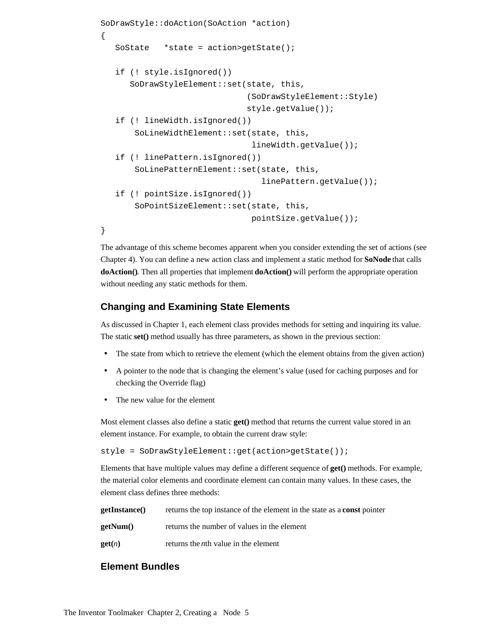```
SoDrawStyle::doAction(SoAction *action)
   SoState *state = actiony>getState();
    if (! style.isIgnored())
       SoDrawStyleElement::set(state, this,
                                (SoDrawStyleElement::Style)
                                style.getValue());
    if (! lineWidth.isIgnored())
        SoLineWidthElement::set(state, this,
                                 lineWidth.getValue());
    if (! linePattern.isIgnored())
        SoLinePatternElement::set(state, this,
                                   linePattern.getValue());
    if (! pointSize.isIgnored())
        SoPointSizeElement::set(state, this,
                                 pointSize.getValue());
```
The advantage of this scheme becomes apparent when you consider extending the set of actions (see Chapter 4). You can define a new action class and implement a static method for **SoNode** that calls **doAction()**. Then all properties that implement **doAction()** will perform the appropriate operation without needing any static methods for them.

### **Changing and Examining State Elements**

As discussed in Chapter 1, each element class provides methods for setting and inquiring its value. The static **set()** method usually has three parameters, as shown in the previous section:

- The state from which to retrieve the element (which the element obtains from the given action)
- A pointer to the node that is changing the element's value (used for caching purposes and for checking the Override flag)
- The new value for the element

 $\{$ 

}

Most element classes also define a static **get()** method that returns the current value stored in an element instance. For example, to obtain the current draw style:

```
style = SoDrawStyleElement::get(actionÿ>getState());
```
Elements that have multiple values may define a different sequence of **get()** methods. For example, the material color elements and coordinate element can contain many values. In these cases, the element class defines three methods:

| getInstance() | returns the top instance of the element in the state as a <b>const</b> pointer |
|---------------|--------------------------------------------------------------------------------|
| getNum()      | returns the number of values in the element                                    |
| get(n)        | returns the <i>n</i> th value in the element                                   |

### **Element Bundles**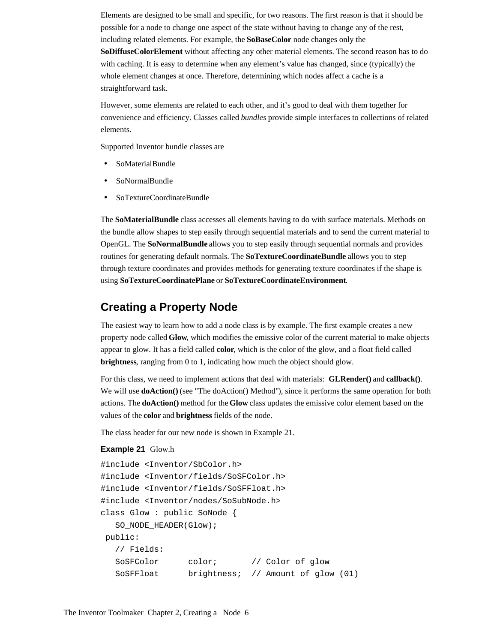Elements are designed to be small and specific, for two reasons. The first reason is that it should be possible for a node to change one aspect of the state without having to change any of the rest, including related elements. For example, the **SoBaseColor** node changes only the **SoDiffuseColorElement** without affecting any other material elements. The second reason has to do with caching. It is easy to determine when any element's value has changed, since (typically) the whole element changes at once. Therefore, determining which nodes affect a cache is a straightforward task.

However, some elements are related to each other, and it's good to deal with them together for convenience and efficiency. Classes called *bundles* provide simple interfaces to collections of related elements.

Supported Inventor bundle classes are

- SoMaterialBundle
- SoNormalBundle
- SoTextureCoordinateBundle

The **SoMaterialBundle** class accesses all elements having to do with surface materials. Methods on the bundle allow shapes to step easily through sequential materials and to send the current material to OpenGL. The **SoNormalBundle** allows you to step easily through sequential normals and provides routines for generating default normals. The **SoTextureCoordinateBundle** allows you to step through texture coordinates and provides methods for generating texture coordinates if the shape is using **SoTextureCoordinatePlane** or **SoTextureCoordinateEnvironment**.

## **Creating a Property Node**

The easiest way to learn how to add a node class is by example. The first example creates a new property node called **Glow**, which modifies the emissive color of the current material to make objects appear to glow. It has a field called **color**, which is the color of the glow, and a float field called **brightness**, ranging from 0 to 1, indicating how much the object should glow.

For this class, we need to implement actions that deal with materials: **GLRender()** and **callback()**. We will use **doAction()** (see "The doAction() Method"), since it performs the same operation for both actions. The **doAction()** method for the **Glow** class updates the emissive color element based on the values of the **color** and **brightness** fields of the node.

The class header for our new node is shown in Example 2ÿ1.

#### **Example 2ÿ1** Glow.h

```
#include <Inventor/SbColor.h>
#include <Inventor/fields/SoSFColor.h>
#include <Inventor/fields/SoSFFloat.h>
#include <Inventor/nodes/SoSubNode.h>
class Glow : public SoNode {
   SO_NODE_HEADER(Glow);
 public:
    // Fields:
  SoSFColor color; // Color of glow
   SoSFFloat brightness; // Amount of glow (0ÿ1)
```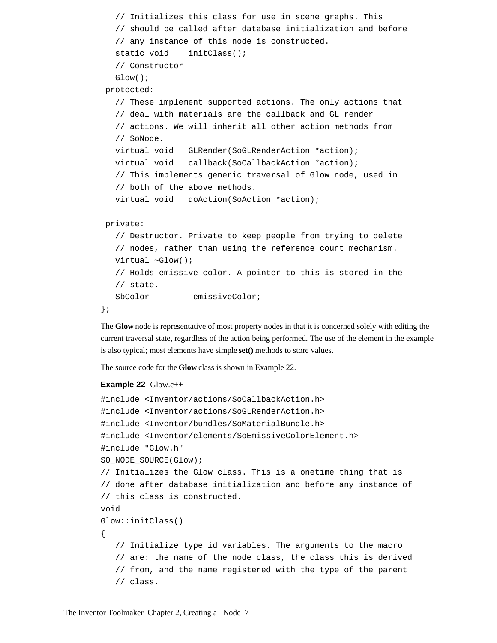```
 // Initializes this class for use in scene graphs. This
   // should be called after database initialization and before
   // any instance of this node is constructed.
  static void initClass();
   // Constructor
   Glow();
 protected:
   // These implement supported actions. The only actions that
   // deal with materials are the callback and GL render
   // actions. We will inherit all other action methods from
   // SoNode.
   virtual void GLRender(SoGLRenderAction *action);
   virtual void callback(SoCallbackAction *action);
   // This implements generic traversal of Glow node, used in
   // both of the above methods.
   virtual void doAction(SoAction *action);
 private:
   // Destructor. Private to keep people from trying to delete
   // nodes, rather than using the reference count mechanism.
   virtual ~Glow();
```
// Holds emissive color. A pointer to this is stored in the

The **Glow** node is representative of most property nodes in that it is concerned solely with editing the current traversal state, regardless of the action being performed. The use of the element in the example

# The source code for the **Glow** class is shown in Example 2ÿ2.

#### **Example 2ÿ2** Glow.c++

// state.

};

SbColor emissiveColor;

is also typical; most elements have simple **set()** methods to store values.

```
#include <Inventor/actions/SoCallbackAction.h>
#include <Inventor/actions/SoGLRenderAction.h>
#include <Inventor/bundles/SoMaterialBundle.h>
#include <Inventor/elements/SoEmissiveColorElement.h>
#include "Glow.h"
SO_NODE_SOURCE(Glow);
// Initializes the Glow class. This is a oneÿtime thing that is
// done after database initialization and before any instance of
// this class is constructed.
void
Glow::initClass()
{
    // Initialize type id variables. The arguments to the macro
    // are: the name of the node class, the class this is derived
    // from, and the name registered with the type of the parent
    // class.
```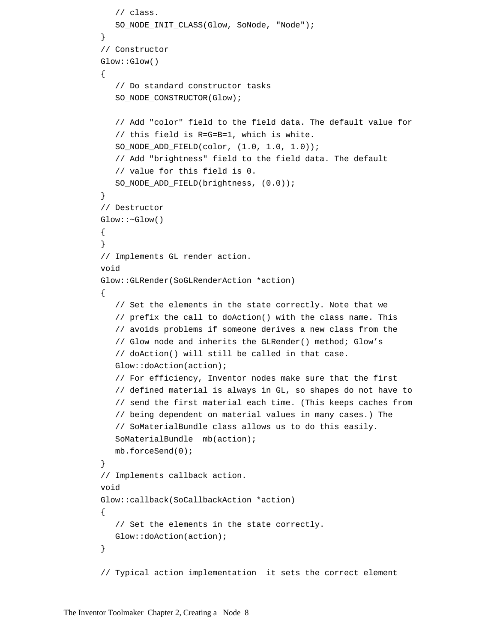```
 // class.
    SO_NODE_INIT_CLASS(Glow, SoNode, "Node");
}
// Constructor
Glow::Glow()
{
    // Do standard constructor tasks
    SO_NODE_CONSTRUCTOR(Glow);
    // Add "color" field to the field data. The default value for
    // this field is R=G=B=1, which is white.
  SO_NODE_ADD_FIELD(color, (1.0, 1.0, 1.0));
    // Add "brightness" field to the field data. The default
    // value for this field is 0.
    SO_NODE_ADD_FIELD(brightness, (0.0));
}
// Destructor
Glow::~Glow()
{
}
// Implements GL render action.
void
Glow::GLRender(SoGLRenderAction *action)
{
    // Set the elements in the state correctly. Note that we
    // prefix the call to doAction() with the class name. This
    // avoids problems if someone derives a new class from the
    // Glow node and inherits the GLRender() method; Glow's
    // doAction() will still be called in that case.
   Glow::doAction(action);
    // For efficiency, Inventor nodes make sure that the first
    // defined material is always in GL, so shapes do not have to
    // send the first material each time. (This keeps caches from
    // being dependent on material values in many cases.) The
    // SoMaterialBundle class allows us to do this easily.
    SoMaterialBundle mb(action);
   mb.forceSend(0);
}
// Implements callback action.
void
Glow::callback(SoCallbackAction *action)
{
    // Set the elements in the state correctly.
   Glow::doAction(action);
}
// Typical action implementation ÿ it sets the correct element
```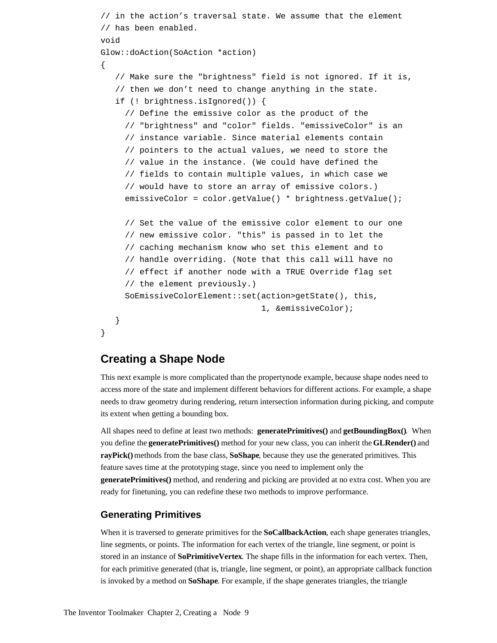```
// in the action's traversal state. We assume that the element
// has been enabled.
void
Glow::doAction(SoAction *action)
{
    // Make sure the "brightness" field is not ignored. If it is,
    // then we don't need to change anything in the state.
    if (! brightness.isIgnored()) {
      // Define the emissive color as the product of the
      // "brightness" and "color" fields. "emissiveColor" is an
      // instance variable. Since material elements contain
      // pointers to the actual values, we need to store the
      // value in the instance. (We could have defined the
      // fields to contain multiple values, in which case we
      // would have to store an array of emissive colors.)
      emissiveColor = color.getValue() * brightness.getValue();
      // Set the value of the emissive color element to our one
      // new emissive color. "this" is passed in to let the
      // caching mechanism know who set this element and to
      // handle overriding. (Note that this call will have no
      // effect if another node with a TRUE Override flag set
      // the element previously.)
      SoEmissiveColorElement::set(actionÿ>getState(), this,
                                   1, &emissiveColor);
    }
}
```
### **Creating a Shape Node**

This next example is more complicated than the propertyÿnode example, because shape nodes need to access more of the state and implement different behaviors for different actions. For example, a shape needs to draw geometry during rendering, return intersection information during picking, and compute its extent when getting a bounding box.

All shapes need to define at least two methods: **generatePrimitives()** and **getBoundingBox()**. When you define the **generatePrimitives()** method for your new class, you can inherit the **GLRender()** and **rayPick()** methods from the base class, **SoShape**, because they use the generated primitives. This feature saves time at the prototyping stage, since you need to implement only the **generatePrimitives()** method, and rendering and picking are provided at no extra cost. When you are ready for fine yuning, you can redefine these two methods to improve performance.

### **Generating Primitives**

When it is traversed to generate primitives for the **SoCallbackAction**, each shape generates triangles, line segments, or points. The information for each vertex of the triangle, line segment, or point is stored in an instance of **SoPrimitiveVertex**. The shape fills in the information for each vertex. Then, for each primitive generated (that is, triangle, line segment, or point), an appropriate callback function is invoked by a method on **SoShape**. For example, if the shape generates triangles, the triangle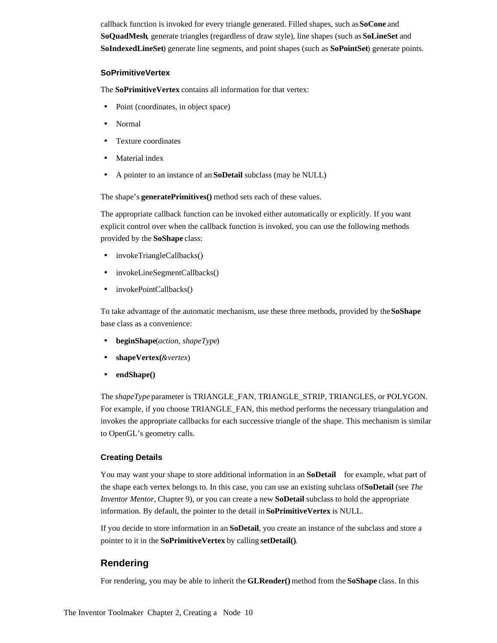callback function is invoked for every triangle generated. Filled shapes, such as **SoCone** and **SoQuadMesh**, generate triangles (regardless of draw style), line shapes (such as **SoLineSet** and **SoIndexedLineSet**) generate line segments, and point shapes (such as **SoPointSet**) generate points.

#### **SoPrimitiveVertex**

The **SoPrimitiveVertex** contains all information for that vertex:

- Point (coordinates, in object space)
- Normal
- Texture coordinates
- Material index
- A pointer to an instance of an **SoDetail** subclass (may be NULL)

The shape's **generatePrimitives()** method sets each of these values.

The appropriate callback function can be invoked either automatically or explicitly. If you want explicit control over when the callback function is invoked, you can use the following methods provided by the **SoShape** class:

- invokeTriangleCallbacks()
- invokeLineSegmentCallbacks()
- invokePointCallbacks()

To take advantage of the automatic mechanism, use these three methods, provided by the **SoShape** base class as a convenience:

- **beginShape**(*action*, *shapeType*)
- **shapeVertex(***&vertex*)
- **endShape()**

The *shapeType* parameter is TRIANGLE\_FAN, TRIANGLE\_STRIP, TRIANGLES, or POLYGON. For example, if you choose TRIANGLE\_FAN, this method performs the necessary triangulation and invokes the appropriate callbacks for each successive triangle of the shape. This mechanism is similar to OpenGL's geometry calls.

#### **Creating Details**

You may want your shape to store additional information in an **SoDetail**—for example, what part of the shape each vertex belongs to. In this case, you can use an existing subclass of **SoDetail** (see *The Inventor Mentor,* Chapter 9), or you can create a new **SoDetail** subclass to hold the appropriate information. By default, the pointer to the detail in **SoPrimitiveVertex** is NULL.

If you decide to store information in an **SoDetail**, you create an instance of the subclass and store a pointer to it in the **SoPrimitiveVertex** by calling **setDetail()**.

### **Rendering**

For rendering, you may be able to inherit the **GLRender()** method from the **SoShape** class. In this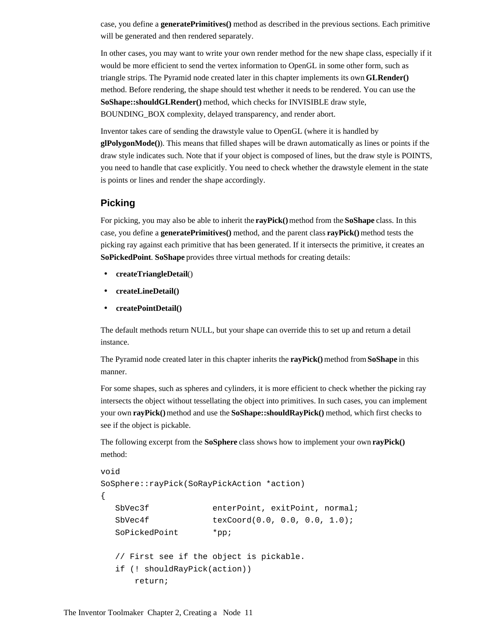case, you define a **generatePrimitives()** method as described in the previous sections. Each primitive will be generated and then rendered separately.

In other cases, you may want to write your own render method for the new shape class, especially if it would be more efficient to send the vertex information to OpenGL in some other form, such as triangle strips. The Pyramid node created later in this chapter implements its own **GLRender()** method. Before rendering, the shape should test whether it needs to be rendered. You can use the **SoShape::shouldGLRender()** method, which checks for INVISIBLE draw style, BOUNDING\_BOX complexity, delayed transparency, and render abort.

Inventor takes care of sending the drawÿstyle value to OpenGL (where it is handled by **glPolygonMode()**). This means that filled shapes will be drawn automatically as lines or points if the draw style indicates such. Note that if your object is composed of lines, but the draw style is POINTS, you need to handle that case explicitly. You need to check whether the drawÿstyle element in the state is points or lines and render the shape accordingly.

### **Picking**

For picking, you may also be able to inherit the **rayPick()** method from the **SoShape** class. In this case, you define a **generatePrimitives()** method, and the parent class **rayPick()** method tests the picking ray against each primitive that has been generated. If it intersects the primitive, it creates an **SoPickedPoint**. **SoShape** provides three virtual methods for creating details:

- **createTriangleDetail**()
- **createLineDetail()**
- **createPointDetail()**

The default methods return NULL, but your shape can override this to set up and return a detail instance.

The Pyramid node created later in this chapter inherits the **rayPick()** method from **SoShape** in this manner.

For some shapes, such as spheres and cylinders, it is more efficient to check whether the picking ray intersects the object without tessellating the object into primitives. In such cases, you can implement your own **rayPick()** method and use the **SoShape::shouldRayPick()** method, which first checks to see if the object is pickable.

The following excerpt from the **SoSphere** class shows how to implement your own **rayPick()** method:

```
void
SoSphere::rayPick(SoRayPickAction *action)
{
  SbVec3f enterPoint, exitPoint, normal;
  SbVec4f texCoord(0.0, 0.0, 0.0, 1.0);
  SoPickedPoint *pp;
   // First see if the object is pickable.
   if (! shouldRayPick(action))
       return;
```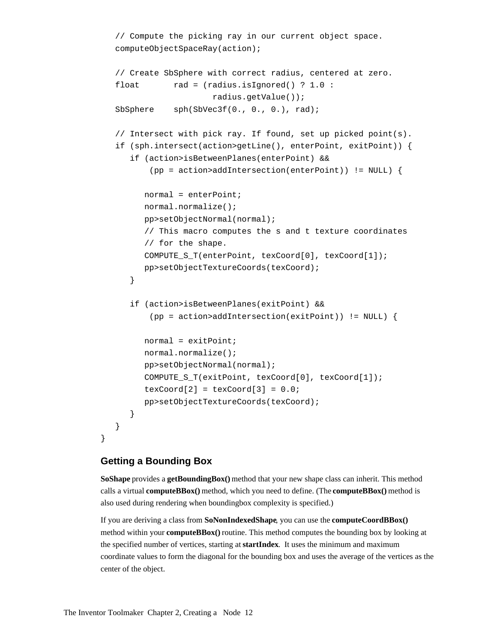```
 // Compute the picking ray in our current object space.
 computeObjectSpaceRay(action);
 // Create SbSphere with correct radius, centered at zero.
float rad = (radius.isIgnored() ? 1.0 :
                     radius.getValue());
SbSphere sph(SbVec3f(0., 0., 0.), rad);
 // Intersect with pick ray. If found, set up picked point(s).
 if (sph.intersect(actionÿ>getLine(), enterPoint, exitPoint)) {
    if (actionÿ>isBetweenPlanes(enterPoint) &&
        (pp = actionÿ>addIntersection(enterPoint)) != NULL) {
       normal = enterPoint;
       normal.normalize();
       ppÿ>setObjectNormal(normal);
       // This macro computes the s and t texture coordinates
       // for the shape.
       COMPUTE_S_T(enterPoint, texCoord[0], texCoord[1]);
       ppÿ>setObjectTextureCoords(texCoord);
    }
    if (actionÿ>isBetweenPlanes(exitPoint) &&
        (pp = actionÿ>addIntersection(exitPoint)) != NULL) {
      normal = exitPoint; normal.normalize();
       ppÿ>setObjectNormal(normal);
       COMPUTE_S_T(exitPoint, texCoord[0], texCoord[1]);
      textCoord[2] = textCoord[3] = 0.0; ppÿ>setObjectTextureCoords(texCoord);
    }
 }
```
### **Getting a Bounding Box**

}

**SoShape** provides a **getBoundingBox()** method that your new shape class can inherit. This method calls a virtual **computeBBox()** method, which you need to define. (The **computeBBox()** method is also used during rendering when boundingÿbox complexity is specified.)

If you are deriving a class from **SoNonIndexedShape**, you can use the **computeCoordBBox()** method within your **computeBBox()** routine. This method computes the bounding box by looking at the specified number of vertices, starting at **startIndex**. It uses the minimum and maximum coordinate values to form the diagonal for the bounding box and uses the average of the vertices as the center of the object.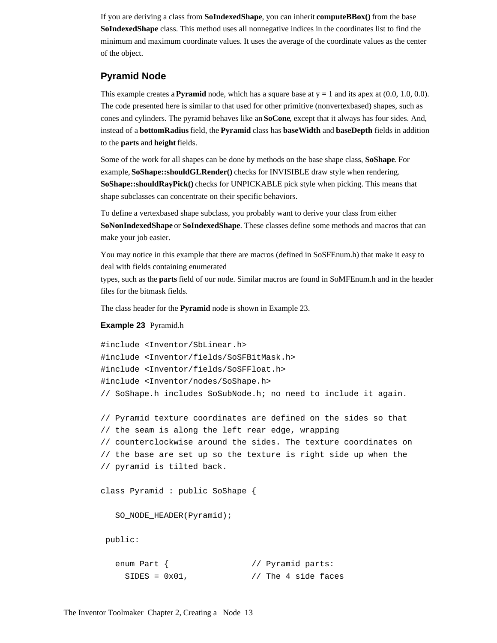If you are deriving a class from **SoIndexedShape**, you can inherit **computeBBox()** from the base **SoIndexedShape** class. This method uses all nonnegative indices in the coordinates list to find the minimum and maximum coordinate values. It uses the average of the coordinate values as the center of the object.

### **Pyramid Node**

This example creates a **Pyramid** node, which has a square base at  $y = \ddot{y}l$  and its apex at (0.0, 1.0, 0.0). The code presented here is similar to that used for other primitive (nonvertexÿbased) shapes, such as cones and cylinders. The pyramid behaves like an **SoCone**, except that it always has four sides. And, instead of a **bottomRadius** field, the **Pyramid** class has **baseWidth** and **baseDepth** fields in addition to the **parts** and **height** fields.

Some of the work for all shapes can be done by methods on the base shape class, **SoShape**. For example, **SoShape::shouldGLRender()** checks for INVISIBLE draw style when rendering. **SoShape::shouldRayPick()** checks for UNPICKABLE pick style when picking. This means that shape subclasses can concentrate on their specific behaviors.

To define a vertexÿbased shape subclass, you probably want to derive your class from either **SoNonIndexedShape** or **SoIndexedShape**. These classes define some methods and macros that can make your job easier.

You may notice in this example that there are macros (defined in SoSFEnum.h) that make it easy to deal with fields containing enumerated

types, such as the **parts** field of our node. Similar macros are found in SoMFEnum.h and in the header files for the bitÿmask fields.

The class header for the **Pyramid** node is shown in Example 2ÿ3.

#### **Example 2ÿ3** Pyramid.h

```
#include <Inventor/SbLinear.h>
#include <Inventor/fields/SoSFBitMask.h>
#include <Inventor/fields/SoSFFloat.h>
#include <Inventor/nodes/SoShape.h>
// SoShape.h includes SoSubNode.h; no need to include it again.
// Pyramid texture coordinates are defined on the sides so that
// the seam is along the left rear edge, wrapping
// counterclockwise around the sides. The texture coordinates on
// the base are set up so the texture is right side up when the
// pyramid is tilted back.
class Pyramid : public SoShape {
   SO_NODE_HEADER(Pyramid);
 public:
  enum Part { \frac{1}{2} // Pyramid parts:
     SIDES = 0x01, // The 4 side faces
```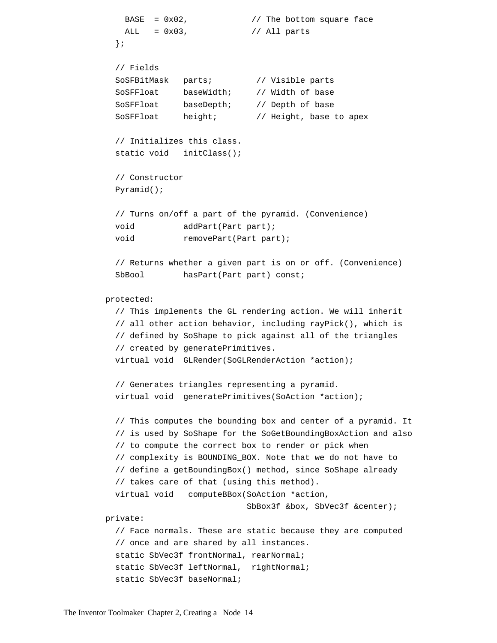```
BASE = 0x02, \frac{1}{10} The bottom square face
   ALL = 0x03, // All parts };
   // Fields
  SoSFBitMask parts; // Visible parts
   SoSFFloat baseWidth; // Width of base
   SoSFFloat baseDepth; // Depth of base
  SoSFFloat height; // Height, base to apex
   // Initializes this class.
   static void initClass();
   // Constructor
   Pyramid();
   // Turns on/off a part of the pyramid. (Convenience)
  void addPart(Part part);
  void removePart(Part part);
   // Returns whether a given part is on or off. (Convenience)
  SbBool hasPart(Part part) const;
 protected:
   // This implements the GL rendering action. We will inherit
   // all other action behavior, including rayPick(), which is
   // defined by SoShape to pick against all of the triangles
   // created by generatePrimitives.
   virtual void GLRender(SoGLRenderAction *action);
   // Generates triangles representing a pyramid.
   virtual void generatePrimitives(SoAction *action);
   // This computes the bounding box and center of a pyramid. It
   // is used by SoShape for the SoGetBoundingBoxAction and also
   // to compute the correct box to render or pick when
   // complexity is BOUNDING_BOX. Note that we do not have to
   // define a getBoundingBox() method, since SoShape already
   // takes care of that (using this method).
  virtual void computeBBox(SoAction *action,
                            SbBox3f &box, SbVec3f &center);
 private:
   // Face normals. These are static because they are computed
   // once and are shared by all instances.
   static SbVec3f frontNormal, rearNormal;
   static SbVec3f leftNormal, rightNormal; 
   static SbVec3f baseNormal;
```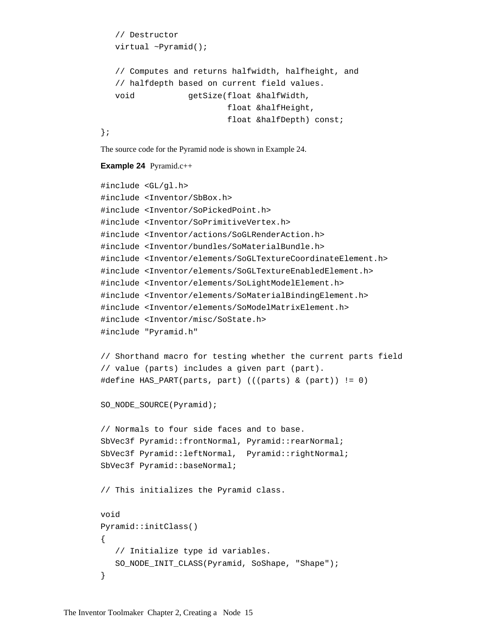```
 // Destructor
    virtual ~Pyramid();
   // Computes and returns halfÿwidth, halfÿheight, and
    // halfÿdepth based on current field values.
    void getSize(float &halfWidth,
                           float &halfHeight,
                           float &halfDepth) const;
};
```
The source code for the Pyramid node is shown in Example 2ÿ4.

#### **Example 2ÿ4** Pyramid.c++

```
#include <GL/gl.h>
#include <Inventor/SbBox.h>
#include <Inventor/SoPickedPoint.h>
#include <Inventor/SoPrimitiveVertex.h>
#include <Inventor/actions/SoGLRenderAction.h>
#include <Inventor/bundles/SoMaterialBundle.h>
#include <Inventor/elements/SoGLTextureCoordinateElement.h>
#include <Inventor/elements/SoGLTextureEnabledElement.h>
#include <Inventor/elements/SoLightModelElement.h>
#include <Inventor/elements/SoMaterialBindingElement.h>
#include <Inventor/elements/SoModelMatrixElement.h>
#include <Inventor/misc/SoState.h>
#include "Pyramid.h"
```

```
// Shorthand macro for testing whether the current parts field
// value (parts) includes a given part (part).
#define HAS_PART(parts, part) (((parts) & (part)) != 0)
```

```
SO_NODE_SOURCE(Pyramid);
```

```
// Normals to four side faces and to base.
SbVec3f Pyramid::frontNormal, Pyramid::rearNormal;
SbVec3f Pyramid::leftNormal, Pyramid::rightNormal;
SbVec3f Pyramid::baseNormal;
// This initializes the Pyramid class.
void
Pyramid::initClass()
{
    // Initialize type id variables.
    SO_NODE_INIT_CLASS(Pyramid, SoShape, "Shape");
}
```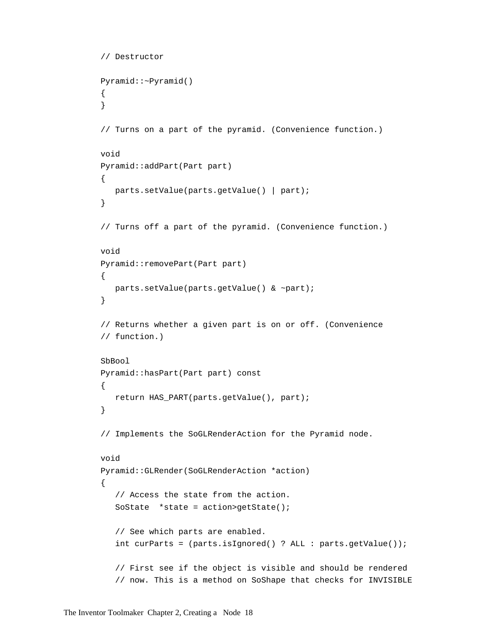```
// Destructor
Pyramid::~Pyramid()
{
}
// Turns on a part of the pyramid. (Convenience function.)
void
Pyramid::addPart(Part part)
{
    parts.setValue(parts.getValue() | part);
}
// Turns off a part of the pyramid. (Convenience function.)
void
Pyramid::removePart(Part part)
{
    parts.setValue(parts.getValue() & ~part);
}
// Returns whether a given part is on or off. (Convenience
// function.)
SbBool
Pyramid::hasPart(Part part) const
{
    return HAS_PART(parts.getValue(), part);
}
// Implements the SoGLRenderAction for the Pyramid node.
void
Pyramid::GLRender(SoGLRenderAction *action)
{
    // Access the state from the action.
   SoState *state = actiony>getState();
    // See which parts are enabled.
    int curParts = (parts.isIgnored() ? ALL : parts.getValue());
    // First see if the object is visible and should be rendered
    // now. This is a method on SoShape that checks for INVISIBLE
```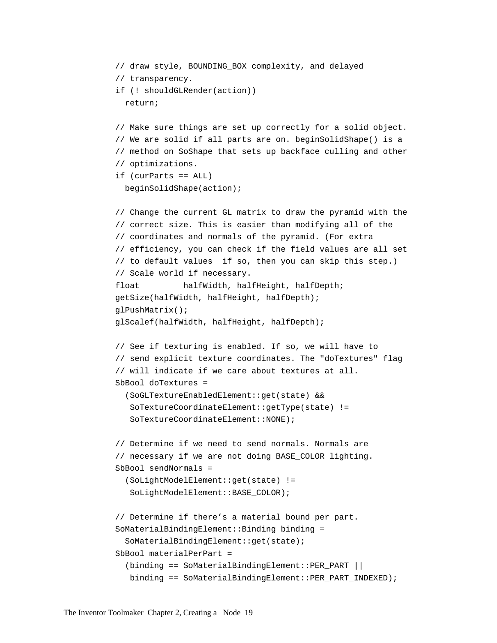```
 // draw style, BOUNDING_BOX complexity, and delayed
 // transparency.
 if (! shouldGLRender(action))
   return;
 // Make sure things are set up correctly for a solid object.
 // We are solid if all parts are on. beginSolidShape() is a
 // method on SoShape that sets up backface culling and other
 // optimizations.
 if (curParts == ALL)
  beginSolidShape(action);
 // Change the current GL matrix to draw the pyramid with the
 // correct size. This is easier than modifying all of the
 // coordinates and normals of the pyramid. (For extra
 // efficiency, you can check if the field values are all set
 // to default values ÿ if so, then you can skip this step.)
 // Scale world if necessary.
float halfWidth, halfHeight, halfDepth;
 getSize(halfWidth, halfHeight, halfDepth);
 glPushMatrix();
 glScalef(halfWidth, halfHeight, halfDepth);
 // See if texturing is enabled. If so, we will have to
 // send explicit texture coordinates. The "doTextures" flag
 // will indicate if we care about textures at all.
 SbBool doTextures =
   (SoGLTextureEnabledElement::get(state) &&
    SoTextureCoordinateElement::getType(state) !=
    SoTextureCoordinateElement::NONE);
 // Determine if we need to send normals. Normals are
 // necessary if we are not doing BASE_COLOR lighting.
 SbBool sendNormals =
   (SoLightModelElement::get(state) !=
    SoLightModelElement::BASE_COLOR);
 // Determine if there's a material bound per part.
 SoMaterialBindingElement::Binding binding = 
   SoMaterialBindingElement::get(state);
 SbBool materialPerPart =
   (binding == SoMaterialBindingElement::PER_PART ||
    binding == SoMaterialBindingElement::PER_PART_INDEXED);
```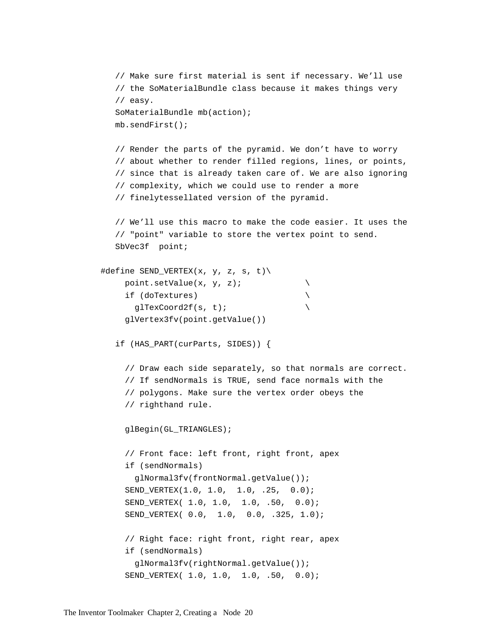```
 // Make sure first material is sent if necessary. We'll use
   // the SoMaterialBundle class because it makes things very
   // easy.
   SoMaterialBundle mb(action);
   mb.sendFirst();
   // Render the parts of the pyramid. We don't have to worry
   // about whether to render filled regions, lines, or points,
   // since that is already taken care of. We are also ignoring
   // complexity, which we could use to render a more
   // finelyÿtessellated version of the pyramid.
   // We'll use this macro to make the code easier. It uses the
   // "point" variable to store the vertex point to send.
   SbVec3f point;
#define SEND_VERTEX(x, y, z, s, t) \
    point.setValue(x, y, z);
     if (doTextures) \
       glTexCoord2f(s, t); \
     glVertex3fv(point.getValue())
   if (HAS_PART(curParts, SIDES)) {
      // Draw each side separately, so that normals are correct.
      // If sendNormals is TRUE, send face normals with the
      // polygons. Make sure the vertex order obeys the
      // rightÿhand rule.
     glBegin(GL_TRIANGLES);
      // Front face: left front, right front, apex
     if (sendNormals)
       glNormal3fv(frontNormal.getValue());
     SEND_VERTEX(ÿ1.0, ÿ1.0, 1.0, .25, 0.0);
     SEND_VERTEX( 1.0, ÿ1.0, 1.0, .50, 0.0);
     SEND_VERTEX( 0.0, 1.0, 0.0, .325, 1.0);
      // Right face: right front, right rear, apex
      if (sendNormals)
       glNormal3fv(rightNormal.getValue());
     SEND_VERTEX( 1.0, ÿ1.0, 1.0, .50, 0.0);
```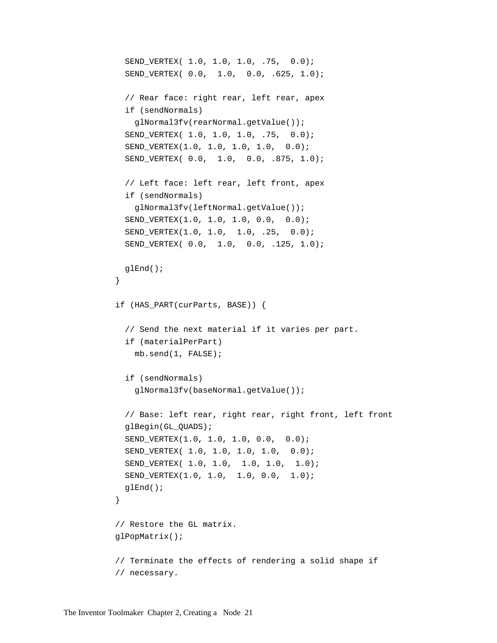```
 SEND_VERTEX( 1.0, ÿ1.0, ÿ1.0, .75, 0.0);
   SEND_VERTEX( 0.0, 1.0, 0.0, .625, 1.0);
   // Rear face: right rear, left rear, apex
   if (sendNormals)
     glNormal3fv(rearNormal.getValue());
   SEND_VERTEX( 1.0, ÿ1.0, ÿ1.0, .75, 0.0);
   SEND_VERTEX(ÿ1.0, ÿ1.0, ÿ1.0, 1.0, 0.0);
   SEND_VERTEX( 0.0, 1.0, 0.0, .875, 1.0);
   // Left face: left rear, left front, apex
   if (sendNormals)
     glNormal3fv(leftNormal.getValue());
   SEND_VERTEX(ÿ1.0, ÿ1.0, ÿ1.0, 0.0, 0.0);
   SEND_VERTEX(ÿ1.0, ÿ1.0, 1.0, .25, 0.0);
   SEND_VERTEX( 0.0, 1.0, 0.0, .125, 1.0);
   glEnd();
 }
 if (HAS_PART(curParts, BASE)) {
   // Send the next material if it varies per part.
   if (materialPerPart)
     mb.send(1, FALSE);
   if (sendNormals)
     glNormal3fv(baseNormal.getValue());
   // Base: left rear, right rear, right front, left front
   glBegin(GL_QUADS);
  SEND VERTEX(\ddot{V}1.0, \ddot{V}1.0, \ddot{V}1.0, 0.0, 0.0);
   SEND_VERTEX( 1.0, ÿ1.0, ÿ1.0, 1.0, 0.0);
   SEND_VERTEX( 1.0, ÿ1.0, 1.0, 1.0, 1.0);
  SEND VERTEX(\ddot{V}1.0, \ddot{V}1.0, 1.0, 0.0, 1.0);
   glEnd();
 }
 // Restore the GL matrix.
 glPopMatrix();
 // Terminate the effects of rendering a solid shape if
 // necessary.
```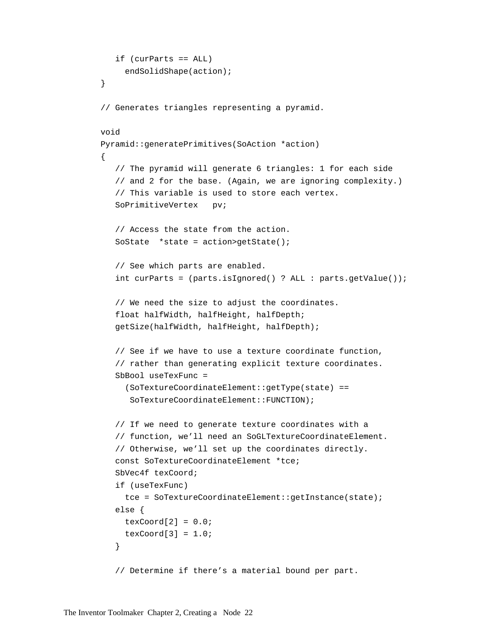```
 if (curParts == ALL)
     endSolidShape(action);
}
// Generates triangles representing a pyramid.
void
Pyramid::generatePrimitives(SoAction *action)
{
    // The pyramid will generate 6 triangles: 1 for each side
    // and 2 for the base. (Again, we are ignoring complexity.)
    // This variable is used to store each vertex.
   SoPrimitiveVertex pv;
    // Access the state from the action.
   SoState *state = actiony>getState();
    // See which parts are enabled.
   int curParts = (parts.isIqnored() ? ALL : parts.getValue());
    // We need the size to adjust the coordinates.
   float halfWidth, halfHeight, halfDepth;
    getSize(halfWidth, halfHeight, halfDepth);
    // See if we have to use a texture coordinate function,
    // rather than generating explicit texture coordinates.
    SbBool useTexFunc = 
      (SoTextureCoordinateElement::getType(state) ==
       SoTextureCoordinateElement::FUNCTION);
    // If we need to generate texture coordinates with a
    // function, we'll need an SoGLTextureCoordinateElement.
    // Otherwise, we'll set up the coordinates directly.
    const SoTextureCoordinateElement *tce;
    SbVec4f texCoord;
    if (useTexFunc)
      tce = SoTextureCoordinateElement::getInstance(state);
    else {
    textCoord[2] = 0.0;textConcl[3] = 1.0; }
    // Determine if there's a material bound per part.
```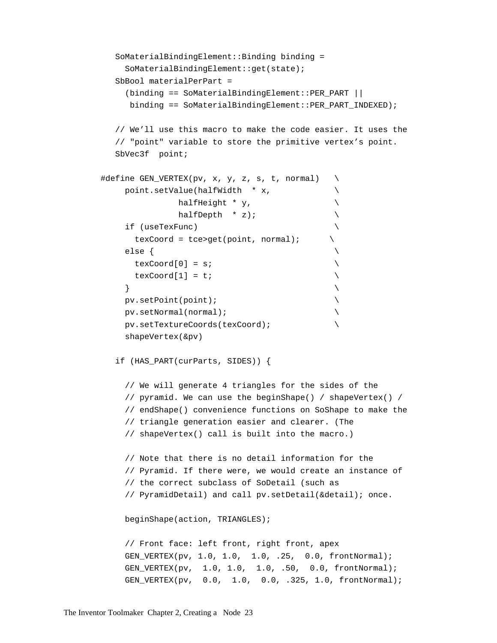```
 SoMaterialBindingElement::Binding binding = 
   SoMaterialBindingElement::get(state);
 SbBool materialPerPart =
   (binding == SoMaterialBindingElement::PER_PART ||
    binding == SoMaterialBindingElement::PER_PART_INDEXED);
```

```
 // We'll use this macro to make the code easier. It uses the
 // "point" variable to store the primitive vertex's point.
 SbVec3f point;
```

```
#define GEN_VERTEX(pv, x, y, z, s, t, normal) \
   point.setValue(halfWidth * x,
         halfHeight * y,
         halfDepth * z);
    if (useTexFunc) \
    texCoord = tce\ddot{y}>get(point, normal);
   else { \qquad \qquadtextCoord[0] = sitextCoord[1] = t;\}pv.setPoint(point);
    pv.setNormal(normal); \
   pv.setTextureCoords(texCoord); \setminus shapeVertex(&pv)
```

```
 if (HAS_PART(curParts, SIDES)) {
```

```
 // We will generate 4 triangles for the sides of the
 // pyramid. We can use the beginShape() / shapeVertex() /
 // endShape() convenience functions on SoShape to make the
 // triangle generation easier and clearer. (The
 // shapeVertex() call is built into the macro.)
 // Note that there is no detail information for the
```

```
 // Pyramid. If there were, we would create an instance of
 // the correct subclass of SoDetail (such as
 // PyramidDetail) and call pv.setDetail(&detail); once.
```
beginShape(action, TRIANGLES);

```
 // Front face: left front, right front, apex
 GEN_VERTEX(pv, ÿ1.0, ÿ1.0, 1.0, .25, 0.0, frontNormal);
GEN VERTEX(pv, 1.0, \ddot{V}1.0, 1.0, .50, 0.0, frontNormal);
 GEN_VERTEX(pv, 0.0, 1.0, 0.0, .325, 1.0, frontNormal);
```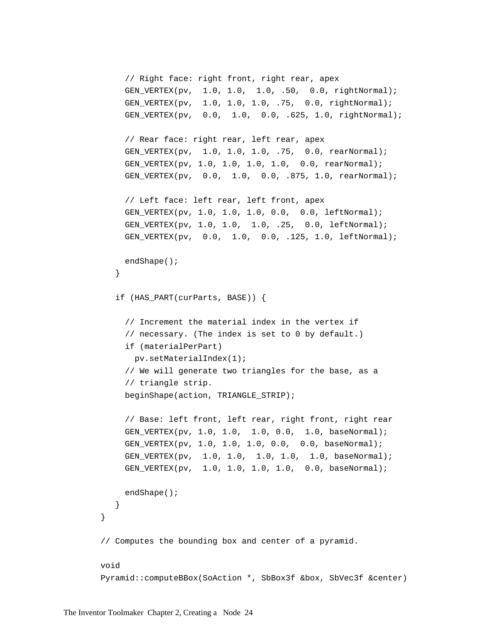```
 // Right face: right front, right rear, apex
      GEN_VERTEX(pv, 1.0, ÿ1.0, 1.0, .50, 0.0, rightNormal);
      GEN_VERTEX(pv, 1.0, ÿ1.0, ÿ1.0, .75, 0.0, rightNormal);
      GEN_VERTEX(pv, 0.0, 1.0, 0.0, .625, 1.0, rightNormal);
      // Rear face: right rear, left rear, apex
      GEN_VERTEX(pv, 1.0, ÿ1.0, ÿ1.0, .75, 0.0, rearNormal);
      GEN_VERTEX(pv, ÿ1.0, ÿ1.0, ÿ1.0, 1.0, 0.0, rearNormal);
      GEN_VERTEX(pv, 0.0, 1.0, 0.0, .875, 1.0, rearNormal);
      // Left face: left rear, left front, apex
      GEN_VERTEX(pv, ÿ1.0, ÿ1.0, ÿ1.0, 0.0, 0.0, leftNormal);
     GEN VERTEX(pv, \ddot{V}1.0, \ddot{V}1.0, 1.0, .25, 0.0, leftNormal);
      GEN_VERTEX(pv, 0.0, 1.0, 0.0, .125, 1.0, leftNormal);
     endShape();
    }
    if (HAS_PART(curParts, BASE)) {
      // Increment the material index in the vertex if
      // necessary. (The index is set to 0 by default.)
      if (materialPerPart)
        pv.setMaterialIndex(1);
      // We will generate two triangles for the base, as a
      // triangle strip.
      beginShape(action, TRIANGLE_STRIP);
      // Base: left front, left rear, right front, right rear
      GEN_VERTEX(pv, ÿ1.0, ÿ1.0, 1.0, 0.0, 1.0, baseNormal);
      GEN_VERTEX(pv, ÿ1.0, ÿ1.0, ÿ1.0, 0.0, 0.0, baseNormal);
      GEN_VERTEX(pv, 1.0, ÿ1.0, 1.0, 1.0, 1.0, baseNormal);
      GEN_VERTEX(pv, 1.0, ÿ1.0, ÿ1.0, 1.0, 0.0, baseNormal);
     endShape();
   }
// Computes the bounding box and center of a pyramid.
void
Pyramid::computeBBox(SoAction *, SbBox3f &box, SbVec3f &center)
```
}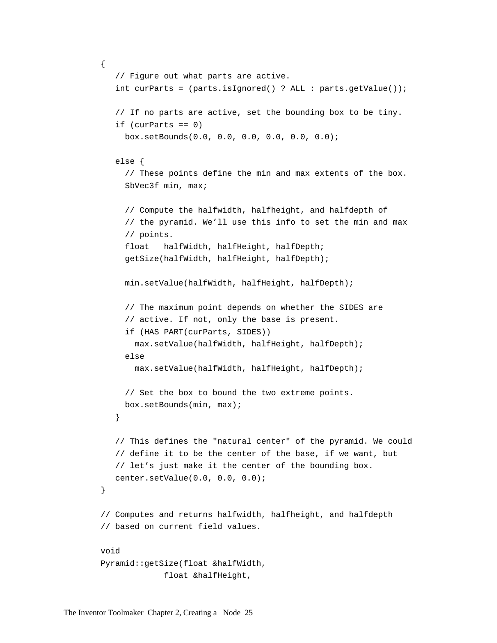```
{
    // Figure out what parts are active.
   int curParts = (parts.isIgnored() ? ALL : parts.getValue());
    // If no parts are active, set the bounding box to be tiny.
   if (curParts = 0) box.setBounds(0.0, 0.0, 0.0, 0.0, 0.0, 0.0);
    else {
      // These points define the min and max extents of the box.
      SbVec3f min, max;
      // Compute the halfÿwidth, halfÿheight, and halfÿdepth of
      // the pyramid. We'll use this info to set the min and max
      // points.
     float halfWidth, halfHeight, halfDepth;
      getSize(halfWidth, halfHeight, halfDepth);
      min.setValue(ÿhalfWidth, ÿhalfHeight, ÿhalfDepth);
      // The maximum point depends on whether the SIDES are
      // active. If not, only the base is present.
      if (HAS_PART(curParts, SIDES))
       max.setValue(halfWidth, halfHeight, halfDepth);
      else
        max.setValue(halfWidth, ÿhalfHeight, halfDepth);
      // Set the box to bound the two extreme points.
      box.setBounds(min, max);
    }
    // This defines the "natural center" of the pyramid. We could
    // define it to be the center of the base, if we want, but
    // let's just make it the center of the bounding box.
    center.setValue(0.0, 0.0, 0.0);
}
// Computes and returns halfÿwidth, halfÿheight, and halfÿdepth
// based on current field values.
void
Pyramid::getSize(float &halfWidth,
              float &halfHeight,
```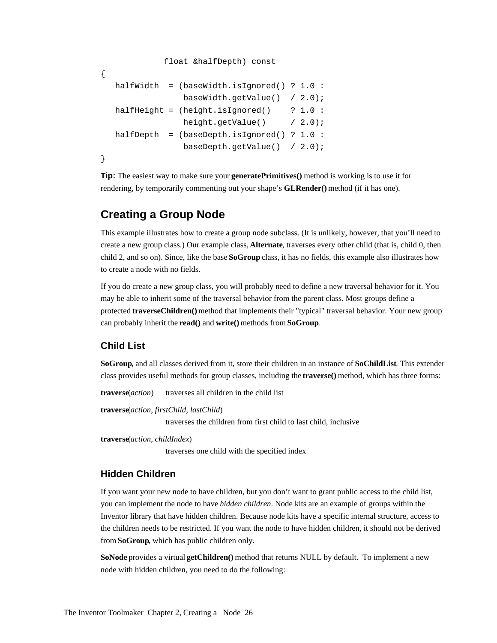```
 float &halfDepth) const
{
   halfWidth = (baseWidth.isIgnored() ? 1.0 :
                 baseWidth.getValue() / 2.0);
  halfHeight = (height.isIgnored() ? 1.0 :
                height.getValue() / 2.0;
   halfDepth = (baseDepth.isIgnored() ? 1.0 :
                 baseDepth.getValue() / 2.0);
}
```
**Tip:** The easiest way to make sure your **generatePrimitives()** method is working is to use it for rendering, by temporarily commenting out your shape's **GLRender()** method (if it has one).

## **Creating a Group Node**

This example illustrates how to create a group node subclass. (It is unlikely, however, that you'll need to create a new group class.) Our example class, **Alternate**, traverses every other child (that is, child 0, then child 2, and so on). Since, like the base **SoGroup** class, it has no fields, this example also illustrates how to create a node with no fields.

If you do create a new group class, you will probably need to define a new traversal behavior for it. You may be able to inherit some of the traversal behavior from the parent class. Most groups define a protected **traverseChildren()** method that implements their "typical" traversal behavior. Your new group can probably inherit the **read()** and **write()** methods from **SoGroup**.

### **Child List**

**SoGroup**, and all classes derived from it, store their children in an instance of **SoChildList**. This extender class provides useful methods for group classes, including the **traverse()** method, which has three forms:

**traverse**(*action*) traverses all children in the child list

**traverse**(*action, firstChild, lastChild*)

traverses the children from first child to last child, inclusive

**traverse**(*action, childIndex*)

traverses one child with the specified index

### **Hidden Children**

If you want your new node to have children, but you don't want to grant public access to the child list, you can implement the node to have *hidden children*. Node kits are an example of groups within the Inventor library that have hidden children. Because node kits have a specific internal structure, access to the children needs to be restricted. If you want the node to have hidden children, it should not be derived from **SoGroup**, which has public children only.

**SoNode** provides a virtual **getChildren()** method that returns NULL by default. To implement a new node with hidden children, you need to do the following: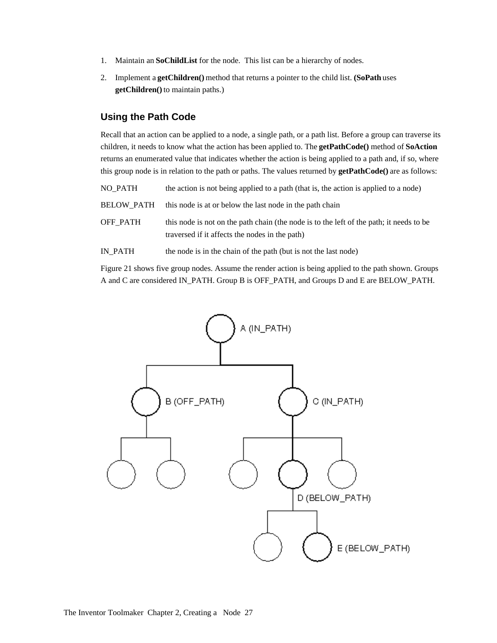- 1. Maintain an **SoChildList** for the node. This list can be a hierarchy of nodes.
- 2. Implement a **getChildren()** method that returns a pointer to the child list. **(SoPath** uses **getChildren()** to maintain paths.)

### **Using the Path Code**

Recall that an action can be applied to a node, a single path, or a path list. Before a group can traverse its children, it needs to know what the action has been applied to. The **getPathCode()** method of **SoAction** returns an enumerated value that indicates whether the action is being applied to a path and, if so, where this group node is in relation to the path or paths. The values returned by **getPathCode()** are as follows:

| NO PATH           | the action is not being applied to a path (that is, the action is applied to a node)                                                      |
|-------------------|-------------------------------------------------------------------------------------------------------------------------------------------|
| <b>BELOW PATH</b> | this node is at or below the last node in the path chain                                                                                  |
| OFF PATH          | this node is not on the path chain (the node is to the left of the path; it needs to be<br>traversed if it affects the nodes in the path) |
| IN PATH           | the node is in the chain of the path (but is not the last node)                                                                           |

Figure 2ÿ1 shows five group nodes. Assume the render action is being applied to the path shown. Groups A and C are considered IN\_PATH. Group B is OFF\_PATH, and Groups D and E are BELOW\_PATH.

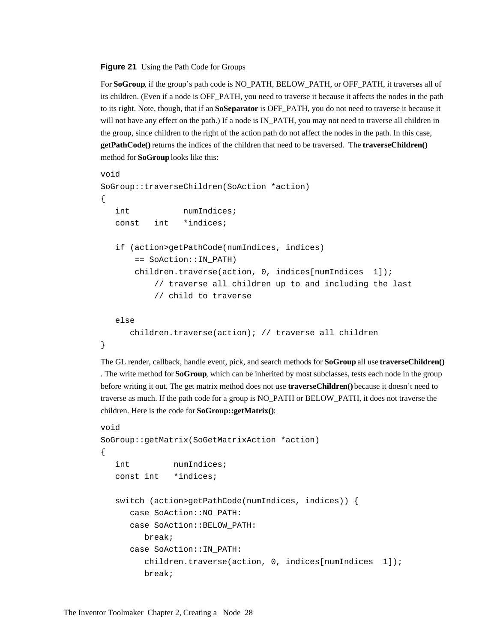#### **Figure 2ÿ1** Using the Path Code for Groups

For **SoGroup**, if the group's path code is NO\_PATH, BELOW\_PATH, or OFF\_PATH, it traverses all of its children. (Even if a node is OFF\_PATH, you need to traverse it because it affects the nodes in the path to its right. Note, though, that if an **SoSeparator** is OFF\_PATH, you do not need to traverse it because it will not have any effect on the path.) If a node is IN\_PATH, you may not need to traverse all children in the group, since children to the right of the action path do not affect the nodes in the path. In this case, **getPathCode()** returns the indices of the children that need to be traversed. The **traverseChildren()** method for **SoGroup** looks like this:

```
void
SoGroup::traverseChildren(SoAction *action)
{
   int numIndices;
    const int *indices;
    if (actionÿ>getPathCode(numIndices, indices) 
        == SoAction::IN_PATH) 
       children.traverse(action, 0, indices[numIndices \ddot{y} 1]);
            // traverse all children up to and including the last
            // child to traverse
    else
       children.traverse(action); // traverse all children
}
```
The GL render, callback, handle event, pick, and search methods for **SoGroup** all use **traverseChildren()** . The write method for **SoGroup**, which can be inherited by most subclasses, tests each node in the group before writing it out. The get matrix method does not use **traverseChildren()** because it doesn't need to traverse as much. If the path code for a group is NO\_PATH or BELOW\_PATH, it does not traverse the children. Here is the code for **SoGroup::getMatrix()**:

```
void
SoGroup::getMatrix(SoGetMatrixAction *action)
{
   int numIndices;
    const int *indices;
    switch (actionÿ>getPathCode(numIndices, indices)) {
       case SoAction::NO_PATH:
       case SoAction::BELOW_PATH:
          break;
       case SoAction::IN_PATH:
         children.traverse(action, 0, indices[numIndices \ddot{y} 1]);
          break;
```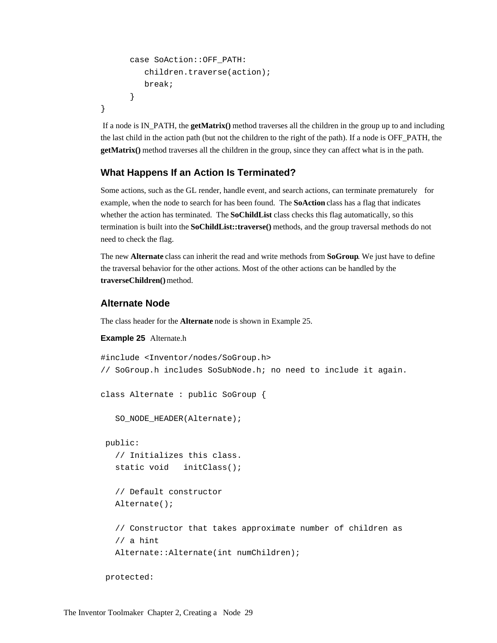```
 case SoAction::OFF_PATH:
          children.traverse(action);
          break;
       }
}
```
 If a node is IN\_PATH, the **getMatrix()** method traverses all the children in the group up to and including the last child in the action path (but not the children to the right of the path). If a node is OFF\_PATH, the **getMatrix()** method traverses all the children in the group, since they can affect what is in the path.

### **What Happens If an Action Is Terminated?**

Some actions, such as the GL render, handle event, and search actions, can terminate prematurely—for example, when the node to search for has been found. The **SoAction** class has a flag that indicates whether the action has terminated. The **SoChildList** class checks this flag automatically, so this termination is built into the **SoChildList::traverse()** methods, and the group traversal methods do not need to check the flag.

The new **Alternate** class can inherit the read and write methods from **SoGroup**. We just have to define the traversal behavior for the other actions. Most of the other actions can be handled by the **traverseChildren()** method.

### **Alternate Node**

The class header for the **Alternate** node is shown in Example 2ÿ5.

#### **Example 2ÿ5** Alternate.h

```
#include <Inventor/nodes/SoGroup.h>
// SoGroup.h includes SoSubNode.h; no need to include it again.
class Alternate : public SoGroup {
    SO_NODE_HEADER(Alternate);
 public:
    // Initializes this class.
   static void initClass();
    // Default constructor
    Alternate();
   // Constructor that takes approximate number of children as
    // a hint
   Alternate::Alternate(int numChildren);
 protected:
```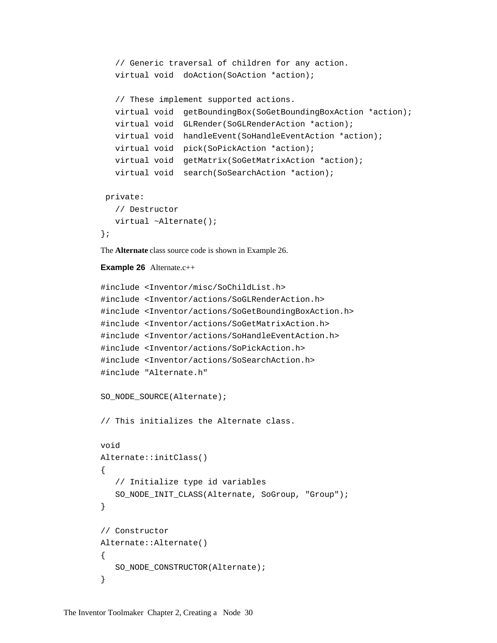```
 // Generic traversal of children for any action.
   virtual void doAction(SoAction *action);
   // These implement supported actions.
   virtual void getBoundingBox(SoGetBoundingBoxAction *action);
   virtual void GLRender(SoGLRenderAction *action);
   virtual void handleEvent(SoHandleEventAction *action);
   virtual void pick(SoPickAction *action);
   virtual void getMatrix(SoGetMatrixAction *action);
   virtual void search(SoSearchAction *action);
 private:
   // Destructor
```

```
 virtual ~Alternate();
};
```
The **Alternate** class source code is shown in Example 2ÿ6.

### **Example 2ÿ6** Alternate.c++

```
#include <Inventor/misc/SoChildList.h>
#include <Inventor/actions/SoGLRenderAction.h>
#include <Inventor/actions/SoGetBoundingBoxAction.h>
#include <Inventor/actions/SoGetMatrixAction.h>
#include <Inventor/actions/SoHandleEventAction.h>
#include <Inventor/actions/SoPickAction.h>
#include <Inventor/actions/SoSearchAction.h>
#include "Alternate.h"
SO_NODE_SOURCE(Alternate);
// This initializes the Alternate class.
void
Alternate::initClass()
{
    // Initialize type id variables
    SO_NODE_INIT_CLASS(Alternate, SoGroup, "Group"); 
}
// Constructor
Alternate::Alternate()
{
    SO_NODE_CONSTRUCTOR(Alternate);
}
```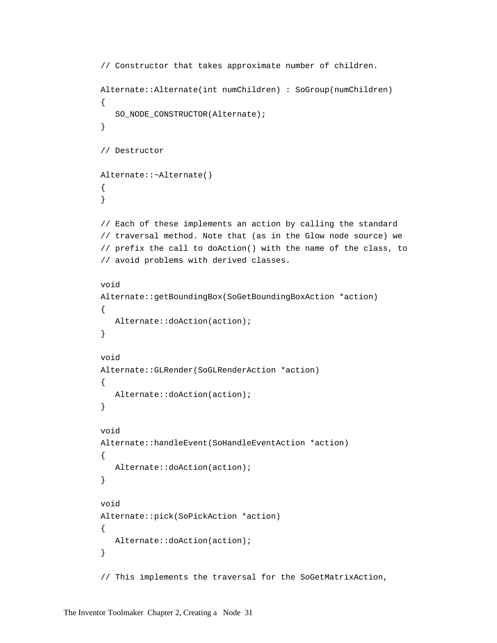```
// Constructor that takes approximate number of children.
Alternate::Alternate(int numChildren) : SoGroup(numChildren)
{
    SO_NODE_CONSTRUCTOR(Alternate);
}
// Destructor
Alternate::~Alternate()
{
}
// Each of these implements an action by calling the standard
// traversal method. Note that (as in the Glow node source) we 
// prefix the call to doAction() with the name of the class, to 
// avoid problems with derived classes.
void
Alternate::getBoundingBox(SoGetBoundingBoxAction *action)
{
    Alternate::doAction(action);
}
void
Alternate::GLRender(SoGLRenderAction *action)
{
   Alternate::doAction(action);
}
void
Alternate::handleEvent(SoHandleEventAction *action)
{
   Alternate::doAction(action);
}
void
Alternate::pick(SoPickAction *action)
{
    Alternate::doAction(action);
}
// This implements the traversal for the SoGetMatrixAction,
```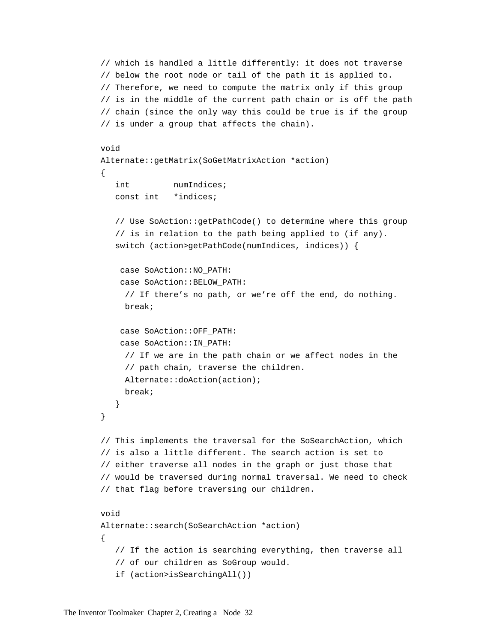```
// which is handled a little differently: it does not traverse
// below the root node or tail of the path it is applied to.
// Therefore, we need to compute the matrix only if this group
// is in the middle of the current path chain or is off the path
// chain (since the only way this could be true is if the group
// is under a group that affects the chain).
void
Alternate::getMatrix(SoGetMatrixAction *action)
{
    int numIndices;
    const int *indices;
    // Use SoAction::getPathCode() to determine where this group
    // is in relation to the path being applied to (if any).
    switch (actionÿ>getPathCode(numIndices, indices)) {
     case SoAction::NO_PATH:
     case SoAction::BELOW_PATH:
      // If there's no path, or we're off the end, do nothing.
     break;
     case SoAction::OFF_PATH:
     case SoAction::IN_PATH:
      // If we are in the path chain or we affect nodes in the
      // path chain, traverse the children.
      Alternate::doAction(action);
      break;
    }
}
// This implements the traversal for the SoSearchAction, which
// is also a little different. The search action is set to
// either traverse all nodes in the graph or just those that
// would be traversed during normal traversal. We need to check
// that flag before traversing our children.
void
Alternate::search(SoSearchAction *action)
{
    // If the action is searching everything, then traverse all
    // of our children as SoGroup would.
    if (actionÿ>isSearchingAll())
```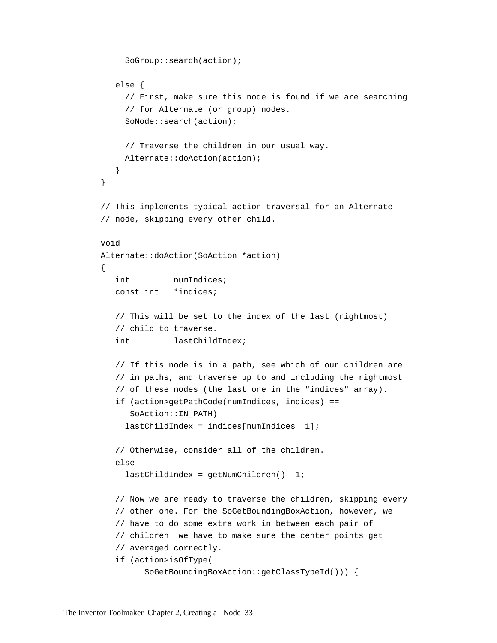```
 SoGroup::search(action);
    else {
      // First, make sure this node is found if we are searching
      // for Alternate (or group) nodes.
      SoNode::search(action);
      // Traverse the children in our usual way.
      Alternate::doAction(action);
    }
}
// This implements typical action traversal for an Alternate
// node, skipping every other child.
void
Alternate::doAction(SoAction *action)
{
   int numIndices;
    const int *indices;
    // This will be set to the index of the last (rightmost)
    // child to traverse.
    int lastChildIndex;
    // If this node is in a path, see which of our children are
    // in paths, and traverse up to and including the rightmost
    // of these nodes (the last one in the "indices" array).
    if (actionÿ>getPathCode(numIndices, indices) ==
       SoAction::IN_PATH)
     lastChildIndex = indices[numIndices ij 1];
    // Otherwise, consider all of the children.
    else
     lastChildren() \ddot{y} 1;
    // Now we are ready to traverse the children, skipping every
    // other one. For the SoGetBoundingBoxAction, however, we
    // have to do some extra work in between each pair of
    // children ÿ we have to make sure the center points get
    // averaged correctly.
    if (actionÿ>isOfType(
          SoGetBoundingBoxAction::getClassTypeId())) {
```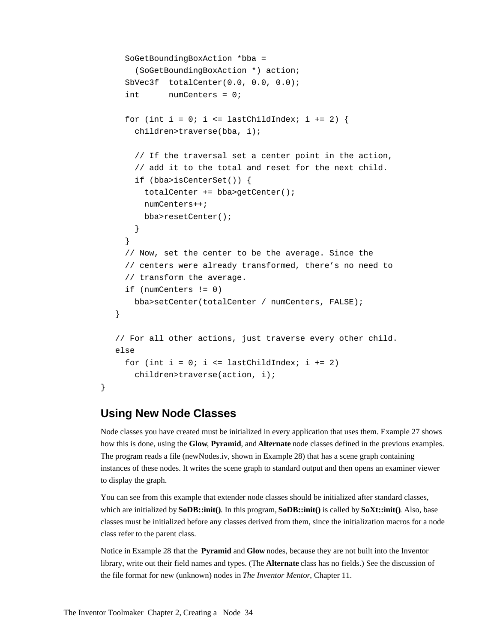```
 SoGetBoundingBoxAction *bba =
     (SoGetBoundingBoxAction *) action;
   SbVec3f totalCenter(0.0, 0.0, 0.0);
   int numCenters = 0;
  for (int i = 0; i <= lastChildIndex; i += 2) {
     childrenÿ>traverse(bba, i);
     // If the traversal set a center point in the action,
     // add it to the total and reset for the next child.
     if (bbaÿ>isCenterSet()) {
       totalCenter += bbaÿ>getCenter();
       numCenters++;
       bbaÿ>resetCenter();
     }
   }
   // Now, set the center to be the average. Since the
   // centers were already transformed, there's no need to
   // transform the average.
   if (numCenters != 0)
     bbaÿ>setCenter(totalCenter / numCenters, FALSE);
 }
 // For all other actions, just traverse every other child.
 else
  for (int i = 0; i \leq 1 astChildIndex; i \neq 2)
    childrenÿ>traverse(action, i);
```
### **Using New Node Classes**

}

Node classes you have created must be initialized in every application that uses them. Example  $2\ddot{y7}$  shows how this is done, using the **Glow**, **Pyramid**, and **Alternate** node classes defined in the previous examples. The program reads a file (newNodes.iv, shown in Example  $2\ddot{\phi}$ ) that has a scene graph containing instances of these nodes. It writes the scene graph to standard output and then opens an examiner viewer to display the graph.

You can see from this example that extender node classes should be initialized after standard classes, which are initialized by **SoDB::init()**. In this program, **SoDB::init()** is called by **SoXt::init()**. Also, base classes must be initialized before any classes derived from them, since the initialization macros for a node class refer to the parent class.

Notice in Example 2ÿ8 that the **Pyramid** and **Glow** nodes, because they are not built into the Inventor library, write out their field names and types. (The **Alternate** class has no fields.) See the discussion of the file format for new (unknown) nodes in *The Inventor Mentor*, Chapter 11.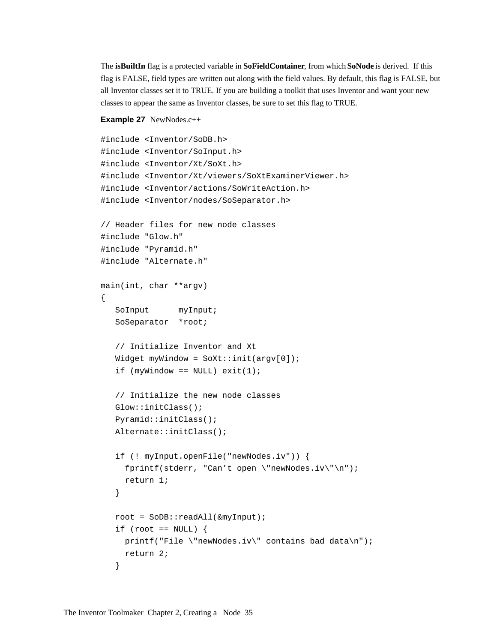The **isBuiltIn** flag is a protected variable in **SoFieldContainer**, from which **SoNode** is derived. If this flag is FALSE, field types are written out along with the field values. By default, this flag is FALSE, but all Inventor classes set it to TRUE. If you are building a toolkit that uses Inventor and want your new classes to appear the same as Inventor classes, be sure to set this flag to TRUE.

#### **Example 2ÿ7** NewNodes.c++

```
#include <Inventor/SoDB.h>
#include <Inventor/SoInput.h>
#include <Inventor/Xt/SoXt.h>
#include <Inventor/Xt/viewers/SoXtExaminerViewer.h>
#include <Inventor/actions/SoWriteAction.h>
#include <Inventor/nodes/SoSeparator.h>
// Header files for new node classes
#include "Glow.h"
#include "Pyramid.h"
#include "Alternate.h"
main(int, char **argv)
{
  SoInput myInput;
    SoSeparator *root;
    // Initialize Inventor and Xt
   Widget myWindow = Soxt::init(argv[0]);if (myWindow == NULL) exit(1); // Initialize the new node classes
    Glow::initClass();
    Pyramid::initClass();
    Alternate::initClass();
    if (! myInput.openFile("newNodes.iv")) {
      fprintf(stderr, "Can't open \"newNodes.iv\"\n");
      return 1;
    }
    root = SoDB::readAll(&myInput);
   if (root == NULL) {
      printf("File \"newNodes.iv\" contains bad data\n");
      return 2;
    }
```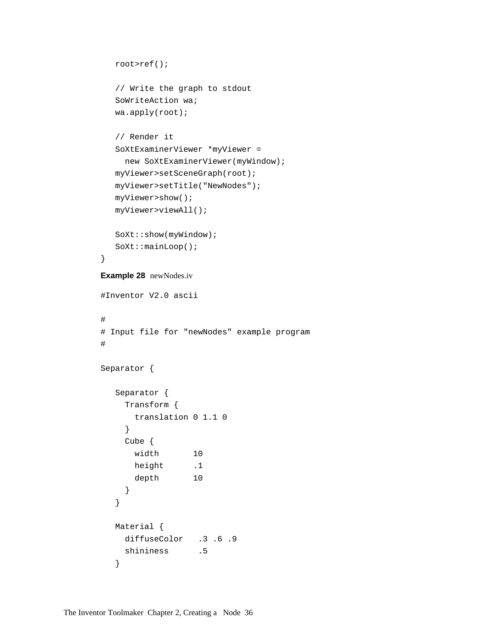```
 rootÿ>ref();
    // Write the graph to stdout
    SoWriteAction wa;
    wa.apply(root);
    // Render it
    SoXtExaminerViewer *myViewer =
      new SoXtExaminerViewer(myWindow);
    myViewerÿ>setSceneGraph(root);
    myViewerÿ>setTitle("NewNodes");
    myViewerÿ>show();
    myViewerÿ>viewAll();
    SoXt::show(myWindow);
    SoXt::mainLoop();
}
Example 2ÿ8 newNodes.iv
#Inventor V2.0 ascii
#
# Input file for "newNodes" example program
#
Separator {
    Separator {
      Transform {
        translation 0 ÿ1.1 0
      }
      Cube {
       width 10
      height .1
        depth 10
      }
    }
    Material {
     diffuseColor .3 .6 .9
      shininess .5
    }
```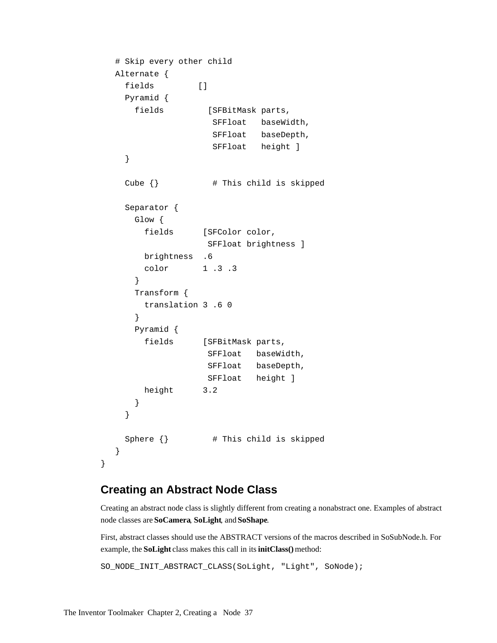```
 # Skip every other child
 Alternate {
   fields []
   Pyramid {
   fields [SFBitMask parts,
                    SFFloat baseWidth,
                    SFFloat baseDepth,
                    SFFloat height ]
   }
  Cube {} # This child is skipped
   Separator {
    Glow {
     fields [SFColor color,
                  SFFloat brightness ]
      brightness .6
      color 1 .3 .3
     }
    Transform {
      translation 3 .6 0
     }
    Pyramid {
     fields [SFBitMask parts,
                   SFFloat baseWidth,
                   SFFloat baseDepth,
                   SFFloat height ]
      height 3.2
    }
   }
  Sphere {} # This child is skipped
 }
```
# **Creating an Abstract Node Class**

Creating an abstract node class is slightly different from creating a nonabstract one. Examples of abstract node classes are **SoCamera**, **SoLight**, and **SoShape**.

First, abstract classes should use the ABSTRACT versions of the macros described in SoSubNode.h. For example, the **SoLight** class makes this call in its **initClass()** method:

SO\_NODE\_INIT\_ABSTRACT\_CLASS(SoLight, "Light", SoNode);

}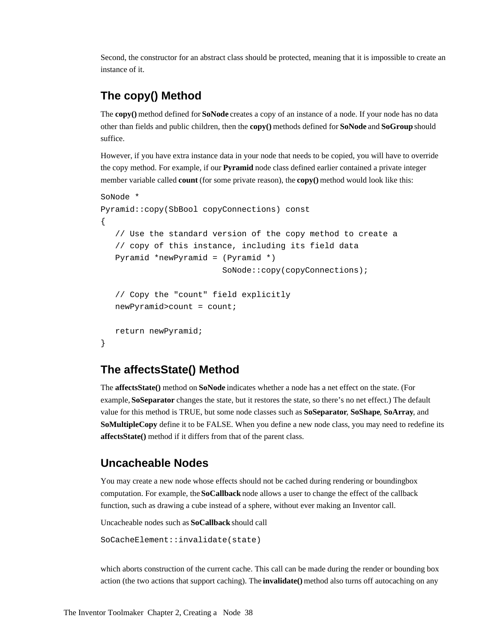Second, the constructor for an abstract class should be protected, meaning that it is impossible to create an instance of it.

# **The copy() Method**

The **copy()** method defined for **SoNode** creates a copy of an instance of a node. If your node has no data other than fields and public children, then the **copy()** methods defined for **SoNode** and **SoGroup** should suffice.

However, if you have extra instance data in your node that needs to be copied, you will have to override the copy method. For example, if our **Pyramid** node class defined earlier contained a private integer member variable called **count** (for some private reason), the **copy()** method would look like this:

```
SoNode *
Pyramid::copy(SbBool copyConnections) const
{
    // Use the standard version of the copy method to create a
    // copy of this instance, including its field data
    Pyramid *newPyramid = (Pyramid *)
                           SoNode::copy(copyConnections);
    // Copy the "count" field explicitly
   newPyramidÿ>count = count;
    return newPyramid;
}
```
# **The affectsState() Method**

The **affectsState()** method on **SoNode** indicates whether a node has a net effect on the state. (For example, **SoSeparator** changes the state, but it restores the state, so there's no net effect.) The default value for this method is TRUE, but some node classes such as **SoSeparator**, **SoShape**, **SoArray**, and **SoMultipleCopy** define it to be FALSE. When you define a new node class, you may need to redefine its **affectsState()** method if it differs from that of the parent class.

## **Uncacheable Nodes**

You may create a new node whose effects should not be cached during rendering or boundingy box computation. For example, the **SoCallback** node allows a user to change the effect of the callback function, such as drawing a cube instead of a sphere, without ever making an Inventor call.

Uncacheable nodes such as **SoCallback** should call

```
SoCacheElement::invalidate(state)
```
which aborts construction of the current cache. This call can be made during the render or bounding box action (the two actions that support caching). The **invalidate**() method also turns off auto $\ddot{\textbf{y}}$  aching on any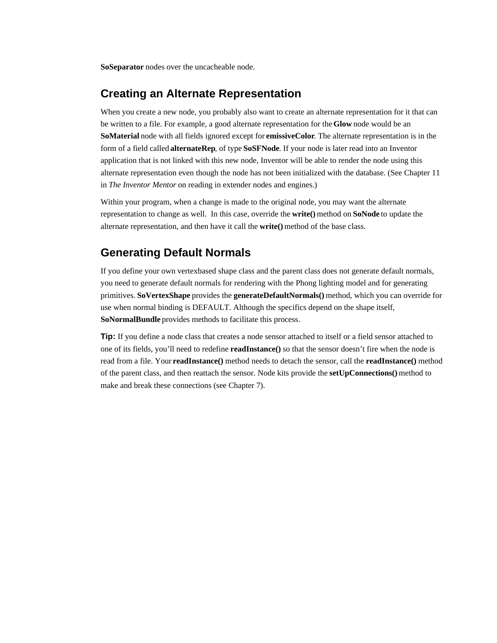**SoSeparator** nodes over the uncacheable node.

### **Creating an Alternate Representation**

When you create a new node, you probably also want to create an alternate representation for it that can be written to a file. For example, a good alternate representation for the **Glow** node would be an **SoMaterial** node with all fields ignored except for **emissiveColor**. The alternate representation is in the form of a field called **alternateRep**, of type **SoSFNode**. If your node is later read into an Inventor application that is not linked with this new node, Inventor will be able to render the node using this alternate representation even though the node has not been initialized with the database. (See Chapter 11 in *The Inventor Mentor* on reading in extender nodes and engines.)

Within your program, when a change is made to the original node, you may want the alternate representation to change as well. In this case, override the **write()** method on **SoNode** to update the alternate representation, and then have it call the **write()** method of the base class.

## **Generating Default Normals**

If you define your own vertexÿbased shape class and the parent class does not generate default normals, you need to generate default normals for rendering with the Phong lighting model and for generating primitives. **SoVertexShape** provides the **generateDefaultNormals()** method, which you can override for use when normal binding is DEFAULT. Although the specifics depend on the shape itself, **SoNormalBundle** provides methods to facilitate this process.

**Tip:** If you define a node class that creates a node sensor attached to itself or a field sensor attached to one of its fields, you'll need to redefine **readInstance()** so that the sensor doesn't fire when the node is read from a file. Your **readInstance()** method needs to detach the sensor, call the **readInstance()** method of the parent class, and then reattach the sensor. Node kits provide the **setUpConnections()** method to make and break these connections (see Chapter 7).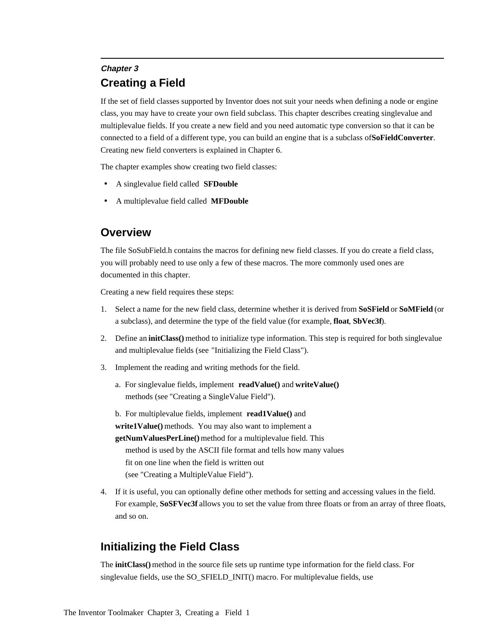# **Chapter 3 Creating a Field**

If the set of field classes supported by Inventor does not suit your needs when defining a node or engine class, you may have to create your own field subclass. This chapter describes creating single walue and multipleÿvalue fields. If you create a new field and you need automatic type conversion so that it can be connected to a field of a different type, you can build an engine that is a subclass of **SoFieldConverter**. Creating new field converters is explained in Chapter 6.

The chapter examples show creating two field classes:

- A singleÿvalue field called **SFDouble**
- A multipleÿvalue field called **MFDouble**

### **Overview**

The file SoSubField.h contains the macros for defining new field classes. If you do create a field class, you will probably need to use only a few of these macros. The more commonly used ones are documented in this chapter.

Creating a new field requires these steps:

- 1. Select a name for the new field class, determine whether it is derived from **SoSField** or **SoMField** (or a subclass), and determine the type of the field value (for example, **float**, **SbVec3f**).
- 2. Define an **initClass**() method to initialize type information. This step is required for both singleÿvalue and multipleÿvalue fields (see "Initializing the Field Class").
- 3. Implement the reading and writing methods for the field.
	- a. For singleÿvalue fields, implement **readValue()** and **writeValue()** methods (see "Creating a SingleÿValue Field").
	- b. For multipleÿvalue fields, implement **read1Value()** and

**write1Value()** methods. You may also want to implement a

**getNumValuesPerLine()** method for a multipleÿvalue field. This method is used by the ASCII file format and tells how many values fit on one line when the field is written out

(see "Creating a MultipleWalue Field").

4. If it is useful, you can optionally define other methods for setting and accessing values in the field. For example, **SoSFVec3f** allows you to set the value from three floats or from an array of three floats, and so on.

# **Initializing the Field Class**

The **initClass()** method in the source file sets up runtime type information for the field class. For singleÿvalue fields, use the SO\_SFIELD\_INIT() macro. For multipleÿvalue fields, use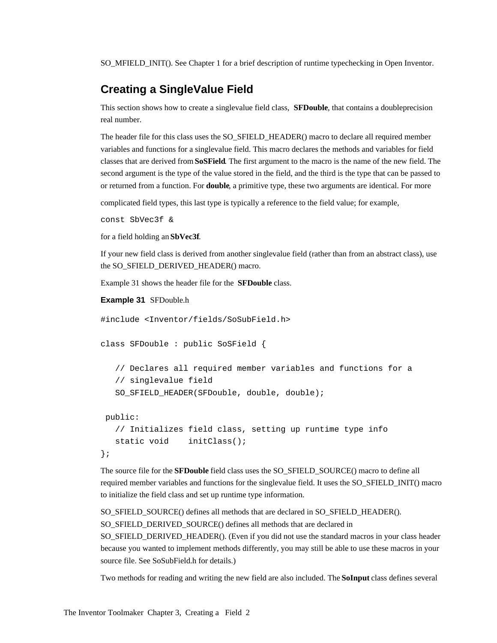SO\_MFIELD\_INIT(). See Chapter 1 for a brief description of runtime typeÿchecking in Open Inventor.

### **Creating a SingleÿValue Field**

This section shows how to create a singleÿvalue field class, **SFDouble**, that contains a doubleÿprecision real number.

The header file for this class uses the SO\_SFIELD\_HEADER() macro to declare all required member variables and functions for a singleÿvalue field. This macro declares the methods and variables for field classes that are derived from **SoSField**. The first argument to the macro is the name of the new field. The second argument is the type of the value stored in the field, and the third is the type that can be passed to or returned from a function. For **double**, a primitive type, these two arguments are identical. For more

complicated field types, this last type is typically a reference to the field value; for example,

const SbVec3f &

for a field holding an **SbVec3f**.

If your new field class is derived from another singleÿvalue field (rather than from an abstract class), use the SO\_SFIELD\_DERIVED\_HEADER() macro.

Example 3ÿ1 shows the header file for the **SFDouble** class.

#### **Example 3ÿ1** SFDouble.h

```
#include <Inventor/fields/SoSubField.h>
class SFDouble : public SoSField {
    // Declares all required member variables and functions for a
    // singleÿvalue field
    SO_SFIELD_HEADER(SFDouble, double, double);
 public:
    // Initializes field class, setting up runtime type info
   static void initClass();
};
```
The source file for the **SFDouble** field class uses the SO\_SFIELD\_SOURCE() macro to define all required member variables and functions for the single walue field. It uses the SO\_SFIELD\_INIT() macro to initialize the field class and set up runtime type information.

SO\_SFIELD\_SOURCE() defines all methods that are declared in SO\_SFIELD\_HEADER(). SO\_SFIELD\_DERIVED\_SOURCE() defines all methods that are declared in SO\_SFIELD\_DERIVED\_HEADER(). (Even if you did not use the standard macros in your class header because you wanted to implement methods differently, you may still be able to use these macros in your source file. See SoSubField.h for details.)

Two methods for reading and writing the new field are also included. The **SoInput** class defines several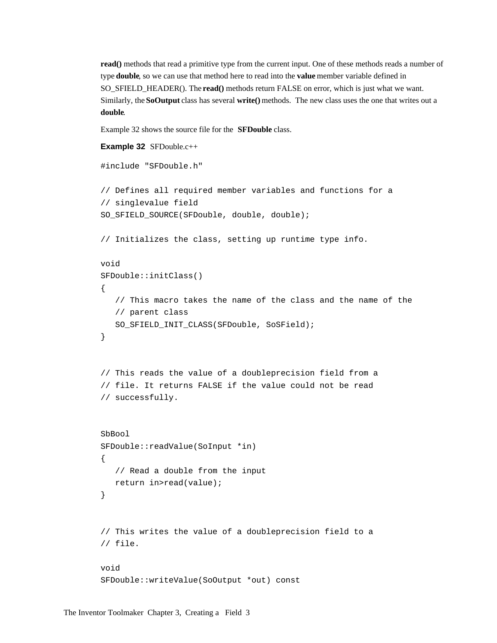**read()** methods that read a primitive type from the current input. One of these methods reads a number of type **double**, so we can use that method here to read into the **value** member variable defined in SO\_SFIELD\_HEADER(). The **read()** methods return FALSE on error, which is just what we want. Similarly, the **SoOutput** class has several **write()** methods. The new class uses the one that writes out a **double**.

Example 3ÿ2 shows the source file for the **SFDouble** class.

#### **Example 3ÿ2** SFDouble.c++

```
#include "SFDouble.h"
// Defines all required member variables and functions for a
// singleÿvalue field
SO_SFIELD_SOURCE(SFDouble, double, double);
// Initializes the class, setting up runtime type info.
void
SFDouble::initClass()
{
    // This macro takes the name of the class and the name of the
    // parent class
    SO_SFIELD_INIT_CLASS(SFDouble, SoSField);
}
// This reads the value of a doubleÿprecision field from a
// file. It returns FALSE if the value could not be read
// successfully.
SbBool
SFDouble::readValue(SoInput *in)
{
    // Read a double from the input
   return inÿ>read(value);
}
// This writes the value of a doubleÿprecision field to a
// file.
void
SFDouble::writeValue(SoOutput *out) const
```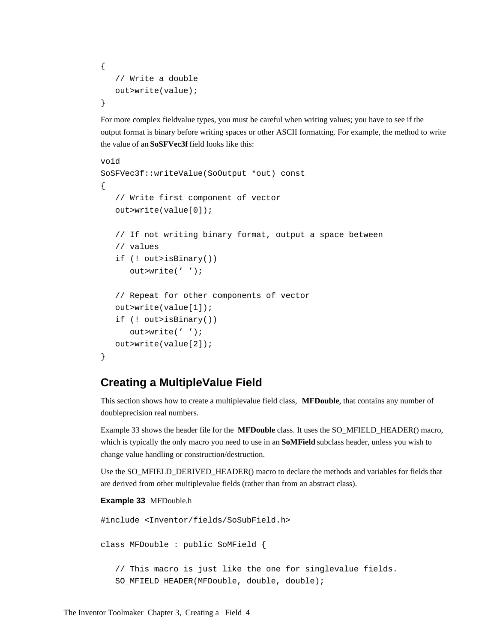```
{
    // Write a double
    outÿ>write(value);
}
```
For more complex fieldÿvalue types, you must be careful when writing values; you have to see if the output format is binary before writing spaces or other ASCII formatting. For example, the method to write the value of an **SoSFVec3f** field looks like this:

```
void
SoSFVec3f::writeValue(SoOutput *out) const
{
    // Write first component of vector
    outÿ>write(value[0]);
    // If not writing binary format, output a space between
    // values
    if (! outÿ>isBinary())
       outÿ>write(' ');
    // Repeat for other components of vector
    outÿ>write(value[1]);
    if (! outÿ>isBinary())
       outÿ>write(' ');
    outÿ>write(value[2]);
}
```
# **Creating a MultipleÿValue Field**

This section shows how to create a multipleÿvalue field class, **MFDouble**, that contains any number of doubleÿprecision real numbers.

Example 3 $\ddot{\phi}$  shows the header file for the **MFDouble** class. It uses the SO\_MFIELD\_HEADER() macro, which is typically the only macro you need to use in an **SoMField** subclass header, unless you wish to change value handling or construction/destruction.

Use the SO\_MFIELD\_DERIVED\_HEADER() macro to declare the methods and variables for fields that are derived from other multiple yalue fields (rather than from an abstract class).

### **Example 3ÿ3** MFDouble.h

```
#include <Inventor/fields/SoSubField.h>
class MFDouble : public SoMField {
    // This macro is just like the one for singleÿvalue fields.
   SO_MFIELD_HEADER(MFDouble, double, double);
```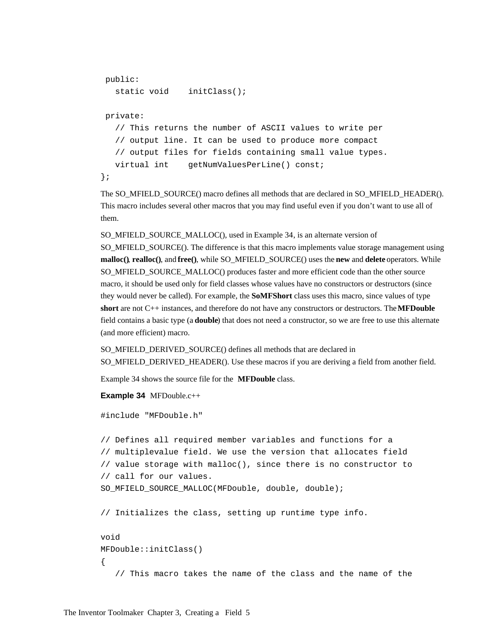```
 public:
    static void initClass();
 private:
    // This returns the number of ASCII values to write per
   // output line. It can be used to produce more compact
   // output files for fields containing small value types.
   virtual int getNumValuesPerLine() const;
};
```
The SO\_MFIELD\_SOURCE() macro defines all methods that are declared in SO\_MFIELD\_HEADER(). This macro includes several other macros that you may find useful even if you don't want to use all of them.

SO\_MFIELD\_SOURCE\_MALLOC(), used in Example 3ÿ4, is an alternate version of SO\_MFIELD\_SOURCE(). The difference is that this macro implements value storage management using **malloc()**, **realloc()**, and **free()**, while SO\_MFIELD\_SOURCE() uses the **new** and **delete** operators. While SO\_MFIELD\_SOURCE\_MALLOC() produces faster and more efficient code than the other source macro, it should be used only for field classes whose values have no constructors or destructors (since they would never be called). For example, the **SoMFShort** class uses this macro, since values of type **short** are not C++ instances, and therefore do not have any constructors or destructors. The **MFDouble** field contains a basic type (a **double**) that does not need a constructor, so we are free to use this alternate (and more efficient) macro.

SO\_MFIELD\_DERIVED\_SOURCE() defines all methods that are declared in SO\_MFIELD\_DERIVED\_HEADER(). Use these macros if you are deriving a field from another field.

Example 3ÿ4 shows the source file for the **MFDouble** class.

```
Example 3ÿ4 MFDouble.c++
```
#include "MFDouble.h"

```
// Defines all required member variables and functions for a
// multipleÿvalue field. We use the version that allocates field
// value storage with malloc(), since there is no constructor to
// call for our values.
SO_MFIELD_SOURCE_MALLOC(MFDouble, double, double);
// Initializes the class, setting up runtime type info.
void
MFDouble::initClass()
{
    // This macro takes the name of the class and the name of the
```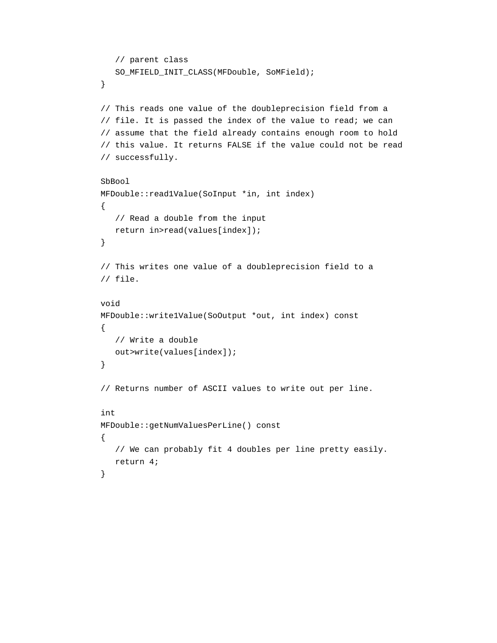```
 // parent class
    SO_MFIELD_INIT_CLASS(MFDouble, SoMField);
}
// This reads one value of the doubleÿprecision field from a
// file. It is passed the index of the value to read; we can
// assume that the field already contains enough room to hold
// this value. It returns FALSE if the value could not be read
// successfully.
SbBool
MFDouble::read1Value(SoInput *in, int index)
{
    // Read a double from the input
   return inÿ>read(values[index]);
}
// This writes one value of a doubleÿprecision field to a
// file.
void
MFDouble::write1Value(SoOutput *out, int index) const
{
    // Write a double
    outÿ>write(values[index]);
}
// Returns number of ASCII values to write out per line.
int
MFDouble::getNumValuesPerLine() const
\left\{ \right. // We can probably fit 4 doubles per line pretty easily.
   return 4;
}
```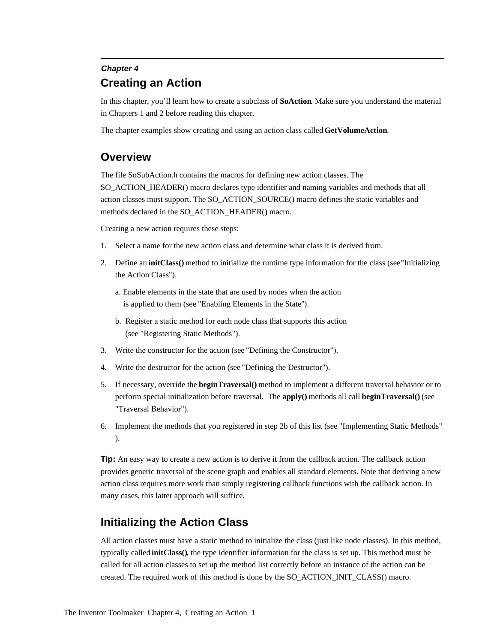# **Chapter 4 Creating an Action**

In this chapter, you'll learn how to create a subclass of **SoAction**. Make sure you understand the material in Chapters 1 and 2 before reading this chapter.

The chapter examples show creating and using an action class called **GetVolumeAction**.

# **Overview**

The file SoSubAction.h contains the macros for defining new action classes. The SO\_ACTION\_HEADER() macro declares type identifier and naming variables and methods that all action classes must support. The SO\_ACTION\_SOURCE() macro defines the static variables and methods declared in the SO\_ACTION\_HEADER() macro.

Creating a new action requires these steps:

- 1. Select a name for the new action class and determine what class it is derived from.
- 2. Define an **initClass()** method to initialize the runtime type information for the class (see "Initializing the Action Class").
	- a. Enable elements in the state that are used by nodes when the action is applied to them (see "Enabling Elements in the State").
	- b. Register a static method for each node class that supports this action (see "Registering Static Methods").
- 3. Write the constructor for the action (see "Defining the Constructor").
- 4. Write the destructor for the action (see "Defining the Destructor").
- 5. If necessary, override the **beginTraversal()** method to implement a different traversal behavior or to perform special initialization before traversal. The **apply()** methods all call **beginTraversal()** (see "Traversal Behavior").
- 6. Implement the methods that you registered in step 2b of this list (see "Implementing Static Methods" ).

**Tip:** An easy way to create a new action is to derive it from the callback action. The callback action provides generic traversal of the scene graph and enables all standard elements. Note that deriving a new action class requires more work than simply registering callback functions with the callback action. In many cases, this latter approach will suffice.

# **Initializing the Action Class**

All action classes must have a static method to initialize the class (just like node classes). In this method, typically called **initClass()**, the type identifier information for the class is set up. This method must be called for all action classes to set up the method list correctly before an instance of the action can be created. The required work of this method is done by the SO\_ACTION\_INIT\_CLASS() macro.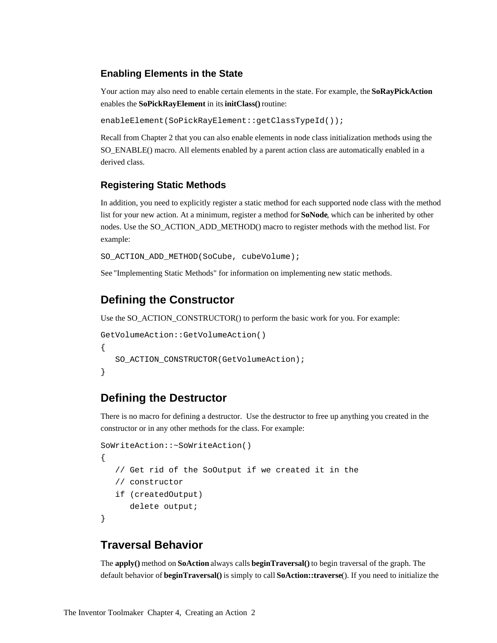### **Enabling Elements in the State**

Your action may also need to enable certain elements in the state. For example, the **SoRayPickAction** enables the **SoPickRayElement** in its **initClass()** routine:

enableElement(SoPickRayElement::getClassTypeId());

Recall from Chapter 2 that you can also enable elements in node class initialization methods using the SO\_ENABLE() macro. All elements enabled by a parent action class are automatically enabled in a derived class.

### **Registering Static Methods**

In addition, you need to explicitly register a static method for each supported node class with the method list for your new action. At a minimum, register a method for **SoNode**, which can be inherited by other nodes. Use the SO\_ACTION\_ADD\_METHOD() macro to register methods with the method list. For example:

SO\_ACTION\_ADD\_METHOD(SoCube, cubeVolume);

See "Implementing Static Methods" for information on implementing new static methods.

## **Defining the Constructor**

Use the SO\_ACTION\_CONSTRUCTOR() to perform the basic work for you. For example:

```
GetVolumeAction::GetVolumeAction()
{
    SO_ACTION_CONSTRUCTOR(GetVolumeAction);
}
```
## **Defining the Destructor**

There is no macro for defining a destructor. Use the destructor to free up anything you created in the constructor or in any other methods for the class. For example:

```
SoWriteAction::~SoWriteAction()
{
    // Get rid of the SoOutput if we created it in the
    // constructor
    if (createdOutput)
       delete output;
}
```
## **Traversal Behavior**

The **apply()** method on **SoAction** always calls **beginTraversal()** to begin traversal of the graph. The default behavior of **beginTraversal()** is simply to call **SoAction::traverse**(). If you need to initialize the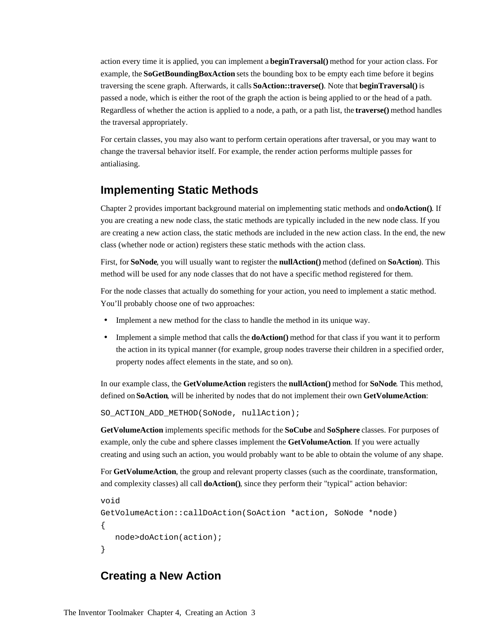action every time it is applied, you can implement a **beginTraversal()** method for your action class. For example, the **SoGetBoundingBoxAction** sets the bounding box to be empty each time before it begins traversing the scene graph. Afterwards, it calls **SoAction::traverse()**. Note that **beginTraversal()** is passed a node, which is either the root of the graph the action is being applied to or the head of a path. Regardless of whether the action is applied to a node, a path, or a path list, the **traverse()** method handles the traversal appropriately.

For certain classes, you may also want to perform certain operations after traversal, or you may want to change the traversal behavior itself. For example, the render action performs multiple passes for antialiasing.

# **Implementing Static Methods**

Chapter 2 provides important background material on implementing static methods and on **doAction()**. If you are creating a new node class, the static methods are typically included in the new node class. If you are creating a new action class, the static methods are included in the new action class. In the end, the new class (whether node or action) registers these static methods with the action class.

First, for **SoNode**, you will usually want to register the **nullAction()** method (defined on **SoAction**). This method will be used for any node classes that do not have a specific method registered for them.

For the node classes that actually do something for your action, you need to implement a static method. You'll probably choose one of two approaches:

- Implement a new method for the class to handle the method in its unique way.
- Implement a simple method that calls the **doAction()** method for that class if you want it to perform the action in its typical manner (for example, group nodes traverse their children in a specified order, property nodes affect elements in the state, and so on).

In our example class, the **GetVolumeAction** registers the **nullAction()** method for **SoNode**. This method, defined on **SoAction**, will be inherited by nodes that do not implement their own **GetVolumeAction**:

SO\_ACTION\_ADD\_METHOD(SoNode, nullAction);

**GetVolumeAction** implements specific methods for the **SoCube** and **SoSphere** classes. For purposes of example, only the cube and sphere classes implement the **GetVolumeAction**. If you were actually creating and using such an action, you would probably want to be able to obtain the volume of any shape.

For **GetVolumeAction**, the group and relevant property classes (such as the coordinate, transformation, and complexity classes) all call **doAction()**, since they perform their "typical" action behavior:

```
void
GetVolumeAction::callDoAction(SoAction *action, SoNode *node)
{
   nodeÿ>doAction(action);
}
```
# **Creating a New Action**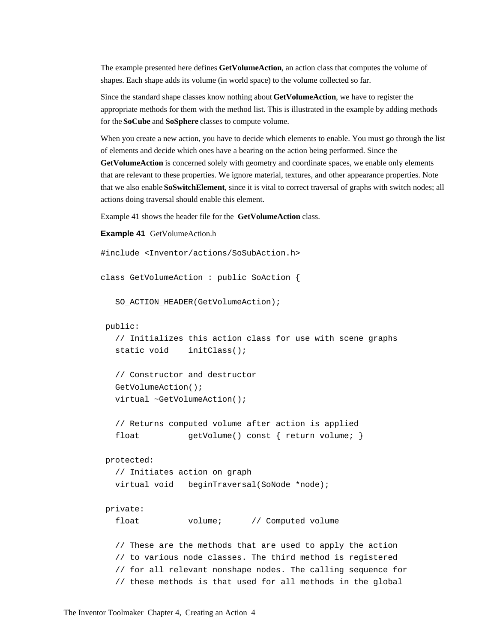The example presented here defines **GetVolumeAction**, an action class that computes the volume of shapes. Each shape adds its volume (in world space) to the volume collected so far.

Since the standard shape classes know nothing about **GetVolumeAction**, we have to register the appropriate methods for them with the method list. This is illustrated in the example by adding methods for the **SoCube** and **SoSphere** classes to compute volume.

When you create a new action, you have to decide which elements to enable. You must go through the list of elements and decide which ones have a bearing on the action being performed. Since the **GetVolumeAction** is concerned solely with geometry and coordinate spaces, we enable only elements that are relevant to these properties. We ignore material, textures, and other appearance properties. Note that we also enable **SoSwitchElement**, since it is vital to correct traversal of graphs with switch nodes; all actions doing traversal should enable this element.

Example 4ÿ1 shows the header file for the **GetVolumeAction** class.

```
Example 4ÿ1 GetVolumeAction.h
```

```
#include <Inventor/actions/SoSubAction.h>
```
class GetVolumeAction : public SoAction {

```
SO ACTION HEADER(GetVolumeAction);
```
#### public:

```
 // Initializes this action class for use with scene graphs
static void initClass();
```

```
 // Constructor and destructor
 GetVolumeAction();
 virtual ~GetVolumeAction();
```
 // Returns computed volume after action is applied float getVolume() const { return volume; }

#### protected:

```
 // Initiates action on graph
 virtual void beginTraversal(SoNode *node);
```
#### private:

```
float volume; // Computed volume
```
 // These are the methods that are used to apply the action // to various node classes. The third method is registered // for all relevant nonÿshape nodes. The calling sequence for // these methods is that used for all methods in the global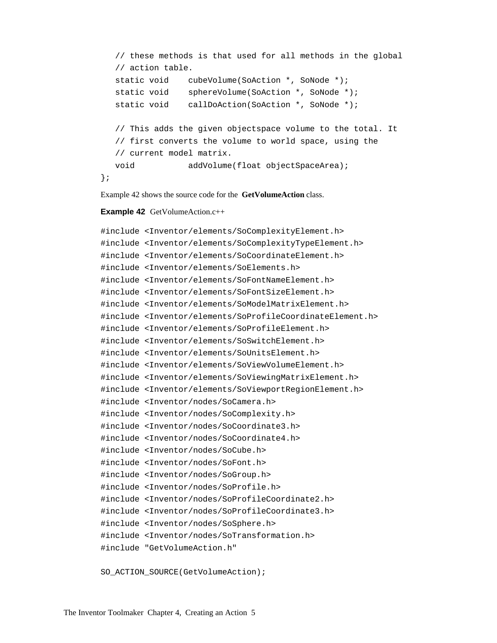```
 // these methods is that used for all methods in the global
    // action table.
  static void cubeVolume(SoAction *, SoNode *);
   static void sphereVolume(SoAction *, SoNode *);
  static void callDoAction(SoAction *, SoNode *);
   // This adds the given objectÿspace volume to the total. It
    // first converts the volume to world space, using the
   // current model matrix.
  void addVolume(float objectSpaceArea);
};
```

```
Example 4ÿ2 shows the source code for the GetVolumeAction class.
```
#### **Example 4ÿ2** GetVolumeAction.c++

```
#include <Inventor/elements/SoComplexityElement.h>
#include <Inventor/elements/SoComplexityTypeElement.h>
#include <Inventor/elements/SoCoordinateElement.h>
#include <Inventor/elements/SoElements.h>
#include <Inventor/elements/SoFontNameElement.h>
#include <Inventor/elements/SoFontSizeElement.h>
#include <Inventor/elements/SoModelMatrixElement.h>
#include <Inventor/elements/SoProfileCoordinateElement.h>
#include <Inventor/elements/SoProfileElement.h>
#include <Inventor/elements/SoSwitchElement.h>
#include <Inventor/elements/SoUnitsElement.h>
#include <Inventor/elements/SoViewVolumeElement.h>
#include <Inventor/elements/SoViewingMatrixElement.h>
#include <Inventor/elements/SoViewportRegionElement.h>
#include <Inventor/nodes/SoCamera.h>
#include <Inventor/nodes/SoComplexity.h>
#include <Inventor/nodes/SoCoordinate3.h>
#include <Inventor/nodes/SoCoordinate4.h>
#include <Inventor/nodes/SoCube.h>
#include <Inventor/nodes/SoFont.h>
#include <Inventor/nodes/SoGroup.h>
#include <Inventor/nodes/SoProfile.h>
#include <Inventor/nodes/SoProfileCoordinate2.h>
#include <Inventor/nodes/SoProfileCoordinate3.h>
#include <Inventor/nodes/SoSphere.h>
#include <Inventor/nodes/SoTransformation.h>
#include "GetVolumeAction.h"
```
SO\_ACTION\_SOURCE(GetVolumeAction);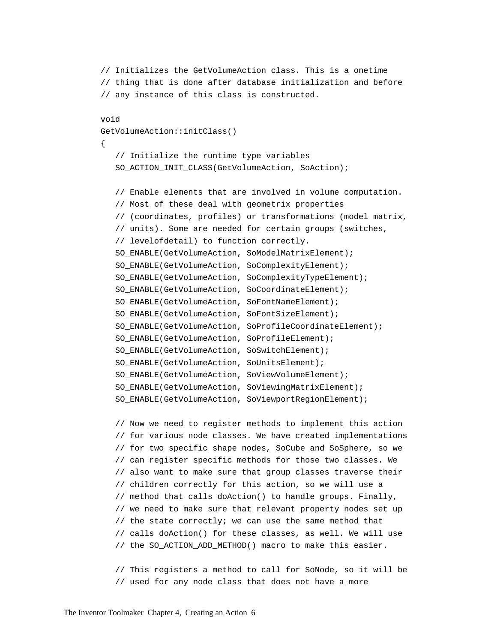```
// Initializes the GetVolumeAction class. This is a oneÿtime
// thing that is done after database initialization and before
// any instance of this class is constructed.
void
GetVolumeAction::initClass()
{
    // Initialize the runtime type variables
    SO_ACTION_INIT_CLASS(GetVolumeAction, SoAction);
    // Enable elements that are involved in volume computation.
    // Most of these deal with geometrix properties
    // (coordinates, profiles) or transformations (model matrix,
    // units). Some are needed for certain groups (switches,
    // levelÿofÿdetail) to function correctly.
    SO_ENABLE(GetVolumeAction, SoModelMatrixElement);
   SO_ENABLE(GetVolumeAction, SoComplexityElement);
    SO_ENABLE(GetVolumeAction, SoComplexityTypeElement);
    SO_ENABLE(GetVolumeAction, SoCoordinateElement);
   SO_ENABLE(GetVolumeAction, SoFontNameElement);
   SO_ENABLE(GetVolumeAction, SoFontSizeElement);
    SO_ENABLE(GetVolumeAction, SoProfileCoordinateElement);
   SO_ENABLE(GetVolumeAction, SoProfileElement);
   SO_ENABLE(GetVolumeAction, SoSwitchElement);
   SO_ENABLE(GetVolumeAction, SoUnitsElement);
   SO_ENABLE(GetVolumeAction, SoViewVolumeElement);
    SO_ENABLE(GetVolumeAction, SoViewingMatrixElement);
    SO_ENABLE(GetVolumeAction, SoViewportRegionElement);
```
 // Now we need to register methods to implement this action // for various node classes. We have created implementations // for two specific shape nodes, SoCube and SoSphere, so we // can register specific methods for those two classes. We // also want to make sure that group classes traverse their // children correctly for this action, so we will use a // method that calls doAction() to handle groups. Finally, // we need to make sure that relevant property nodes set up // the state correctly; we can use the same method that // calls doAction() for these classes, as well. We will use // the SO\_ACTION\_ADD\_METHOD() macro to make this easier.

 // This registers a method to call for SoNode, so it will be // used for any node class that does not have a more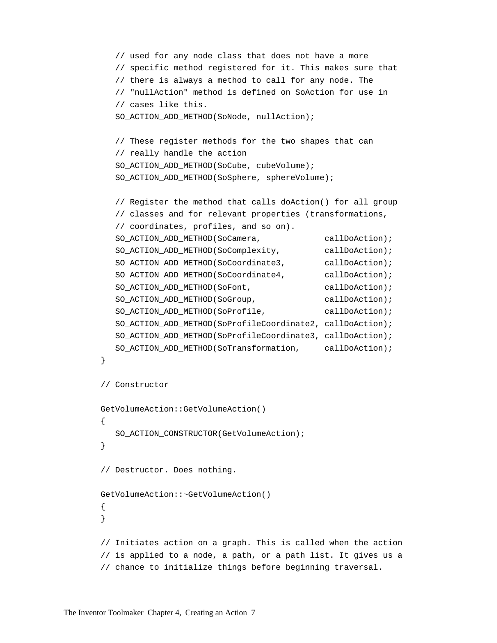```
 // used for any node class that does not have a more
    // specific method registered for it. This makes sure that
   // there is always a method to call for any node. The
   // "nullAction" method is defined on SoAction for use in
    // cases like this.
   SO_ACTION_ADD_METHOD(SoNode, nullAction);
    // These register methods for the two shapes that can
   // really handle the action
   SO_ACTION_ADD_METHOD(SoCube, cubeVolume);
   SO_ACTION_ADD_METHOD(SoSphere, sphereVolume);
   // Register the method that calls doAction() for all group
    // classes and for relevant properties (transformations,
    // coordinates, profiles, and so on).
  SO_ACTION_ADD_METHOD(SoCamera, callDoAction);
  SO_ACTION_ADD_METHOD(SoComplexity, callDoAction);
  SO_ACTION_ADD_METHOD(SoCoordinate3, callDoAction);
  SO_ACTION_ADD_METHOD(SoCoordinate4, callDoAction);
  SO_ACTION_ADD_METHOD(SoFont, callDoAction);
  SO_ACTION_ADD_METHOD(SoGroup, callDoAction);
  SO_ACTION_ADD_METHOD(SoProfile, callDoAction);
   SO_ACTION_ADD_METHOD(SoProfileCoordinate2, callDoAction);
  SO_ACTION_ADD_METHOD(SoProfileCoordinate3, callDoAction);
   SO_ACTION_ADD_METHOD(SoTransformation, callDoAction);
}
// Constructor
GetVolumeAction::GetVolumeAction()
{
   SO_ACTION_CONSTRUCTOR(GetVolumeAction);
}
// Destructor. Does nothing.
GetVolumeAction::~GetVolumeAction()
{
}
// Initiates action on a graph. This is called when the action
// is applied to a node, a path, or a path list. It gives us a
// chance to initialize things before beginning traversal.
```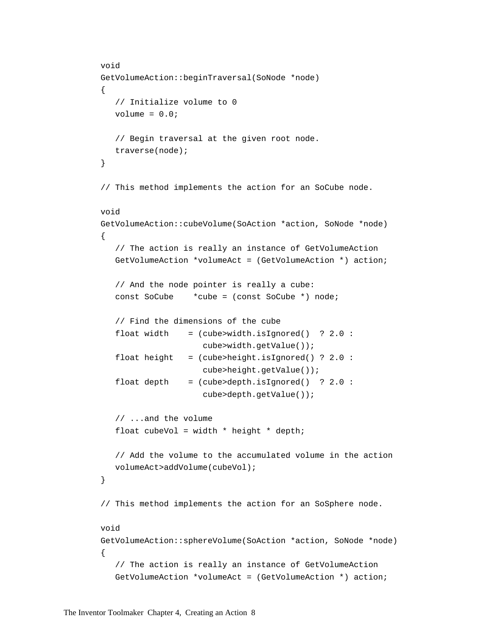```
void
GetVolumeAction::beginTraversal(SoNode *node)
{
    // Initialize volume to 0
   volume = 0.0;
    // Begin traversal at the given root node.
    traverse(node);
}
// This method implements the action for an SoCube node.
void
GetVolumeAction::cubeVolume(SoAction *action, SoNode *node)
{
    // The action is really an instance of GetVolumeAction
    GetVolumeAction *volumeAct = (GetVolumeAction *) action;
    // And the node pointer is really a cube:
    const SoCube *cube = (const SoCube *) node;
    // Find the dimensions of the cube
   float width = (cube\ddot{y}>width.isIgnored() ? 2.0 : cubeÿ>width.getValue());
   float height = (cube\ddot{y})height.isIqnored() ? 2.0 : cubeÿ>height.getValue());
   float depth = (cube\ddot{y} > depth.isIgnored() ? 2.0 : cubeÿ>depth.getValue());
    // ...and the volume
   float cubeVol = width * height * depth;
    // Add the volume to the accumulated volume in the action
    volumeActÿ>addVolume(cubeVol);
}
// This method implements the action for an SoSphere node.
void
GetVolumeAction::sphereVolume(SoAction *action, SoNode *node)
{
    // The action is really an instance of GetVolumeAction
    GetVolumeAction *volumeAct = (GetVolumeAction *) action;
```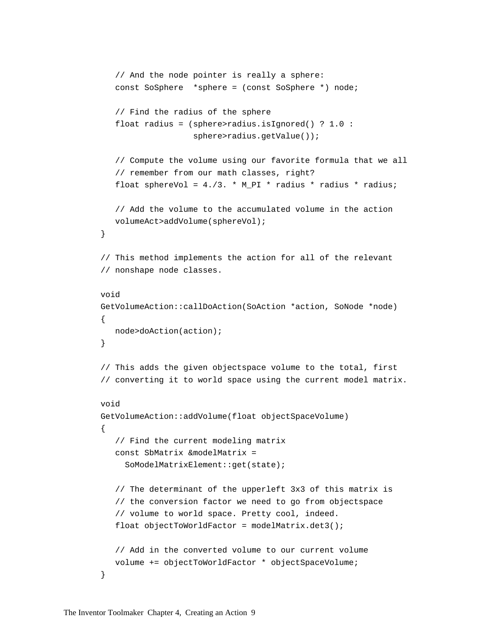```
 // And the node pointer is really a sphere:
    const SoSphere *sphere = (const SoSphere *) node;
    // Find the radius of the sphere
    float radius = (sphereÿ>radius.isIgnored() ? 1.0 :
                    sphereÿ>radius.getValue());
    // Compute the volume using our favorite formula that we all
    // remember from our math classes, right?
    float sphereVol = 4./3. * M_PI * radius * radius * radius;
    // Add the volume to the accumulated volume in the action
    volumeActÿ>addVolume(sphereVol);
}
// This method implements the action for all of the relevant
// nonÿshape node classes.
void
GetVolumeAction::callDoAction(SoAction *action, SoNode *node)
{
    nodeÿ>doAction(action);
}
// This adds the given objectÿspace volume to the total, first
// converting it to world space using the current model matrix.
void
GetVolumeAction::addVolume(float objectSpaceVolume)
{
    // Find the current modeling matrix
    const SbMatrix &modelMatrix =
      SoModelMatrixElement::get(state);
    // The determinant of the upperÿleft 3x3 of this matrix is
    // the conversion factor we need to go from objectÿspace
    // volume to world space. Pretty cool, indeed.
    float objectToWorldFactor = modelMatrix.det3();
    // Add in the converted volume to our current volume
    volume += objectToWorldFactor * objectSpaceVolume;
}
```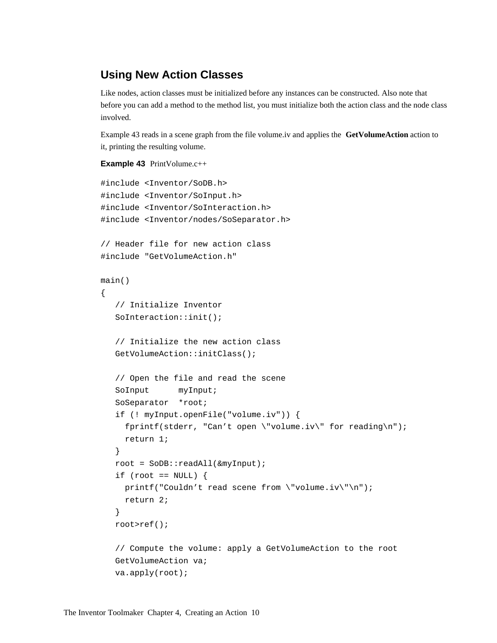## **Using New Action Classes**

Like nodes, action classes must be initialized before any instances can be constructed. Also note that before you can add a method to the method list, you must initialize both the action class and the node class involved.

Example 4ÿ3 reads in a scene graph from the file volume.iv and applies the **GetVolumeAction** action to it, printing the resulting volume.

#### **Example 4ÿ3** PrintVolume.c++

```
#include <Inventor/SoDB.h>
#include <Inventor/SoInput.h>
#include <Inventor/SoInteraction.h>
#include <Inventor/nodes/SoSeparator.h>
// Header file for new action class
#include "GetVolumeAction.h"
main()
{
    // Initialize Inventor
    SoInteraction::init();
    // Initialize the new action class
    GetVolumeAction::initClass();
    // Open the file and read the scene
   SoInput myInput;
    SoSeparator *root;
    if (! myInput.openFile("volume.iv")) {
      fprintf(stderr, "Can't open \"volume.iv\" for reading\n");
      return 1;
    }
   root = SoDB:: readAll(&myInput);
   if (root == NULL) {
      printf("Couldn't read scene from \"volume.iv\"\n");
      return 2;
    }
    rootÿ>ref();
    // Compute the volume: apply a GetVolumeAction to the root
    GetVolumeAction va;
    va.apply(root);
```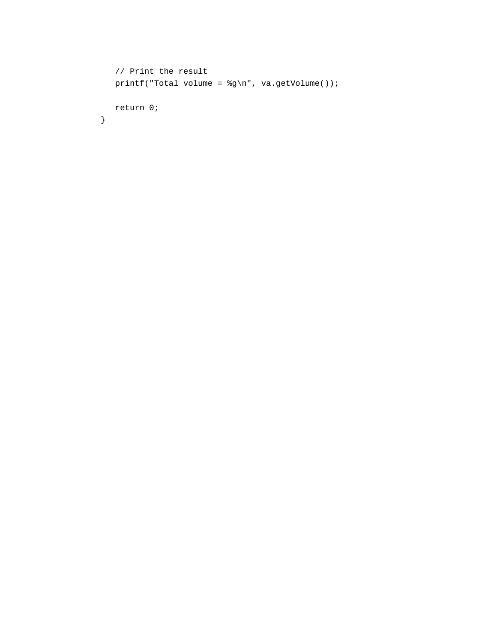```
 // Print the result
   printf("Total volume = \gamma \nvert n", va.getVolume());
   return 0;
}
```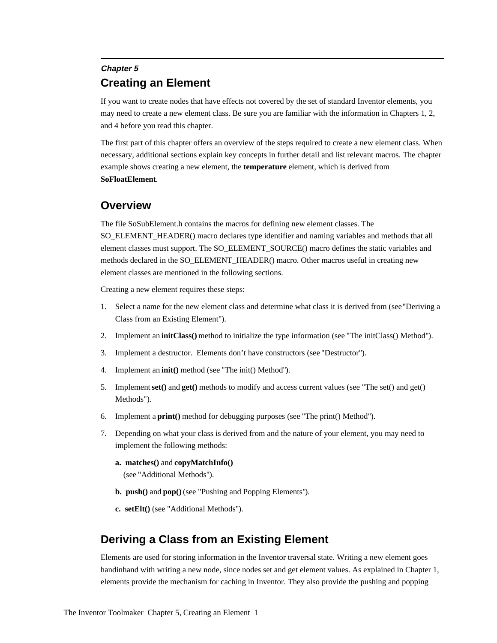# **Chapter 5 Creating an Element**

If you want to create nodes that have effects not covered by the set of standard Inventor elements, you may need to create a new element class. Be sure you are familiar with the information in Chapters 1, 2, and 4 before you read this chapter.

The first part of this chapter offers an overview of the steps required to create a new element class. When necessary, additional sections explain key concepts in further detail and list relevant macros. The chapter example shows creating a new element, the **temperature** element, which is derived from **SoFloatElement**.

### **Overview**

The file SoSubElement.h contains the macros for defining new element classes. The SO\_ELEMENT\_HEADER() macro declares type identifier and naming variables and methods that all element classes must support. The SO\_ELEMENT\_SOURCE() macro defines the static variables and methods declared in the SO\_ELEMENT\_HEADER() macro. Other macros useful in creating new element classes are mentioned in the following sections.

Creating a new element requires these steps:

- 1. Select a name for the new element class and determine what class it is derived from (see "Deriving a Class from an Existing Element").
- 2. Implement an **initClass()** method to initialize the type information (see "The initClass() Method").
- 3. Implement a destructor. Elements don't have constructors (see "Destructor").
- 4. Implement an **init()** method (see "The init() Method").
- 5. Implement **set()** and **get()** methods to modify and access current values (see "The set() and get() Methods").
- 6. Implement a **print()** method for debugging purposes (see "The print() Method").
- 7. Depending on what your class is derived from and the nature of your element, you may need to implement the following methods:
	- **a. matches()** and **copyMatchInfo()** (see "Additional Methods").
	- **b. push()** and **pop()** (see "Pushing and Popping Elements").
	- **c. setElt()** (see "Additional Methods").

# **Deriving a Class from an Existing Element**

Elements are used for storing information in the Inventor traversal state. Writing a new element goes hand $\ddot{\mathbf{y}}$  hand $\ddot{\mathbf{y}}$  and  $\ddot{\mathbf{y}}$  a new node, since nodes set and get element values. As explained in Chapter 1, elements provide the mechanism for caching in Inventor. They also provide the pushing and popping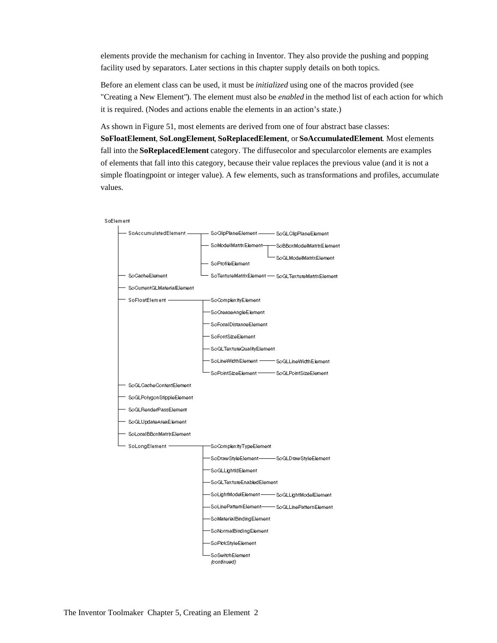elements provide the mechanism for caching in Inventor. They also provide the pushing and popping facility used by separators. Later sections in this chapter supply details on both topics.

Before an element class can be used, it must be *initialized* using one of the macros provided (see "Creating a New Element"). The element must also be *enabled* in the method list of each action for which it is required. (Nodes and actions enable the elements in an action's state.)

As shown in Figure 5ÿ1, most elements are derived from one of four abstract base classes: **SoFloatElement**, **SoLongElement**, **SoReplacedElement**, or **SoAccumulatedElement**. Most elements fall into the **SoReplacedElement** category. The diffuseÿcolor and specularÿcolor elements are examples of elements that fall into this category, because their value replaces the previous value (and it is not a simple floating point or integer value). A few elements, such as transformations and profiles, accumulate values.

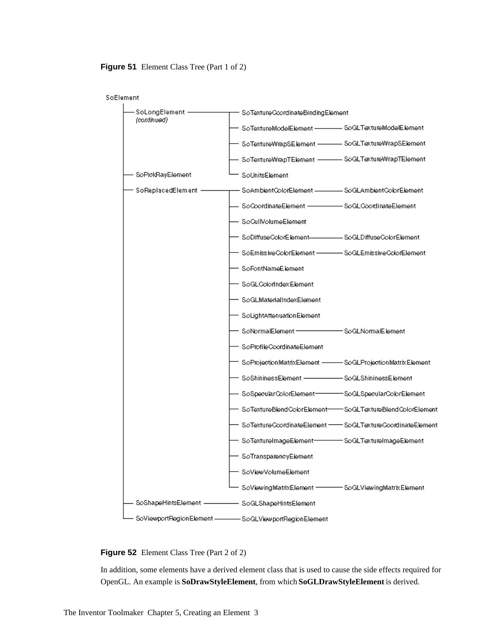**Figure 5ÿ1** Element Class Tree (Part 1 of 2)



#### **Figure 5ÿ2** Element Class Tree (Part 2 of 2)

In addition, some elements have a derived element class that is used to cause the side effects required for OpenGL. An example is **SoDrawStyleElement**, from which **SoGLDrawStyleElement** is derived.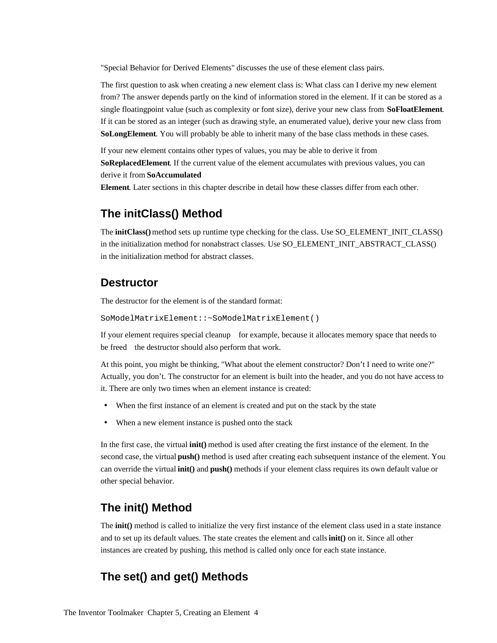"Special Behavior for Derived Elements" discusses the use of these element class pairs.

The first question to ask when creating a new element class is: What class can I derive my new element from? The answer depends partly on the kind of information stored in the element. If it can be stored as a single floatingÿpoint value (such as complexity or font size), derive your new class from **SoFloatElement**. If it can be stored as an integer (such as drawing style, an enumerated value), derive your new class from **SoLongElement**. You will probably be able to inherit many of the base class methods in these cases.

If your new element contains other types of values, you may be able to derive it from **SoReplacedElement**. If the current value of the element accumulates with previous values, you can derive it from **SoAccumulatedÿ**

**Element**. Later sections in this chapter describe in detail how these classes differ from each other.

## **The initClass() Method**

The **initClass()** method sets up runtime type checking for the class. Use SO\_ELEMENT\_INIT\_CLASS() in the initialization method for nonÿabstract classes. Use SO\_ELEMENT\_INIT\_ABSTRACT\_CLASS() in the initialization method for abstract classes.

#### **Destructor**

The destructor for the element is of the standard format:

SoModelMatrixElement::~SoModelMatrixElement()

If your element requires special cleanup—for example, because it allocates memory space that needs to be freed—the destructor should also perform that work.

At this point, you might be thinking, "What about the element constructor? Don't I need to write one?" Actually, you don't. The constructor for an element is built into the header, and you do not have access to it. There are only two times when an element instance is created:

- When the first instance of an element is created and put on the stack by the state
- When a new element instance is pushed onto the stack

In the first case, the virtual **init()** method is used after creating the first instance of the element. In the second case, the virtual **push()** method is used after creating each subsequent instance of the element. You can override the virtual **init()** and **push()** methods if your element class requires its own default value or other special behavior.

### **The init() Method**

The **init()** method is called to initialize the very first instance of the element class used in a state instance and to set up its default values. The state creates the element and calls **init()** on it. Since all other instances are created by pushing, this method is called only once for each state instance.

## **The set() and get() Methods**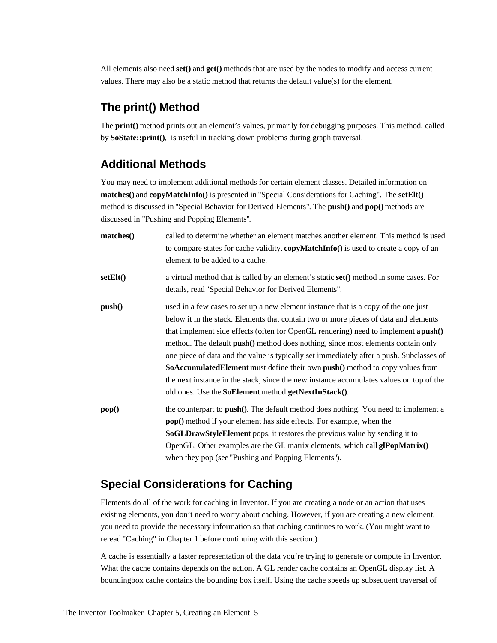All elements also need **set()** and **get()** methods that are used by the nodes to modify and access current values. There may also be a static method that returns the default value(s) for the element.

## **The print() Method**

The **print()** method prints out an element's values, primarily for debugging purposes. This method, called by **SoState::print()**, is useful in tracking down problems during graph traversal.

## **Additional Methods**

You may need to implement additional methods for certain element classes. Detailed information on **matches()** and **copyMatchInfo()** is presented in "Special Considerations for Caching". The **setElt()** method is discussed in "Special Behavior for Derived Elements". The **push()** and **pop()** methods are discussed in "Pushing and Popping Elements".

| matches()   | called to determine whether an element matches another element. This method is used<br>to compare states for cache validity. copyMatchInfo() is used to create a copy of an<br>element to be added to a cache.                                                                                                                                                                                                                                                                                                                                                                                                                                                                                                       |
|-------------|----------------------------------------------------------------------------------------------------------------------------------------------------------------------------------------------------------------------------------------------------------------------------------------------------------------------------------------------------------------------------------------------------------------------------------------------------------------------------------------------------------------------------------------------------------------------------------------------------------------------------------------------------------------------------------------------------------------------|
| setElt()    | a virtual method that is called by an element's static set() method in some cases. For<br>details, read "Special Behavior for Derived Elements".                                                                                                                                                                                                                                                                                                                                                                                                                                                                                                                                                                     |
| push()      | used in a few cases to set up a new element instance that is a copy of the one just<br>below it in the stack. Elements that contain two or more pieces of data and elements<br>that implement side effects (often for OpenGL rendering) need to implement a <b>push</b> ()<br>method. The default <b>push</b> () method does nothing, since most elements contain only<br>one piece of data and the value is typically set immediately after a push. Subclasses of<br><b>SoAccumulatedElement</b> must define their own <b>push</b> () method to copy values from<br>the next instance in the stack, since the new instance accumulates values on top of the<br>old ones. Use the SoElement method getNextInStack(). |
| $\bf pop()$ | the counterpart to <b>push</b> (). The default method does nothing. You need to implement a<br><b>pop</b> () method if your element has side effects. For example, when the<br><b>SoGLDrawStyleElement</b> pops, it restores the previous value by sending it to<br>OpenGL. Other examples are the GL matrix elements, which call $glPopMatrix()$<br>when they pop (see "Pushing and Popping Elements").                                                                                                                                                                                                                                                                                                             |

## **Special Considerations for Caching**

Elements do all of the work for caching in Inventor. If you are creating a node or an action that uses existing elements, you don't need to worry about caching. However, if you are creating a new element, you need to provide the necessary information so that caching continues to work. (You might want to reread "Caching" in Chapter 1 before continuing with this section.)

A cache is essentially a faster representation of the data you're trying to generate or compute in Inventor. What the cache contains depends on the action. A GL render cache contains an OpenGL display list. A boundingÿbox cache contains the bounding box itself. Using the cache speeds up subsequent traversal of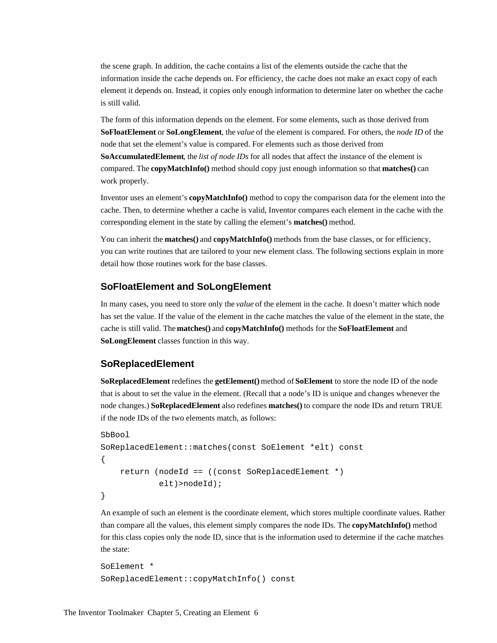the scene graph. In addition, the cache contains a list of the elements outside the cache that the information inside the cache depends on. For efficiency, the cache does not make an exact copy of each element it depends on. Instead, it copies only enough information to determine later on whether the cache is still valid.

The form of this information depends on the element. For some elements, such as those derived from **SoFloatElement** or **SoLongElement**, the *value* of the element is compared. For others, the *node ID* of the node that set the element's value is compared. For elements such as those derived from **SoAccumulatedElement**, the *list of node IDs* for all nodes that affect the instance of the element is compared. The **copyMatchInfo()** method should copy just enough information so that **matches()** can work properly.

Inventor uses an element's **copyMatchInfo()** method to copy the comparison data for the element into the cache. Then, to determine whether a cache is valid, Inventor compares each element in the cache with the corresponding element in the state by calling the element's **matches()** method.

You can inherit the **matches()** and **copyMatchInfo()** methods from the base classes, or for efficiency, you can write routines that are tailored to your new element class. The following sections explain in more detail how those routines work for the base classes.

#### **SoFloatElement and SoLongElement**

In many cases, you need to store only the *value* of the element in the cache. It doesn't matter which node has set the value. If the value of the element in the cache matches the value of the element in the state, the cache is still valid. The **matches()** and **copyMatchInfo()** methods for the **SoFloatElement** and **SoLongElement** classes function in this way.

#### **SoReplacedElement**

**SoReplacedElement** redefines the **getElement()** method of **SoElement** to store the node ID of the node that is about to set the value in the element. (Recall that a node's ID is unique and changes whenever the node changes.) **SoReplacedElement** also redefines **matches()** to compare the node IDs and return TRUE if the node IDs of the two elements match, as follows:

```
SbBool
SoReplacedElement::matches(const SoElement *elt) const
{
     return (nodeId == ((const SoReplacedElement *)
             elt)ÿ>nodeId);
}
```
An example of such an element is the coordinate element, which stores multiple coordinate values. Rather than compare all the values, this element simply compares the node IDs. The **copyMatchInfo()** method for this class copies only the node ID, since that is the information used to determine if the cache matches the state:

```
SoElement *
SoReplacedElement::copyMatchInfo() const
```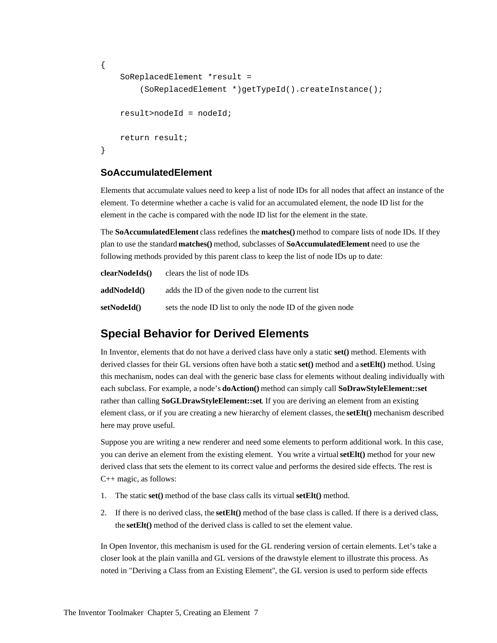```
{
     SoReplacedElement *result =
         (SoReplacedElement *)getTypeId().createInstance();
     resultÿ>nodeId = nodeId;
     return result;
}
```
#### **SoAccumulatedElement**

Elements that accumulate values need to keep a list of node IDs for all nodes that affect an instance of the element. To determine whether a cache is valid for an accumulated element, the node ID list for the element in the cache is compared with the node ID list for the element in the state.

The **SoAccumulatedElement** class redefines the **matches()** method to compare lists of node IDs. If they plan to use the standard **matches()** method, subclasses of **SoAccumulatedElement** need to use the following methods provided by this parent class to keep the list of node IDs up to date:

| clearNodeIds() | clears the list of node IDs                                 |
|----------------|-------------------------------------------------------------|
| addNodeId()    | adds the ID of the given node to the current list           |
| setNodeId()    | sets the node ID list to only the node ID of the given node |

### **Special Behavior for Derived Elements**

In Inventor, elements that do not have a derived class have only a static **set()** method. Elements with derived classes for their GL versions often have both a static **set()** method and a **setElt()** method. Using this mechanism, nodes can deal with the generic base class for elements without dealing individually with each subclass. For example, a node's **doAction()** method can simply call **SoDrawStyleElement::set** rather than calling **SoGLDrawStyleElement::set**. If you are deriving an element from an existing element class, or if you are creating a new hierarchy of element classes, the **setElt()** mechanism described here may prove useful.

Suppose you are writing a new renderer and need some elements to perform additional work. In this case, you can derive an element from the existing element. You write a virtual **setElt()** method for your new derived class that sets the element to its correct value and performs the desired side effects. The rest is C++ magic, as follows:

- 1. The static **set()** method of the base class calls its virtual **setElt()** method.
- 2. If there is no derived class, the **setElt()** method of the base class is called. If there is a derived class, the **setElt()** method of the derived class is called to set the element value.

In Open Inventor, this mechanism is used for the GL rendering version of certain elements. Let's take a closer look at the plain vanilla and GL versions of the drawÿtyle element to illustrate this process. As noted in "Deriving a Class from an Existing Element", the GL version is used to perform side effects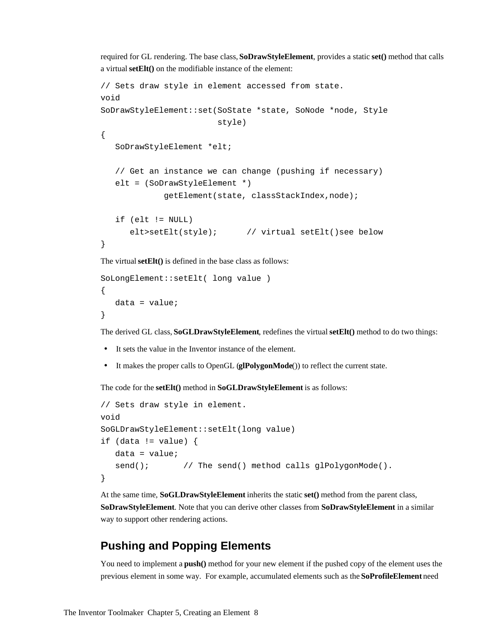required for GL rendering. The base class, **SoDrawStyleElement**, provides a static **set()** method that calls a virtual **setElt()** on the modifiable instance of the element:

```
// Sets draw style in element accessed from state.
void
SoDrawStyleElement::set(SoState *state, SoNode *node, Style
                         style)
{
    SoDrawStyleElement *elt;
    // Get an instance we can change (pushing if necessary)
    elt = (SoDrawStyleElement *)
              getElement(state, classStackIndex,node);
    if (elt != NULL)
      eltÿ>setElt(style); // virtual setElt()ÿÿsee below
}
```
The virtual **setElt()** is defined in the base class as follows:

```
SoLongElement::setElt( long value )
{
   data = value;
}
```
The derived GL class, **SoGLDrawStyleElement**, redefines the virtual **setElt()** method to do two things:

- It sets the value in the Inventor instance of the element.
- It makes the proper calls to OpenGL (**glPolygonMode**()) to reflect the current state.

The code for the **setElt()** method in **SoGLDrawStyleElement** is as follows:

```
// Sets draw style in element.
void
SoGLDrawStyleElement::setElt(long value)
if (data != value) {
   data = value;send(); \qquad // The send() method calls glPolygonMode().
}
```
At the same time, **SoGLDrawStyleElement** inherits the static **set()** method from the parent class, **SoDrawStyleElement**. Note that you can derive other classes from **SoDrawStyleElement** in a similar way to support other rendering actions.

## **Pushing and Popping Elements**

You need to implement a **push()** method for your new element if the pushed copy of the element uses the previous element in some way. For example, accumulated elements such as the **SoProfileElement** need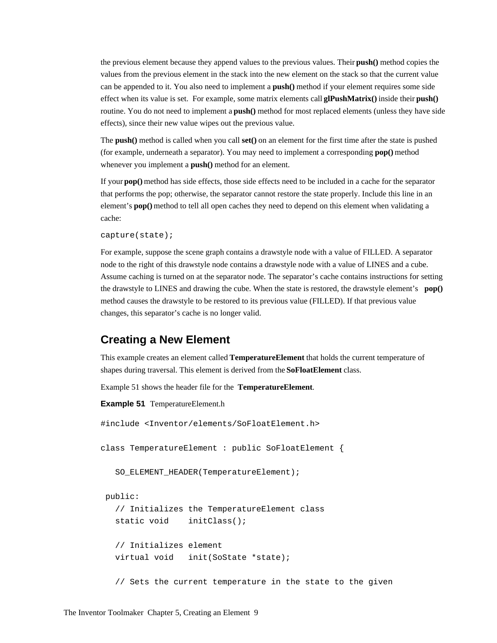the previous element because they append values to the previous values. Their **push()** method copies the values from the previous element in the stack into the new element on the stack so that the current value can be appended to it. You also need to implement a **push()** method if your element requires some side effect when its value is set. For example, some matrix elements call **glPushMatrix()** inside their **push()** routine. You do not need to implement a **push()** method for most replaced elements (unless they have side effects), since their new value wipes out the previous value.

The **push()** method is called when you call **set()** on an element for the first time after the state is pushed (for example, underneath a separator). You may need to implement a corresponding **pop()** method whenever you implement a **push()** method for an element.

If your **pop()** method has side effects, those side effects need to be included in a cache for the separator that performs the pop; otherwise, the separator cannot restore the state properly. Include this line in an element's **pop()** method to tell all open caches they need to depend on this element when validating a cache:

```
capture(state);
```
For example, suppose the scene graph contains a draw $\ddot{\text{y}}$ tyle node with a value of FILLED. A separator node to the right of this drawÿstyle node contains a drawÿstyle node with a value of LINES and a cube. Assume caching is turned on at the separator node. The separator's cache contains instructions for setting the drawÿstyle to LINES and drawing the cube. When the state is restored, the drawÿstyle element's **pop()** method causes the drawÿstyle to be restored to its previous value (FILLED). If that previous value changes, this separator's cache is no longer valid.

## **Creating a New Element**

This example creates an element called **TemperatureElement** that holds the current temperature of shapes during traversal. This element is derived from the **SoFloatElement** class.

Example 5ÿ1 shows the header file for the **TemperatureElement**.

#### **Example 5ÿ1** TemperatureElement.h

```
#include <Inventor/elements/SoFloatElement.h>
class TemperatureElement : public SoFloatElement {
    SO_ELEMENT_HEADER(TemperatureElement);
 public:
    // Initializes the TemperatureElement class
   static void initClass();
    // Initializes element
    virtual void init(SoState *state);
    // Sets the current temperature in the state to the given
```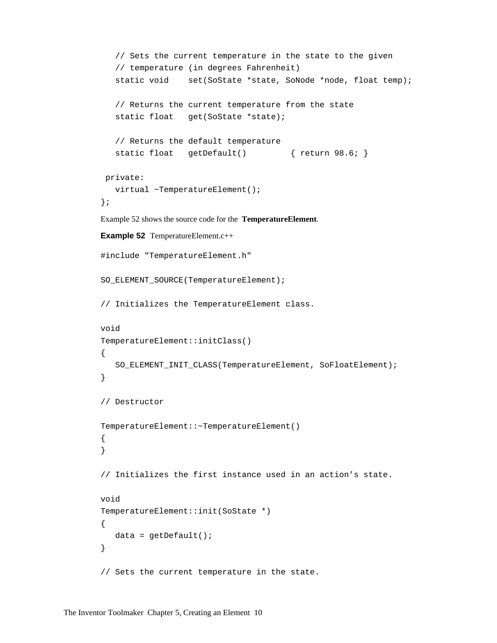```
 // Sets the current temperature in the state to the given
    // temperature (in degrees Fahrenheit)
    static void set(SoState *state, SoNode *node, float temp);
    // Returns the current temperature from the state
    static float get(SoState *state);
    // Returns the default temperature
   static float getDefault() { return 98.6; }
  private:
    virtual ~TemperatureElement();
};
Example 5ÿ2 shows the source code for the TemperatureElement.
Example 5ÿ2 TemperatureElement.c++
#include "TemperatureElement.h"
SO_ELEMENT_SOURCE(TemperatureElement);
// Initializes the TemperatureElement class.
void
TemperatureElement::initClass()
{
    SO_ELEMENT_INIT_CLASS(TemperatureElement, SoFloatElement);
}
// Destructor
TemperatureElement::~TemperatureElement()
{
}
// Initializes the first instance used in an action's state.
void
TemperatureElement::init(SoState *)
{
    data = getDefault();
}
// Sets the current temperature in the state.
```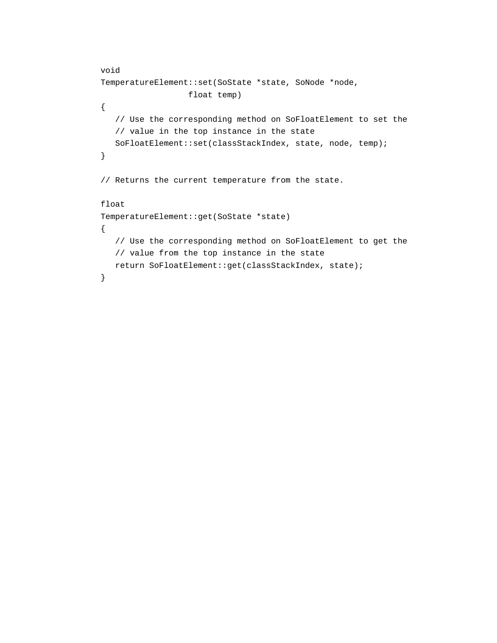```
void
TemperatureElement::set(SoState *state, SoNode *node,
                   float temp)
{
    // Use the corresponding method on SoFloatElement to set the
    // value in the top instance in the state
    SoFloatElement::set(classStackIndex, state, node, temp);
}
// Returns the current temperature from the state.
float
TemperatureElement::get(SoState *state)
{
    // Use the corresponding method on SoFloatElement to get the
    // value from the top instance in the state
    return SoFloatElement::get(classStackIndex, state);
}
```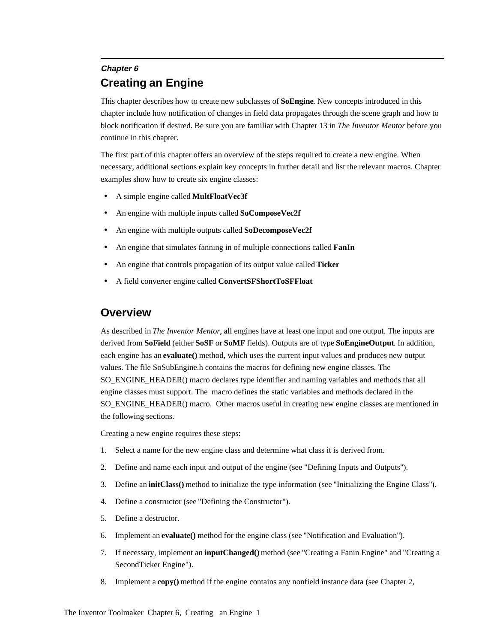# **Chapter 6 Creating an Engine**

This chapter describes how to create new subclasses of **SoEngine**. New concepts introduced in this chapter include how notification of changes in field data propagates through the scene graph and how to block notification if desired. Be sure you are familiar with Chapter 13 in *The Inventor Mentor* before you continue in this chapter.

The first part of this chapter offers an overview of the steps required to create a new engine. When necessary, additional sections explain key concepts in further detail and list the relevant macros. Chapter examples show how to create six engine classes:

- A simple engine called **MultFloatVec3f**
- An engine with multiple inputs called **SoComposeVec2f**
- An engine with multiple outputs called **SoDecomposeVec2f**
- An engine that simulates fanning in of multiple connections called **FanIn**
- An engine that controls propagation of its output value called **Ticker**
- A field converter engine called **ConvertSFShortToSFFloat**

#### **Overview**

As described in *The Inventor Mentor*, all engines have at least one input and one output. The inputs are derived from **SoField** (either **SoSF** or **SoMF** fields). Outputs are of type **SoEngineOutput**. In addition, each engine has an **evaluate()** method, which uses the current input values and produces new output values. The file SoSubEngine.h contains the macros for defining new engine classes. The SO\_ENGINE\_HEADER() macro declares type identifier and naming variables and methods that all engine classes must support. The macro defines the static variables and methods declared in the SO\_ENGINE\_HEADER() macro. Other macros useful in creating new engine classes are mentioned in the following sections.

Creating a new engine requires these steps:

- 1. Select a name for the new engine class and determine what class it is derived from.
- 2. Define and name each input and output of the engine (see "Defining Inputs and Outputs").
- 3. Define an **initClass()** method to initialize the type information (see "Initializing the Engine Class").
- 4. Define a constructor (see "Defining the Constructor").
- 5. Define a destructor.
- 6. Implement an **evaluate()** method for the engine class (see "Notification and Evaluation").
- 7. If necessary, implement an **inputChanged()** method (see "Creating a Fanÿin Engine" and "Creating a SecondÿTicker Engine").
- 8. Implement a **copy()** method if the engine contains any nonfield instance data (see Chapter 2,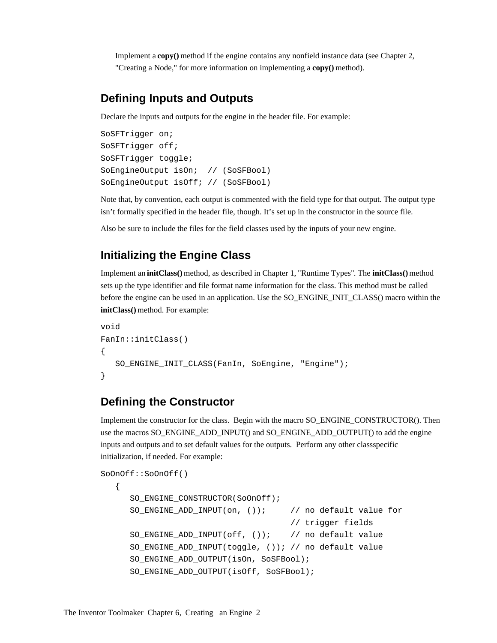Implement a **copy()** method if the engine contains any nonfield instance data (see Chapter 2, "Creating a Node," for more information on implementing a **copy()** method).

### **Defining Inputs and Outputs**

Declare the inputs and outputs for the engine in the header file. For example:

```
SoSFTrigger on;
SoSFTrigger off;
SoSFTrigger toggle;
SoEngineOutput isOn; // (SoSFBool)
SoEngineOutput isOff; // (SoSFBool)
```
Note that, by convention, each output is commented with the field type for that output. The output type isn't formally specified in the header file, though. It's set up in the constructor in the source file.

Also be sure to include the files for the field classes used by the inputs of your new engine.

### **Initializing the Engine Class**

Implement an **initClass()** method, as described in Chapter 1, "Runtime Types". The **initClass()** method sets up the type identifier and file format name information for the class. This method must be called before the engine can be used in an application. Use the SO\_ENGINE\_INIT\_CLASS() macro within the **initClass()** method. For example:

```
void
FanIn::initClass()
{
   SO_ENGINE_INIT_CLASS(FanIn, SoEngine, "Engine");
}
```
### **Defining the Constructor**

Implement the constructor for the class. Begin with the macro SO\_ENGINE\_CONSTRUCTOR(). Then use the macros SO\_ENGINE\_ADD\_INPUT() and SO\_ENGINE\_ADD\_OUTPUT() to add the engine inputs and outputs and to set default values for the outputs. Perform any other classÿspecific initialization, if needed. For example:

```
SoOnOff::SoOnOff()
    {
       SO_ENGINE_CONSTRUCTOR(SoOnOff);
       SO_ENGINE_ADD_INPUT(on, ()); // no default value for
                                        // trigger fields
       SO_ENGINE_ADD_INPUT(off, ()); // no default value
       SO_ENGINE_ADD_INPUT(toggle, ()); // no default value
       SO_ENGINE_ADD_OUTPUT(isOn, SoSFBool);
       SO_ENGINE_ADD_OUTPUT(isOff, SoSFBool);
```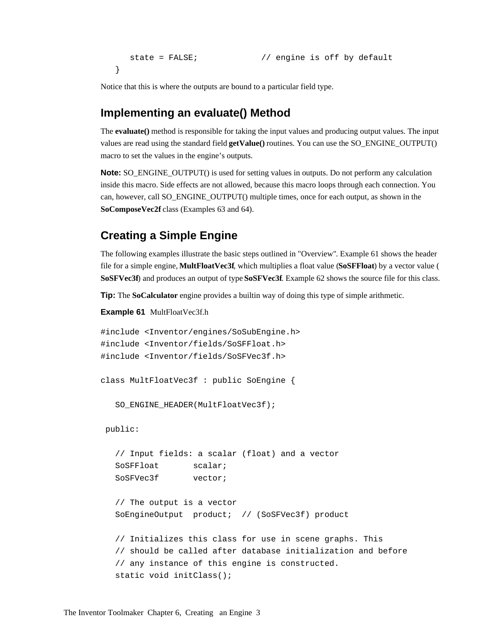```
state = FALSE; \frac{1}{2} // engine is off by default
```
Notice that this is where the outputs are bound to a particular field type.

### **Implementing an evaluate() Method**

The **evaluate()** method is responsible for taking the input values and producing output values. The input values are read using the standard field **getValue()** routines. You can use the SO\_ENGINE\_OUTPUT() macro to set the values in the engine's outputs.

**Note:** SO\_ENGINE\_OUTPUT() is used for setting values in outputs. Do not perform any calculation inside this macro. Side effects are not allowed, because this macro loops through each connection. You can, however, call SO\_ENGINE\_OUTPUT() multiple times, once for each output, as shown in the **SoComposeVec2f** class (Examples 6ÿ3 and 6ÿ4).

### **Creating a Simple Engine**

}

The following examples illustrate the basic steps outlined in "Overview". Example 6 $\ddot{\text{u}}$  shows the header file for a simple engine, **MultFloatVec3f**, which multiplies a float value (**SoSFFloat**) by a vector value ( **SoSFVec3f**) and produces an output of type **SoSFVec3f**. Example 6\\pna}2 shows the source file for this class.

**Tip:** The **SoCalculator** engine provides a builtÿin way of doing this type of simple arithmetic.

```
Example 6ÿ1 MultFloatVec3f.h
```

```
#include <Inventor/engines/SoSubEngine.h>
#include <Inventor/fields/SoSFFloat.h>
#include <Inventor/fields/SoSFVec3f.h>
class MultFloatVec3f : public SoEngine {
   SO_ENGINE_HEADER(MultFloatVec3f);
 public:
    // Input fields: a scalar (float) and a vector
   SoSFFloat scalar;
    SoSFVec3f vector;
    // The output is a vector
    SoEngineOutput product; // (SoSFVec3f) product
    // Initializes this class for use in scene graphs. This
    // should be called after database initialization and before
    // any instance of this engine is constructed.
    static void initClass();
```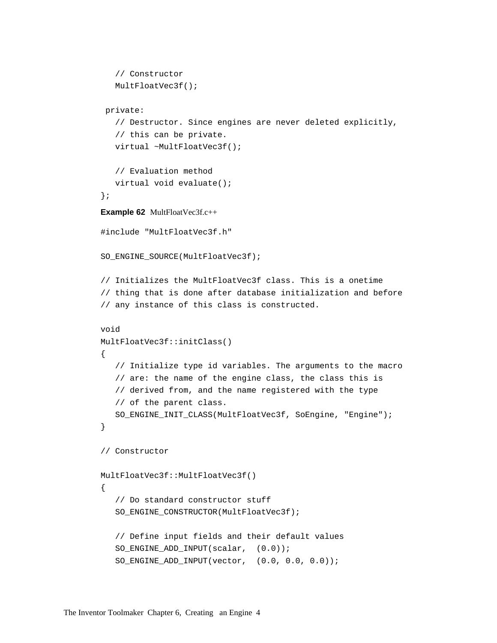```
 // Constructor
 MultFloatVec3f();
```
#### private:

```
 // Destructor. Since engines are never deleted explicitly,
 // this can be private.
 virtual ~MultFloatVec3f();
```

```
 // Evaluation method
 virtual void evaluate();
```
};

#### **Example 6ÿ2** MultFloatVec3f.c++

```
#include "MultFloatVec3f.h"
```

```
SO_ENGINE_SOURCE(MultFloatVec3f);
```

```
// Initializes the MultFloatVec3f class. This is a oneÿtime
// thing that is done after database initialization and before
// any instance of this class is constructed.
```

```
void
MultFloatVec3f::initClass()
{
    // Initialize type id variables. The arguments to the macro
    // are: the name of the engine class, the class this is
    // derived from, and the name registered with the type
    // of the parent class.
    SO_ENGINE_INIT_CLASS(MultFloatVec3f, SoEngine, "Engine");
}
// Constructor
MultFloatVec3f::MultFloatVec3f()
{
    // Do standard constructor stuff
    SO_ENGINE_CONSTRUCTOR(MultFloatVec3f);
    // Define input fields and their default values
    SO_ENGINE_ADD_INPUT(scalar, (0.0));
   SO ENGINE ADD INPUT(vector, (0.0, 0.0, 0.0));
```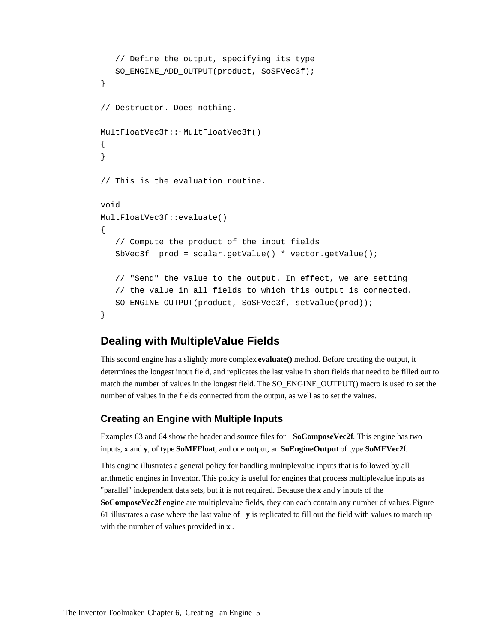```
 // Define the output, specifying its type
    SO_ENGINE_ADD_OUTPUT(product, SoSFVec3f);
}
// Destructor. Does nothing.
MultFloatVec3f::~MultFloatVec3f()
{
}
// This is the evaluation routine.
void
MultFloatVec3f::evaluate()
{
    // Compute the product of the input fields
   SbVec3f prod = scalar.getValue() * vector.getValue();
    // "Send" the value to the output. In effect, we are setting
    // the value in all fields to which this output is connected.
    SO_ENGINE_OUTPUT(product, SoSFVec3f, setValue(prod));
}
```
### **Dealing with MultipleÿValue Fields**

This second engine has a slightly more complex **evaluate()** method. Before creating the output, it determines the longest input field, and replicates the last value in short fields that need to be filled out to match the number of values in the longest field. The SO\_ENGINE\_OUTPUT() macro is used to set the number of values in the fields connected from the output, as well as to set the values.

#### **Creating an Engine with Multiple Inputs**

Examples 6ÿ3 and 6ÿ4 show the header and source files for **SoComposeVec2f**. This engine has two inputs, **x** and **y**, of type **SoMFFloat**, and one output, an **SoEngineOutput** of type **SoMFVec2f**.

This engine illustrates a general policy for handling multiple wall inputs that is followed by all arithmetic engines in Inventor. This policy is useful for engines that process multiple $\ddot{y}$ alue inputs as "parallel" independent data sets, but it is not required. Because the **x** and **y** inputs of the **SoComposeVec2f** engine are multipleÿvalue fields, they can each contain any number of values. Figure 6ÿ1 illustrates a case where the last value of **y** is replicated to fill out the field with values to match up with the number of values provided in **x** .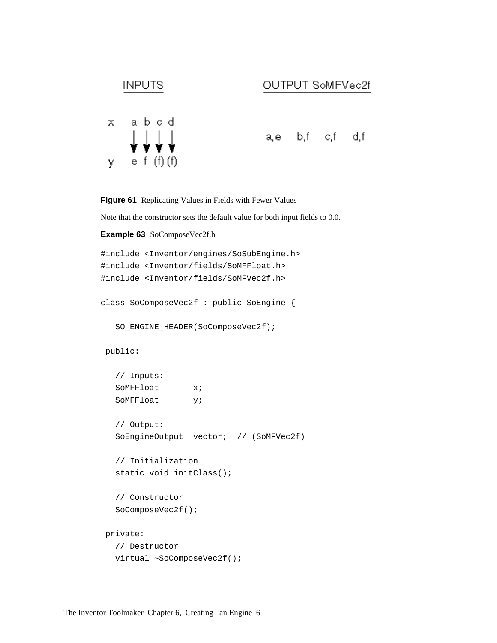



**Figure 6ÿ1** Replicating Values in Fields with Fewer Values

Note that the constructor sets the default value for both input fields to 0.0.

```
Example 6ÿ3 SoComposeVec2f.h
```

```
#include <Inventor/engines/SoSubEngine.h>
#include <Inventor/fields/SoMFFloat.h>
#include <Inventor/fields/SoMFVec2f.h>
class SoComposeVec2f : public SoEngine {
```

```
 SO_ENGINE_HEADER(SoComposeVec2f);
```

```
 public:
```

|                  | // Inputs:                            |                |  |  |  |  |
|------------------|---------------------------------------|----------------|--|--|--|--|
|                  | SOMFFloat                             | $\mathbf{x}$ ; |  |  |  |  |
|                  | SoMFFloat                             | y;             |  |  |  |  |
|                  | // Output:                            |                |  |  |  |  |
|                  | SoEngineOutput vector; // (SoMFVec2f) |                |  |  |  |  |
|                  | // Initialization                     |                |  |  |  |  |
|                  | static void initClass();              |                |  |  |  |  |
|                  | // Constructor                        |                |  |  |  |  |
| SoComposeVec2f() |                                       |                |  |  |  |  |
|                  | private:                              |                |  |  |  |  |
|                  | // Destructor                         |                |  |  |  |  |
|                  | virtual ~SoComposeVec2f();            |                |  |  |  |  |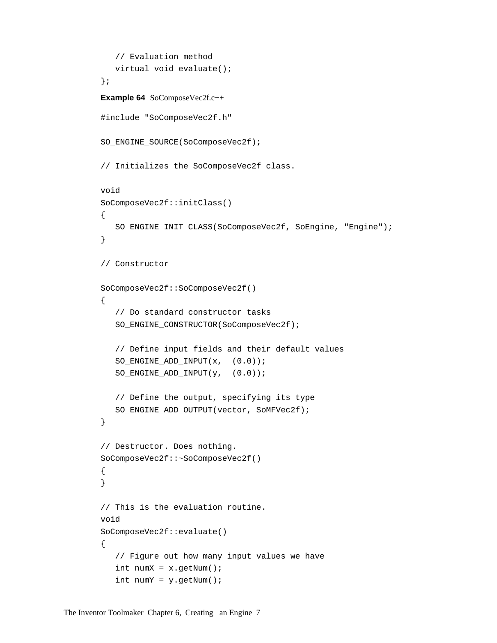```
 // Evaluation method
    virtual void evaluate();
};
Example 6ÿ4 SoComposeVec2f.c++
#include "SoComposeVec2f.h"
SO_ENGINE_SOURCE(SoComposeVec2f);
// Initializes the SoComposeVec2f class.
void
SoComposeVec2f::initClass()
{
    SO_ENGINE_INIT_CLASS(SoComposeVec2f, SoEngine, "Engine");
}
// Constructor
SoComposeVec2f::SoComposeVec2f()
{
    // Do standard constructor tasks
    SO_ENGINE_CONSTRUCTOR(SoComposeVec2f);
    // Define input fields and their default values
   SO_ENGINE_ADD_INPUT(x, (0.0));
   SO_ENGINE_ADD_INPUT(y, (0.0));
    // Define the output, specifying its type
    SO_ENGINE_ADD_OUTPUT(vector, SoMFVec2f);
}
// Destructor. Does nothing.
SoComposeVec2f::~SoComposeVec2f()
{
}
// This is the evaluation routine.
void
SoComposeVec2f::evaluate()
{
    // Figure out how many input values we have
   int numX = x.getNum();
   int numY = y \cdot getNum();
```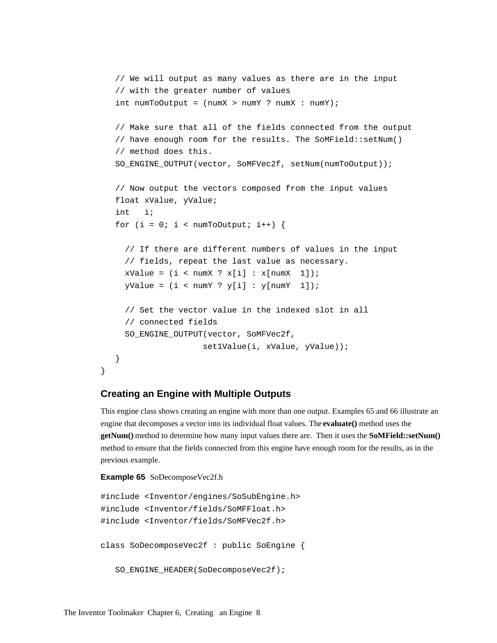```
 // We will output as many values as there are in the input
 // with the greater number of values
int numToOutput = (numX > numY ? numX : numY);
 // Make sure that all of the fields connected from the output
 // have enough room for the results. The SoMField::setNum()
 // method does this.
 SO_ENGINE_OUTPUT(vector, SoMFVec2f, setNum(numToOutput));
 // Now output the vectors composed from the input values
 float xValue, yValue;
 int i;
for (i = 0; i < numToOutput; i++) // If there are different numbers of values in the input
   // fields, repeat the last value as necessary.
  xValue = (i \leq numX ? x[i] : x(numX \nV 1]);yValue = (i < numY ? y[i] : y(numY \nPsi 1]); // Set the vector value in the indexed slot in all
   // connected fields
  SO_ENGINE_OUTPUT(vector, SoMFVec2f,
                   set1Value(i, xValue, yValue));
 }
```
#### **Creating an Engine with Multiple Outputs**

This engine class shows creating an engine with more than one output. Examples  $6\bar{p}$  and  $6\bar{p}$  illustrate an engine that decomposes a vector into its individual float values. The **evaluate()** method uses the **getNum()** method to determine how many input values there are. Then it uses the **SoMField::setNum()** method to ensure that the fields connected from this engine have enough room for the results, as in the previous example.

#### **Example 6ÿ5** SoDecomposeVec2f.h

}

```
#include <Inventor/engines/SoSubEngine.h>
#include <Inventor/fields/SoMFFloat.h>
#include <Inventor/fields/SoMFVec2f.h>
class SoDecomposeVec2f : public SoEngine {
   SO_ENGINE_HEADER(SoDecomposeVec2f);
```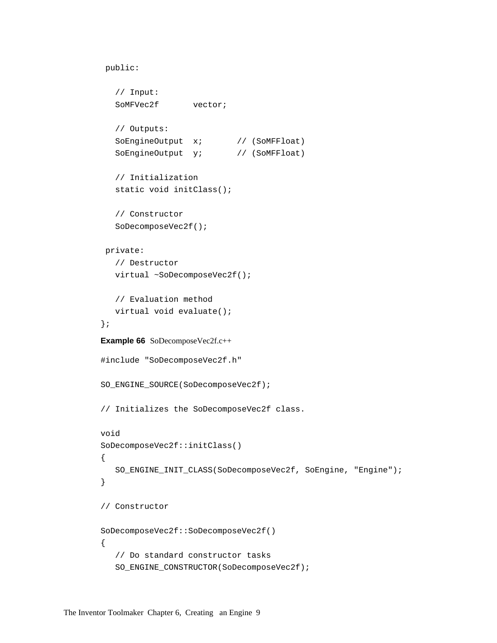```
 public:
    // Input:
   SoMFVec2f vector;
    // Outputs:
    SoEngineOutput x; // (SoMFFloat)
   SoEngineOutput y; // (SoMFFloat)
    // Initialization
    static void initClass();
    // Constructor
    SoDecomposeVec2f();
  private:
    // Destructor
    virtual ~SoDecomposeVec2f();
    // Evaluation method
    virtual void evaluate();
};
Example 6ÿ6 SoDecomposeVec2f.c++
#include "SoDecomposeVec2f.h"
SO_ENGINE_SOURCE(SoDecomposeVec2f);
// Initializes the SoDecomposeVec2f class.
void
SoDecomposeVec2f::initClass()
{
    SO_ENGINE_INIT_CLASS(SoDecomposeVec2f, SoEngine, "Engine");
}
// Constructor
SoDecomposeVec2f::SoDecomposeVec2f()
{
    // Do standard constructor tasks
    SO_ENGINE_CONSTRUCTOR(SoDecomposeVec2f);
```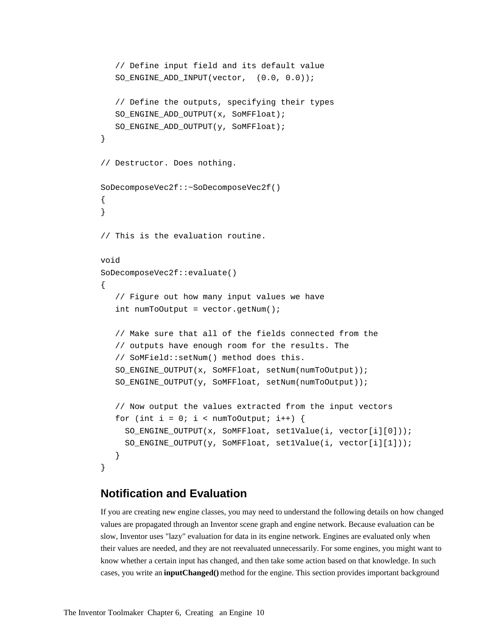```
 // Define input field and its default value
   SO ENGINE ADD INPUT(vector, (0.0, 0.0));
    // Define the outputs, specifying their types
    SO_ENGINE_ADD_OUTPUT(x, SoMFFloat);
   SO ENGINE ADD OUTPUT(y, SoMFFloat);
}
// Destructor. Does nothing.
SoDecomposeVec2f::~SoDecomposeVec2f()
{
}
// This is the evaluation routine.
void
SoDecomposeVec2f::evaluate()
{
    // Figure out how many input values we have
    int numToOutput = vector.getNum();
    // Make sure that all of the fields connected from the
    // outputs have enough room for the results. The
    // SoMField::setNum() method does this.
    SO_ENGINE_OUTPUT(x, SoMFFloat, setNum(numToOutput));
    SO_ENGINE_OUTPUT(y, SoMFFloat, setNum(numToOutput));
    // Now output the values extracted from the input vectors
   for (int i = 0; i < numToOutput; i++) {
     SO ENGINE OUTPUT(x, SoMFFloat, set1Value(i, vector[i][0]));
     SO ENGINE OUTPUT(y, SoMFFloat, set1Value(i, vector[i][1]));
    }
}
```
#### **Notification and Evaluation**

If you are creating new engine classes, you may need to understand the following details on how changed values are propagated through an Inventor scene graph and engine network. Because evaluation can be slow, Inventor uses "lazy" evaluation for data in its engine network. Engines are evaluated only when their values are needed, and they are not reevaluated unnecessarily. For some engines, you might want to know whether a certain input has changed, and then take some action based on that knowledge. In such cases, you write an **inputChanged()** method for the engine. This section provides important background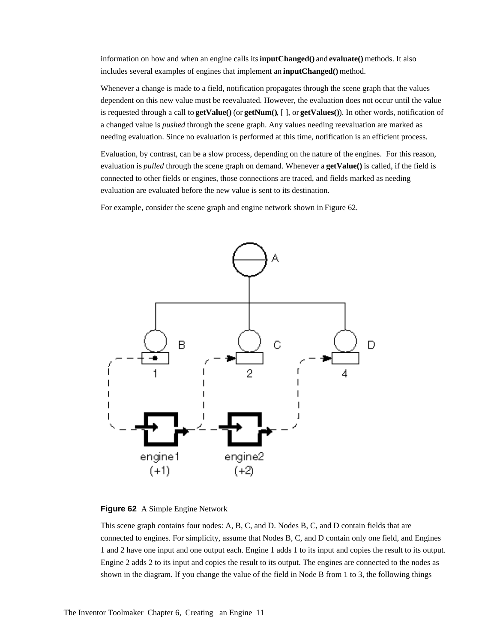information on how and when an engine calls its **inputChanged()** and **evaluate()** methods. It also includes several examples of engines that implement an **inputChanged()** method.

Whenever a change is made to a field, notification propagates through the scene graph that the values dependent on this new value must be reevaluated. However, the evaluation does not occur until the value is requested through a call to **getValue()** (or **getNum()**, [ ], or **getValues()**). In other words, notification of a changed value is *pushed* through the scene graph. Any values needing reevaluation are marked as needing evaluation. Since no evaluation is performed at this time, notification is an efficient process.

Evaluation, by contrast, can be a slow process, depending on the nature of the engines. For this reason, evaluation is *pulled* through the scene graph on demand. Whenever a **getValue()** is called, if the field is connected to other fields or engines, those connections are traced, and fields marked as needing evaluation are evaluated before the new value is sent to its destination.

For example, consider the scene graph and engine network shown in Figure 6 $\mathcal{V}$ .



**Figure 6ÿ2** A Simple Engine Network

This scene graph contains four nodes: A, B, C, and D. Nodes B, C, and D contain fields that are connected to engines. For simplicity, assume that Nodes B, C, and D contain only one field, and Engines 1 and 2 have one input and one output each. Engine 1 adds 1 to its input and copies the result to its output. Engine 2 adds 2 to its input and copies the result to its output. The engines are connected to the nodes as shown in the diagram. If you change the value of the field in Node B from 1 to 3, the following things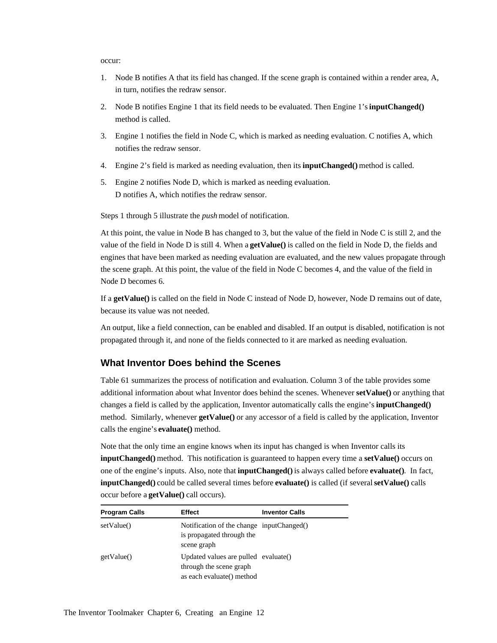#### occur:

- 1. Node B notifies A that its field has changed. If the scene graph is contained within a render area, A, in turn, notifies the redraw sensor.
- 2. Node B notifies Engine 1 that its field needs to be evaluated. Then Engine 1's **inputChanged()** method is called.
- 3. Engine 1 notifies the field in Node C, which is marked as needing evaluation. C notifies A, which notifies the redraw sensor.
- 4. Engine 2's field is marked as needing evaluation, then its **inputChanged()** method is called.
- 5. Engine 2 notifies Node D, which is marked as needing evaluation. D notifies A, which notifies the redraw sensor.

Steps 1 through 5 illustrate the *push* model of notification.

At this point, the value in Node B has changed to 3, but the value of the field in Node C is still 2, and the value of the field in Node D is still 4. When a **getValue()** is called on the field in Node D, the fields and engines that have been marked as needing evaluation are evaluated, and the new values propagate through the scene graph. At this point, the value of the field in Node C becomes 4, and the value of the field in Node D becomes 6.

If a **getValue()** is called on the field in Node C instead of Node D, however, Node D remains out of date, because its value was not needed.

An output, like a field connection, can be enabled and disabled. If an output is disabled, notification is not propagated through it, and none of the fields connected to it are marked as needing evaluation.

#### **What Inventor Does behind the Scenes**

Table 6 $\ddot{\textbf{u}}$  summarizes the process of notification and evaluation. Column 3 of the table provides some additional information about what Inventor does behind the scenes. Whenever **setValue()** or anything that changes a field is called by the application, Inventor automatically calls the engine's **inputChanged()** method. Similarly, whenever **getValue()** or any accessor of a field is called by the application, Inventor calls the engine's **evaluate()** method.

Note that the only time an engine knows when its input has changed is when Inventor calls its **inputChanged**() method. This notification is guaranteed to happen every time a **setValue**() occurs on one of the engine's inputs. Also, note that **inputChanged()** is always called before **evaluate()**. In fact, **inputChanged()** could be called several times before **evaluate()** is called (if several **setValue()** calls occur before a **getValue()** call occurs).

| <b>Program Calls</b> | <b>Effect</b>                                                                                | <b>Inventor Calls</b> |
|----------------------|----------------------------------------------------------------------------------------------|-----------------------|
| setValue()           | Notification of the change inputChanged()<br>is propagated through the<br>scene graph        |                       |
| getValue()           | Updated values are pulled evaluate()<br>through the scene graph<br>as each evaluate() method |                       |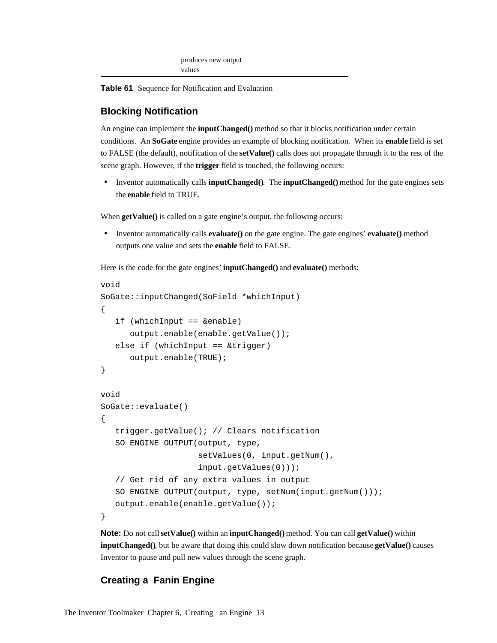**Table 6ÿ1** Sequence for Notification and Evaluation

### **Blocking Notification**

An engine can implement the **inputChanged()** method so that it blocks notification under certain conditions. An **SoGate** engine provides an example of blocking notification. When its **enable** field is set to FALSE (the default), notification of the **setValue()** calls does not propagate through it to the rest of the scene graph. However, if the **trigger** field is touched, the following occurs:

 • Inventor automatically calls **inputChanged()**. The **inputChanged()** method for the gate engines sets the **enable** field to TRUE.

When **getValue**() is called on a gate engine's output, the following occurs:

 • Inventor automatically calls **evaluate()** on the gate engine. The gate engines' **evaluate()** method outputs one value and sets the **enable** field to FALSE.

Here is the code for the gate engines' **inputChanged()** and **evaluate()** methods:

```
void
SoGate::inputChanged(SoField *whichInput)
{
    if (whichInput == &enable) 
       output.enable(enable.getValue());
    else if (whichInput == &trigger)
       output.enable(TRUE);
}
void 
SoGate::evaluate()
{
    trigger.getValue(); // Clears notification
   SO_ENGINE_OUTPUT(output, type,
                      setValues(0, input.getNum(),
                      input.getValues(0)));
    // Get rid of any extra values in output
    SO_ENGINE_OUTPUT(output, type, setNum(input.getNum()));
    output.enable(enable.getValue());
}
```
**Note:** Do not call **setValue()** within an **inputChanged()** method. You can call **getValue()** within **inputChanged()**, but be aware that doing this could slow down notification because **getValue()** causes Inventor to pause and pull new values through the scene graph.

### **Creating a Fanÿin Engine**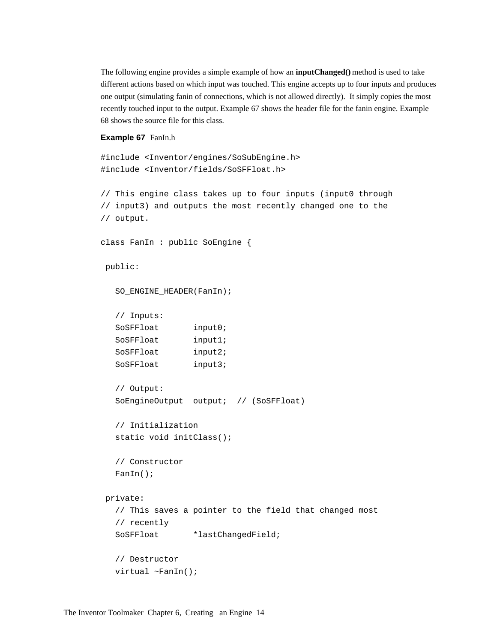The following engine provides a simple example of how an **inputChanged()** method is used to take different actions based on which input was touched. This engine accepts up to four inputs and produces one output (simulating fanyin of connections, which is not allowed directly). It simply copies the most recently touched input to the output. Example 6ÿ7 shows the header file for the fanÿin engine. Example 6ÿ8 shows the source file for this class.

#### **Example 6ÿ7** FanIn.h

```
#include <Inventor/engines/SoSubEngine.h>
#include <Inventor/fields/SoSFFloat.h>
// This engine class takes up to four inputs (input0 through
// input3) and outputs the most recently changed one to the
// output.
class FanIn : public SoEngine {
 public:
   SO_ENGINE_HEADER(FanIn);
   // Inputs:
  SoSFFloat input0;
  SoSFFloat input1;
  SoSFFloat input2;
  SoSFFloat input3;
   // Output:
   SoEngineOutput output; // (SoSFFloat)
   // Initialization
   static void initClass();
   // Constructor
   FanIn();
 private:
   // This saves a pointer to the field that changed most
    // recently
   SoSFFloat *lastChangedField;
   // Destructor
   virtual ~FanIn();
```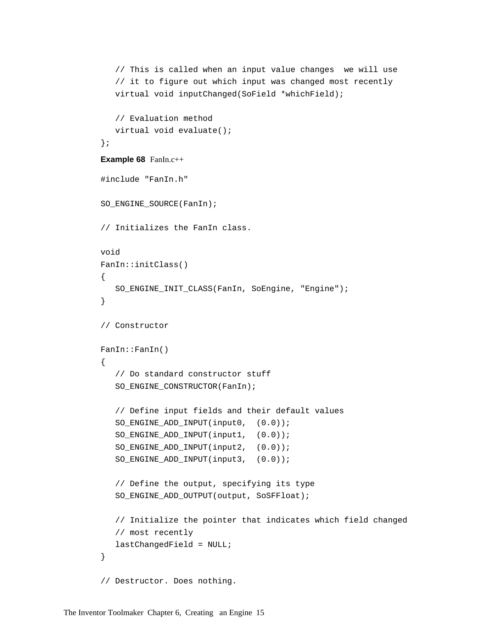```
 // This is called when an input value changes ÿ we will use
    // it to figure out which input was changed most recently
    virtual void inputChanged(SoField *whichField);
    // Evaluation method
    virtual void evaluate();
};
Example 6ÿ8 FanIn.c++
#include "FanIn.h"
SO_ENGINE_SOURCE(FanIn);
// Initializes the FanIn class.
void
FanIn::initClass()
{
    SO_ENGINE_INIT_CLASS(FanIn, SoEngine, "Engine");
}
// Constructor
FanIn::FanIn()
{
    // Do standard constructor stuff
    SO_ENGINE_CONSTRUCTOR(FanIn);
    // Define input fields and their default values
    SO_ENGINE_ADD_INPUT(input0, (0.0));
    SO_ENGINE_ADD_INPUT(input1, (0.0));
    SO_ENGINE_ADD_INPUT(input2, (0.0));
    SO_ENGINE_ADD_INPUT(input3, (0.0));
    // Define the output, specifying its type
    SO_ENGINE_ADD_OUTPUT(output, SoSFFloat);
    // Initialize the pointer that indicates which field changed
    // most recently
    lastChangedField = NULL;
}
// Destructor. Does nothing.
```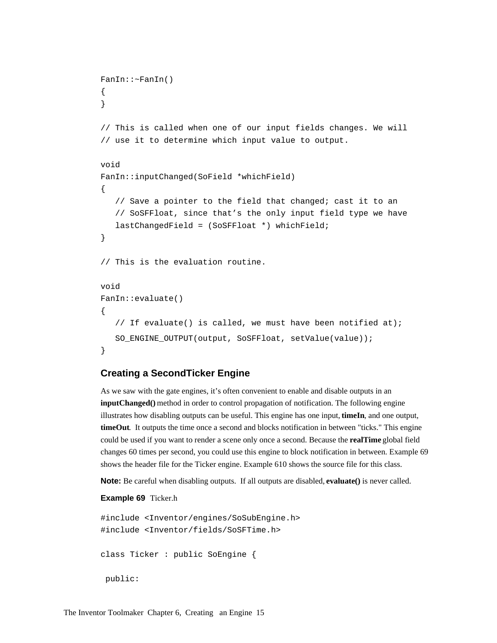```
FanIn::~FanIn()
{
}
// This is called when one of our input fields changes. We will
// use it to determine which input value to output.
void
FanIn::inputChanged(SoField *whichField)
\left\{ \right. // Save a pointer to the field that changed; cast it to an
    // SoSFFloat, since that's the only input field type we have
    lastChangedField = (SoSFFloat *) whichField;
}
// This is the evaluation routine.
void
FanIn::evaluate()
{
   // If evaluate() is called, we must have been notified at);
    SO_ENGINE_OUTPUT(output, SoSFFloat, setValue(value));
}
```
#### **Creating a SecondÿTicker Engine**

As we saw with the gate engines, it's often convenient to enable and disable outputs in an **inputChanged()** method in order to control propagation of notification. The following engine illustrates how disabling outputs can be useful. This engine has one input, **timeIn**, and one output, **timeOut**. It outputs the time once a second and blocks notification in between "ticks." This engine could be used if you want to render a scene only once a second. Because the **realTime** global field changes 60 times per second, you could use this engine to block notification in between. Example 6ÿ9 shows the header file for the Ticker engine. Example 6 $\ddot{y}$ 10 shows the source file for this class.

**Note:** Be careful when disabling outputs. If all outputs are disabled, **evaluate()** is never called.

#### **Example 6ÿ9** Ticker.h

```
#include <Inventor/engines/SoSubEngine.h>
#include <Inventor/fields/SoSFTime.h>
class Ticker : public SoEngine {
 public:
```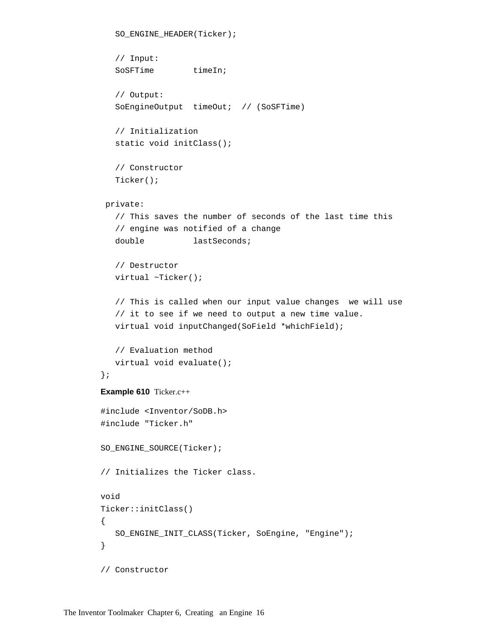```
 SO_ENGINE_HEADER(Ticker);
```

```
 // Input:
   SoSFTime timeIn;
    // Output:
    SoEngineOutput timeOut; // (SoSFTime)
    // Initialization
    static void initClass();
    // Constructor
    Ticker();
  private:
    // This saves the number of seconds of the last time this
    // engine was notified of a change
   double lastSeconds;
    // Destructor
    virtual ~Ticker();
    // This is called when our input value changes ÿ we will use
    // it to see if we need to output a new time value.
    virtual void inputChanged(SoField *whichField);
    // Evaluation method
    virtual void evaluate();
};
Example 6ÿ10 Ticker.c++
#include <Inventor/SoDB.h>
#include "Ticker.h"
SO_ENGINE_SOURCE(Ticker);
// Initializes the Ticker class.
void
Ticker::initClass()
{
    SO_ENGINE_INIT_CLASS(Ticker, SoEngine, "Engine");
}
// Constructor
```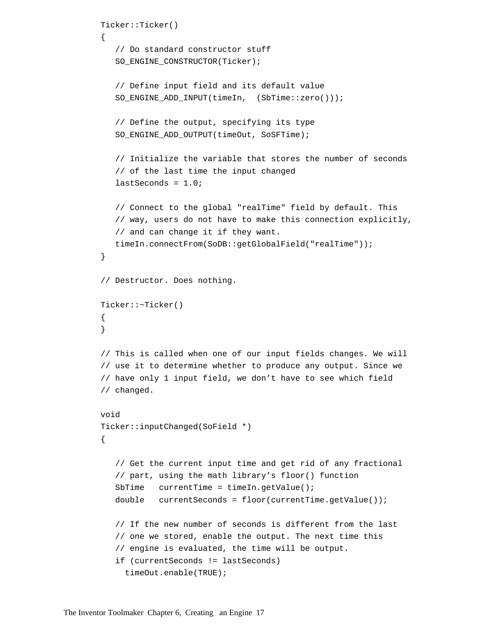```
Ticker::Ticker()
{
    // Do standard constructor stuff
    SO_ENGINE_CONSTRUCTOR(Ticker);
    // Define input field and its default value
    SO_ENGINE_ADD_INPUT(timeIn, (SbTime::zero()));
    // Define the output, specifying its type
    SO_ENGINE_ADD_OUTPUT(timeOut, SoSFTime);
    // Initialize the variable that stores the number of seconds
    // of the last time the input changed
   lastSeconds = \ddot{y}1.0;
    // Connect to the global "realTime" field by default. This
   // way, users do not have to make this connection explicitly,
    // and can change it if they want.
    timeIn.connectFrom(SoDB::getGlobalField("realTime"));
}
// Destructor. Does nothing.
Ticker::~Ticker()
{
}
// This is called when one of our input fields changes. We will
// use it to determine whether to produce any output. Since we
// have only 1 input field, we don't have to see which field
// changed.
void
Ticker::inputChanged(SoField *)
{
    // Get the current input time and get rid of any fractional
    // part, using the math library's floor() function
  SbTime currentTime = timeIn.getValue();
    double currentSeconds = floor(currentTime.getValue());
    // If the new number of seconds is different from the last
    // one we stored, enable the output. The next time this
    // engine is evaluated, the time will be output.
    if (currentSeconds != lastSeconds)
      timeOut.enable(TRUE);
```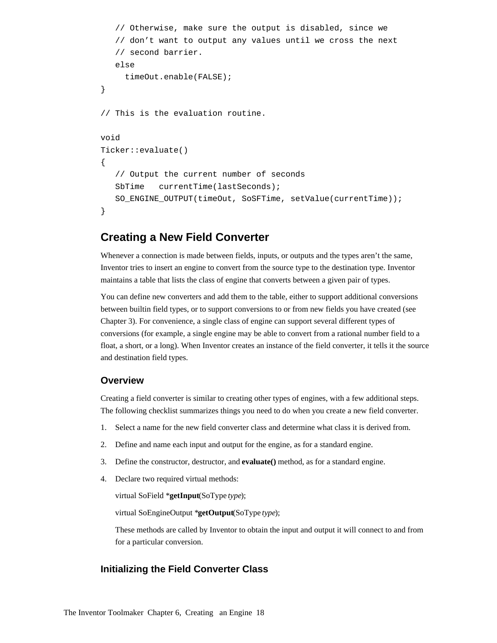```
 // Otherwise, make sure the output is disabled, since we
    // don't want to output any values until we cross the next
    // second barrier.
    else
      timeOut.enable(FALSE);
}
// This is the evaluation routine.
void
Ticker::evaluate()
{
    // Output the current number of seconds
   SbTime currentTime(lastSeconds);
    SO_ENGINE_OUTPUT(timeOut, SoSFTime, setValue(currentTime));
}
```
### **Creating a New Field Converter**

Whenever a connection is made between fields, inputs, or outputs and the types aren't the same, Inventor tries to insert an engine to convert from the source type to the destination type. Inventor maintains a table that lists the class of engine that converts between a given pair of types.

You can define new converters and add them to the table, either to support additional conversions between builtÿin field types, or to support conversions to or from new fields you have created (see Chapter 3). For convenience, a single class of engine can support several different types of conversions (for example, a single engine may be able to convert from a rational number field to a float, a short, or a long). When Inventor creates an instance of the field converter, it tells it the source and destination field types.

#### **Overview**

Creating a field converter is similar to creating other types of engines, with a few additional steps. The following checklist summarizes things you need to do when you create a new field converter.

- 1. Select a name for the new field converter class and determine what class it is derived from.
- 2. Define and name each input and output for the engine, as for a standard engine.
- 3. Define the constructor, destructor, and **evaluate()** method, as for a standard engine.
- 4. Declare two required virtual methods:

virtual SoField \***getInput**(SoType *type*);

virtual SoEngineOutput \***getOutput**(SoType *type*);

These methods are called by Inventor to obtain the input and output it will connect to and from for a particular conversion.

#### **Initializing the Field Converter Class**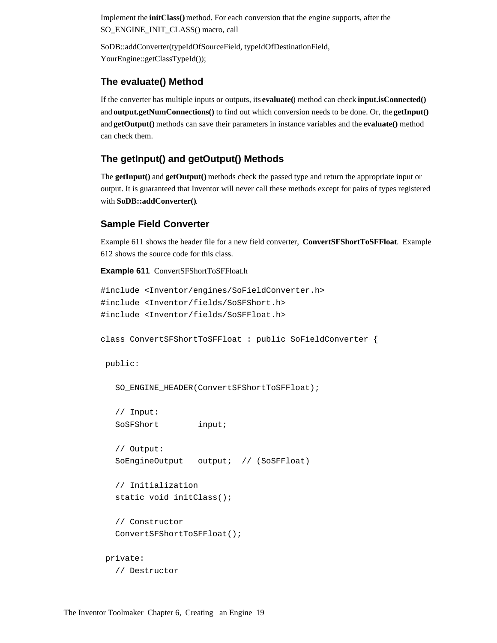Implement the **initClass()** method. For each conversion that the engine supports, after the SO\_ENGINE\_INIT\_CLASS() macro, call

SoDB::addConverter(typeIdOfSourceField, typeIdOfDestinationField, YourEngine::getClassTypeId());

## **The evaluate() Method**

If the converter has multiple inputs or outputs, its **evaluate(**) method can check **input.isConnected()** and **output.getNumConnections()** to find out which conversion needs to be done. Or, the **getInput()** and **getOutput()** methods can save their parameters in instance variables and the **evaluate()** method can check them.

# **The getInput() and getOutput() Methods**

The **getInput()** and **getOutput()** methods check the passed type and return the appropriate input or output. It is guaranteed that Inventor will never call these methods except for pairs of types registered with **SoDB::addConverter()**.

## **Sample Field Converter**

Example 6ÿ11 shows the header file for a new field converter, **ConvertSFShortToSFFloat**. Example 6ÿ12 shows the source code for this class.

## **Example 6ÿ11** ConvertSFShortToSFFloat.h

```
#include <Inventor/engines/SoFieldConverter.h>
#include <Inventor/fields/SoSFShort.h>
#include <Inventor/fields/SoSFFloat.h>
class ConvertSFShortToSFFloat : public SoFieldConverter {
 public:
  SO_ENGINE_HEADER(ConvertSFShortToSFFloat);
    // Input:
  SoSFShort input;
   // Output:
  SoEngineOutput output; // (SoSFFloat)
    // Initialization
   static void initClass();
    // Constructor
   ConvertSFShortToSFFloat();
 private:
    // Destructor
```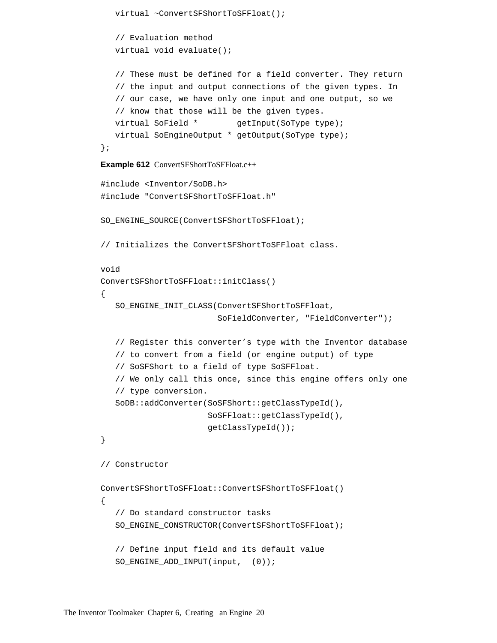```
 virtual ~ConvertSFShortToSFFloat();
    // Evaluation method
    virtual void evaluate();
    // These must be defined for a field converter. They return
   // the input and output connections of the given types. In
    // our case, we have only one input and one output, so we
    // know that those will be the given types.
   virtual SoField * getInput(SoType type);
   virtual SoEngineOutput * getOutput(SoType type);
};
```
**Example 6ÿ12** ConvertSFShortToSFFloat.c++

```
#include <Inventor/SoDB.h>
#include "ConvertSFShortToSFFloat.h"
SO_ENGINE_SOURCE(ConvertSFShortToSFFloat);
// Initializes the ConvertSFShortToSFFloat class.
void
ConvertSFShortToSFFloat::initClass()
{
    SO_ENGINE_INIT_CLASS(ConvertSFShortToSFFloat,
                         SoFieldConverter, "FieldConverter");
    // Register this converter's type with the Inventor database
    // to convert from a field (or engine output) of type
    // SoSFShort to a field of type SoSFFloat.
    // We only call this once, since this engine offers only one
    // type conversion.
    SoDB::addConverter(SoSFShort::getClassTypeId(),
                       SoSFFloat::getClassTypeId(),
                       getClassTypeId());
}
// Constructor
ConvertSFShortToSFFloat::ConvertSFShortToSFFloat()
{
    // Do standard constructor tasks
    SO_ENGINE_CONSTRUCTOR(ConvertSFShortToSFFloat);
    // Define input field and its default value
    SO_ENGINE_ADD_INPUT(input, (0));
```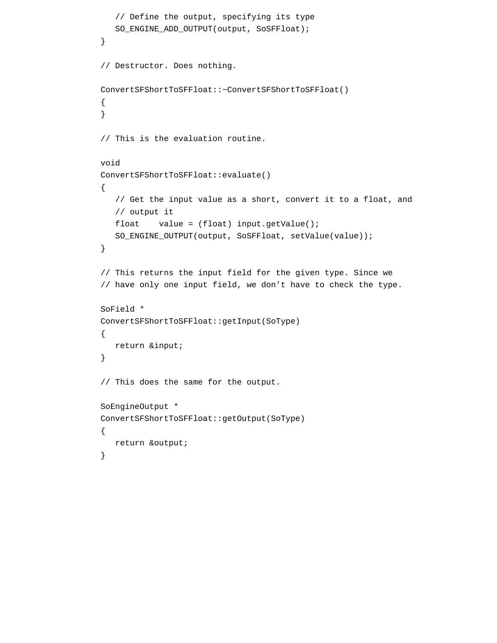```
 // Define the output, specifying its type
    SO_ENGINE_ADD_OUTPUT(output, SoSFFloat);
}
// Destructor. Does nothing.
ConvertSFShortToSFFloat::~ConvertSFShortToSFFloat()
{
}
// This is the evaluation routine.
void
ConvertSFShortToSFFloat::evaluate()
{
    // Get the input value as a short, convert it to a float, and
    // output it
    float value = (float) input.getValue();
    SO_ENGINE_OUTPUT(output, SoSFFloat, setValue(value));
}
// This returns the input field for the given type. Since we
// have only one input field, we don't have to check the type.
SoField *
ConvertSFShortToSFFloat::getInput(SoType)
{
   return &input;
}
// This does the same for the output.
SoEngineOutput *
ConvertSFShortToSFFloat::getOutput(SoType)
{
   return &output;
}
```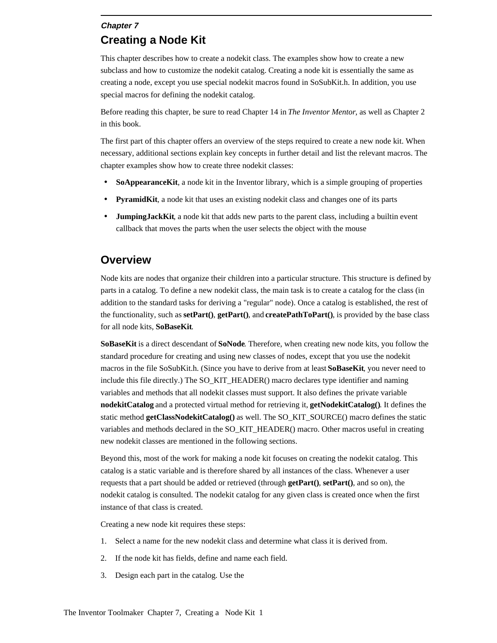# **Chapter 7 Creating a Node Kit**

This chapter describes how to create a node kit class. The examples show how to create a new subclass and how to customize the nodeÿkit catalog. Creating a node kit is essentially the same as creating a node, except you use special nodeÿkit macros found in SoSubKit.h. In addition, you use special macros for defining the node\kit catalog.

Before reading this chapter, be sure to read Chapter 14 in *The Inventor Mentor*, as well as Chapter 2 in this book.

The first part of this chapter offers an overview of the steps required to create a new node kit. When necessary, additional sections explain key concepts in further detail and list the relevant macros. The chapter examples show how to create three nodeÿkit classes:

- **SoAppearanceKit**, a node kit in the Inventor library, which is a simple grouping of properties
- **PyramidKit**, a node kit that uses an existing node kit class and changes one of its parts
- **JumpingJackKit**, a node kit that adds new parts to the parent class, including a builty in event callback that moves the parts when the user selects the object with the mouse

# **Overview**

Node kits are nodes that organize their children into a particular structure. This structure is defined by parts in a catalog. To define a new nodeÿkit class, the main task is to create a catalog for the class (in addition to the standard tasks for deriving a "regular" node). Once a catalog is established, the rest of the functionality, such as **setPart()**, **getPart()**, and **createPathToPart()**, is provided by the base class for all node kits, **SoBaseKit**.

**SoBaseKit** is a direct descendant of **SoNode**. Therefore, when creating new node kits, you follow the standard procedure for creating and using new classes of nodes, except that you use the nodeÿkit macros in the file SoSubKit.h. (Since you have to derive from at least **SoBaseKit**, you never need to include this file directly.) The SO\_KIT\_HEADER() macro declares type identifier and naming variables and methods that all node kit classes must support. It also defines the private variable **nodekitCatalog** and a protected virtual method for retrieving it, **getNodekitCatalog()**. It defines the static method **getClassNodekitCatalog()** as well. The SO\_KIT\_SOURCE() macro defines the static variables and methods declared in the SO\_KIT\_HEADER() macro. Other macros useful in creating new nodeÿkit classes are mentioned in the following sections.

Beyond this, most of the work for making a node kit focuses on creating the node kit catalog. This catalog is a static variable and is therefore shared by all instances of the class. Whenever a user requests that a part should be added or retrieved (through **getPart()**, **setPart()**, and so on), the nodeÿkit catalog is consulted. The nodeÿkit catalog for any given class is created once when the first instance of that class is created.

Creating a new node kit requires these steps:

- 1. Select a name for the new node kit class and determine what class it is derived from.
- 2. If the node kit has fields, define and name each field.
- 3. Design each part in the catalog. Use the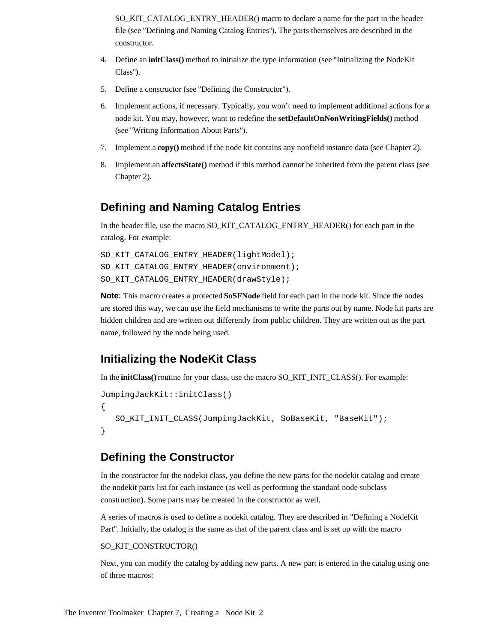SO\_KIT\_CATALOG\_ENTRY\_HEADER() macro to declare a name for the part in the header file (see "Defining and Naming Catalog Entries"). The parts themselves are described in the constructor.

- 4. Define an **initClass()** method to initialize the type information (see "Initializing the NodeÿKit Class").
- 5. Define a constructor (see "Defining the Constructor").
- 6. Implement actions, if necessary. Typically, you won't need to implement additional actions for a node kit. You may, however, want to redefine the **setDefaultOnNonWritingFields()** method (see "Writing Information About Parts").
- 7. Implement a **copy()** method if the node kit contains any nonÿfield instance data (see Chapter 2).
- 8. Implement an **affectsState()** method if this method cannot be inherited from the parent class (see Chapter 2).

# **Defining and Naming Catalog Entries**

In the header file, use the macro SO\_KIT\_CATALOG\_ENTRY\_HEADER() for each part in the catalog. For example:

```
SO_KIT_CATALOG_ENTRY_HEADER(lightModel);
SO_KIT_CATALOG_ENTRY_HEADER(environment);
SO_KIT_CATALOG_ENTRY_HEADER(drawStyle);
```
**Note:** This macro creates a protected **SoSFNode** field for each part in the node kit. Since the nodes are stored this way, we can use the field mechanisms to write the parts out by name. Node kit parts are hidden children and are written out differently from public children. They are written out as the part name, followed by the node being used.

# **Initializing the NodeÿKit Class**

In the **initClass()** routine for your class, use the macro SO\_KIT\_INIT\_CLASS(). For example:

```
JumpingJackKit::initClass()
\{ SO_KIT_INIT_CLASS(JumpingJackKit, SoBaseKit, "BaseKit");
}
```
# **Defining the Constructor**

In the constructor for the node kit class, you define the new parts for the node kit catalog and create the nodeÿkit parts list for each instance (as well as performing the standard node subclass construction). Some parts may be created in the constructor as well.

A series of macros is used to define a nodeÿkit catalog. They are described in "Defining a NodeÿKit Part". Initially, the catalog is the same as that of the parent class and is set up with the macro

#### SO\_KIT\_CONSTRUCTOR()

Next, you can modify the catalog by adding new parts. A new part is entered in the catalog using one of three macros: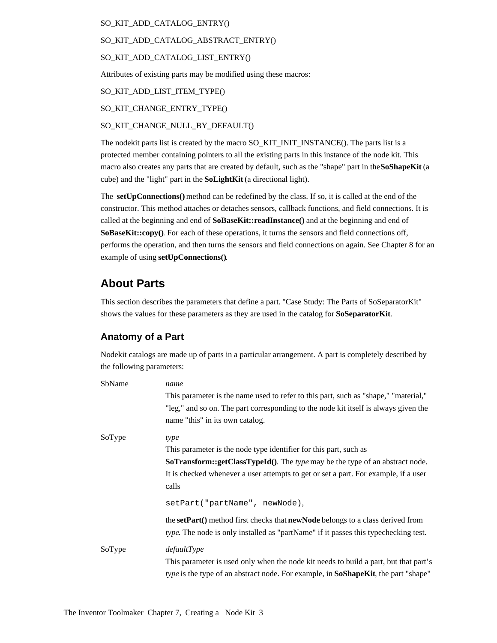SO\_KIT\_ADD\_CATALOG\_ENTRY()

### SO\_KIT\_ADD\_CATALOG\_ABSTRACT\_ENTRY()

SO\_KIT\_ADD\_CATALOG\_LIST\_ENTRY()

Attributes of existing parts may be modified using these macros:

SO\_KIT\_ADD\_LIST\_ITEM\_TYPE()

SO\_KIT\_CHANGE\_ENTRY\_TYPE()

SO\_KIT\_CHANGE\_NULL\_BY\_DEFAULT()

The nodeÿkit parts list is created by the macro SO\_KIT\_INIT\_INSTANCE(). The parts list is a protected member containing pointers to all the existing parts in this instance of the node kit. This macro also creates any parts that are created by default, such as the "shape" part in the **SoShapeKit** (a cube) and the "light" part in the **SoLightKit** (a directional light).

The **setUpConnections()** method can be redefined by the class. If so, it is called at the end of the constructor. This method attaches or detaches sensors, callback functions, and field connections. It is called at the beginning and end of **SoBaseKit::readInstance()** and at the beginning and end of **SoBaseKit::copy()**. For each of these operations, it turns the sensors and field connections off, performs the operation, and then turns the sensors and field connections on again. See Chapter 8 for an example of using **setUpConnections()**.

# **About Parts**

This section describes the parameters that define a part. "Case Study: The Parts of SoSeparatorKit" shows the values for these parameters as they are used in the catalog for **SoSeparatorKit**.

## **Anatomy of a Part**

Node kit catalogs are made up of parts in a particular arrangement. A part is completely described by the following parameters:

| SbName | name                                                                                                  |  |  |
|--------|-------------------------------------------------------------------------------------------------------|--|--|
|        | This parameter is the name used to refer to this part, such as "shape," "material,"                   |  |  |
|        | "leg," and so on. The part corresponding to the node kit itself is always given the                   |  |  |
|        | name "this" in its own catalog.                                                                       |  |  |
| SoType | type                                                                                                  |  |  |
|        | This parameter is the node type identifier for this part, such as                                     |  |  |
|        | <b>SoTransform::getClassTypeId()</b> . The <i>type</i> may be the type of an abstract node.           |  |  |
|        | It is checked whenever a user attempts to get or set a part. For example, if a user                   |  |  |
|        | calls                                                                                                 |  |  |
|        | setPart("partName", newNode),                                                                         |  |  |
|        | the <b>setPart</b> () method first checks that <b>newNode</b> belongs to a class derived from         |  |  |
|        | <i>type</i> . The node is only installed as "partName" if it passes this type <i>j</i> checking test. |  |  |
| SoType | defaultType                                                                                           |  |  |
|        | This parameter is used only when the node kit needs to build a part, but that part's                  |  |  |
|        | type is the type of an abstract node. For example, in SoShapeKit, the part "shape"                    |  |  |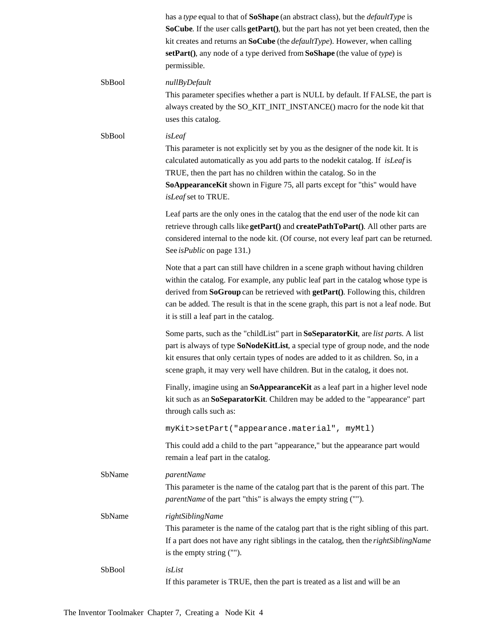|        | has a type equal to that of <b>SoShape</b> (an abstract class), but the <i>defaultType</i> is<br>SoCube. If the user calls getPart(), but the part has not yet been created, then the<br>kit creates and returns an <b>SoCube</b> (the $defaultType$ ). However, when calling<br>setPart(), any node of a type derived from SoShape (the value of type) is<br>permissible.                     |  |  |
|--------|------------------------------------------------------------------------------------------------------------------------------------------------------------------------------------------------------------------------------------------------------------------------------------------------------------------------------------------------------------------------------------------------|--|--|
| SbBool | nullByDefault<br>This parameter specifies whether a part is NULL by default. If FALSE, the part is<br>always created by the SO_KIT_INIT_INSTANCE() macro for the node kit that<br>uses this catalog.                                                                                                                                                                                           |  |  |
| SbBool | isLeaf<br>This parameter is not explicitly set by you as the designer of the node kit. It is<br>calculated automatically as you add parts to the node kit catalog. If is Leaf is<br>TRUE, then the part has no children within the catalog. So in the<br>SoAppearance Kit shown in Figure 7)δ, all parts except for "this" would have<br>isLeaf set to TRUE.                                   |  |  |
|        | Leaf parts are the only ones in the catalog that the end user of the node kit can<br>retrieve through calls like getPart() and createPathToPart(). All other parts are<br>considered internal to the node kit. (Of course, not every leaf part can be returned.<br>See <i>isPublic</i> on page 131.)                                                                                           |  |  |
|        | Note that a part can still have children in a scene graph without having children<br>within the catalog. For example, any public leaf part in the catalog whose type is<br>derived from SoGroup can be retrieved with getPart(). Following this, children<br>can be added. The result is that in the scene graph, this part is not a leaf node. But<br>it is still a leaf part in the catalog. |  |  |
|        | Some parts, such as the "childList" part in SoSeparatorKit, are list parts. A list<br>part is always of type SoNodeKitList, a special type of group node, and the node<br>kit ensures that only certain types of nodes are added to it as children. So, in a<br>scene graph, it may very well have children. But in the catalog, it does not.                                                  |  |  |
|        | Finally, imagine using an SoAppearanceKit as a leaf part in a higher level node<br>kit such as an SoSeparatorKit. Children may be added to the "appearance" part<br>through calls such as:                                                                                                                                                                                                     |  |  |
|        | myKitÿ>setPart("appearance.material", myMtl)                                                                                                                                                                                                                                                                                                                                                   |  |  |
|        | This could add a child to the part "appearance," but the appearance part would<br>remain a leaf part in the catalog.                                                                                                                                                                                                                                                                           |  |  |
| SbName | parentName<br>This parameter is the name of the catalog part that is the parent of this part. The<br>parentName of the part "this" is always the empty string ("").                                                                                                                                                                                                                            |  |  |
| SbName | rightSiblingName<br>This parameter is the name of the catalog part that is the right sibling of this part.<br>If a part does not have any right siblings in the catalog, then the rightSiblingName<br>is the empty string ("").                                                                                                                                                                |  |  |
| SbBool | isList<br>If this parameter is TRUE, then the part is treated as a list and will be an                                                                                                                                                                                                                                                                                                         |  |  |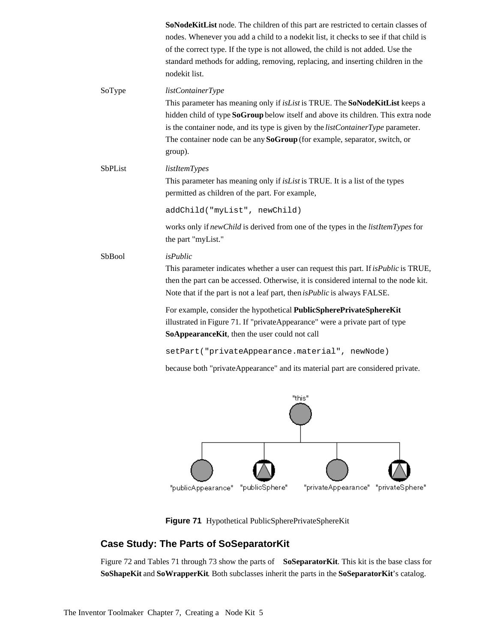|                | SoNodeKitList node. The children of this part are restricted to certain classes of<br>nodes. Whenever you add a child to a node kit list, it checks to see if that child is<br>of the correct type. If the type is not allowed, the child is not added. Use the<br>standard methods for adding, removing, replacing, and inserting children in the<br>nodejkit list.      |  |  |  |
|----------------|---------------------------------------------------------------------------------------------------------------------------------------------------------------------------------------------------------------------------------------------------------------------------------------------------------------------------------------------------------------------------|--|--|--|
| SoType         | listContainerType<br>This parameter has meaning only if isList is TRUE. The SoNodeKitList keeps a<br>hidden child of type SoGroup below itself and above its children. This extra node<br>is the container node, and its type is given by the <i>listContainerType</i> parameter.<br>The container node can be any SoGroup (for example, separator, switch, or<br>group). |  |  |  |
| <b>SbPList</b> | <i>listItemTypes</i><br>This parameter has meaning only if isList is TRUE. It is a list of the types<br>permitted as children of the part. For example,                                                                                                                                                                                                                   |  |  |  |
|                | addChild("myList", newChild)                                                                                                                                                                                                                                                                                                                                              |  |  |  |
|                | works only if new Child is derived from one of the types in the listItemTypes for<br>the part "myList."                                                                                                                                                                                                                                                                   |  |  |  |
| SbBool         | <i>isPublic</i><br>This parameter indicates whether a user can request this part. If is Public is TRUE,<br>then the part can be accessed. Otherwise, it is considered internal to the node kit.<br>Note that if the part is not a leaf part, then <i>is Public</i> is always FALSE.                                                                                       |  |  |  |
|                | For example, consider the hypothetical PublicSpherePrivateSphereKit<br>illustrated in Figure 7ÿl. If "privateAppearance" were a private part of type<br>SoAppearanceKit, then the user could not call                                                                                                                                                                     |  |  |  |
|                | setPart("privateAppearance.material", newNode)                                                                                                                                                                                                                                                                                                                            |  |  |  |
|                | because both "privateAppearance" and its material part are considered private.                                                                                                                                                                                                                                                                                            |  |  |  |
|                | "this"                                                                                                                                                                                                                                                                                                                                                                    |  |  |  |

"publicAppearance" "publicSphere" "privateAppearance" "privateSphere"



# **Case Study: The Parts of SoSeparatorKit**

Figure 7ÿ2 and Tables 7ÿ1 through 7ÿ3 show the parts of **SoSeparatorKit**. This kit is the base class for **SoShapeKit** and **SoWrapperKit**. Both subclasses inherit the parts in the **SoSeparatorKit**'s catalog.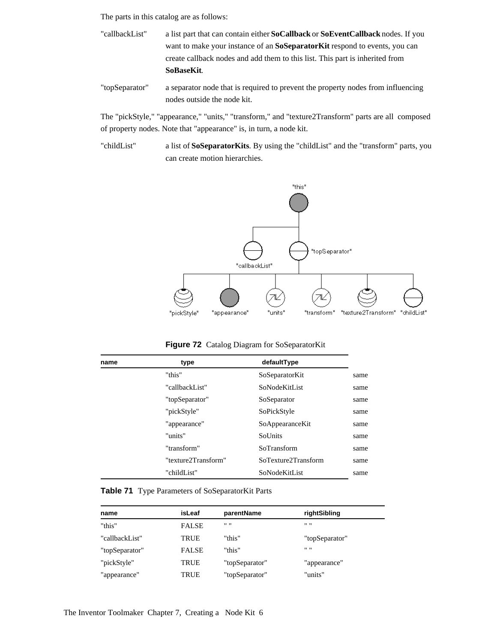The parts in this catalog are as follows:

- "callbackList" a list part that can contain either **SoCallback** or **SoEventCallback** nodes. If you want to make your instance of an **SoSeparatorKit** respond to events, you can create callback nodes and add them to this list. This part is inherited from **SoBaseKit**.
- "topSeparator" a separator node that is required to prevent the property nodes from influencing nodes outside the node kit.

The "pickStyle," "appearance," "units," "transform," and "texture2Transform" parts are all composed of property nodes. Note that "appearance" is, in turn, a node kit.

"childList" a list of **SoSeparatorKits**. By using the "childList" and the "transform" parts, you can create motion hierarchies.



**Figure 7ÿ2** Catalog Diagram for SoSeparatorKit

| name | type                | defaultType         |      |
|------|---------------------|---------------------|------|
|      | "this"              | SoSeparatorKit      | same |
|      | "callbackList"      | SoNodeKitList       | same |
|      | "topSeparator"      | SoSeparator         | same |
|      | "pickStyle"         | SoPickStyle         | same |
|      | "appearance"        | SoAppearanceKit     | same |
|      | "units"             | SoUnits             | same |
|      | "transform"         | SoTransform         | same |
|      | "texture2Transform" | SoTexture2Transform | same |
|      | "childList"         | SoNodeKitList       | same |

### **Table 7ÿ1** Type Parameters of SoSeparatorKit Parts

| name           | isLeaf       | parentName     | rightSibling   |
|----------------|--------------|----------------|----------------|
| "this"         | <b>FALSE</b> | 11.11          | 11.11          |
| "callbackList" | TRUE         | "this"         | "topSeparator" |
| "topSeparator" | <b>FALSE</b> | "this"         | 11.11          |
| "pickStyle"    | <b>TRUE</b>  | "topSeparator" | "appearance"   |
| "appearance"   | TRUE         | "topSeparator" | "units"        |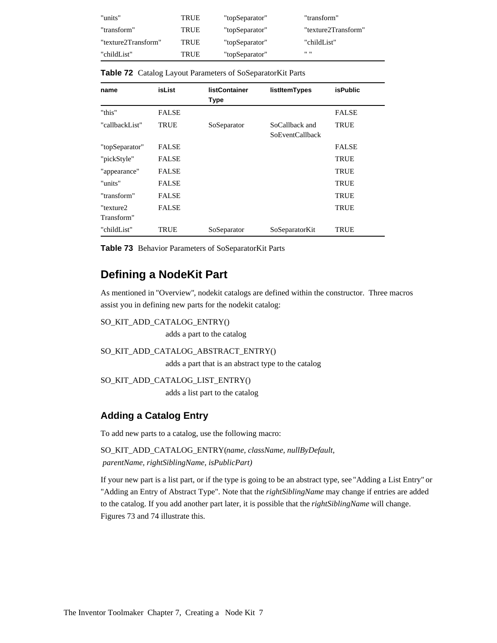| "units"             | TRUE | "topSeparator" | "transform"               |
|---------------------|------|----------------|---------------------------|
| "transform"         | TRUE | "topSeparator" | "texture2Transform"       |
| "texture2Transform" | TRUE | "topSeparator" | "childList"               |
| "childList"         | TRUE | "topSeparator" | $\mathbf{H}$ $\mathbf{H}$ |

| name                     | isList       | listContainery<br><b>Type</b> | listItemTypes                     | <b>isPublic</b> |
|--------------------------|--------------|-------------------------------|-----------------------------------|-----------------|
| "this"                   | <b>FALSE</b> |                               |                                   | <b>FALSE</b>    |
| "callbackList"           | <b>TRUE</b>  | SoSeparator                   | SoCallback and<br>SoEventCallback | <b>TRUE</b>     |
| "topSeparator"           | <b>FALSE</b> |                               |                                   | <b>FALSE</b>    |
| "pickStyle"              | <b>FALSE</b> |                               |                                   | <b>TRUE</b>     |
| "appearance"             | <b>FALSE</b> |                               |                                   | <b>TRUE</b>     |
| "units"                  | <b>FALSE</b> |                               |                                   | <b>TRUE</b>     |
| "transform"              | <b>FALSE</b> |                               |                                   | <b>TRUE</b>     |
| "texture2ÿ<br>Transform" | <b>FALSE</b> |                               |                                   | <b>TRUE</b>     |
| "childList"              | TRUE         | SoSeparator                   | SoSeparatorKit                    | TRUE            |

**Table 7ÿ2** Catalog Layout Parameters of SoSeparatorKit Parts

**Table 7ÿ3** Behavior Parameters of SoSeparatorKit Parts

# **Defining a NodeÿKit Part**

As mentioned in "Overview", node\kit catalogs are defined within the constructor. Three macros assist you in defining new parts for the nodeÿkit catalog:

- SO\_KIT\_ADD\_CATALOG\_ENTRY() adds a part to the catalog
- SO\_KIT\_ADD\_CATALOG\_ABSTRACT\_ENTRY() adds a part that is an abstract type to the catalog

SO\_KIT\_ADD\_CATALOG\_LIST\_ENTRY()

adds a list part to the catalog

# **Adding a Catalog Entry**

To add new parts to a catalog, use the following macro:

SO\_KIT\_ADD\_CATALOG\_ENTRY(*name, className, nullByDefault, parentName, rightSiblingName, isPublicPart)* 

If your new part is a list part, or if the type is going to be an abstract type, see "Adding a List Entry" or "Adding an Entry of Abstract Type". Note that the *rightSiblingName* may change if entries are added to the catalog. If you add another part later, it is possible that the *rightSiblingName* will change. Figures 7 $\overline{B}$  and 7 $\overline{A}$  illustrate this.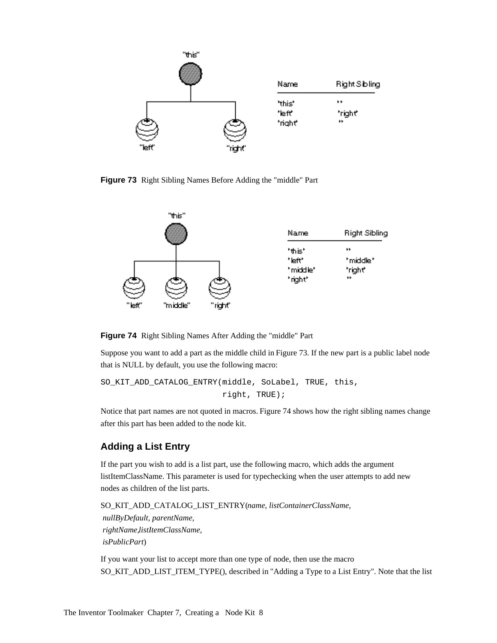

**Figure 7ÿ3** Right Sibling Names Before Adding the "middle" Part



**Figure 7ÿ4** Right Sibling Names After Adding the "middle" Part

Suppose you want to add a part as the middle child in Figure  $7\ddot{\varphi}$ . If the new part is a public label node that is NULL by default, you use the following macro:

```
SO_KIT_ADD_CATALOG_ENTRY(middle, SoLabel, TRUE, this,
                          right, TRUE);
```
Notice that part names are not quoted in macros. Figure 7 $\ddot{y}$  shows how the right sibling names change after this part has been added to the node kit.

# **Adding a List Entry**

If the part you wish to add is a list part, use the following macro, which adds the argument listItemClassName. This parameter is used for typeÿchecking when the user attempts to add new nodes as children of the list parts.

SO\_KIT\_ADD\_CATALOG\_LIST\_ENTRY(*name, listContainerClassName, nullByDefault, parentName, rightName,listItemClassName, isPublicPart*)

If you want your list to accept more than one type of node, then use the macro SO\_KIT\_ADD\_LIST\_ITEM\_TYPE(), described in "Adding a Type to a List Entry". Note that the list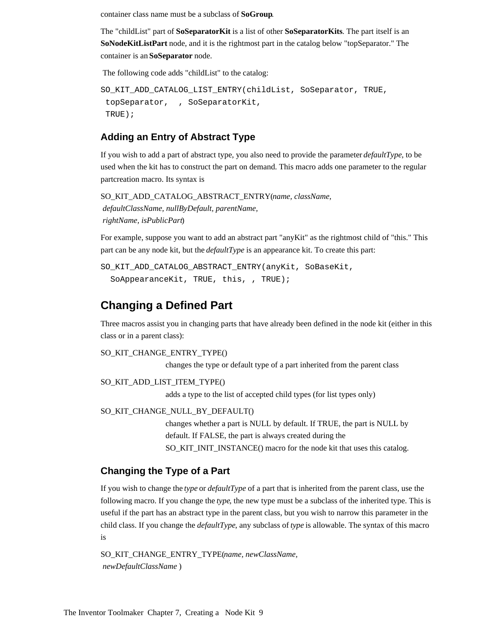container class name must be a subclass of **SoGroup**.

The "childList" part of **SoSeparatorKit** is a list of other **SoSeparatorKits**. The part itself is an **SoNodeKitListPart** node, and it is the rightmost part in the catalog below "topSeparator." The container is an **SoSeparator** node.

The following code adds "childList" to the catalog:

```
SO_KIT_ADD_CATALOG_LIST_ENTRY(childList, SoSeparator, TRUE, 
  topSeparator, , SoSeparatorKit,
 TRUE);
```
## **Adding an Entry of Abstract Type**

If you wish to add a part of abstract type, you also need to provide the parameter *defaultType*, to be used when the kit has to construct the part on demand. This macro adds one parameter to the regular partÿcreation macro. Its syntax is

SO\_KIT\_ADD\_CATALOG\_ABSTRACT\_ENTRY(*name, className, defaultClassName, nullByDefault, parentName, rightName, isPublicPart*)

For example, suppose you want to add an abstract part "anyKit" as the rightmost child of "this." This part can be any node kit, but the *defaultType* is an appearance kit. To create this part:

```
SO_KIT_ADD_CATALOG_ABSTRACT_ENTRY(anyKit, SoBaseKit,
 SoAppearanceKit, TRUE, this, , TRUE);
```
# **Changing a Defined Part**

Three macros assist you in changing parts that have already been defined in the node kit (either in this class or in a parent class):

SO\_KIT\_CHANGE\_ENTRY\_TYPE()

changes the type or default type of a part inherited from the parent class

```
SO_KIT_ADD_LIST_ITEM_TYPE()
```
adds a type to the list of accepted child types (for list types only)

SO\_KIT\_CHANGE\_NULL\_BY\_DEFAULT()

changes whether a part is NULL by default. If TRUE, the part is NULL by default. If FALSE, the part is always created during the SO\_KIT\_INIT\_INSTANCE() macro for the node kit that uses this catalog.

## **Changing the Type of a Part**

If you wish to change the *type* or *defaultType* of a part that is inherited from the parent class, use the following macro. If you change the *type*, the new type must be a subclass of the inherited type. This is useful if the part has an abstract type in the parent class, but you wish to narrow this parameter in the child class. If you change the *defaultType*, any subclass of *type* is allowable. The syntax of this macro is

SO\_KIT\_CHANGE\_ENTRY\_TYPE(*name, newClassName, newDefaultClassName* )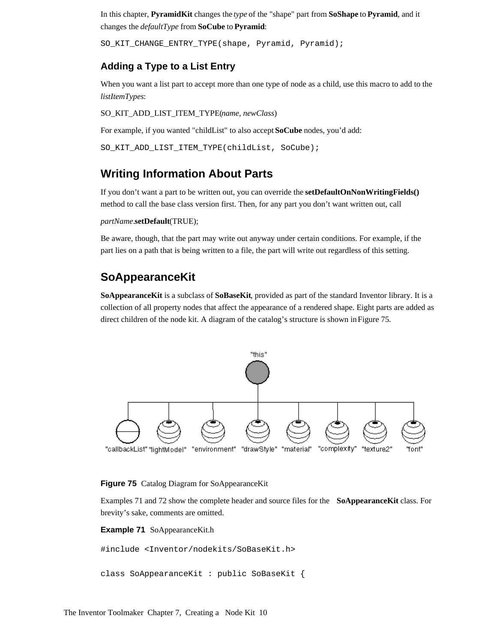In this chapter, **PyramidKit** changes the *type* of the "shape" part from **SoShape** to **Pyramid**, and it changes the *defaultType* from **SoCube** to **Pyramid**:

SO\_KIT\_CHANGE\_ENTRY\_TYPE(shape, Pyramid, Pyramid);

## **Adding a Type to a List Entry**

When you want a list part to accept more than one type of node as a child, use this macro to add to the *listItemTypes*:

SO\_KIT\_ADD\_LIST\_ITEM\_TYPE(*name, newClass*)

For example, if you wanted "childList" to also accept **SoCube** nodes, you'd add:

SO\_KIT\_ADD\_LIST\_ITEM\_TYPE(childList, SoCube);

# **Writing Information About Parts**

If you don't want a part to be written out, you can override the **setDefaultOnNonWritingFields()** method to call the base class version first. Then, for any part you don't want written out, call

#### *partName*.**setDefault**(TRUE);

Be aware, though, that the part may write out anyway under certain conditions. For example, if the part lies on a path that is being written to a file, the part will write out regardless of this setting.

## **SoAppearanceKit**

**SoAppearanceKit** is a subclass of **SoBaseKit**, provided as part of the standard Inventor library. It is a collection of all property nodes that affect the appearance of a rendered shape. Eight parts are added as direct children of the node kit. A diagram of the catalog's structure is shown in Figure 7 $\tilde{\phi}$ .



#### **Figure 7ÿ5** Catalog Diagram for SoAppearanceKit

Examples 7ÿ1 and 7ÿ2 show the complete header and source files for the **SoAppearanceKit** class. For brevity's sake, comments are omitted.

**Example 7ÿ1** SoAppearanceKit.h

#include <Inventor/nodekits/SoBaseKit.h>

```
class SoAppearanceKit : public SoBaseKit {
```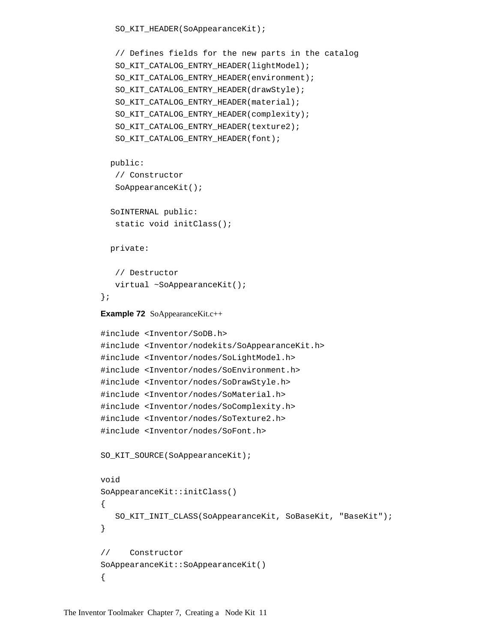```
 SO_KIT_HEADER(SoAppearanceKit);
```

```
 // Defines fields for the new parts in the catalog
 SO_KIT_CATALOG_ENTRY_HEADER(lightModel);
 SO_KIT_CATALOG_ENTRY_HEADER(environment);
 SO_KIT_CATALOG_ENTRY_HEADER(drawStyle);
 SO_KIT_CATALOG_ENTRY_HEADER(material);
 SO_KIT_CATALOG_ENTRY_HEADER(complexity);
 SO_KIT_CATALOG_ENTRY_HEADER(texture2);
 SO_KIT_CATALOG_ENTRY_HEADER(font);
```
### public:

```
 // Constructor
 SoAppearanceKit();
```

```
 SoINTERNAL public:
  static void initClass();
```
private:

```
 // Destructor
 virtual ~SoAppearanceKit();
```
## };

### **Example 7ÿ2** SoAppearanceKit.c++

```
#include <Inventor/SoDB.h>
#include <Inventor/nodekits/SoAppearanceKit.h>
#include <Inventor/nodes/SoLightModel.h>
#include <Inventor/nodes/SoEnvironment.h>
#include <Inventor/nodes/SoDrawStyle.h>
#include <Inventor/nodes/SoMaterial.h>
#include <Inventor/nodes/SoComplexity.h>
#include <Inventor/nodes/SoTexture2.h>
#include <Inventor/nodes/SoFont.h>
SO_KIT_SOURCE(SoAppearanceKit);
```

```
void
SoAppearanceKit::initClass()
{
    SO_KIT_INIT_CLASS(SoAppearanceKit, SoBaseKit, "BaseKit");
}
// Constructor
SoAppearanceKit::SoAppearanceKit()
{
```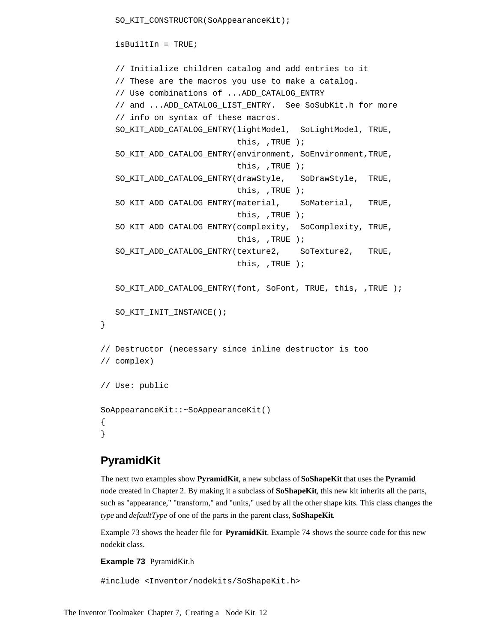```
 SO_KIT_CONSTRUCTOR(SoAppearanceKit);
   isBuiltIn = TRUE;
    // Initialize children catalog and add entries to it
    // These are the macros you use to make a catalog.
    // Use combinations of ...ADD_CATALOG_ENTRY 
    // and ...ADD_CATALOG_LIST_ENTRY. See SoSubKit.h for more
    // info on syntax of these macros.
    SO_KIT_ADD_CATALOG_ENTRY(lightModel, SoLightModel, TRUE,
                             this, ,TRUE );
   SO_KIT_ADD_CATALOG_ENTRY(environment, SoEnvironment,TRUE,
                             this, ,TRUE );
    SO_KIT_ADD_CATALOG_ENTRY(drawStyle, SoDrawStyle, TRUE,
                             this, ,TRUE );
   SO KIT ADD CATALOG ENTRY(material, SoMaterial, TRUE,
                             this, ,TRUE );
    SO_KIT_ADD_CATALOG_ENTRY(complexity, SoComplexity, TRUE,
                             this, ,TRUE );
    SO_KIT_ADD_CATALOG_ENTRY(texture2, SoTexture2, TRUE,
                             this, ,TRUE );
    SO_KIT_ADD_CATALOG_ENTRY(font, SoFont, TRUE, this, ,TRUE );
    SO_KIT_INIT_INSTANCE();
}
// Destructor (necessary since inline destructor is too
// complex)
// Use: public
SoAppearanceKit::~SoAppearanceKit()
{
}
```
# **PyramidKit**

The next two examples show **PyramidKit**, a new subclass of **SoShapeKit** that uses the **Pyramid** node created in Chapter 2. By making it a subclass of **SoShapeKit**, this new kit inherits all the parts, such as "appearance," "transform," and "units," used by all the other shape kits. This class changes the *type* and *defaultType* of one of the parts in the parent class, **SoShapeKit**.

Example 7 $\ddot{\beta}$  shows the header file for **PyramidKit**. Example 7 $\ddot{\beta}$  shows the source code for this new nodeÿkit class.

### **Example 7ÿ3** PyramidKit.h

#include <Inventor/nodekits/SoShapeKit.h>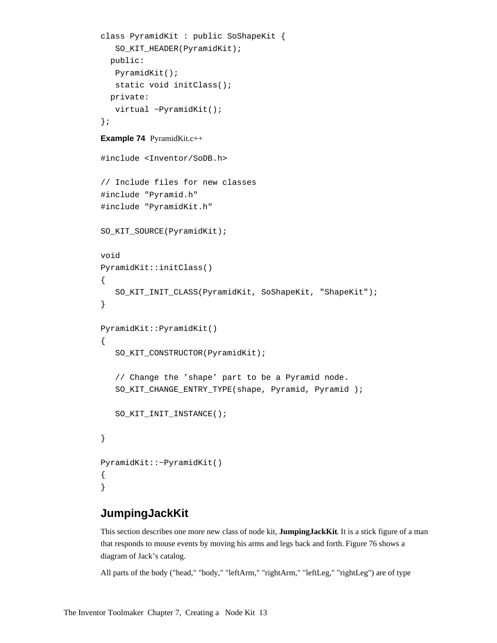```
class PyramidKit : public SoShapeKit {
   SO_KIT_HEADER(PyramidKit);
  public:
   PyramidKit();
   static void initClass();
  private:
   virtual ~PyramidKit();
};
```
### **Example 7ÿ4** PyramidKit.c++

```
#include <Inventor/SoDB.h>
// Include files for new classes
#include "Pyramid.h"
#include "PyramidKit.h"
SO_KIT_SOURCE(PyramidKit);
void
PyramidKit::initClass()
{
    SO_KIT_INIT_CLASS(PyramidKit, SoShapeKit, "ShapeKit");
}
PyramidKit::PyramidKit()
{
    SO_KIT_CONSTRUCTOR(PyramidKit);
    // Change the 'shape' part to be a Pyramid node.
   SO KIT CHANGE ENTRY TYPE(shape, Pyramid, Pyramid );
    SO_KIT_INIT_INSTANCE();
}
PyramidKit::~PyramidKit()
{
}
```
# **JumpingJackKit**

This section describes one more new class of node kit, **JumpingJackKit**. It is a stick figure of a man that responds to mouse events by moving his arms and legs back and forth. Figure 7ÿ6 shows a diagram of Jack's catalog.

All parts of the body ("head," "body," "leftArm," "rightArm," "leftLeg," "rightLeg") are of type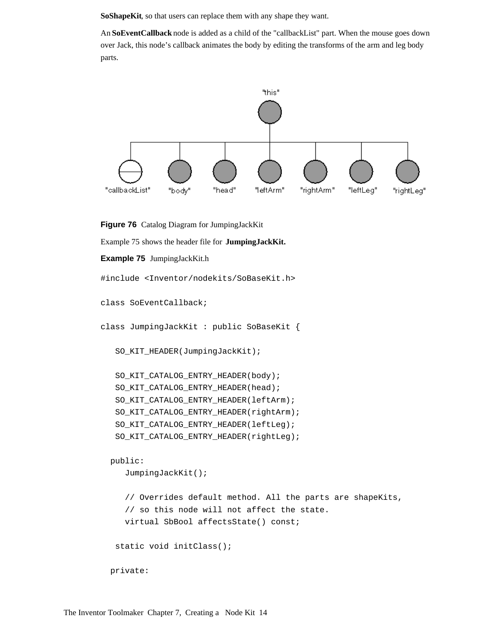**SoShapeKit**, so that users can replace them with any shape they want.

An **SoEventCallback** node is added as a child of the "callbackList" part. When the mouse goes down over Jack, this node's callback animates the body by editing the transforms of the arm and leg body parts.



**Figure 7ÿ6** Catalog Diagram for JumpingJackKit

Example 7ÿ5 shows the header file for **JumpingJackKit.**

```
Example 7ÿ5 JumpingJackKit.h
```

```
#include <Inventor/nodekits/SoBaseKit.h>
class SoEventCallback;
class JumpingJackKit : public SoBaseKit {
    SO_KIT_HEADER(JumpingJackKit);
    SO_KIT_CATALOG_ENTRY_HEADER(body);
    SO_KIT_CATALOG_ENTRY_HEADER(head);
    SO_KIT_CATALOG_ENTRY_HEADER(leftArm);
    SO_KIT_CATALOG_ENTRY_HEADER(rightArm);
    SO_KIT_CATALOG_ENTRY_HEADER(leftLeg);
    SO_KIT_CATALOG_ENTRY_HEADER(rightLeg);
  public:
      JumpingJackKit();
      // Overrides default method. All the parts are shapeKits,
      // so this node will not affect the state.
      virtual SbBool affectsState() const;
    static void initClass();
   private:
```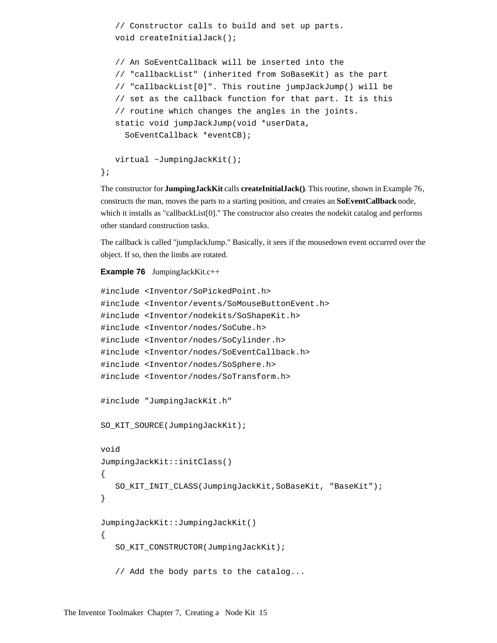```
 // Constructor calls to build and set up parts.
    void createInitialJack();
    // An SoEventCallback will be inserted into the 
    // "callbackList" (inherited from SoBaseKit) as the part 
    // "callbackList[0]". This routine jumpJackJump() will be 
    // set as the callback function for that part. It is this 
    // routine which changes the angles in the joints.
    static void jumpJackJump(void *userData, 
      SoEventCallback *eventCB);
    virtual ~JumpingJackKit();
};
```
The constructor for **JumpingJackKit** calls **createInitialJack()**. This routine, shown in Example 7ÿ6, constructs the man, moves the parts to a starting position, and creates an **SoEventCallback** node, which it installs as "callbackList[0]." The constructor also creates the nodeÿkit catalog and performs other standard construction tasks.

The callback is called "jumpJackJump." Basically, it sees if the mouseÿdown event occurred over the object. If so, then the limbs are rotated.

### **Example 7ÿ6** JumpingJackKit.c++

```
#include <Inventor/SoPickedPoint.h>
#include <Inventor/events/SoMouseButtonEvent.h>
#include <Inventor/nodekits/SoShapeKit.h>
#include <Inventor/nodes/SoCube.h>
#include <Inventor/nodes/SoCylinder.h>
#include <Inventor/nodes/SoEventCallback.h>
#include <Inventor/nodes/SoSphere.h>
#include <Inventor/nodes/SoTransform.h>
#include "JumpingJackKit.h"
SO_KIT_SOURCE(JumpingJackKit);
void
JumpingJackKit::initClass()
{
   SO_KIT_INIT_CLASS(JumpingJackKit,SoBaseKit, "BaseKit");
}
JumpingJackKit::JumpingJackKit()
{
    SO_KIT_CONSTRUCTOR(JumpingJackKit);
    // Add the body parts to the catalog...
```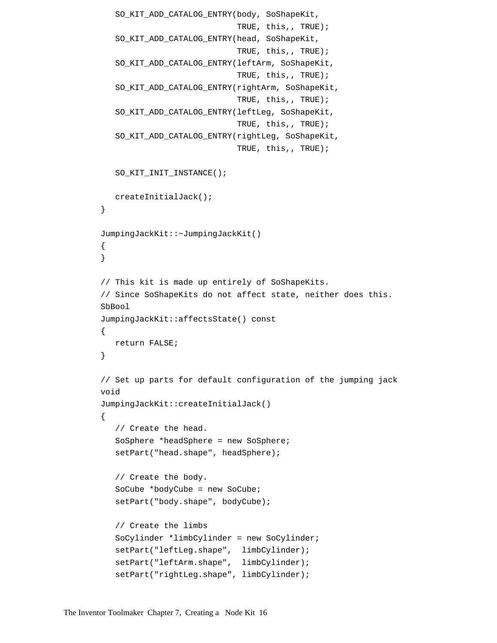```
 TRUE, this,, TRUE);
    SO_KIT_ADD_CATALOG_ENTRY(head, SoShapeKit, 
                              TRUE, this,, TRUE);
    SO_KIT_ADD_CATALOG_ENTRY(leftArm, SoShapeKit, 
                              TRUE, this,, TRUE);
    SO_KIT_ADD_CATALOG_ENTRY(rightArm, SoShapeKit, 
                              TRUE, this,, TRUE);
    SO_KIT_ADD_CATALOG_ENTRY(leftLeg, SoShapeKit, 
                              TRUE, this,, TRUE);
    SO_KIT_ADD_CATALOG_ENTRY(rightLeg, SoShapeKit, 
                              TRUE, this,, TRUE);
    SO_KIT_INIT_INSTANCE();
    createInitialJack();
}
JumpingJackKit::~JumpingJackKit()
{
}
// This kit is made up entirely of SoShapeKits.
// Since SoShapeKits do not affect state, neither does this.
SbBool
JumpingJackKit::affectsState() const
{
    return FALSE;
}
// Set up parts for default configuration of the jumping jack
void
JumpingJackKit::createInitialJack()
{
    // Create the head.
    SoSphere *headSphere = new SoSphere;
    setPart("head.shape", headSphere);
    // Create the body.
    SoCube *bodyCube = new SoCube;
    setPart("body.shape", bodyCube);
    // Create the limbs
    SoCylinder *limbCylinder = new SoCylinder;
   setPart("leftLeq.shape", limbCylinder);
   setPart("leftArm.shape", limbCylinder);
    setPart("rightLeg.shape", limbCylinder);
```
SO\_KIT\_ADD\_CATALOG\_ENTRY(body, SoShapeKit,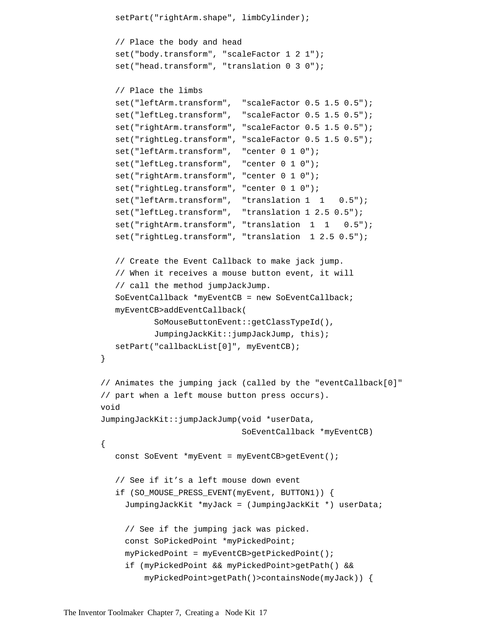```
 setPart("rightArm.shape", limbCylinder);
    // Place the body and head
    set("body.transform", "scaleFactor 1 2 1");
    set("head.transform", "translation 0 3 0");
    // Place the limbs
    set("leftArm.transform", "scaleFactor 0.5 1.5 0.5");
    set("leftLeg.transform", "scaleFactor 0.5 1.5 0.5");
    set("rightArm.transform", "scaleFactor 0.5 1.5 0.5");
    set("rightLeg.transform", "scaleFactor 0.5 1.5 0.5");
   set("leftArm.transform", "center 0 1 0");
   set("leftLeg.transform", "center 0 1 0");
   set("rightArm.transform", "center 0 1 0");
    set("rightLeg.transform", "center 0 1 0");
   set("leftArm.transform", "translation \ddot{y}1 1 0.5");
    set("leftLeg.transform", "translation ÿ1 ÿ2.5 0.5");
   set("rightArm.transform", "translation 1 1 0.5");
   set("rightLeg.transform", "translation 1 \ddot{y}2.5 0.5");
    // Create the Event Callback to make jack jump.
    // When it receives a mouse button event, it will
    // call the method jumpJackJump.
    SoEventCallback *myEventCB = new SoEventCallback;
    myEventCBÿ>addEventCallback(
            SoMouseButtonEvent::getClassTypeId(), 
            JumpingJackKit::jumpJackJump, this);
    setPart("callbackList[0]", myEventCB);
}
// Animates the jumping jack (called by the "eventCallback[0]" 
// part when a left mouse button press occurs).
void
JumpingJackKit::jumpJackJump(void *userData, 
                              SoEventCallback *myEventCB)
{
   const SoEvent *myEvent = myEventCBÿ>getEvent();
    // See if it's a left mouse down event
   if (SO_MOUSE_PRESS_EVENT(myEvent, BUTTON1)) {
      JumpingJackKit *myJack = (JumpingJackKit *) userData;
      // See if the jumping jack was picked.
      const SoPickedPoint *myPickedPoint;
      myPickedPoint = myEventCBÿ>getPickedPoint();
      if (myPickedPoint && myPickedPointÿ>getPath() &&
          myPickedPointÿ>getPath()ÿ>containsNode(myJack)) {
```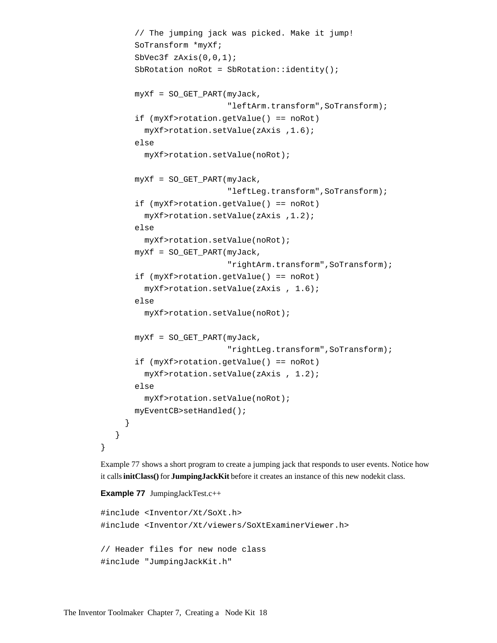```
 // The jumping jack was picked. Make it jump!
    SoTransform *myXf;
    SbVec3f zAxis(0,0,1);
   SbRotation noRot = SbRotation::identity();
    myXf = SO_GET_PART(myJack,
                         "leftArm.transform",SoTransform);
    if (myXfÿ>rotation.getValue() == noRot)
       myXfÿ>rotation.setValue(zAxis ,ÿ1.6);
    else
       myXfÿ>rotation.setValue(noRot);
    myXf = SO_GET_PART(myJack,
                         "leftLeg.transform",SoTransform);
    if (myXfÿ>rotation.getValue() == noRot)
       myXfÿ>rotation.setValue(zAxis ,ÿ1.2);
    else
       myXfÿ>rotation.setValue(noRot);
    myXf = SO_GET_PART(myJack,
                         "rightArm.transform",SoTransform);
    if (myXfÿ>rotation.getValue() == noRot)
       myXfÿ>rotation.setValue(zAxis , 1.6);
    else
       myXfÿ>rotation.setValue(noRot);
    myXf = SO_GET_PART(myJack,
                         "rightLeg.transform",SoTransform);
    if (myXfÿ>rotation.getValue() == noRot)
       myXfÿ>rotation.setValue(zAxis , 1.2);
    else
       myXfÿ>rotation.setValue(noRot);
    myEventCBÿ>setHandled();
  }
 }
```
Example 7ÿ7 shows a short program to create a jumping jack that responds to user events. Notice how it calls **initClass**() for **JumpingJackKit** before it creates an instance of this new nodeykit class.

### **Example 7ÿ7** JumpingJackTest.c++

}

```
#include <Inventor/Xt/SoXt.h>
#include <Inventor/Xt/viewers/SoXtExaminerViewer.h>
// Header files for new node class
#include "JumpingJackKit.h"
```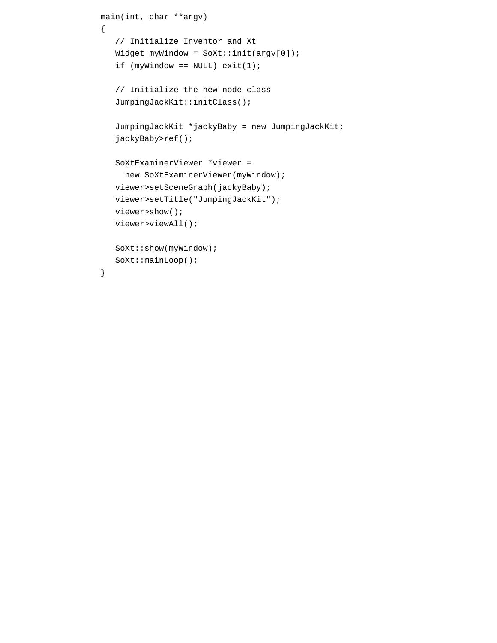```
main(int, char **argv)
{
    // Initialize Inventor and Xt
   Widget myWindow = SoXt::init(argv[0]);
    if (myWindow == NULL) exit(1);
    // Initialize the new node class
   JumpingJackKit::initClass();
    JumpingJackKit *jackyBaby = new JumpingJackKit;
    jackyBabyÿ>ref();
    SoXtExaminerViewer *viewer = 
      new SoXtExaminerViewer(myWindow);
    viewerÿ>setSceneGraph(jackyBaby);
    viewerÿ>setTitle("JumpingJackKit");
    viewerÿ>show();
    viewerÿ>viewAll();
    SoXt::show(myWindow);
    SoXt::mainLoop();
}
```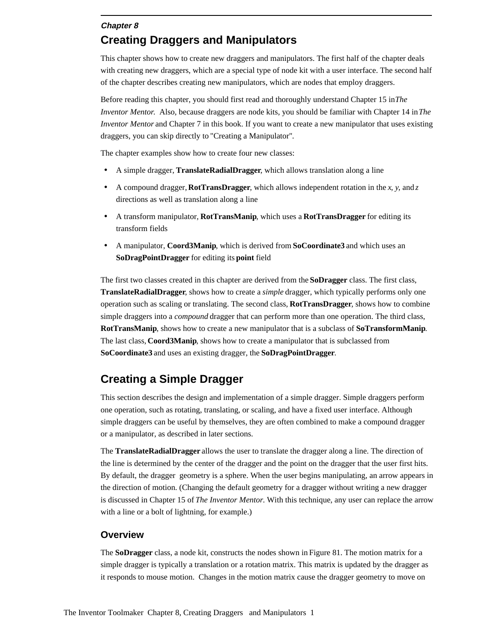# **Chapter 8 Creating Draggers and Manipulators**

This chapter shows how to create new draggers and manipulators. The first half of the chapter deals with creating new draggers, which are a special type of node kit with a user interface. The second half of the chapter describes creating new manipulators, which are nodes that employ draggers.

Before reading this chapter, you should first read and thoroughly understand Chapter 15 in *The Inventor Mentor*. Also, because draggers are node kits, you should be familiar with Chapter 14 in *The Inventor Mentor* and Chapter 7 in this book. If you want to create a new manipulator that uses existing draggers, you can skip directly to "Creating a Manipulator".

The chapter examples show how to create four new classes:

- A simple dragger, **TranslateRadialDragger**, which allows translation along a line
- A compound dragger, **RotTransDragger**, which allows independent rotation in the *x*, *y*, and *z* directions as well as translation along a line
- A transform manipulator, **RotTransManip**, which uses a **RotTransDragger** for editing its transform fields
- A manipulator, **Coord3Manip**, which is derived from **SoCoordinate3** and which uses an **SoDragPointDragger** for editing its **point** field

The first two classes created in this chapter are derived from the **SoDragger** class. The first class, **TranslateRadialDragger**, shows how to create a *simple* dragger, which typically performs only one operation such as scaling or translating. The second class, **RotTransDragger**, shows how to combine simple draggers into a *compound* dragger that can perform more than one operation. The third class, **RotTransManip**, shows how to create a new manipulator that is a subclass of **SoTransformManip**. The last class, **Coord3Manip**, shows how to create a manipulator that is subclassed from **SoCoordinate3** and uses an existing dragger, the **SoDragPointDragger**.

# **Creating a Simple Dragger**

This section describes the design and implementation of a simple dragger. Simple draggers perform one operation, such as rotating, translating, or scaling, and have a fixed user interface. Although simple draggers can be useful by themselves, they are often combined to make a compound dragger or a manipulator, as described in later sections.

The **TranslateRadialDragger** allows the user to translate the dragger along a line. The direction of the line is determined by the center of the dragger and the point on the dragger that the user first hits. By default, the dragger geometry is a sphere. When the user begins manipulating, an arrow appears in the direction of motion. (Changing the default geometry for a dragger without writing a new dragger is discussed in Chapter 15 of *The Inventor Mentor*. With this technique, any user can replace the arrow with a line or a bolt of lightning, for example.)

## **Overview**

The **SoDragger** class, a node kit, constructs the nodes shown in Figure 8ÿ1. The motion matrix for a simple dragger is typically a translation or a rotation matrix. This matrix is updated by the dragger as it responds to mouse motion. Changes in the motion matrix cause the dragger geometry to move on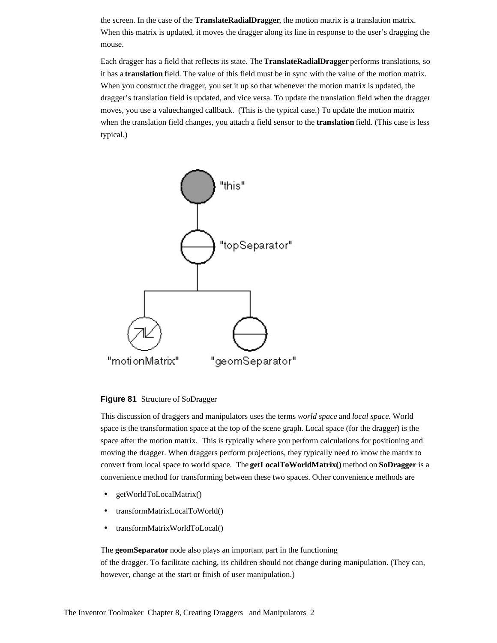the screen. In the case of the **TranslateRadialDragger**, the motion matrix is a translation matrix. When this matrix is updated, it moves the dragger along its line in response to the user's dragging the mouse.

Each dragger has a field that reflects its state. The **TranslateRadialDragger** performs translations, so it has a **translation** field. The value of this field must be in sync with the value of the motion matrix. When you construct the dragger, you set it up so that whenever the motion matrix is updated, the dragger's translation field is updated, and vice versa. To update the translation field when the dragger moves, you use a value *i*changed callback. (This is the typical case.) To update the motion matrix when the translation field changes, you attach a field sensor to the **translation** field. (This case is less typical.)



### **Figure 8ÿ1** Structure of SoDragger

This discussion of draggers and manipulators uses the terms *world space* and *local space*. World space is the transformation space at the top of the scene graph. Local space (for the dragger) is the space after the motion matrix. This is typically where you perform calculations for positioning and moving the dragger. When draggers perform projections, they typically need to know the matrix to convert from local space to world space. The **getLocalToWorldMatrix()** method on **SoDragger** is a convenience method for transforming between these two spaces. Other convenience methods are

- getWorldToLocalMatrix()
- transformMatrixLocalToWorld()
- transformMatrixWorldToLocal()

The **geomSeparator** node also plays an important part in the functioning of the dragger. To facilitate caching, its children should not change during manipulation. (They can, however, change at the start or finish of user manipulation.)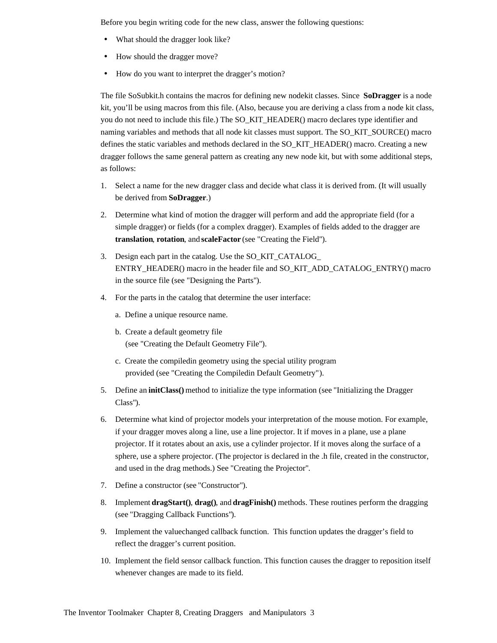Before you begin writing code for the new class, answer the following questions:

- What should the dragger look like?
- How should the dragger move?
- How do you want to interpret the dragger's motion?

The file SoSubkit.h contains the macros for defining new nodeÿkit classes. Since **SoDragger** is a node kit, you'll be using macros from this file. (Also, because you are deriving a class from a node kit class, you do not need to include this file.) The SO\_KIT\_HEADER() macro declares type identifier and naming variables and methods that all node kit classes must support. The SO\_KIT\_SOURCE() macro defines the static variables and methods declared in the SO\_KIT\_HEADER() macro. Creating a new dragger follows the same general pattern as creating any new node kit, but with some additional steps, as follows:

- 1. Select a name for the new dragger class and decide what class it is derived from. (It will usually be derived from **SoDragger**.)
- 2. Determine what kind of motion the dragger will perform and add the appropriate field (for a simple dragger) or fields (for a complex dragger). Examples of fields added to the dragger are **translation**, **rotation**, and **scaleFactor** (see "Creating the Field").
- 3. Design each part in the catalog. Use the SO\_KIT\_CATALOG\_ $\ddot{v}$ ENTRY\_HEADER() macro in the header file and SO\_KIT\_ADD\_CATALOG\_ENTRY() macro in the source file (see "Designing the Parts").
- 4. For the parts in the catalog that determine the user interface:
	- a. Define a unique resource name.
	- b. Create a default geometry file (see "Creating the Default Geometry File").
	- c. Create the compiledÿin geometry using the special utility program provided (see "Creating the Compiledÿn Default Geometry").
- 5. Define an **initClass()** method to initialize the type information (see "Initializing the Dragger Class").
- 6. Determine what kind of projector models your interpretation of the mouse motion. For example, if your dragger moves along a line, use a line projector. It if moves in a plane, use a plane projector. If it rotates about an axis, use a cylinder projector. If it moves along the surface of a sphere, use a sphere projector. (The projector is declared in the .h file, created in the constructor, and used in the drag methods.) See "Creating the Projector".
- 7. Define a constructor (see "Constructor").
- 8. Implement **dragStart()**, **drag()**, and **dragFinish()** methods. These routines perform the dragging (see "Dragging Callback Functions").
- 9. Implement the value *i*changed callback function. This function updates the dragger's field to reflect the dragger's current position.
- 10. Implement the field sensor callback function. This function causes the dragger to reposition itself whenever changes are made to its field.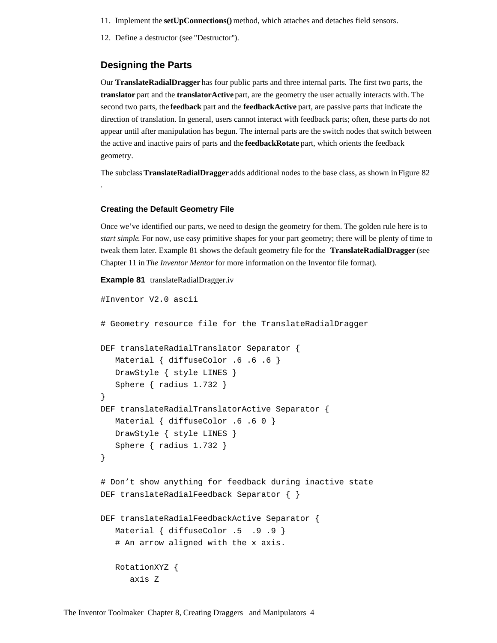- 11. Implement the **setUpConnections()** method, which attaches and detaches field sensors.
- 12. Define a destructor (see "Destructor").

### **Designing the Parts**

.

Our **TranslateRadialDragger** has four public parts and three internal parts. The first two parts, the **translator** part and the **translatorActive** part, are the geometry the user actually interacts with. The second two parts, the **feedback** part and the **feedbackActive** part, are passive parts that indicate the direction of translation. In general, users cannot interact with feedback parts; often, these parts do not appear until after manipulation has begun. The internal parts are the switch nodes that switch between the active and inactive pairs of parts and the **feedbackRotate** part, which orients the feedback geometry.

The subclass **TranslateRadialDragger** adds additional nodes to the base class, as shown in Figure 8ÿ2

#### **Creating the Default Geometry File**

Once we've identified our parts, we need to design the geometry for them. The golden rule here is to *start simple*. For now, use easy primitive shapes for your part geometry; there will be plenty of time to tweak them later. Example 8ÿ1 shows the default geometry file for the **TranslateRadialDragger** (see Chapter 11 in *The Inventor Mentor* for more information on the Inventor file format).

**Example 8ÿ1** translateRadialDragger.iv

```
#Inventor V2.0 ascii
# Geometry resource file for the TranslateRadialDragger
DEF translateRadialTranslator Separator {
  Material { diffuseColor .6 .6 .6 }
    DrawStyle { style LINES }
   Sphere { radius 1.732 }
}
DEF translateRadialTranslatorActive Separator {
   Material { diffuseColor .6 .6 0 }
    DrawStyle { style LINES }
    Sphere { radius 1.732 }
}
# Don't show anything for feedback during inactive state
DEF translateRadialFeedback Separator { }
DEF translateRadialFeedbackActive Separator {
   Material { diffuseColor .5 .9 .9 }
    # An arrow aligned with the x axis.
   RotationXYZ {
       axis Z
```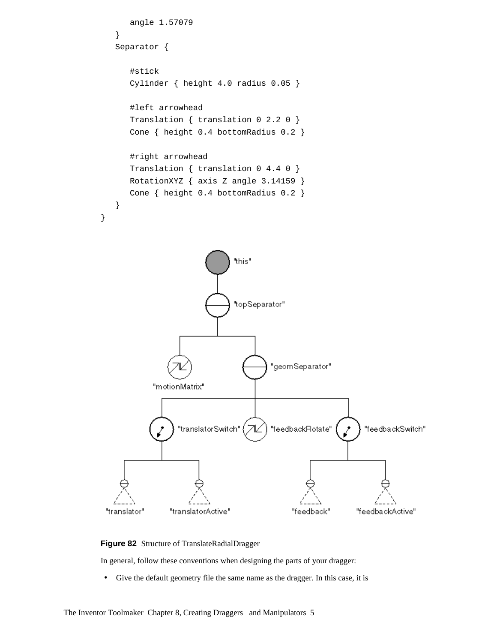

#### **Figure 8ÿ2** Structure of TranslateRadialDragger

In general, follow these conventions when designing the parts of your dragger:

• Give the default geometry file the same name as the dragger. In this case, it is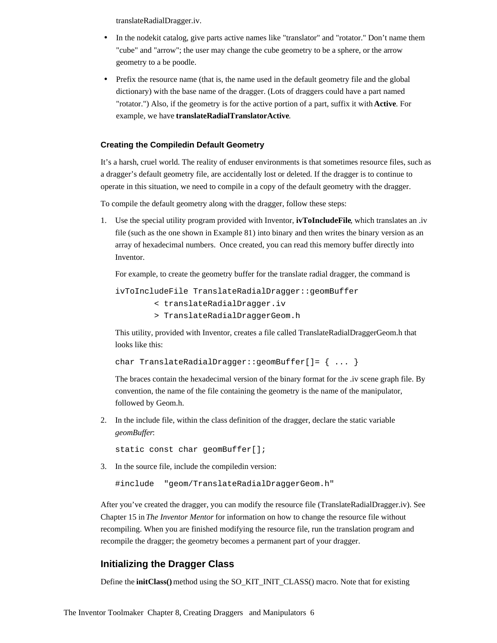translateRadialDragger.iv.

- In the node kit catalog, give parts active names like "translator" and "rotator." Don't name them "cube" and "arrow"; the user may change the cube geometry to be a sphere, or the arrow geometry to a be poodle.
- Prefix the resource name (that is, the name used in the default geometry file and the global dictionary) with the base name of the dragger. (Lots of draggers could have a part named "rotator.") Also, if the geometry is for the active portion of a part, suffix it with **Active**. For example, we have **translateRadialTranslatorActive**.

#### **Creating the Compiledÿin Default Geometry**

It's a harsh, cruel world. The reality of endÿuser environments is that sometimes resource files, such as a dragger's default geometry file, are accidentally lost or deleted. If the dragger is to continue to operate in this situation, we need to compile in a copy of the default geometry with the dragger.

To compile the default geometry along with the dragger, follow these steps:

1. Use the special utility program provided with Inventor, **ivToIncludeFile**, which translates an .iv file (such as the one shown in Example 8ÿ1) into binary and then writes the binary version as an array of hexadecimal numbers. Once created, you can read this memory buffer directly into Inventor.

For example, to create the geometry buffer for the translate radial dragger, the command is

ivToIncludeFile TranslateRadialDragger::geomBuffer

- < translateRadialDragger.iv
	- > TranslateRadialDraggerGeom.h

This utility, provided with Inventor, creates a file called TranslateRadialDraggerGeom.h that looks like this:

char TranslateRadialDragger::geomBuffer[]= { ... }

The braces contain the hexadecimal version of the binary format for the .iv scene graph file. By convention, the name of the file containing the geometry is the name of the manipulator, followed by Geom.h.

2. In the include file, within the class definition of the dragger, declare the static variable *geomBuffer*:

static const char geomBuffer[];

3. In the source file, include the compiled in version:

#include "geom/TranslateRadialDraggerGeom.h"

After you've created the dragger, you can modify the resource file (TranslateRadialDragger.iv). See Chapter 15 in *The Inventor Mentor* for information on how to change the resource file without recompiling. When you are finished modifying the resource file, run the translation program and recompile the dragger; the geometry becomes a permanent part of your dragger.

## **Initializing the Dragger Class**

Define the **initClass()** method using the SO\_KIT\_INIT\_CLASS() macro. Note that for existing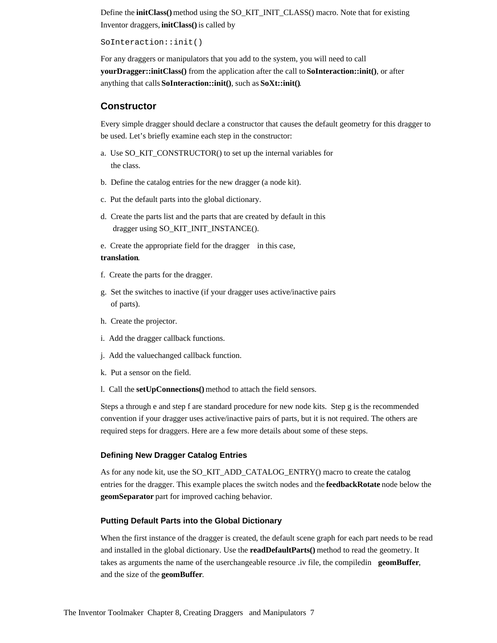Define the **initClass()** method using the SO\_KIT\_INIT\_CLASS() macro. Note that for existing Inventor draggers, **initClass()** is called by

SoInteraction::init()

For any draggers or manipulators that you add to the system, you will need to call **yourDragger::initClass()** from the application after the call to **SoInteraction::init()**, or after anything that calls **SoInteraction::init()**, such as **SoXt::init()**.

### **Constructor**

Every simple dragger should declare a constructor that causes the default geometry for this dragger to be used. Let's briefly examine each step in the constructor:

- a. Use SO\_KIT\_CONSTRUCTOR() to set up the internal variables for the class.
- b. Define the catalog entries for the new dragger (a node kit).
- c. Put the default parts into the global dictionary.
- d. Create the parts list and the parts that are created by default in this dragger using SO\_KIT\_INIT\_INSTANCE().
- e. Create the appropriate field for the dragger-in this case,

### **translation**.

- f. Create the parts for the dragger.
- g. Set the switches to inactive (if your dragger uses active/inactive pairs of parts).
- h. Create the projector.
- i. Add the dragger callback functions.
- j. Add the value *changed* callback function.
- k. Put a sensor on the field.
- l. Call the **setUpConnections()** method to attach the field sensors.

Steps a through e and step f are standard procedure for new node kits. Step g is the recommended convention if your dragger uses active/inactive pairs of parts, but it is not required. The others are required steps for draggers. Here are a few more details about some of these steps.

### **Defining New Dragger Catalog Entries**

As for any node kit, use the SO\_KIT\_ADD\_CATALOG\_ENTRY() macro to create the catalog entries for the dragger. This example places the switch nodes and the **feedbackRotate** node below the **geomSeparator** part for improved caching behavior.

### **Putting Default Parts into the Global Dictionary**

When the first instance of the dragger is created, the default scene graph for each part needs to be read and installed in the global dictionary. Use the **readDefaultParts()** method to read the geometry. It takes as arguments the name of the userÿchangeable resource .iv file, the compiledÿin **geomBuffer**, and the size of the **geomBuffer**.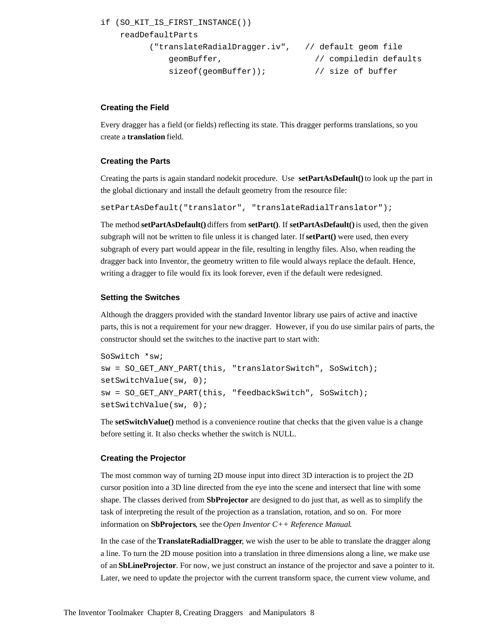```
if (SO_KIT_IS_FIRST_INSTANCE())
    readDefaultParts
          ("translateRadialDragger.iv", // default geom file
             qeomBuffer, \frac{1}{2} // compiled\ddot{V}in defaults
              sizeof(geomBuffer)); // size of buffer
```
### **Creating the Field**

Every dragger has a field (or fields) reflecting its state. This dragger performs translations, so you create a **translation** field.

### **Creating the Parts**

Creating the parts is again standard nodeÿkit procedure. Use **setPartAsDefault()** to look up the part in the global dictionary and install the default geometry from the resource file:

setPartAsDefault("translator", "translateRadialTranslator");

The method **setPartAsDefault()** differs from **setPart()**. If **setPartAsDefault()** is used, then the given subgraph will not be written to file unless it is changed later. If **setPart()** were used, then every subgraph of every part would appear in the file, resulting in lengthy files. Also, when reading the dragger back into Inventor, the geometry written to file would always replace the default. Hence, writing a dragger to file would fix its look forever, even if the default were redesigned.

### **Setting the Switches**

Although the draggers provided with the standard Inventor library use pairs of active and inactive parts, this is not a requirement for your new dragger. However, if you do use similar pairs of parts, the constructor should set the switches to the inactive part to start with:

```
SoSwitch *sw;
sw = SO_GET_ANY_PART(this, "translatorSwitch", SoSwitch);
setSwitchValue(sw, 0);
sw = SO_GET_ANY_PART(this, "feedbackSwitch", SoSwitch);
setSwitchValue(sw, 0);
```
The **setSwitchValue()** method is a convenience routine that checks that the given value is a change before setting it. It also checks whether the switch is NULL.

### **Creating the Projector**

The most common way of turning 2D mouse input into direct 3D interaction is to project the 2D cursor position into a 3D line directed from the eye into the scene and intersect that line with some shape. The classes derived from **SbProjector** are designed to do just that, as well as to simplify the task of interpreting the result of the projection as a translation, rotation, and so on. For more information on **SbProjectors**, see the *Open Inventor C++ Reference Manual*.

In the case of the **TranslateRadialDragger**, we wish the user to be able to translate the dragger along a line. To turn the 2D mouse position into a translation in three dimensions along a line, we make use of an **SbLineProjector**. For now, we just construct an instance of the projector and save a pointer to it. Later, we need to update the projector with the current transform space, the current view volume, and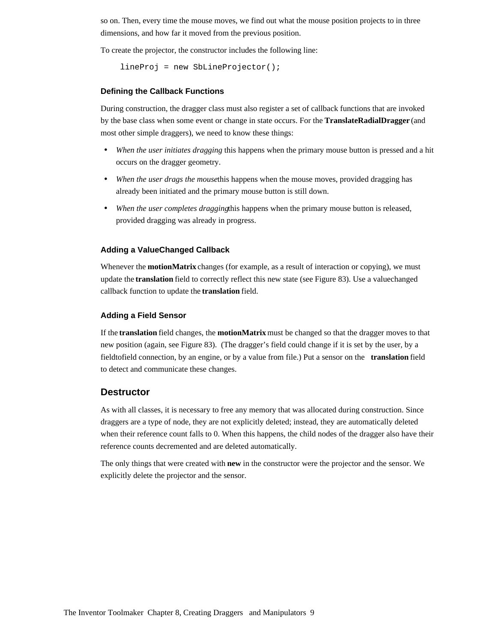so on. Then, every time the mouse moves, we find out what the mouse position projects to in three dimensions, and how far it moved from the previous position.

To create the projector, the constructor includes the following line:

lineProj = new SbLineProjector();

#### **Defining the Callback Functions**

During construction, the dragger class must also register a set of callback functions that are invoked by the base class when some event or change in state occurs. For the **TranslateRadialDragger** (and most other simple draggers), we need to know these things:

- *When the user initiates dragging* this happens when the primary mouse button is pressed and a hit occurs on the dragger geometry.
- *When the user drags the mouse* whis happens when the mouse moves, provided dragging has already been initiated and the primary mouse button is still down.
- *When the user completes dragging*ÿthis happens when the primary mouse button is released, provided dragging was already in progress.

### **Adding a ValueÿChanged Callback**

Whenever the **motionMatrix** changes (for example, as a result of interaction or copying), we must update the **translation** field to correctly reflect this new state (see Figure 8 $\ddot{\beta}$ ). Use a value $\ddot{\gamma}$ changed callback function to update the **translation** field.

#### **Adding a Field Sensor**

If the **translation** field changes, the **motionMatrix** must be changed so that the dragger moves to that new position (again, see Figure 8 $\ddot{\phi}$ ). (The dragger's field could change if it is set by the user, by a field**y**o) field connection, by an engine, or by a value from file.) Put a sensor on the **translation** field to detect and communicate these changes.

### **Destructor**

As with all classes, it is necessary to free any memory that was allocated during construction. Since draggers are a type of node, they are not explicitly deleted; instead, they are automatically deleted when their reference count falls to 0. When this happens, the child nodes of the dragger also have their reference counts decremented and are deleted automatically.

The only things that were created with **new** in the constructor were the projector and the sensor. We explicitly delete the projector and the sensor.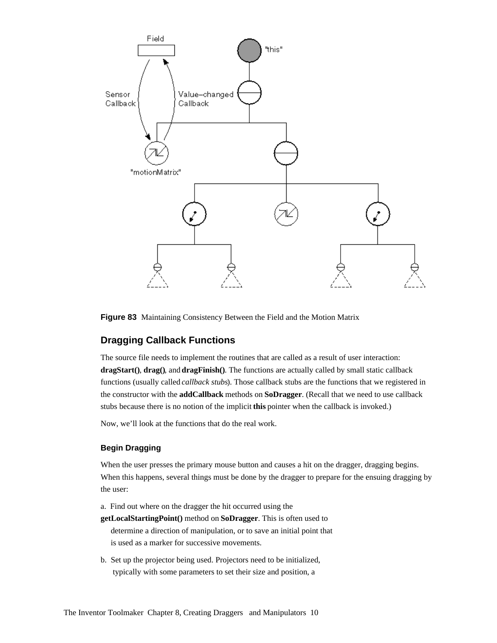

**Figure 8ÿ3** Maintaining Consistency Between the Field and the Motion Matrix

# **Dragging Callback Functions**

The source file needs to implement the routines that are called as a result of user interaction: **dragStart()**, **drag()**, and **dragFinish()**. The functions are actually called by small static callback functions (usually called *callback stubs*). Those callback stubs are the functions that we registered in the constructor with the **addCallback** methods on **SoDragger**. (Recall that we need to use callback stubs because there is no notion of the implicit **this** pointer when the callback is invoked.)

Now, we'll look at the functions that do the real work.

### **Begin Dragging**

When the user presses the primary mouse button and causes a hit on the dragger, dragging begins. When this happens, several things must be done by the dragger to prepare for the ensuing dragging by the user:

- a. Find out where on the dragger the hit occurred using the
- **getLocalStartingPoint()** method on **SoDragger**. This is often used to determine a direction of manipulation, or to save an initial point that is used as a marker for successive movements.
- b. Set up the projector being used. Projectors need to be initialized, typically with some parameters to set their size and position, a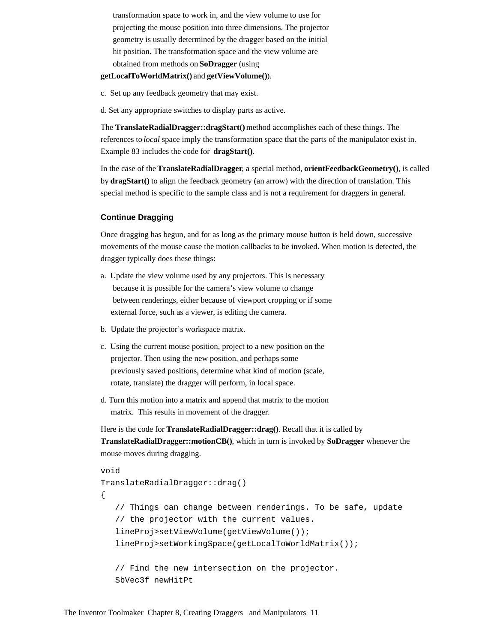transformation space to work in, and the view volume to use for projecting the mouse position into three dimensions. The projector geometry is usually determined by the dragger based on the initial hit position. The transformation space and the view volume are obtained from methods on **SoDragger** (using

## **getLocalToWorldMatrix()** and **getViewVolume()**).

- c. Set up any feedback geometry that may exist.
- d. Set any appropriate switches to display parts as active.

The **TranslateRadialDragger::dragStart()** method accomplishes each of these things. The references to *local* space imply the transformation space that the parts of the manipulator exist in. Example 8ÿ3 includes the code for **dragStart()**.

In the case of the **TranslateRadialDragger**, a special method, **orientFeedbackGeometry()**, is called by **dragStart()** to align the feedback geometry (an arrow) with the direction of translation. This special method is specific to the sample class and is not a requirement for draggers in general.

### **Continue Dragging**

Once dragging has begun, and for as long as the primary mouse button is held down, successive movements of the mouse cause the motion callbacks to be invoked. When motion is detected, the dragger typically does these things:

- a. Update the view volume used by any projectors. This is necessary because it is possible for the camera's view volume to change between renderings, either because of viewport cropping or if some external force, such as a viewer, is editing the camera.
- b. Update the projector's workspace matrix.
- c. Using the current mouse position, project to a new position on the projector. Then using the new position, and perhaps some previously saved positions, determine what kind of motion (scale, rotate, translate) the dragger will perform, in local space.
- d. Turn this motion into a matrix and append that matrix to the motion matrix. This results in movement of the dragger.

Here is the code for **TranslateRadialDragger::drag()**. Recall that it is called by **TranslateRadialDragger::motionCB()**, which in turn is invoked by **SoDragger** whenever the mouse moves during dragging.

```
void
TranslateRadialDragger::drag()
{
    // Things can change between renderings. To be safe, update 
    // the projector with the current values.
    lineProjÿ>setViewVolume(getViewVolume()); 
    lineProjÿ>setWorkingSpace(getLocalToWorldMatrix());
    // Find the new intersection on the projector.
    SbVec3f newHitPt
```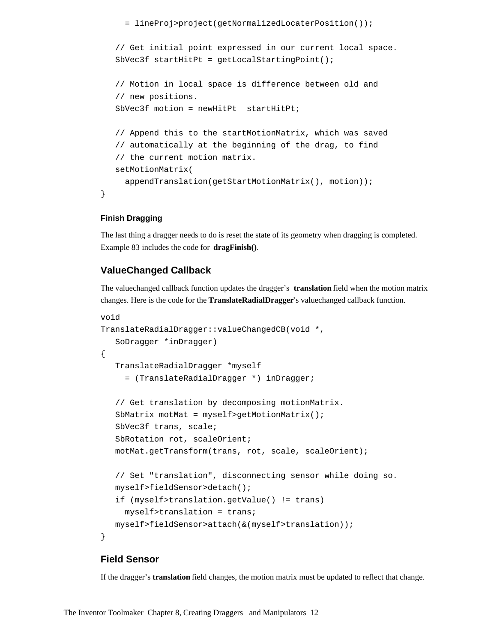```
 = lineProjÿ>project(getNormalizedLocaterPosition()); 
 // Get initial point expressed in our current local space.
 SbVec3f startHitPt = getLocalStartingPoint();
 // Motion in local space is difference between old and
 // new positions.
SbVec3f motion = newHitPt \ddot{y} startHitPt;
 // Append this to the startMotionMatrix, which was saved
 // automatically at the beginning of the drag, to find 
 // the current motion matrix.
 setMotionMatrix(
   appendTranslation(getStartMotionMatrix(), motion));
```
### **Finish Dragging**

}

The last thing a dragger needs to do is reset the state of its geometry when dragging is completed. Example 8 $\beta$ <sup>3</sup> includes the code for **dragFinish**().

### **ValueÿChanged Callback**

The value *i*changed callback function updates the dragger's **translation** field when the motion matrix changes. Here is the code for the **TranslateRadialDragger**'s value whanged callback function.

```
void
TranslateRadialDragger::valueChangedCB(void *, 
    SoDragger *inDragger)
{
    TranslateRadialDragger *myself 
      = (TranslateRadialDragger *) inDragger;
    // Get translation by decomposing motionMatrix.
    SbMatrix motMat = myselfÿ>getMotionMatrix();
    SbVec3f trans, scale;
   SbRotation rot, scaleOrient;
   motMat.getTransform(trans, rot, scale, scaleOrient);
    // Set "translation", disconnecting sensor while doing so.
    myselfÿ>fieldSensorÿ>detach();
    if (myselfÿ>translation.getValue() != trans)
      myselfÿ>translation = trans;
    myselfÿ>fieldSensorÿ>attach(&(myselfÿ>translation));
}
```
## **Field Sensor**

If the dragger's **translation** field changes, the motion matrix must be updated to reflect that change.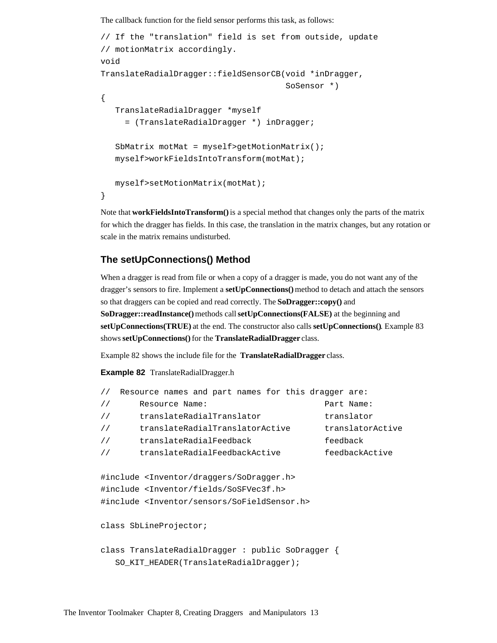The callback function for the field sensor performs this task, as follows:

```
// If the "translation" field is set from outside, update
// motionMatrix accordingly.
void
TranslateRadialDragger::fieldSensorCB(void *inDragger, 
                                        SoSensor *)
{
    TranslateRadialDragger *myself 
      = (TranslateRadialDragger *) inDragger;
    SbMatrix motMat = myselfÿ>getMotionMatrix();
    myselfÿ>workFieldsIntoTransform(motMat);
    myselfÿ>setMotionMatrix(motMat);
}
```
Note that **workFieldsIntoTransform()** is a special method that changes only the parts of the matrix for which the dragger has fields. In this case, the translation in the matrix changes, but any rotation or scale in the matrix remains undisturbed.

## **The setUpConnections() Method**

When a dragger is read from file or when a copy of a dragger is made, you do not want any of the dragger's sensors to fire. Implement a **setUpConnections()** method to detach and attach the sensors so that draggers can be copied and read correctly. The **SoDragger::copy()** and **SoDragger::readInstance()** methods call **setUpConnections(FALSE)** at the beginning and **setUpConnections(TRUE)** at the end. The constructor also calls **setUpConnections()**. Example 8ÿ3 shows **setUpConnections()** for the **TranslateRadialDragger** class.

Example 8ÿ2 shows the include file for the **TranslateRadialDragger** class.

**Example 8ÿ2** TranslateRadialDragger.h

| $\frac{1}{2}$ | Resource names and part names for this dragger are:                                                                                                                                    |                  |
|---------------|----------------------------------------------------------------------------------------------------------------------------------------------------------------------------------------|------------------|
| $\frac{1}{2}$ | Resource Name:                                                                                                                                                                         | Part Name:       |
| $\frac{1}{2}$ | translateRadialTranslator                                                                                                                                                              | translator       |
| $\frac{1}{2}$ | translateRadialTranslatorActive                                                                                                                                                        | translatorActive |
| $\frac{1}{2}$ | translateRadialFeedback                                                                                                                                                                | feedback         |
| $\frac{1}{2}$ | translateRadialFeedbackActive                                                                                                                                                          | feedbackActive   |
|               | #include <inventor draggers="" sodragger.h=""><br/>#include <inventor fields="" sosfvec3f.h=""><br/>#include <inventor sensors="" sofieldsensor.h=""></inventor></inventor></inventor> |                  |
|               | class SbLineProjector;                                                                                                                                                                 |                  |
|               | class TranslateRadialDragger : public SoDragger {                                                                                                                                      |                  |
|               | SO KIT HEADER(TranslateRadialDragger);                                                                                                                                                 |                  |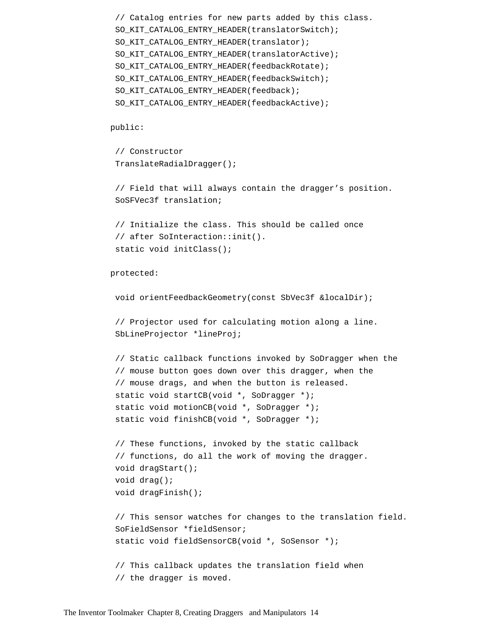```
 // Catalog entries for new parts added by this class.
 SO_KIT_CATALOG_ENTRY_HEADER(translatorSwitch);
 SO_KIT_CATALOG_ENTRY_HEADER(translator);
 SO_KIT_CATALOG_ENTRY_HEADER(translatorActive);
 SO_KIT_CATALOG_ENTRY_HEADER(feedbackRotate);
 SO_KIT_CATALOG_ENTRY_HEADER(feedbackSwitch);
SO KIT CATALOG ENTRY HEADER(feedback);
 SO_KIT_CATALOG_ENTRY_HEADER(feedbackActive);
```
public:

```
 // Constructor
 TranslateRadialDragger();
```
 // Field that will always contain the dragger's position. SoSFVec3f translation;

```
 // Initialize the class. This should be called once
 // after SoInteraction::init().
 static void initClass();
```
protected:

```
 void orientFeedbackGeometry(const SbVec3f &localDir);
```

```
 // Projector used for calculating motion along a line.
 SbLineProjector *lineProj;
```

```
 // Static callback functions invoked by SoDragger when the 
 // mouse button goes down over this dragger, when the
 // mouse drags, and when the button is released.
static void startCB(void *, SoDragger *);
static void motionCB(void *, SoDragger *);
 static void finishCB(void *, SoDragger *);
```

```
 // These functions, invoked by the static callback 
 // functions, do all the work of moving the dragger.
 void dragStart();
 void drag();
 void dragFinish();
```

```
 // This sensor watches for changes to the translation field.
 SoFieldSensor *fieldSensor;
static void fieldSensorCB(void *, SoSensor *);
```

```
 // This callback updates the translation field when 
 // the dragger is moved.
```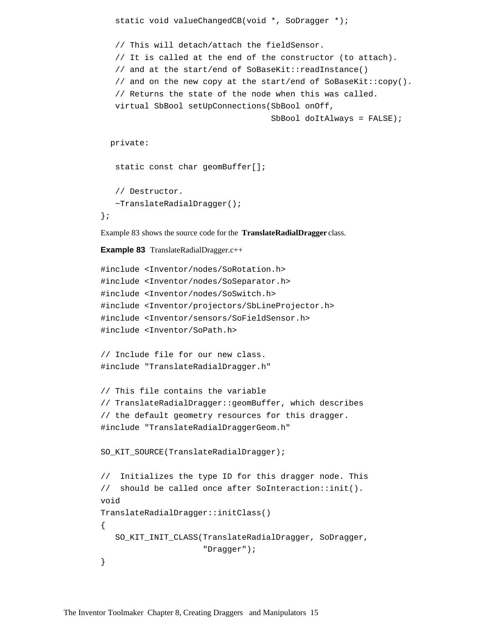```
 static void valueChangedCB(void *, SoDragger *);
    // This will detach/attach the fieldSensor.
    // It is called at the end of the constructor (to attach).
    // and at the start/end of SoBaseKit::readInstance()
    // and on the new copy at the start/end of SoBaseKit::copy().
    // Returns the state of the node when this was called.
    virtual SbBool setUpConnections(SbBool onOff, 
                                     SbBool doItAlways = FALSE);
  private:
    static const char geomBuffer[];
    // Destructor.
    ~TranslateRadialDragger();
};
```
Example 8 $\ddot{\phi}$  shows the source code for the **TranslateRadialDragger** class.

```
Example 8ÿ3 TranslateRadialDragger.c++
```

```
#include <Inventor/nodes/SoRotation.h>
#include <Inventor/nodes/SoSeparator.h>
#include <Inventor/nodes/SoSwitch.h>
#include <Inventor/projectors/SbLineProjector.h>
#include <Inventor/sensors/SoFieldSensor.h>
#include <Inventor/SoPath.h>
// Include file for our new class.
#include "TranslateRadialDragger.h"
// This file contains the variable 
// TranslateRadialDragger::geomBuffer, which describes 
// the default geometry resources for this dragger.
#include "TranslateRadialDraggerGeom.h"
SO_KIT_SOURCE(TranslateRadialDragger);
// Initializes the type ID for this dragger node. This
// should be called once after SoInteraction::init().
void
TranslateRadialDragger::initClass()
{
    SO_KIT_INIT_CLASS(TranslateRadialDragger, SoDragger,
                      "Dragger");
}
```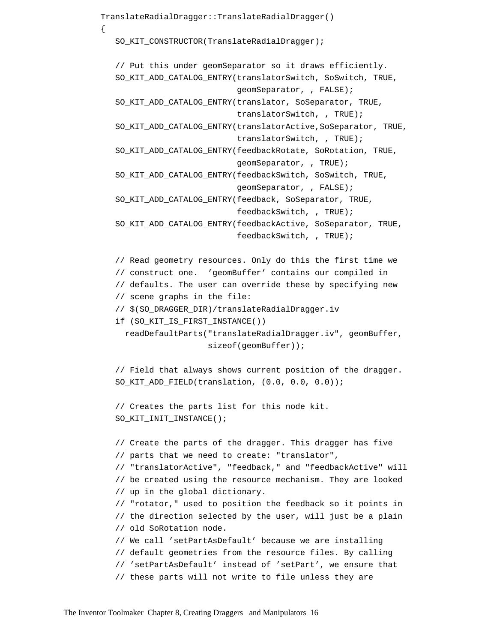```
TranslateRadialDragger::TranslateRadialDragger()
{
   SO_KIT_CONSTRUCTOR(TranslateRadialDragger);
    // Put this under geomSeparator so it draws efficiently.
   SO_KIT_ADD_CATALOG_ENTRY(translatorSwitch, SoSwitch, TRUE,
                              geomSeparator, , FALSE);
    SO_KIT_ADD_CATALOG_ENTRY(translator, SoSeparator, TRUE,
                              translatorSwitch, , TRUE);
   SO KIT ADD CATALOG ENTRY(translatorActive, SoSeparator, TRUE,
                              translatorSwitch, , TRUE);
    SO_KIT_ADD_CATALOG_ENTRY(feedbackRotate, SoRotation, TRUE,
                              geomSeparator, , TRUE);
    SO_KIT_ADD_CATALOG_ENTRY(feedbackSwitch, SoSwitch, TRUE,
                              geomSeparator, , FALSE);
    SO_KIT_ADD_CATALOG_ENTRY(feedback, SoSeparator, TRUE,
                              feedbackSwitch, , TRUE);
    SO_KIT_ADD_CATALOG_ENTRY(feedbackActive, SoSeparator, TRUE,
                              feedbackSwitch, , TRUE);
    // Read geometry resources. Only do this the first time we 
    // construct one. 'geomBuffer' contains our compiled in 
    // defaults. The user can override these by specifying new 
    // scene graphs in the file:
    // $(SO_DRAGGER_DIR)/translateRadialDragger.iv
    if (SO_KIT_IS_FIRST_INSTANCE())
      readDefaultParts("translateRadialDragger.iv", geomBuffer,
                       sizeof(geomBuffer));
    // Field that always shows current position of the dragger.
    SO_KIT_ADD_FIELD(translation, (0.0, 0.0, 0.0));
    // Creates the parts list for this node kit.
    SO_KIT_INIT_INSTANCE();
    // Create the parts of the dragger. This dragger has five 
    // parts that we need to create: "translator", 
    // "translatorActive", "feedback," and "feedbackActive" will 
    // be created using the resource mechanism. They are looked 
    // up in the global dictionary.
    // "rotator," used to position the feedback so it points in
```

```
 // the direction selected by the user, will just be a plain 
 // old SoRotation node.
```

```
 // We call 'setPartAsDefault' because we are installing
```
// default geometries from the resource files. By calling

```
 // 'setPartAsDefault' instead of 'setPart', we ensure that
```
// these parts will not write to file unless they are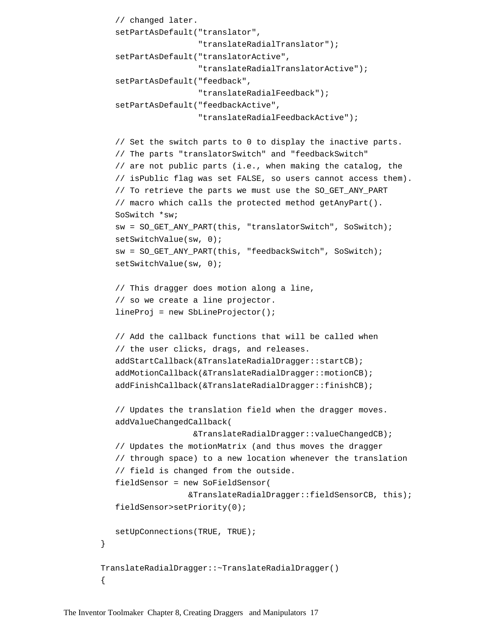```
 // changed later. 
    setPartAsDefault("translator", 
                      "translateRadialTranslator");
    setPartAsDefault("translatorActive", 
                      "translateRadialTranslatorActive");
    setPartAsDefault("feedback", 
                      "translateRadialFeedback");
    setPartAsDefault("feedbackActive", 
                      "translateRadialFeedbackActive");
    // Set the switch parts to 0 to display the inactive parts.
    // The parts "translatorSwitch" and "feedbackSwitch"
    // are not public parts (i.e., when making the catalog, the 
    // isPublic flag was set FALSE, so users cannot access them).
    // To retrieve the parts we must use the SO_GET_ANY_PART 
    // macro which calls the protected method getAnyPart().
    SoSwitch *sw;
    sw = SO_GET_ANY_PART(this, "translatorSwitch", SoSwitch);
    setSwitchValue(sw, 0);
    sw = SO_GET_ANY_PART(this, "feedbackSwitch", SoSwitch);
   setSwitchValue(sw, 0);
    // This dragger does motion along a line,
    // so we create a line projector.
    lineProj = new SbLineProjector();
    // Add the callback functions that will be called when
    // the user clicks, drags, and releases.
    addStartCallback(&TranslateRadialDragger::startCB);
    addMotionCallback(&TranslateRadialDragger::motionCB);
    addFinishCallback(&TranslateRadialDragger::finishCB);
    // Updates the translation field when the dragger moves.
    addValueChangedCallback(
                    &TranslateRadialDragger::valueChangedCB);
    // Updates the motionMatrix (and thus moves the dragger 
    // through space) to a new location whenever the translation
    // field is changed from the outside.
    fieldSensor = new SoFieldSensor(
                   &TranslateRadialDragger::fieldSensorCB, this);
    fieldSensorÿ>setPriority(0);
    setUpConnections(TRUE, TRUE);
}
TranslateRadialDragger::~TranslateRadialDragger()
{
```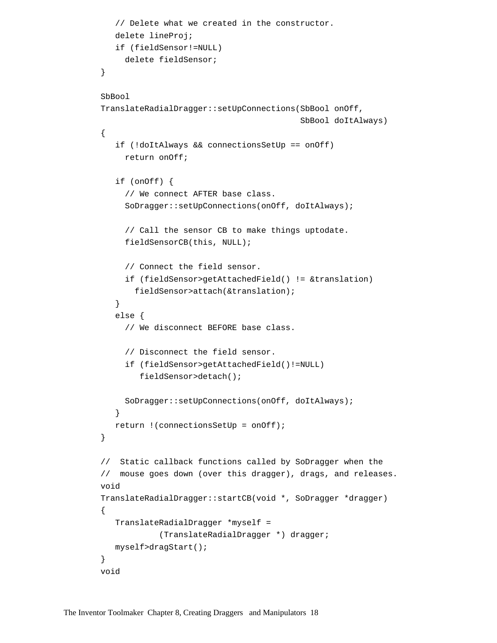```
 // Delete what we created in the constructor.
    delete lineProj;
    if (fieldSensor!=NULL)
      delete fieldSensor;
}
SbBool
TranslateRadialDragger::setUpConnections(SbBool onOff, 
                                            SbBool doItAlways)
{
    if (!doItAlways && connectionsSetUp == onOff)
      return onOff;
    if (onOff) {
      // We connect AFTER base class.
      SoDragger::setUpConnections(onOff, doItAlways);
      // Call the sensor CB to make things upÿtoÿdate.
      fieldSensorCB(this, NULL);
      // Connect the field sensor.
      if (fieldSensorÿ>getAttachedField() != &translation)
        fieldSensorÿ>attach(&translation);
    }
    else {
      // We disconnect BEFORE base class.
      // Disconnect the field sensor.
      if (fieldSensorÿ>getAttachedField()!=NULL)
         fieldSensorÿ>detach();
      SoDragger::setUpConnections(onOff, doItAlways);
    }
    return !(connectionsSetUp = onOff);
}
// Static callback functions called by SoDragger when the 
// mouse goes down (over this dragger), drags, and releases.
void
TranslateRadialDragger::startCB(void *, SoDragger *dragger)
{
    TranslateRadialDragger *myself = 
             (TranslateRadialDragger *) dragger;
    myselfÿ>dragStart();
}
void
```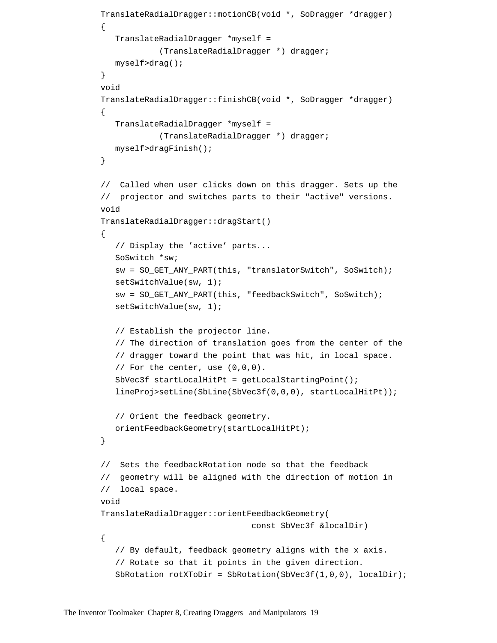```
TranslateRadialDragger::motionCB(void *, SoDragger *dragger)
{
    TranslateRadialDragger *myself =
             (TranslateRadialDragger *) dragger;
    myselfÿ>drag();
}
void
TranslateRadialDragger::finishCB(void *, SoDragger *dragger)
{
    TranslateRadialDragger *myself =
             (TranslateRadialDragger *) dragger;
    myselfÿ>dragFinish();
}
// Called when user clicks down on this dragger. Sets up the 
// projector and switches parts to their "active" versions.
void
TranslateRadialDragger::dragStart()
{
    // Display the 'active' parts...
    SoSwitch *sw;
    sw = SO_GET_ANY_PART(this, "translatorSwitch", SoSwitch);
  setSwitchValue(sw, 1);
    sw = SO_GET_ANY_PART(this, "feedbackSwitch", SoSwitch);
    setSwitchValue(sw, 1);
    // Establish the projector line.
    // The direction of translation goes from the center of the
    // dragger toward the point that was hit, in local space. 
   // For the center, use (0,0,0).
    SbVec3f startLocalHitPt = getLocalStartingPoint();
    lineProjÿ>setLine(SbLine(SbVec3f(0,0,0), startLocalHitPt));
    // Orient the feedback geometry.
    orientFeedbackGeometry(startLocalHitPt);
}
// Sets the feedbackRotation node so that the feedback
// geometry will be aligned with the direction of motion in
// local space.
void
TranslateRadialDragger::orientFeedbackGeometry( 
                                const SbVec3f &localDir)
{
    // By default, feedback geometry aligns with the x axis.
    // Rotate so that it points in the given direction.
   SbRotation rotXToDir = SbRotation(SbVec3f(1,0,0), localDir);
```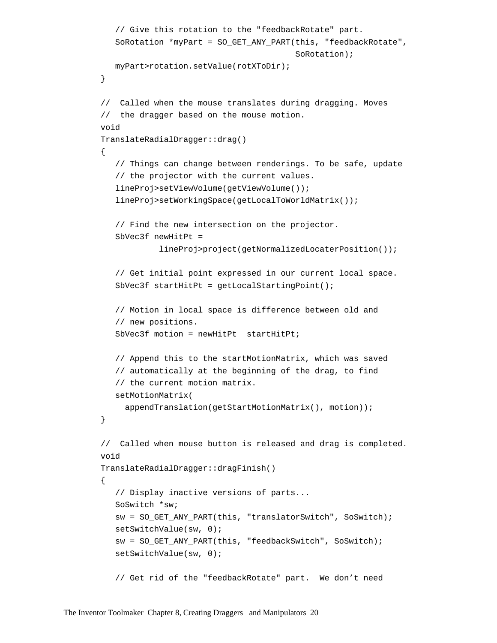```
 // Give this rotation to the "feedbackRotate" part.
    SoRotation *myPart = SO_GET_ANY_PART(this, "feedbackRotate", 
                                         SoRotation);
   myPartÿ>rotation.setValue(rotXToDir);
}
// Called when the mouse translates during dragging. Moves
// the dragger based on the mouse motion.
void
TranslateRadialDragger::drag()
{
    // Things can change between renderings. To be safe, update 
    // the projector with the current values.
    lineProjÿ>setViewVolume(getViewVolume()); 
    lineProjÿ>setWorkingSpace(getLocalToWorldMatrix());
    // Find the new intersection on the projector.
    SbVec3f newHitPt =
             lineProjÿ>project(getNormalizedLocaterPosition()); 
    // Get initial point expressed in our current local space.
    SbVec3f startHitPt = getLocalStartingPoint();
    // Motion in local space is difference between old and
    // new positions.
   SbVec3f motion = newHitPt \ddot{y} startHitPt;
   // Append this to the startMotionMatrix, which was saved
    // automatically at the beginning of the drag, to find 
    // the current motion matrix.
    setMotionMatrix(
      appendTranslation(getStartMotionMatrix(), motion));
}
// Called when mouse button is released and drag is completed.
void
TranslateRadialDragger::dragFinish()
{
    // Display inactive versions of parts...
    SoSwitch *sw;
    sw = SO_GET_ANY_PART(this, "translatorSwitch", SoSwitch);
  setSwitchValue(sw, 0);
    sw = SO_GET_ANY_PART(this, "feedbackSwitch", SoSwitch);
   setSwitchValue(sw, 0);
    // Get rid of the "feedbackRotate" part. We don't need
```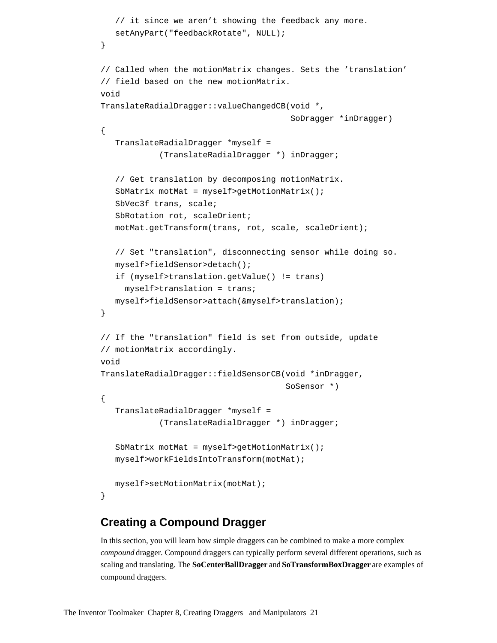```
 // it since we aren't showing the feedback any more.
    setAnyPart("feedbackRotate", NULL);
} 
// Called when the motionMatrix changes. Sets the 'translation'
// field based on the new motionMatrix.
void
TranslateRadialDragger::valueChangedCB(void *, 
                                         SoDragger *inDragger)
{
    TranslateRadialDragger *myself =
             (TranslateRadialDragger *) inDragger;
    // Get translation by decomposing motionMatrix.
    SbMatrix motMat = myselfÿ>getMotionMatrix();
    SbVec3f trans, scale;
    SbRotation rot, scaleOrient;
   motMat.getTransform(trans, rot, scale, scaleOrient);
    // Set "translation", disconnecting sensor while doing so.
    myselfÿ>fieldSensorÿ>detach();
    if (myselfÿ>translation.getValue() != trans)
      myselfÿ>translation = trans;
    myselfÿ>fieldSensorÿ>attach(&myselfÿ>translation);
}
// If the "translation" field is set from outside, update
// motionMatrix accordingly.
void
TranslateRadialDragger::fieldSensorCB(void *inDragger, 
                                        SoSensor *)
{
    TranslateRadialDragger *myself =
             (TranslateRadialDragger *) inDragger;
    SbMatrix motMat = myselfÿ>getMotionMatrix();
    myselfÿ>workFieldsIntoTransform(motMat);
    myselfÿ>setMotionMatrix(motMat);
}
```
# **Creating a Compound Dragger**

In this section, you will learn how simple draggers can be combined to make a more complex *compound* dragger. Compound draggers can typically perform several different operations, such as scaling and translating. The **SoCenterBallDragger** and **SoTransformBoxDragger** are examples of compound draggers.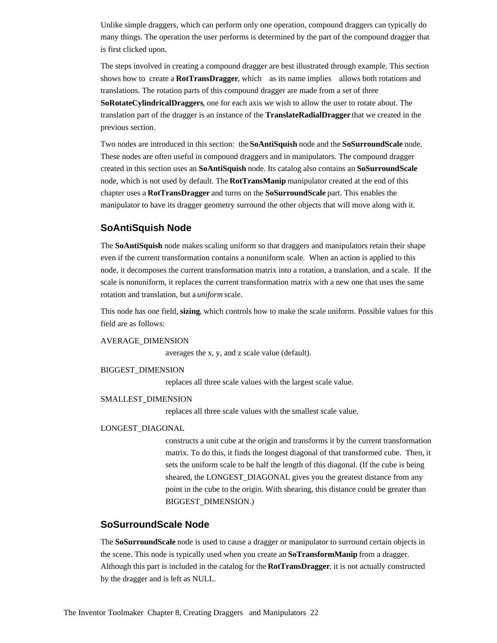Unlike simple draggers, which can perform only one operation, compound draggers can typically do many things. The operation the user performs is determined by the part of the compound dragger that is first clicked upon.

The steps involved in creating a compound dragger are best illustrated through example. This section shows how to create a **RotTransDragger**, which—as its name implies—allows both rotations and translations. The rotation parts of this compound dragger are made from a set of three **SoRotateCylindricalDraggers**, one for each axis we wish to allow the user to rotate about. The translation part of the dragger is an instance of the **TranslateRadialDragger** that we created in the previous section.

Two nodes are introduced in this section: the **SoAntiSquish** node and the **SoSurroundScale** node. These nodes are often useful in compound draggers and in manipulators. The compound dragger created in this section uses an **SoAntiSquish** node. Its catalog also contains an **SoSurroundScale** node, which is not used by default. The **RotTransManip** manipulator created at the end of this chapter uses a **RotTransDragger** and turns on the **SoSurroundScale** part. This enables the manipulator to have its dragger geometry surround the other objects that will move along with it.

# **SoAntiSquish Node**

The **SoAntiSquish** node makes scaling uniform so that draggers and manipulators retain their shape even if the current transformation contains a nonuniform scale. When an action is applied to this node, it decomposes the current transformation matrix into a rotation, a translation, and a scale. If the scale is nonuniform, it replaces the current transformation matrix with a new one that uses the same rotation and translation, but a *uniform* scale.

This node has one field, **sizing**, which controls how to make the scale uniform. Possible values for this field are as follows:

#### AVERAGE\_DIMENSION

averages the x, y, and z scale value (default).

#### BIGGEST\_DIMENSION

replaces all three scale values with the largest scale value.

#### SMALLEST\_DIMENSION

replaces all three scale values with the smallest scale value.

#### LONGEST\_DIAGONAL

constructs a unit cube at the origin and transforms it by the current transformation matrix. To do this, it finds the longest diagonal of that transformed cube. Then, it sets the uniform scale to be half the length of this diagonal. (If the cube is being sheared, the LONGEST\_DIAGONAL gives you the greatest distance from any point in the cube to the origin. With shearing, this distance could be greater than BIGGEST\_DIMENSION.)

## **SoSurroundScale Node**

The **SoSurroundScale** node is used to cause a dragger or manipulator to surround certain objects in the scene. This node is typically used when you create an **SoTransformManip** from a dragger. Although this part is included in the catalog for the **RotTransDragger**, it is not actually constructed by the dragger and is left as NULL.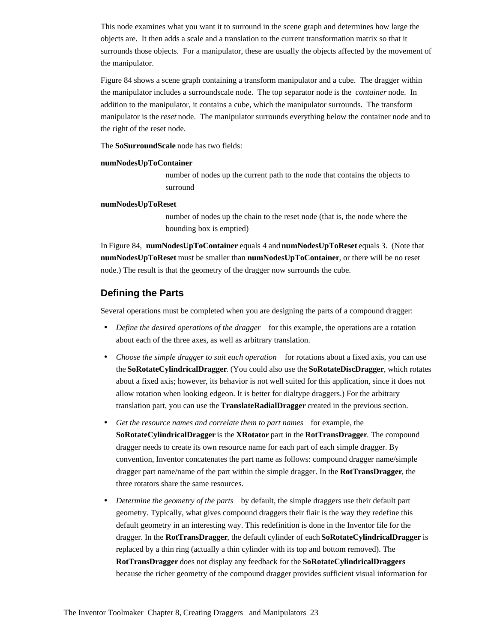This node examines what you want it to surround in the scene graph and determines how large the objects are. It then adds a scale and a translation to the current transformation matrix so that it surrounds those objects. For a manipulator, these are usually the objects affected by the movement of the manipulator.

Figure 8ÿ4 shows a scene graph containing a transform manipulator and a cube. The dragger within the manipulator includes a surroundÿscale node. The top separator node is the *container* node. In addition to the manipulator, it contains a cube, which the manipulator surrounds. The transform manipulator is the *reset* node. The manipulator surrounds everything below the container node and to the right of the reset node.

The **SoSurroundScale** node has two fields:

#### **numNodesUpToContainer**

number of nodes up the current path to the node that contains the objects to surround

#### **numNodesUpToReset**

number of nodes up the chain to the reset node (that is, the node where the bounding box is emptied)

In Figure 8ÿ4, **numNodesUpToContainer** equals 4 and **numNodesUpToReset** equals 3. (Note that **numNodesUpToReset** must be smaller than **numNodesUpToContainer**, or there will be no reset node.) The result is that the geometry of the dragger now surrounds the cube.

## **Defining the Parts**

Several operations must be completed when you are designing the parts of a compound dragger:

- *Define the desired operations of the dragger*—for this example, the operations are a rotation about each of the three axes, as well as arbitrary translation.
- *Choose the simple dragger to suit each operation*—for rotations about a fixed axis, you can use the **SoRotateCylindricalDragger**. (You could also use the **SoRotateDiscDragger**, which rotates about a fixed axis; however, its behavior is not well suited for this application, since it does not allow rotation when looking edgeyon. It is better for dialy the draggers.) For the arbitrary translation part, you can use the **TranslateRadialDragger** created in the previous section.
- Get the resource names and correlate them to part names-for example, the **SoRotateCylindricalDragger** is the **XRotator** part in the **RotTransDragger**. The compound dragger needs to create its own resource name for each part of each simple dragger. By convention, Inventor concatenates the part name as follows: compound dragger name/simple dragger part name/name of the part within the simple dragger. In the **RotTransDragger**, the three rotators share the same resources.
- *Determine the geometry of the parts*—by default, the simple draggers use their default part geometry. Typically, what gives compound draggers their flair is the way they redefine this default geometry in an interesting way. This redefinition is done in the Inventor file for the dragger. In the **RotTransDragger**, the default cylinder of each **SoRotateCylindricalDragger** is replaced by a thin ring (actually a thin cylinder with its top and bottom removed). The **RotTransDragger** does not display any feedback for the **SoRotateCylindricalDraggers**  because the richer geometry of the compound dragger provides sufficient visual information for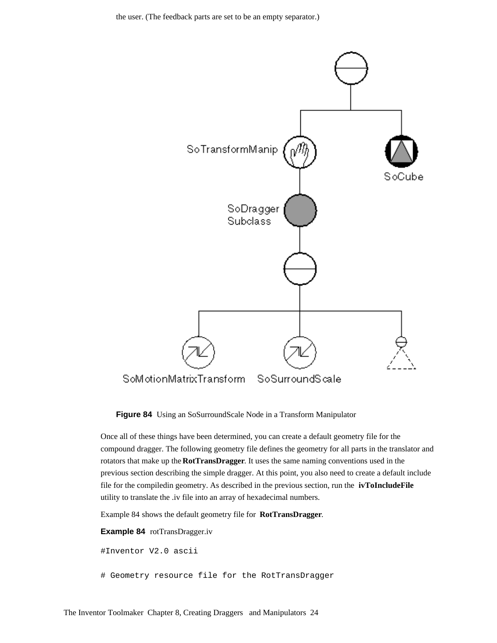

**Figure 8ÿ4** Using an SoSurroundScale Node in a Transform Manipulator

Once all of these things have been determined, you can create a default geometry file for the compound dragger. The following geometry file defines the geometry for all parts in the translator and rotators that make up the **RotTransDragger**. It uses the same naming conventions used in the previous section describing the simple dragger. At this point, you also need to create a default include file for the compiledÿin geometry. As described in the previous section, run the **ivToIncludeFile** utility to translate the .iv file into an array of hexadecimal numbers.

Example 8ÿ4 shows the default geometry file for **RotTransDragger**.

#### **Example 8ÿ4** rotTransDragger.iv

#Inventor V2.0 ascii

# Geometry resource file for the RotTransDragger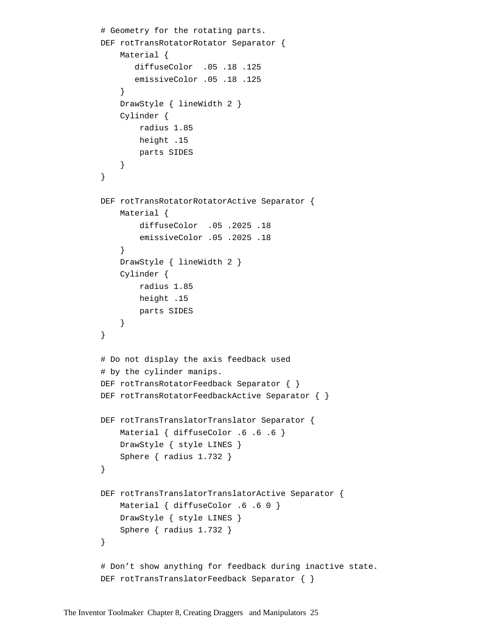```
# Geometry for the rotating parts.
DEF rotTransRotatorRotator Separator {
     Material { 
        diffuseColor .05 .18 .125
        emissiveColor .05 .18 .125
     }
     DrawStyle { lineWidth 2 }
     Cylinder {
         radius 1.85
         height .15
         parts SIDES
     }
}
DEF rotTransRotatorRotatorActive Separator {
     Material { 
         diffuseColor .05 .2025 .18
         emissiveColor .05 .2025 .18
     }
     DrawStyle { lineWidth 2 }
     Cylinder {
         radius 1.85
         height .15
         parts SIDES
     }
}
# Do not display the axis feedback used
# by the cylinder manips.
DEF rotTransRotatorFeedback Separator { }
DEF rotTransRotatorFeedbackActive Separator { }
DEF rotTransTranslatorTranslator Separator {
    Material { diffuseColor .6 .6 .6 }
     DrawStyle { style LINES }
     Sphere { radius 1.732 }
}
DEF rotTransTranslatorTranslatorActive Separator {
    Material { diffuseColor .6 .6 0 }
     DrawStyle { style LINES }
     Sphere { radius 1.732 }
}
# Don't show anything for feedback during inactive state.
DEF rotTransTranslatorFeedback Separator { }
```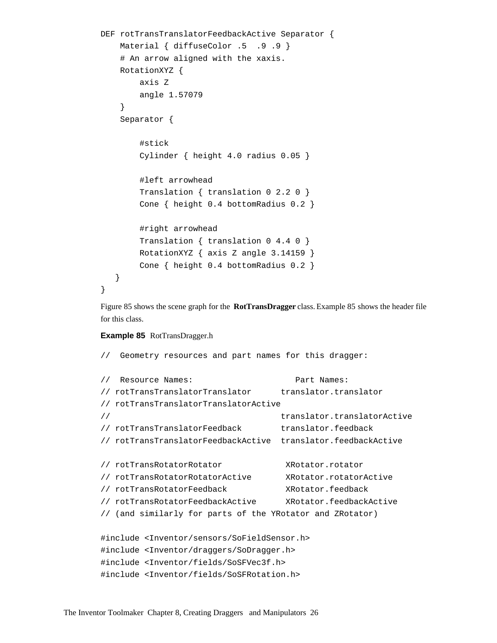```
DEF rotTransTranslatorFeedbackActive Separator {
    Material { diffuseColor .5 .9 .9 }
     # An arrow aligned with the xÿaxis.
     RotationXYZ {
         axis Z
         angle 1.57079
     }
     Separator {
         #stick
         Cylinder { height 4.0 radius 0.05 }
         #left arrowhead
        Translation { translation 0 2.2 0 }
         Cone { height 0.4 bottomRadius 0.2 }
         #right arrowhead
        Translation \{ translation 0 \ddot{y}4.4 0 \} RotationXYZ { axis Z angle 3.14159 }
         Cone { height 0.4 bottomRadius 0.2 }
    }
}
```
Figure 8ÿ5 shows the scene graph for the **RotTransDragger** class. Example 8ÿ5 shows the header file for this class.

#### **Example 8ÿ5** RotTransDragger.h

```
// Geometry resources and part names for this dragger:
// Resource Names: Part Names:
// rotTransTranslatorTranslator translator.translator
// rotTransTranslatorTranslatorActive
// translator.translatorActive
// rotTransTranslatorFeedback translator.feedback
// rotTransTranslatorFeedbackActive translator.feedbackActive
// rotTransRotatorRotator XRotator.rotator
// rotTransRotatorRotatorActive XRotator.rotatorActive
// rotTransRotatorFeedback XRotator.feedback
// rotTransRotatorFeedbackActive XRotator.feedbackActive
// (and similarly for parts of the YRotator and ZRotator)
#include <Inventor/sensors/SoFieldSensor.h>
#include <Inventor/draggers/SoDragger.h>
#include <Inventor/fields/SoSFVec3f.h>
#include <Inventor/fields/SoSFRotation.h>
```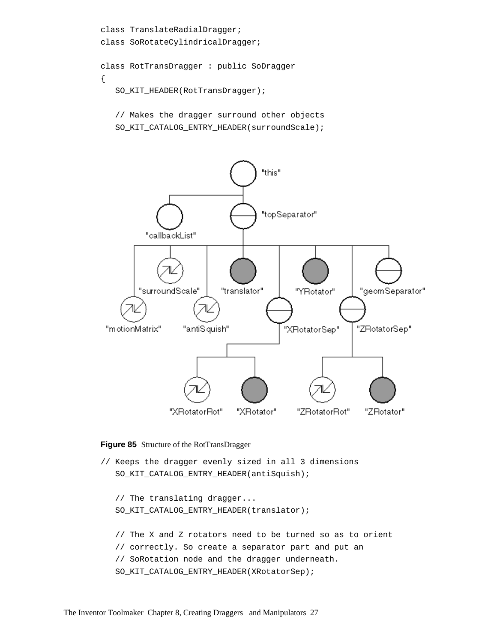





#### **Figure 8ÿ5** Structure of the RotTransDragger

```
// Keeps the dragger evenly sized in all 3 dimensions
   SO_KIT_CATALOG_ENTRY_HEADER(antiSquish);
   // The translating dragger...
   SO_KIT_CATALOG_ENTRY_HEADER(translator);
   // The X and Z rotators need to be turned so as to orient 
   // correctly. So create a separator part and put an 
   // SoRotation node and the dragger underneath.
   SO_KIT_CATALOG_ENTRY_HEADER(XRotatorSep);
```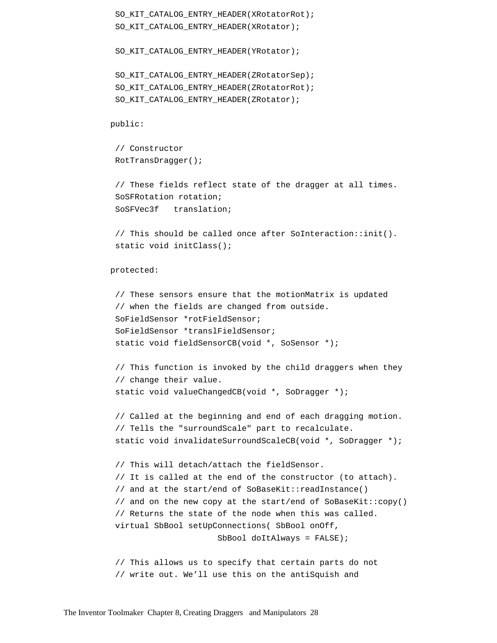```
SO KIT CATALOG ENTRY HEADER(XRotatorRot);
  SO_KIT_CATALOG_ENTRY_HEADER(XRotator);
 SO KIT CATALOG ENTRY HEADER(YRotator);
  SO_KIT_CATALOG_ENTRY_HEADER(ZRotatorSep);
 SO KIT CATALOG ENTRY HEADER(ZRotatorRot);
 SO KIT CATALOG ENTRY HEADER(ZRotator);
 public:
  // Constructor
  RotTransDragger();
  // These fields reflect state of the dragger at all times.
  SoSFRotation rotation;
 SoSFVec3f translation;
  // This should be called once after SoInteraction::init().
  static void initClass();
 protected:
  // These sensors ensure that the motionMatrix is updated 
  // when the fields are changed from outside.
  SoFieldSensor *rotFieldSensor;
  SoFieldSensor *translFieldSensor;
 static void fieldSensorCB(void *, SoSensor *);
  // This function is invoked by the child draggers when they 
  // change their value.
  static void valueChangedCB(void *, SoDragger *);
  // Called at the beginning and end of each dragging motion.
  // Tells the "surroundScale" part to recalculate.
  static void invalidateSurroundScaleCB(void *, SoDragger *);
  // This will detach/attach the fieldSensor.
  // It is called at the end of the constructor (to attach).
  // and at the start/end of SoBaseKit::readInstance()
  // and on the new copy at the start/end of SoBaseKit::copy()
  // Returns the state of the node when this was called.
  virtual SbBool setUpConnections( SbBool onOff, 
                      SbBool doItAlways = FALSE);
  // This allows us to specify that certain parts do not
  // write out. We'll use this on the antiSquish and
```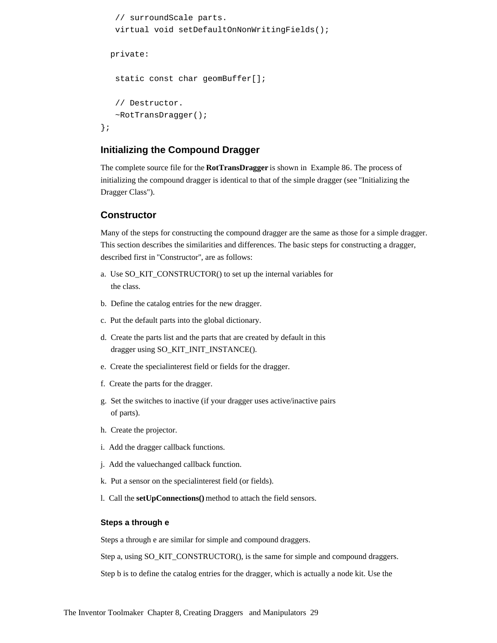```
 // surroundScale parts.
    virtual void setDefaultOnNonWritingFields();
  private:
   static const char geomBuffer[];
    // Destructor.
    ~RotTransDragger();
};
```
# **Initializing the Compound Dragger**

The complete source file for the **RotTransDragger** is shown in Example 8ÿ6. The process of initializing the compound dragger is identical to that of the simple dragger (see "Initializing the Dragger Class").

## **Constructor**

Many of the steps for constructing the compound dragger are the same as those for a simple dragger. This section describes the similarities and differences. The basic steps for constructing a dragger, described first in "Constructor", are as follows:

- a. Use SO\_KIT\_CONSTRUCTOR() to set up the internal variables for the class.
- b. Define the catalog entries for the new dragger.
- c. Put the default parts into the global dictionary.
- d. Create the parts list and the parts that are created by default in this dragger using SO\_KIT\_INIT\_INSTANCE().
- e. Create the specialÿinterest field or fields for the dragger.
- f. Create the parts for the dragger.
- g. Set the switches to inactive (if your dragger uses active/inactive pairs of parts).
- h. Create the projector.
- i. Add the dragger callback functions.
- j. Add the valueÿchanged callback function.
- k. Put a sensor on the special yinterest field (or fields).
- l. Call the **setUpConnections()** method to attach the field sensors.

#### **Steps a through e**

Steps a through e are similar for simple and compound draggers.

Step a, using SO\_KIT\_CONSTRUCTOR(), is the same for simple and compound draggers.

Step b is to define the catalog entries for the dragger, which is actually a node kit. Use the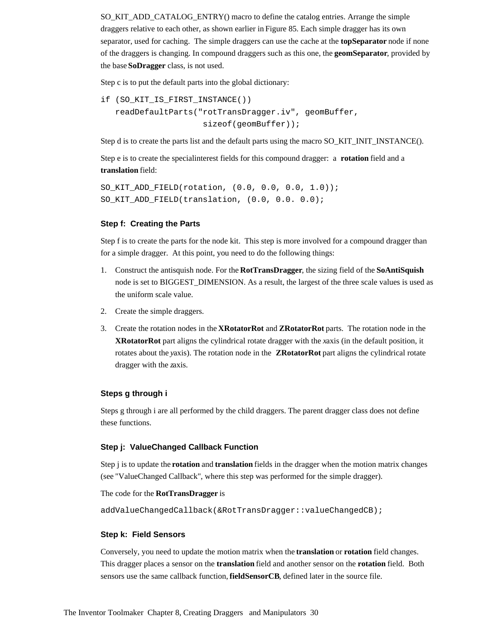SO\_KIT\_ADD\_CATALOG\_ENTRY() macro to define the catalog entries. Arrange the simple draggers relative to each other, as shown earlier in Figure 8ÿ5. Each simple dragger has its own separator, used for caching. The simple draggers can use the cache at the **topSeparator** node if none of the draggers is changing. In compound draggers such as this one, the **geomSeparator**, provided by the base **SoDragger** class, is not used.

Step c is to put the default parts into the global dictionary:

```
if (SO_KIT_IS_FIRST_INSTANCE())
   readDefaultParts("rotTransDragger.iv", geomBuffer, 
                      sizeof(geomBuffer));
```
Step d is to create the parts list and the default parts using the macro SO\_KIT\_INIT\_INSTANCE().

Step e is to create the specialÿinterest fields for this compound dragger: a **rotation** field and a **translation** field:

```
SO_KIT_ADD_FIELD(rotation, (0.0, 0.0, 0.0, 1.0));
SO KIT ADD FIELD(translation, (0.0, 0.0, 0.0);
```
#### **Step f: Creating the Parts**

Step f is to create the parts for the node kit. This step is more involved for a compound dragger than for a simple dragger. At this point, you need to do the following things:

- 1. Construct the antisquish node. For the **RotTransDragger**, the sizing field of the **SoAntiSquish** node is set to BIGGEST\_DIMENSION. As a result, the largest of the three scale values is used as the uniform scale value.
- 2. Create the simple draggers.
- 3. Create the rotation nodes in the **XRotatorRot** and **ZRotatorRot** parts. The rotation node in the **XRotatorRot** part aligns the cylindrical rotate dragger with the *x* $\ddot{\textbf{y}}$ *x* (in the default position, it rotates about the *y*ÿaxis). The rotation node in the **ZRotatorRot** part aligns the cylindrical rotate dragger with the *z*ÿaxis.

#### **Steps g through i**

Steps g through i are all performed by the child draggers. The parent dragger class does not define these functions.

#### **Step j: ValueÿChanged Callback Function**

Step j is to update the **rotation** and **translation** fields in the dragger when the motion matrix changes (see "ValueÿChanged Callback", where this step was performed for the simple dragger).

#### The code for the **RotTransDragger** is

addValueChangedCallback(&RotTransDragger::valueChangedCB);

#### **Step k: Field Sensors**

Conversely, you need to update the motion matrix when the **translation** or **rotation** field changes. This dragger places a sensor on the **translation** field and another sensor on the **rotation** field. Both sensors use the same callback function, **fieldSensorCB**, defined later in the source file.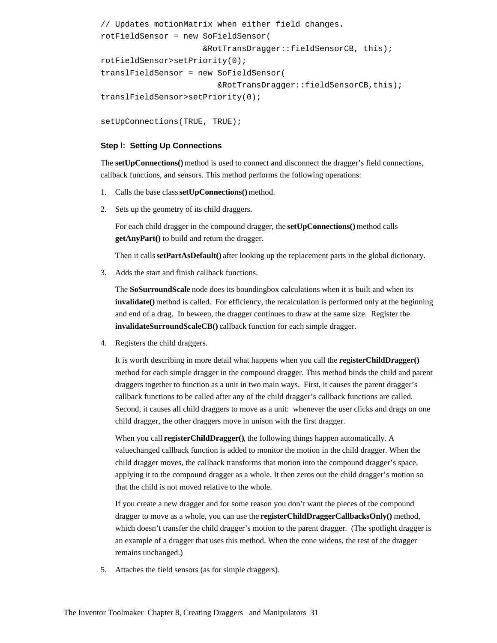```
// Updates motionMatrix when either field changes.
rotFieldSensor = new SoFieldSensor(
                      &RotTransDragger::fieldSensorCB, this);
rotFieldSensorÿ>setPriority(0);
translFieldSensor = new SoFieldSensor(
                         &RotTransDragger::fieldSensorCB,this);
translFieldSensorÿ>setPriority(0);
```
setUpConnections(TRUE, TRUE);

## **Step l: Setting Up Connections**

The **setUpConnections()** method is used to connect and disconnect the dragger's field connections, callback functions, and sensors. This method performs the following operations:

- 1. Calls the base class **setUpConnections()** method.
- 2. Sets up the geometry of its child draggers.

For each child dragger in the compound dragger, the **setUpConnections()** method calls **getAnyPart()** to build and return the dragger.

Then it calls **setPartAsDefault**() after looking up the replacement parts in the global dictionary.

3. Adds the start and finish callback functions.

The **SoSurroundScale** node does its boundingÿbox calculations when it is built and when its **invalidate**() method is called. For efficiency, the recalculation is performed only at the beginning and end of a drag. In beween, the dragger continues to draw at the same size. Register the **invalidateSurroundScaleCB()** callback function for each simple dragger.

4. Registers the child draggers.

It is worth describing in more detail what happens when you call the **registerChildDragger()** method for each simple dragger in the compound dragger. This method binds the child and parent draggers together to function as a unit in two main ways. First, it causes the parent dragger's callback functions to be called after any of the child dragger's callback functions are called. Second, it causes all child draggers to move as a unit: whenever the user clicks and drags on one child dragger, the other draggers move in unison with the first dragger.

When you call **registerChildDragger()**, the following things happen automatically. A valueÿchanged callback function is added to monitor the motion in the child dragger. When the child dragger moves, the callback transforms that motion into the compound dragger's space, applying it to the compound dragger as a whole. It then zeros out the child dragger's motion so that the child is not moved relative to the whole.

If you create a new dragger and for some reason you don't want the pieces of the compound dragger to move as a whole, you can use the **registerChildDraggerCallbacksOnly()** method, which doesn't transfer the child dragger's motion to the parent dragger. (The spotlight dragger is an example of a dragger that uses this method. When the cone widens, the rest of the dragger remains unchanged.)

5. Attaches the field sensors (as for simple draggers).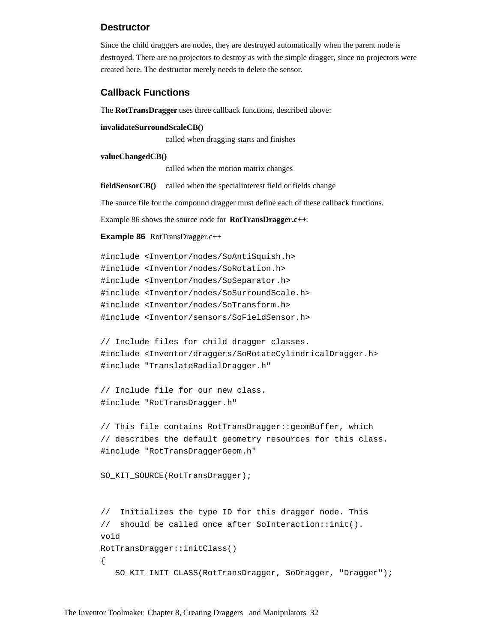## **Destructor**

Since the child draggers are nodes, they are destroyed automatically when the parent node is destroyed. There are no projectors to destroy as with the simple dragger, since no projectors were created here. The destructor merely needs to delete the sensor.

## **Callback Functions**

The **RotTransDragger** uses three callback functions, described above:

#### **invalidateSurroundScaleCB()**

called when dragging starts and finishes

#### **valueChangedCB()**

called when the motion matrix changes

**fieldSensorCB()** called when the special interest field or fields change

The source file for the compound dragger must define each of these callback functions.

Example 8ÿ6 shows the source code for **RotTransDragger.c++**:

#### **Example 8ÿ6** RotTransDragger.c++

```
#include <Inventor/nodes/SoAntiSquish.h>
#include <Inventor/nodes/SoRotation.h>
#include <Inventor/nodes/SoSeparator.h>
#include <Inventor/nodes/SoSurroundScale.h>
#include <Inventor/nodes/SoTransform.h>
#include <Inventor/sensors/SoFieldSensor.h>
```

```
// Include files for child dragger classes.
#include <Inventor/draggers/SoRotateCylindricalDragger.h>
#include "TranslateRadialDragger.h"
```

```
// Include file for our new class.
#include "RotTransDragger.h"
```

```
// This file contains RotTransDragger::geomBuffer, which 
// describes the default geometry resources for this class.
#include "RotTransDraggerGeom.h"
```

```
SO_KIT_SOURCE(RotTransDragger);
```

```
// Initializes the type ID for this dragger node. This
// should be called once after SoInteraction::init().
void
RotTransDragger::initClass()
{
    SO_KIT_INIT_CLASS(RotTransDragger, SoDragger, "Dragger");
```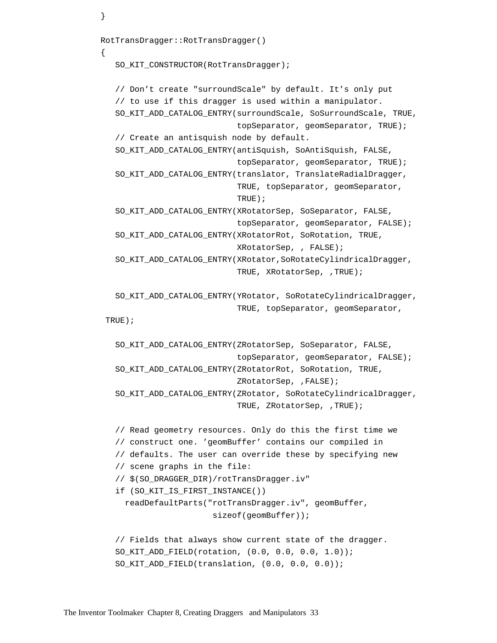```
}
RotTransDragger::RotTransDragger()
\{ SO_KIT_CONSTRUCTOR(RotTransDragger);
    // Don't create "surroundScale" by default. It's only put 
    // to use if this dragger is used within a manipulator.
    SO_KIT_ADD_CATALOG_ENTRY(surroundScale, SoSurroundScale, TRUE,
                              topSeparator, geomSeparator, TRUE);
    // Create an antiÿsquish node by default.
    SO_KIT_ADD_CATALOG_ENTRY(antiSquish, SoAntiSquish, FALSE,
                              topSeparator, geomSeparator, TRUE);
    SO_KIT_ADD_CATALOG_ENTRY(translator, TranslateRadialDragger,
                              TRUE, topSeparator, geomSeparator,
                              TRUE);
    SO_KIT_ADD_CATALOG_ENTRY(XRotatorSep, SoSeparator, FALSE,
                              topSeparator, geomSeparator, FALSE);
    SO_KIT_ADD_CATALOG_ENTRY(XRotatorRot, SoRotation, TRUE,
                              XRotatorSep, , FALSE);
    SO_KIT_ADD_CATALOG_ENTRY(XRotator,SoRotateCylindricalDragger,
                              TRUE, XRotatorSep, ,TRUE);
    SO_KIT_ADD_CATALOG_ENTRY(YRotator, SoRotateCylindricalDragger,
                              TRUE, topSeparator, geomSeparator,
  TRUE);
    SO_KIT_ADD_CATALOG_ENTRY(ZRotatorSep, SoSeparator, FALSE,
                              topSeparator, geomSeparator, FALSE);
    SO_KIT_ADD_CATALOG_ENTRY(ZRotatorRot, SoRotation, TRUE,
                              ZRotatorSep, ,FALSE);
    SO_KIT_ADD_CATALOG_ENTRY(ZRotator, SoRotateCylindricalDragger,
                              TRUE, ZRotatorSep, ,TRUE);
    // Read geometry resources. Only do this the first time we
    // construct one. 'geomBuffer' contains our compiled in
    // defaults. The user can override these by specifying new
    // scene graphs in the file:
    // $(SO_DRAGGER_DIR)/rotTransDragger.iv"
    if (SO_KIT_IS_FIRST_INSTANCE())
      readDefaultParts("rotTransDragger.iv", geomBuffer,
                         sizeof(geomBuffer));
    // Fields that always show current state of the dragger.
    SO_KIT_ADD_FIELD(rotation, (0.0, 0.0, 0.0, 1.0));
    SO_KIT_ADD_FIELD(translation, (0.0, 0.0, 0.0));
```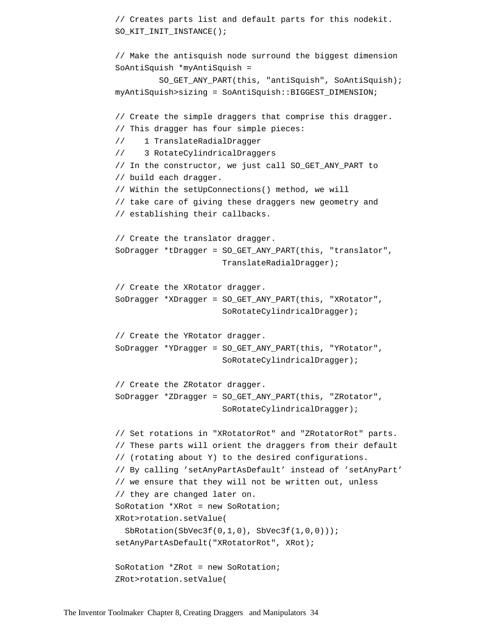```
 // Creates parts list and default parts for this nodekit.
 SO_KIT_INIT_INSTANCE();
 // Make the antiÿsquish node surround the biggest dimension
 SoAntiSquish *myAntiSquish =
          SO_GET_ANY_PART(this, "antiSquish", SoAntiSquish);
 myAntiSquishÿ>sizing = SoAntiSquish::BIGGEST_DIMENSION;
 // Create the simple draggers that comprise this dragger.
 // This dragger has four simple pieces: 
 // 1 TranslateRadialDragger
 // 3 RotateCylindricalDraggers
 // In the constructor, we just call SO_GET_ANY_PART to
 // build each dragger.
 // Within the setUpConnections() method, we will
 // take care of giving these draggers new geometry and 
 // establishing their callbacks.
 // Create the translator dragger. 
 SoDragger *tDragger = SO_GET_ANY_PART(this, "translator", 
                        TranslateRadialDragger);
 // Create the XRotator dragger. 
 SoDragger *XDragger = SO_GET_ANY_PART(this, "XRotator", 
                        SoRotateCylindricalDragger);
 // Create the YRotator dragger. 
 SoDragger *YDragger = SO_GET_ANY_PART(this, "YRotator", 
                        SoRotateCylindricalDragger);
 // Create the ZRotator dragger. 
 SoDragger *ZDragger = SO_GET_ANY_PART(this, "ZRotator", 
                        SoRotateCylindricalDragger);
 // Set rotations in "XRotatorRot" and "ZRotatorRot" parts.
 // These parts will orient the draggers from their default 
 // (rotating about Y) to the desired configurations.
 // By calling 'setAnyPartAsDefault' instead of 'setAnyPart'
 // we ensure that they will not be written out, unless
 // they are changed later on.
 SoRotation *XRot = new SoRotation;
 XRotÿ>rotation.setValue(
  SbRotation(SbVec3f(0,1,0), SbVec3f(1,0,0)));
 setAnyPartAsDefault("XRotatorRot", XRot);
 SoRotation *ZRot = new SoRotation;
 ZRotÿ>rotation.setValue(
```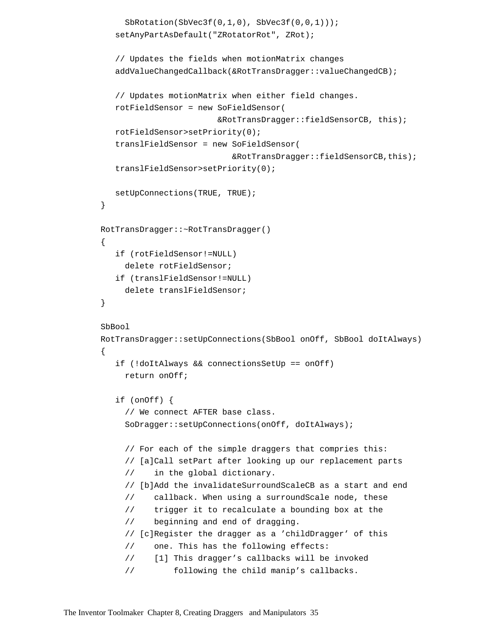```
SbRotation(SbVec3f(0,1,0), SbVec3f(0,0,1)));
    setAnyPartAsDefault("ZRotatorRot", ZRot);
    // Updates the fields when motionMatrix changes 
   addValueChangedCallback(&RotTransDragger::valueChangedCB);
    // Updates motionMatrix when either field changes.
    rotFieldSensor = new SoFieldSensor(
                         &RotTransDragger::fieldSensorCB, this);
    rotFieldSensorÿ>setPriority(0);
    translFieldSensor = new SoFieldSensor(
                             &RotTransDragger::fieldSensorCB,this);
    translFieldSensorÿ>setPriority(0);
   setUpConnections(TRUE, TRUE);
}
RotTransDragger::~RotTransDragger()
{
    if (rotFieldSensor!=NULL)
      delete rotFieldSensor;
    if (translFieldSensor!=NULL)
      delete translFieldSensor;
}
SbBool
RotTransDragger::setUpConnections(SbBool onOff, SbBool doItAlways)
{
    if (!doItAlways && connectionsSetUp == onOff)
      return onOff;
    if (onOff) {
      // We connect AFTER base class.
      SoDragger::setUpConnections(onOff, doItAlways);
      // For each of the simple draggers that compries this:
      // [a]Call setPart after looking up our replacement parts 
      // in the global dictionary.
      // [b]Add the invalidateSurroundScaleCB as a start and end
      // callback. When using a surroundScale node, these 
      // trigger it to recalculate a bounding box at the 
      // beginning and end of dragging.
      // [c]Register the dragger as a 'childDragger' of this 
      // one. This has the following effects: 
      // [1] This dragger's callbacks will be invoked 
      // following the child manip's callbacks.
```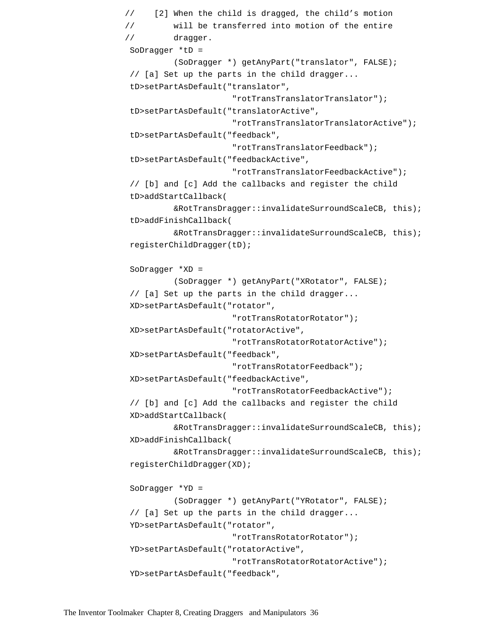```
 // [2] When the child is dragged, the child's motion 
 // will be transferred into motion of the entire 
 // dragger.
 SoDragger *tD =
           (SoDragger *) getAnyPart("translator", FALSE);
 // [a] Set up the parts in the child dragger...
 tDÿ>setPartAsDefault("translator",
                       "rotTransTranslatorTranslator");
 tDÿ>setPartAsDefault("translatorActive",
                       "rotTransTranslatorTranslatorActive");
 tDÿ>setPartAsDefault("feedback",
                       "rotTransTranslatorFeedback");
 tDÿ>setPartAsDefault("feedbackActive",
                       "rotTransTranslatorFeedbackActive");
 // [b] and [c] Add the callbacks and register the child
 tDÿ>addStartCallback(
           &RotTransDragger::invalidateSurroundScaleCB, this);
 tDÿ>addFinishCallback(
           &RotTransDragger::invalidateSurroundScaleCB, this);
 registerChildDragger(tD);
 SoDragger *XD =
           (SoDragger *) getAnyPart("XRotator", FALSE);
 // [a] Set up the parts in the child dragger...
 XDÿ>setPartAsDefault("rotator",
                       "rotTransRotatorRotator");
 XDÿ>setPartAsDefault("rotatorActive",
                       "rotTransRotatorRotatorActive");
 XDÿ>setPartAsDefault("feedback",
                       "rotTransRotatorFeedback");
 XDÿ>setPartAsDefault("feedbackActive",
                       "rotTransRotatorFeedbackActive");
 // [b] and [c] Add the callbacks and register the child
 XDÿ>addStartCallback(
           &RotTransDragger::invalidateSurroundScaleCB, this);
 XDÿ>addFinishCallback(
           &RotTransDragger::invalidateSurroundScaleCB, this);
 registerChildDragger(XD);
 SoDragger *YD =
           (SoDragger *) getAnyPart("YRotator", FALSE);
 // [a] Set up the parts in the child dragger...
 YDÿ>setPartAsDefault("rotator",
                       "rotTransRotatorRotator");
 YDÿ>setPartAsDefault("rotatorActive",
                       "rotTransRotatorRotatorActive");
 YDÿ>setPartAsDefault("feedback",
```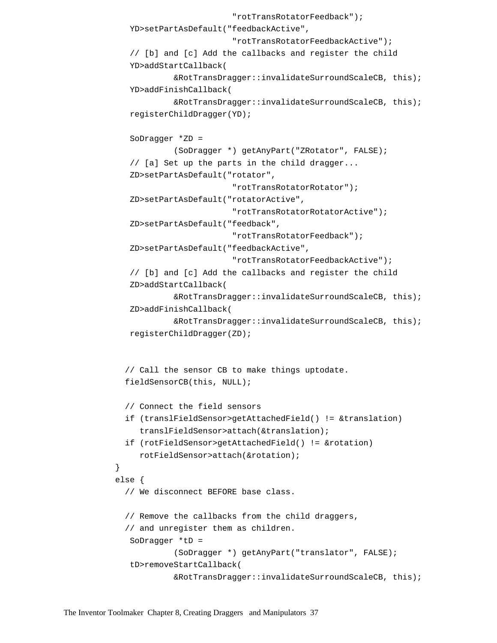```
 "rotTransRotatorFeedback");
    YDÿ>setPartAsDefault("feedbackActive",
                          "rotTransRotatorFeedbackActive");
    // [b] and [c] Add the callbacks and register the child
    YDÿ>addStartCallback(
             &RotTransDragger::invalidateSurroundScaleCB, this);
    YDÿ>addFinishCallback(
             &RotTransDragger::invalidateSurroundScaleCB, this);
    registerChildDragger(YD);
    SoDragger *ZD =
             (SoDragger *) getAnyPart("ZRotator", FALSE);
    // [a] Set up the parts in the child dragger...
    ZDÿ>setPartAsDefault("rotator",
                          "rotTransRotatorRotator");
    ZDÿ>setPartAsDefault("rotatorActive",
                          "rotTransRotatorRotatorActive");
    ZDÿ>setPartAsDefault("feedback",
                          "rotTransRotatorFeedback");
    ZDÿ>setPartAsDefault("feedbackActive",
                          "rotTransRotatorFeedbackActive");
    // [b] and [c] Add the callbacks and register the child
    ZDÿ>addStartCallback(
             &RotTransDragger::invalidateSurroundScaleCB, this);
    ZDÿ>addFinishCallback(
             &RotTransDragger::invalidateSurroundScaleCB, this);
    registerChildDragger(ZD);
   // Call the sensor CB to make things upÿtoÿdate.
   fieldSensorCB(this, NULL);
   // Connect the field sensors
   if (translFieldSensorÿ>getAttachedField() != &translation)
      translFieldSensorÿ>attach(&translation);
   if (rotFieldSensorÿ>getAttachedField() != &rotation)
      rotFieldSensorÿ>attach(&rotation);
 else {
   // We disconnect BEFORE base class.
   // Remove the callbacks from the child draggers,
   // and unregister them as children.
    SoDragger *tD =
             (SoDragger *) getAnyPart("translator", FALSE);
    tDÿ>removeStartCallback(
             &RotTransDragger::invalidateSurroundScaleCB, this);
```
}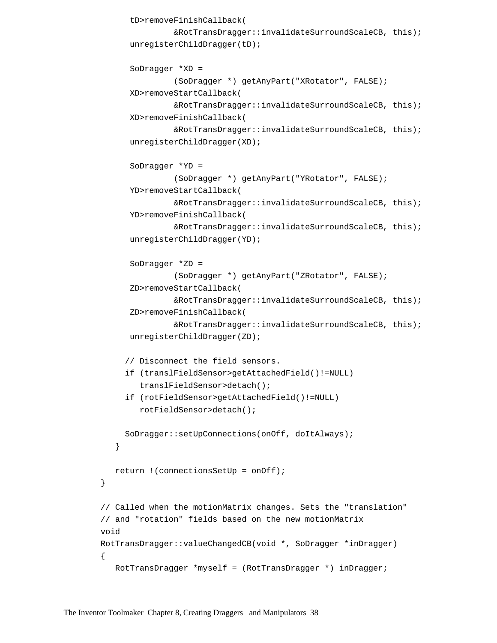```
 tDÿ>removeFinishCallback(
                &RotTransDragger::invalidateSurroundScaleCB, this);
       unregisterChildDragger(tD);
       SoDragger *XD =
                (SoDragger *) getAnyPart("XRotator", FALSE);
       XDÿ>removeStartCallback(
                &RotTransDragger::invalidateSurroundScaleCB, this);
       XDÿ>removeFinishCallback(
                &RotTransDragger::invalidateSurroundScaleCB, this);
       unregisterChildDragger(XD);
       SoDragger *YD =
                (SoDragger *) getAnyPart("YRotator", FALSE);
       YDÿ>removeStartCallback(
                &RotTransDragger::invalidateSurroundScaleCB, this);
       YDÿ>removeFinishCallback(
                &RotTransDragger::invalidateSurroundScaleCB, this);
       unregisterChildDragger(YD);
       SoDragger *ZD =
                (SoDragger *) getAnyPart("ZRotator", FALSE);
       ZDÿ>removeStartCallback(
                &RotTransDragger::invalidateSurroundScaleCB, this);
       ZDÿ>removeFinishCallback(
                &RotTransDragger::invalidateSurroundScaleCB, this);
      unregisterChildDragger(ZD);
      // Disconnect the field sensors.
      if (translFieldSensorÿ>getAttachedField()!=NULL)
         translFieldSensorÿ>detach();
      if (rotFieldSensorÿ>getAttachedField()!=NULL)
         rotFieldSensorÿ>detach();
      SoDragger::setUpConnections(onOff, doItAlways);
    }
    return !(connectionsSetUp = onOff);
// Called when the motionMatrix changes. Sets the "translation"
// and "rotation" fields based on the new motionMatrix
void
RotTransDragger::valueChangedCB(void *, SoDragger *inDragger)
    RotTransDragger *myself = (RotTransDragger *) inDragger;
```
}

{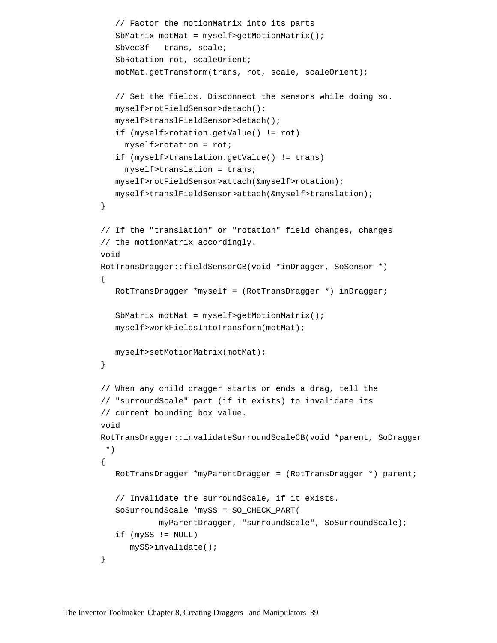```
 // Factor the motionMatrix into its parts
    SbMatrix motMat = myselfÿ>getMotionMatrix();
    SbVec3f trans, scale;
    SbRotation rot, scaleOrient;
   motMat.getTransform(trans, rot, scale, scaleOrient);
    // Set the fields. Disconnect the sensors while doing so.
    myselfÿ>rotFieldSensorÿ>detach();
    myselfÿ>translFieldSensorÿ>detach();
    if (myselfÿ>rotation.getValue() != rot)
      myselfÿ>rotation = rot;
    if (myselfÿ>translation.getValue() != trans)
      myselfÿ>translation = trans;
    myselfÿ>rotFieldSensorÿ>attach(&myselfÿ>rotation);
    myselfÿ>translFieldSensorÿ>attach(&myselfÿ>translation);
}
// If the "translation" or "rotation" field changes, changes
// the motionMatrix accordingly.
void
RotTransDragger::fieldSensorCB(void *inDragger, SoSensor *)
{
    RotTransDragger *myself = (RotTransDragger *) inDragger;
    SbMatrix motMat = myselfÿ>getMotionMatrix();
    myselfÿ>workFieldsIntoTransform(motMat);
    myselfÿ>setMotionMatrix(motMat);
}
// When any child dragger starts or ends a drag, tell the
// "surroundScale" part (if it exists) to invalidate its 
// current bounding box value.
void 
RotTransDragger::invalidateSurroundScaleCB(void *parent, SoDragger
  *)
{
    RotTransDragger *myParentDragger = (RotTransDragger *) parent;
    // Invalidate the surroundScale, if it exists.
    SoSurroundScale *mySS = SO_CHECK_PART(
             myParentDragger, "surroundScale", SoSurroundScale);
    if (mySS != NULL)
       mySSÿ>invalidate();
}
```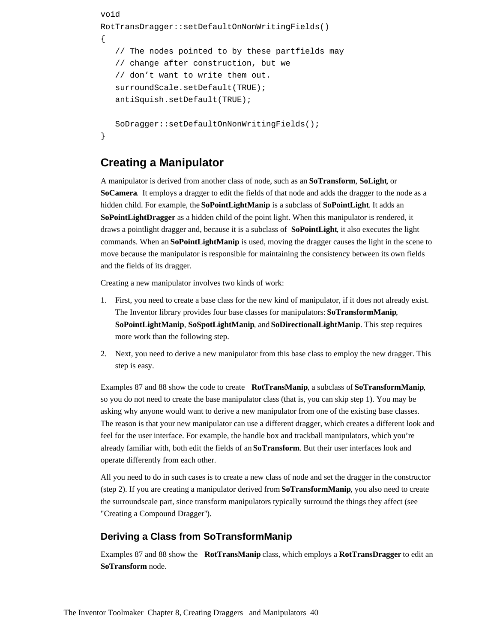```
void
RotTransDragger::setDefaultOnNonWritingFields()
{
    // The nodes pointed to by these partÿfields may 
    // change after construction, but we
    // don't want to write them out.
    surroundScale.setDefault(TRUE);
    antiSquish.setDefault(TRUE);
    SoDragger::setDefaultOnNonWritingFields();
}
```
# **Creating a Manipulator**

A manipulator is derived from another class of node, such as an **SoTransform**, **SoLight**, or **SoCamera**. It employs a dragger to edit the fields of that node and adds the dragger to the node as a hidden child. For example, the **SoPointLightManip** is a subclass of **SoPointLight**. It adds an **SoPointLightDragger** as a hidden child of the point light. When this manipulator is rendered, it draws a pointÿlight dragger and, because it is a subclass of **SoPointLight**, it also executes the light commands. When an **SoPointLightManip** is used, moving the dragger causes the light in the scene to move because the manipulator is responsible for maintaining the consistency between its own fields and the fields of its dragger.

Creating a new manipulator involves two kinds of work:

- 1. First, you need to create a base class for the new kind of manipulator, if it does not already exist. The Inventor library provides four base classes for manipulators: **SoTransformManip**, **SoPointLightManip**, **SoSpotLightManip**, and **SoDirectionalLightManip**. This step requires more work than the following step.
- 2. Next, you need to derive a new manipulator from this base class to employ the new dragger. This step is easy.

Examples 8ÿ7 and 8ÿ8 show the code to create **RotTransManip**, a subclass of **SoTransformManip**, so you do not need to create the base manipulator class (that is, you can skip step 1). You may be asking why anyone would want to derive a new manipulator from one of the existing base classes. The reason is that your new manipulator can use a different dragger, which creates a different look and feel for the user interface. For example, the handle box and trackball manipulators, which you're already familiar with, both edit the fields of an **SoTransform**. But their user interfaces look and operate differently from each other.

All you need to do in such cases is to create a new class of node and set the dragger in the constructor (step 2). If you are creating a manipulator derived from **SoTransformManip**, you also need to create the surround scale part, since transform manipulators typically surround the things they affect (see "Creating a Compound Dragger").

# **Deriving a Class from SoTransformManip**

Examples 8ÿ7 and 8ÿ8 show the **RotTransManip** class, which employs a **RotTransDragger** to edit an **SoTransform** node.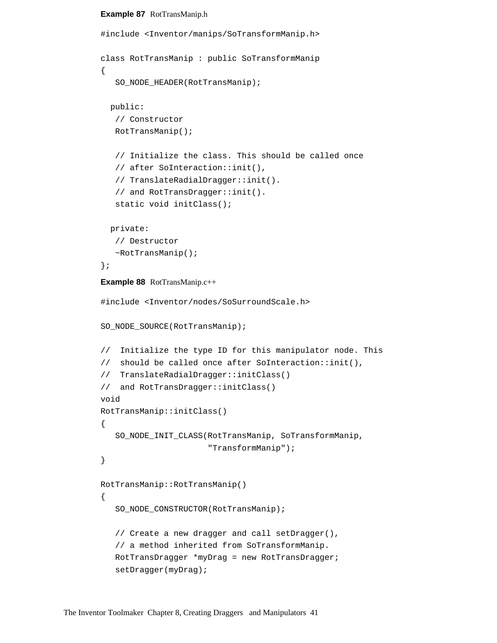#### **Example 8ÿ7** RotTransManip.h

```
#include <Inventor/manips/SoTransformManip.h>
class RotTransManip : public SoTransformManip
{
    SO_NODE_HEADER(RotTransManip);
   public:
    // Constructor
    RotTransManip();
    // Initialize the class. This should be called once
    // after SoInteraction::init(),
    // TranslateRadialDragger::init().
    // and RotTransDragger::init().
    static void initClass();
   private:
    // Destructor
    ~RotTransManip();
}; 
Example 8ÿ8 RotTransManip.c++
#include <Inventor/nodes/SoSurroundScale.h>
SO_NODE_SOURCE(RotTransManip);
// Initialize the type ID for this manipulator node. This
// should be called once after SoInteraction::init(),
// TranslateRadialDragger::initClass()
// and RotTransDragger::initClass()
void
RotTransManip::initClass()
{
    SO_NODE_INIT_CLASS(RotTransManip, SoTransformManip,
                        "TransformManip");
}
```

```
RotTransManip::RotTransManip()
{
    SO_NODE_CONSTRUCTOR(RotTransManip);
    // Create a new dragger and call setDragger(), 
    // a method inherited from SoTransformManip.
   RotTransDragger *myDrag = new RotTransDragger;
   setDraqqer(myDraq);
```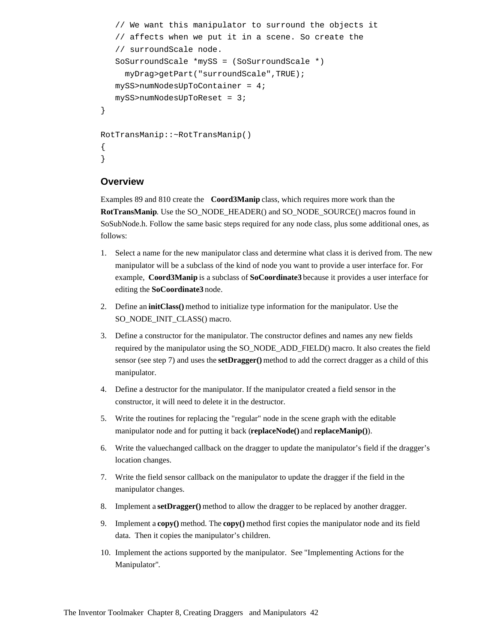```
 // We want this manipulator to surround the objects it
    // affects when we put it in a scene. So create the
    // surroundScale node.
    SoSurroundScale *mySS = (SoSurroundScale *) 
      myDragÿ>getPart("surroundScale",TRUE);
    mySSÿ>numNodesUpToContainer = 4;
    mySSÿ>numNodesUpToReset = 3;
}
RotTransManip::~RotTransManip()
{
}
```
## **Overview**

Examples 8ÿ9 and 8ÿ10 create the **Coord3Manip** class, which requires more work than the **RotTransManip**. Use the SO\_NODE\_HEADER() and SO\_NODE\_SOURCE() macros found in SoSubNode.h. Follow the same basic steps required for any node class, plus some additional ones, as follows:

- 1. Select a name for the new manipulator class and determine what class it is derived from. The new manipulator will be a subclass of the kind of node you want to provide a user interface for. For example, **Coord3Manip** is a subclass of **SoCoordinate3** because it provides a user interface for editing the **SoCoordinate3** node.
- 2. Define an **initClass()** method to initialize type information for the manipulator. Use the SO\_NODE\_INIT\_CLASS() macro.
- 3. Define a constructor for the manipulator. The constructor defines and names any new fields required by the manipulator using the SO\_NODE\_ADD\_FIELD() macro. It also creates the field sensor (see step 7) and uses the **setDragger()** method to add the correct dragger as a child of this manipulator.
- 4. Define a destructor for the manipulator. If the manipulator created a field sensor in the constructor, it will need to delete it in the destructor.
- 5. Write the routines for replacing the "regular" node in the scene graph with the editable manipulator node and for putting it back (**replaceNode()** and **replaceManip()**).
- 6. Write the value  $\ddot{\psi}$  hanged callback on the dragger to update the manipulator's field if the dragger's location changes.
- 7. Write the field sensor callback on the manipulator to update the dragger if the field in the manipulator changes.
- 8. Implement a **setDragger()** method to allow the dragger to be replaced by another dragger.
- 9. Implement a **copy()** method. The **copy()** method first copies the manipulator node and its field data. Then it copies the manipulator's children.
- 10. Implement the actions supported by the manipulator. See "Implementing Actions for the Manipulator".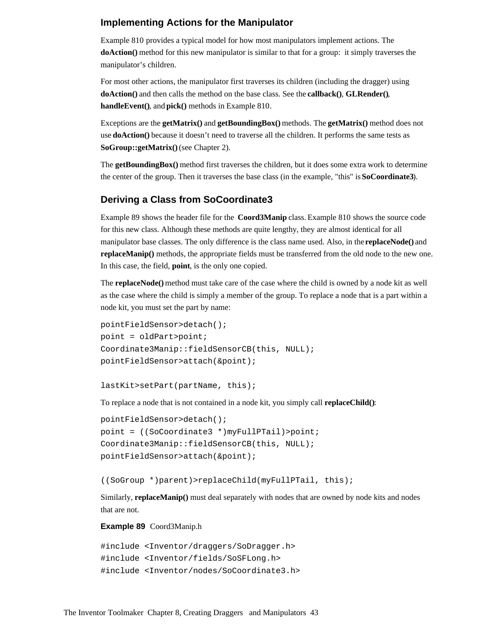## **Implementing Actions for the Manipulator**

Example 8ÿ10 provides a typical model for how most manipulators implement actions. The **doAction()** method for this new manipulator is similar to that for a group: it simply traverses the manipulator's children.

For most other actions, the manipulator first traverses its children (including the dragger) using **doAction()** and then calls the method on the base class. See the **callback()**, **GLRender()**, **handleEvent()**, and **pick()** methods in Example 8ÿ10.

Exceptions are the **getMatrix()** and **getBoundingBox()** methods. The **getMatrix()** method does not use **doAction()** because it doesn't need to traverse all the children. It performs the same tests as **SoGroup::getMatrix()** (see Chapter 2).

The **getBoundingBox()** method first traverses the children, but it does some extra work to determine the center of the group. Then it traverses the base class (in the example, "this" is **SoCoordinate3**).

## **Deriving a Class from SoCoordinate3**

Example 8ÿ9 shows the header file for the **Coord3Manip** class. Example 8ÿ10 shows the source code for this new class. Although these methods are quite lengthy, they are almost identical for all manipulator base classes. The only difference is the class name used. Also, in the **replaceNode()** and **replaceManip()** methods, the appropriate fields must be transferred from the old node to the new one. In this case, the field, **point**, is the only one copied.

The **replaceNode()** method must take care of the case where the child is owned by a node kit as well as the case where the child is simply a member of the group. To replace a node that is a part within a node kit, you must set the part by name:

```
pointFieldSensorÿ>detach();
point = oldPartÿ>point;
Coordinate3Manip::fieldSensorCB(this, NULL);
pointFieldSensorÿ>attach(&point);
```

```
lastKitÿ>setPart(partName, this);
```
To replace a node that is not contained in a node kit, you simply call **replaceChild()**:

```
pointFieldSensorÿ>detach();
point = ((SoCoordinate3 *)myFullPTail)ÿ>point;
Coordinate3Manip::fieldSensorCB(this, NULL);
pointFieldSensorÿ>attach(&point);
```
((SoGroup \*)parent)ÿ>replaceChild(myFullPTail, this);

Similarly, **replaceManip()** must deal separately with nodes that are owned by node kits and nodes that are not.

### **Example 8ÿ9** Coord3Manip.h

```
#include <Inventor/draggers/SoDragger.h>
#include <Inventor/fields/SoSFLong.h>
#include <Inventor/nodes/SoCoordinate3.h>
```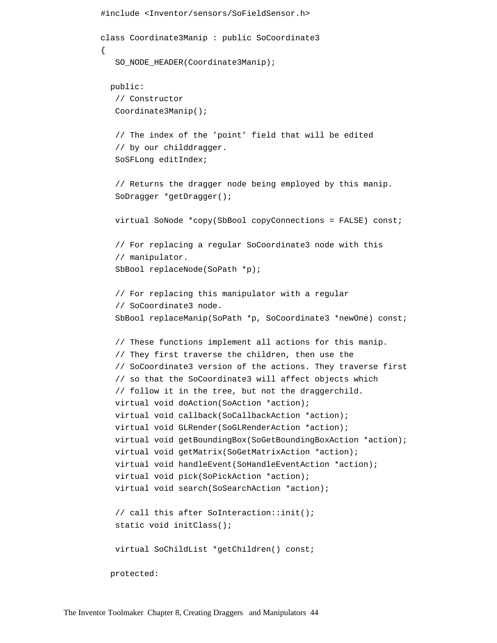```
#include <Inventor/sensors/SoFieldSensor.h>
class Coordinate3Manip : public SoCoordinate3
{
    SO_NODE_HEADER(Coordinate3Manip);
  public:
    // Constructor
    Coordinate3Manip();
    // The index of the 'point' field that will be edited 
    // by our childÿdragger.
    SoSFLong editIndex;
    // Returns the dragger node being employed by this manip.
    SoDragger *getDragger();
    virtual SoNode *copy(SbBool copyConnections = FALSE) const;
    // For replacing a regular SoCoordinate3 node with this
    // manipulator.
    SbBool replaceNode(SoPath *p);
    // For replacing this manipulator with a regular 
    // SoCoordinate3 node.
    SbBool replaceManip(SoPath *p, SoCoordinate3 *newOne) const;
    // These functions implement all actions for this manip.
    // They first traverse the children, then use the 
    // SoCoordinate3 version of the actions. They traverse first 
    // so that the SoCoordinate3 will affect objects which 
    // follow it in the tree, but not the draggerÿchild.
    virtual void doAction(SoAction *action);
    virtual void callback(SoCallbackAction *action);
    virtual void GLRender(SoGLRenderAction *action);
    virtual void getBoundingBox(SoGetBoundingBoxAction *action);
    virtual void getMatrix(SoGetMatrixAction *action);
    virtual void handleEvent(SoHandleEventAction *action);
    virtual void pick(SoPickAction *action);
    virtual void search(SoSearchAction *action);
    // call this after SoInteraction::init();
    static void initClass();
    virtual SoChildList *getChildren() const;
   protected:
```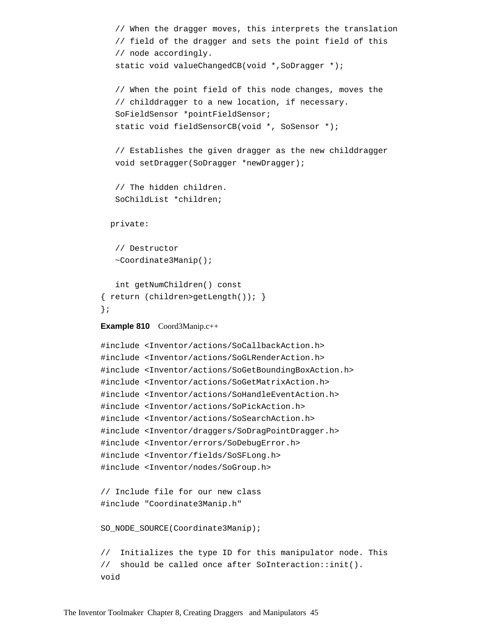```
 // When the dragger moves, this interprets the translation 
    // field of the dragger and sets the point field of this 
    // node accordingly.
    static void valueChangedCB(void *,SoDragger *);
    // When the point field of this node changes, moves the
    // childÿdragger to a new location, if necessary.
    SoFieldSensor *pointFieldSensor;
   static void fieldSensorCB(void *, SoSensor *);
    // Establishes the given dragger as the new childÿdragger
   void setDragger(SoDragger *newDragger);
    // The hidden children.
    SoChildList *children;
  private:
    // Destructor
    ~Coordinate3Manip();
    int getNumChildren() const 
{ return (childrenÿ>getLength()); }
}; 
Example 8ÿ10 Coord3Manip.c++
#include <Inventor/actions/SoCallbackAction.h>
#include <Inventor/actions/SoGLRenderAction.h>
#include <Inventor/actions/SoGetBoundingBoxAction.h>
#include <Inventor/actions/SoGetMatrixAction.h>
#include <Inventor/actions/SoHandleEventAction.h>
#include <Inventor/actions/SoPickAction.h>
#include <Inventor/actions/SoSearchAction.h>
#include <Inventor/draggers/SoDragPointDragger.h>
#include <Inventor/errors/SoDebugError.h>
#include <Inventor/fields/SoSFLong.h>
#include <Inventor/nodes/SoGroup.h>
// Include file for our new class
#include "Coordinate3Manip.h"
SO_NODE_SOURCE(Coordinate3Manip);
// Initializes the type ID for this manipulator node. This
```

```
// should be called once after SoInteraction::init().
void
```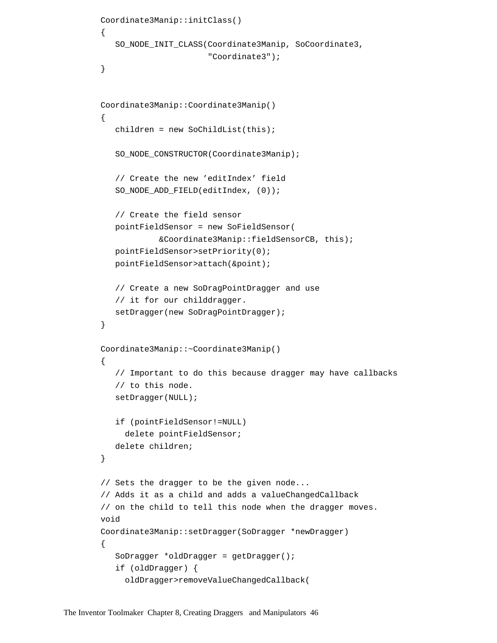```
Coordinate3Manip::initClass()
{
    SO_NODE_INIT_CLASS(Coordinate3Manip, SoCoordinate3,
                        "Coordinate3");
}
Coordinate3Manip::Coordinate3Manip()
{
    children = new SoChildList(this);
   SO_NODE_CONSTRUCTOR(Coordinate3Manip);
    // Create the new 'editIndex' field
    SO_NODE_ADD_FIELD(editIndex, (0));
    // Create the field sensor
    pointFieldSensor = new SoFieldSensor(
             &Coordinate3Manip::fieldSensorCB, this);
    pointFieldSensorÿ>setPriority(0);
    pointFieldSensorÿ>attach(&point);
    // Create a new SoDragPointDragger and use
    // it for our childÿdragger.
   setDragger(new SoDragPointDragger);
}
Coordinate3Manip::~Coordinate3Manip()
{
    // Important to do this because dragger may have callbacks
    // to this node.
    setDragger(NULL);
    if (pointFieldSensor!=NULL)
      delete pointFieldSensor;
    delete children;
}
// Sets the dragger to be the given node...
// Adds it as a child and adds a valueChangedCallback 
// on the child to tell this node when the dragger moves.
void
Coordinate3Manip::setDragger(SoDragger *newDragger)
{
    SoDragger *oldDragger = getDragger();
    if (oldDragger) {
      oldDraggerÿ>removeValueChangedCallback(
```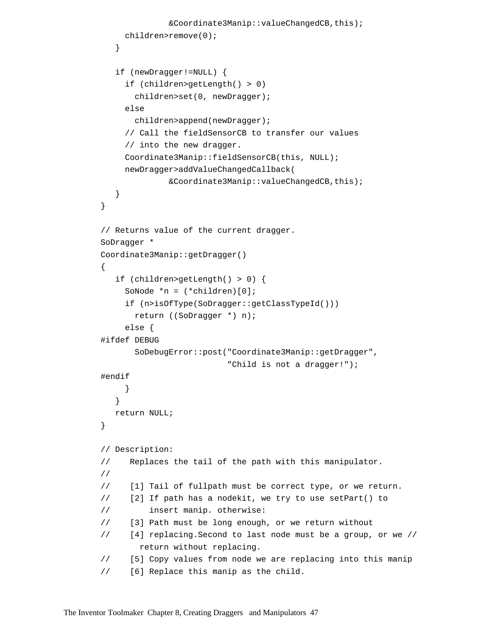```
 &Coordinate3Manip::valueChangedCB,this);
      childrenÿ>remove(0);
    }
    if (newDragger!=NULL) {
      if (childrenÿ>getLength() > 0)
       childrenÿ>set(0, newDragger);
      else
       childrenÿ>append(newDragger);
      // Call the fieldSensorCB to transfer our values 
      // into the new dragger.
      Coordinate3Manip::fieldSensorCB(this, NULL);
      newDraggerÿ>addValueChangedCallback(
               &Coordinate3Manip::valueChangedCB,this);
    }
}
// Returns value of the current dragger.
SoDragger *
Coordinate3Manip::getDragger()
\left\{ \right. if (childrenÿ>getLength() > 0) {
     SoNode *n = (*children)[0]; if (nÿ>isOfType(SoDragger::getClassTypeId()))
        return ((SoDragger *) n);
      else {
#ifdef DEBUG
        SoDebugError::post("Coordinate3Manip::getDragger",
                            "Child is not a dragger!");
#endif
      }
    }
    return NULL;
}
// Description:
// Replaces the tail of the path with this manipulator.
//
// [1] Tail of fullpath must be correct type, or we return.
// [2] If path has a nodekit, we try to use setPart() to 
// insert manip. otherwise:
// [3] Path must be long enough, or we return without 
// [4] replacing.Second to last node must be a group, or we //
         return without replacing.
// [5] Copy values from node we are replacing into this manip
// [6] Replace this manip as the child.
```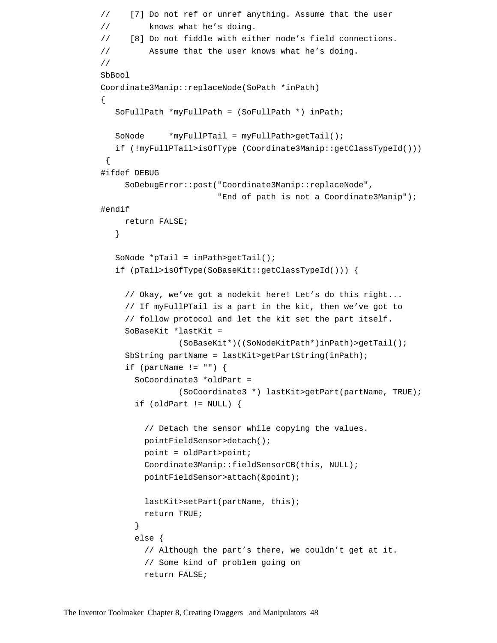```
// [7] Do not ref or unref anything. Assume that the user 
// knows what he's doing.
// [8] Do not fiddle with either node's field connections. 
// Assume that the user knows what he's doing.
//
SbBool
Coordinate3Manip::replaceNode(SoPath *inPath)
{
    SoFullPath *myFullPath = (SoFullPath *) inPath;
   SoNode *myFullPTail = myFullPathy>getTail();
   if (!myFullPTailÿ>isOfType (Coordinate3Manip::getClassTypeId()))
  {
#ifdef DEBUG
      SoDebugError::post("Coordinate3Manip::replaceNode", 
                         "End of path is not a Coordinate3Manip");
#endif
     return FALSE;
    }
   SoNode *pTail = inPathÿ>getTail();
    if (pTailÿ>isOfType(SoBaseKit::getClassTypeId())) {
      // Okay, we've got a nodekit here! Let's do this right...
      // If myFullPTail is a part in the kit, then we've got to 
      // follow protocol and let the kit set the part itself.
      SoBaseKit *lastKit = 
                 (SoBaseKit*)((SoNodeKitPath*)inPath)ÿ>getTail();
      SbString partName = lastKitÿ>getPartString(inPath);
     if (partName != "") {
        SoCoordinate3 *oldPart =
                 (SoCoordinate3 *) lastKitÿ>getPart(partName, TRUE); 
        if (oldPart != NULL) {
          // Detach the sensor while copying the values.
          pointFieldSensorÿ>detach();
          point = oldPartÿ>point;
          Coordinate3Manip::fieldSensorCB(this, NULL);
          pointFieldSensorÿ>attach(&point);
          lastKitÿ>setPart(partName, this);
          return TRUE;
        }
        else {
          // Although the part's there, we couldn't get at it.
          // Some kind of problem going on
          return FALSE;
```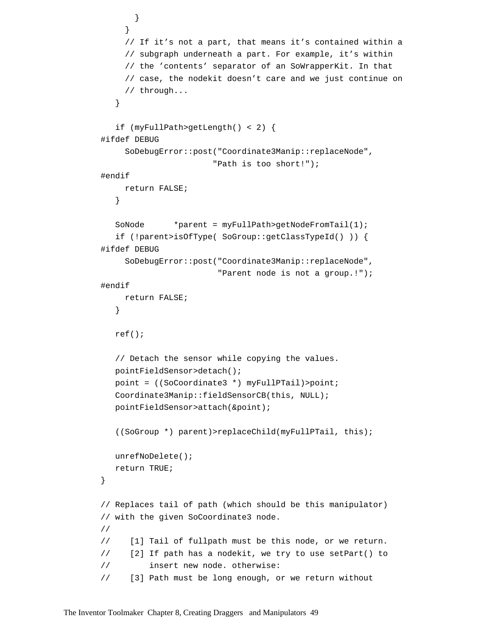```
 }
      }
      // If it's not a part, that means it's contained within a 
      // subgraph underneath a part. For example, it's within 
      // the 'contents' separator of an SoWrapperKit. In that 
      // case, the nodekit doesn't care and we just continue on
      // through...
    }
   if (myFullPathÿ>getLength() < 2) {
#ifdef DEBUG
      SoDebugError::post("Coordinate3Manip::replaceNode",
                        "Path is too short!");
#endif
      return FALSE;
    }
   SoNode *parent = myFullPathÿ>getNodeFromTail(1);
   if (!parentÿ>isOfType( SoGroup::getClassTypeId() )) {
#ifdef DEBUG
      SoDebugError::post("Coordinate3Manip::replaceNode",
                         "Parent node is not a group.!");
#endif
     return FALSE;
    }
   ref();
   // Detach the sensor while copying the values.
   pointFieldSensorÿ>detach();
   point = ((SoCoordinate3 *) myFullPTail)ÿ>point;
   Coordinate3Manip::fieldSensorCB(this, NULL);
   pointFieldSensorÿ>attach(&point);
    ((SoGroup *) parent)ÿ>replaceChild(myFullPTail, this);
   unrefNoDelete();
   return TRUE;
}
// Replaces tail of path (which should be this manipulator)
// with the given SoCoordinate3 node.
//
// [1] Tail of fullpath must be this node, or we return.
// [2] If path has a nodekit, we try to use setPart() to 
// insert new node. otherwise:
// [3] Path must be long enough, or we return without
```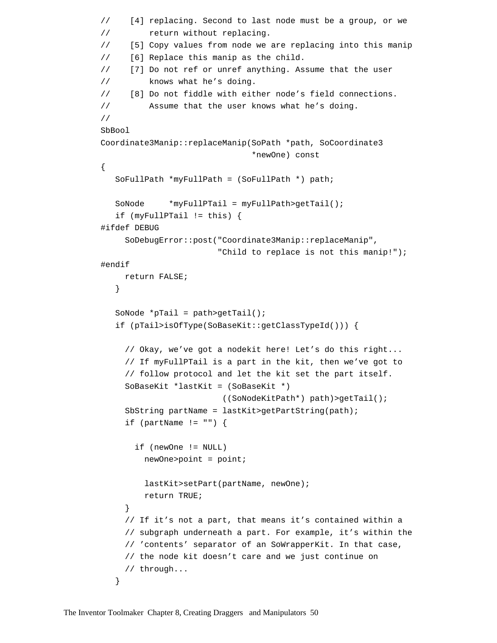```
// [4] replacing. Second to last node must be a group, or we
// return without replacing.
// [5] Copy values from node we are replacing into this manip
// [6] Replace this manip as the child.
// [7] Do not ref or unref anything. Assume that the user 
// knows what he's doing.
// [8] Do not fiddle with either node's field connections. 
// Assume that the user knows what he's doing.
//
SbBool
Coordinate3Manip::replaceManip(SoPath *path, SoCoordinate3 
                                *newOne) const
{
    SoFullPath *myFullPath = (SoFullPath *) path;
   SoNode *myFullPTail = myFullPathy>getTail();
   if (myFullPTail != this) \{#ifdef DEBUG
      SoDebugError::post("Coordinate3Manip::replaceManip",
                         "Child to replace is not this manip!");
#endif
     return FALSE;
    }
    SoNode *pTail = pathÿ>getTail();
    if (pTailÿ>isOfType(SoBaseKit::getClassTypeId())) {
      // Okay, we've got a nodekit here! Let's do this right...
      // If myFullPTail is a part in the kit, then we've got to 
      // follow protocol and let the kit set the part itself.
      SoBaseKit *lastKit = (SoBaseKit *) 
                          ((SoNodeKitPath*) path)ÿ>getTail();
      SbString partName = lastKitÿ>getPartString(path);
     if (partName != "") {
        if (newOne != NULL)
         newOne\ddot{y}>point = point;
          lastKitÿ>setPart(partName, newOne);
          return TRUE;
      }
      // If it's not a part, that means it's contained within a
      // subgraph underneath a part. For example, it's within the 
      // 'contents' separator of an SoWrapperKit. In that case, 
      // the node kit doesn't care and we just continue on
      // through...
    }
```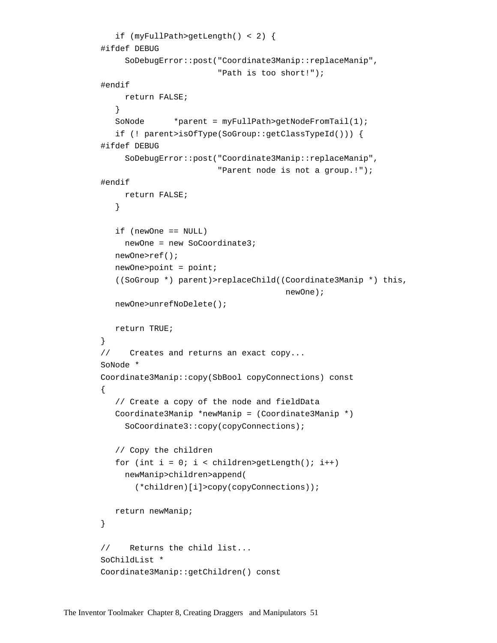```
if (myFullPath\ddot{y})-getLength() < 2) {
#ifdef DEBUG
     SoDebugError::post("Coordinate3Manip::replaceManip",
                         "Path is too short!");
#endif
    return FALSE;
   \}*parent = myFullPath \ddot{y} > qetNodeFromTail(1);SoNode
   if (! parenty>isOfType(SoGroup::getClassTypeId())) {
#ifdef DEBUG
     SoDebugError::post("Coordinate3Manip::replaceManip",
                         "Parent node is not a group.!");
#endif
    return FALSE;
   \}if (newOne == NULL)newOne = new SoCoordinate3;newOne\ddot{y} > ref();
   newOne\ddot{y}>point = point;
   ((SoGroup *) parent) y > replaceChild((Coordinate3Manip *) this,
                                        newOne);
   newOneÿ>unrefNoDelete();
  return TRUE;
\}\frac{1}{2}Creates and returns an exact copy...
SoNode *
Coordinate3Manip::copy(SbBool copyConnections) const
\{// Create a copy of the node and fieldData
   Coordinate3Manip *newManip = (Coordinate3Manip *)
     SoCoordinate3::copy(copyConnections);
   // Copy the children
   for (int i = 0; i < children\ddot{y}>getLength(); i++)
     newManipÿ>childrenÿ>append(
       (*children)[i]ÿ>copy(copyConnections));
   return newManip;
\}\frac{1}{2}Returns the child list...
SoChildList *
Coordinate3Manip::getChildren() const
```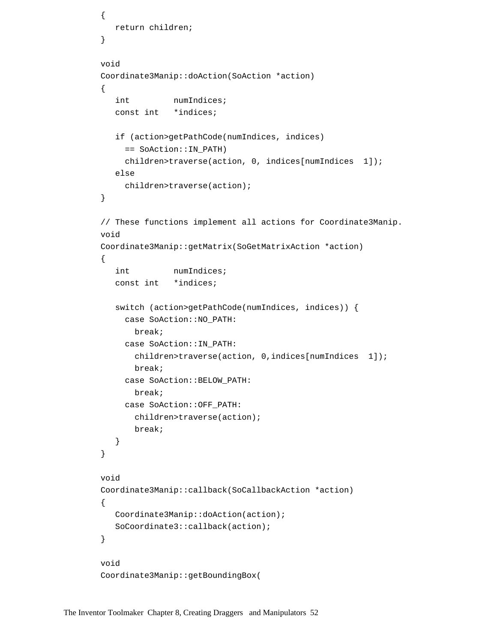```
{
    return children;
}
void 
Coordinate3Manip::doAction(SoAction *action)
{
    int numIndices;
    const int *indices;
    if (actionÿ>getPathCode(numIndices, indices) 
      == SoAction::IN_PATH)
     childrenÿ>traverse(action, 0, indices[numIndices \ddot{y} 1]);
    else
      childrenÿ>traverse(action);
}
// These functions implement all actions for Coordinate3Manip.
void
Coordinate3Manip::getMatrix(SoGetMatrixAction *action)
{
   int numIndices;
    const int *indices;
    switch (actionÿ>getPathCode(numIndices, indices)) {
      case SoAction::NO_PATH:
        break;
      case SoAction::IN_PATH:
       childrenÿ>traverse(action, 0,indices[numIndices ÿ 1]);
        break;
      case SoAction::BELOW_PATH:
        break;
      case SoAction::OFF_PATH:
        childrenÿ>traverse(action);
        break;
    }
}
void 
Coordinate3Manip::callback(SoCallbackAction *action)
{ 
    Coordinate3Manip::doAction(action);
    SoCoordinate3::callback(action);
}
void 
Coordinate3Manip::getBoundingBox(
```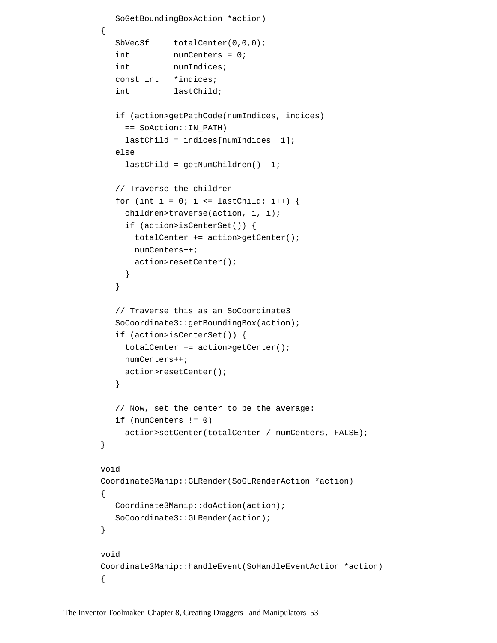```
SoGetBoundingBoxAction *action)
\{SbVec3f
             totalCenter(0,0,0);numCenters = 0;int
             numIndices;
  int
  const int *indices;
              lastChild;
   int
  if (actiony>getPathCode(numIndices, indices)
     == SoAction:: IN_PATH)
     lastChild = indices[numIndices ij 1];
   else
     lastChild = getNumber() \ddot{y} 1;
   // Traverse the children
   for (int i = 0; i <= lastChild; i++) {
     childrenÿ>traverse(action, i, i);
     if (action\ddot{y} > isCenterSet()) {
       totalCenter += actiony>getCenter();
       numCenters++;actiony>resetCenter();
     \}\}// Traverse this as an SoCoordinate3
   SoCoordinate3::getBoundingBox(action);
   if (actiony>isCenterSet()) {
     totalCenter += actiony>getCenter();
     numCenters++;
     actiony>resetCenter();
   \}// Now, set the center to be the average:
   if (numCenters != 0)actiony>setCenter(totalCenter / numCenters, FALSE);
\}void
Coordinate3Manip::GLRender(SoGLRenderAction *action)
\{Coordinate3Manip::doAction(action);
   SoCoordinate3::GLRender(action);
\}void
Coordinate3Manip::handleEvent(SoHandleEventAction *action)
\{
```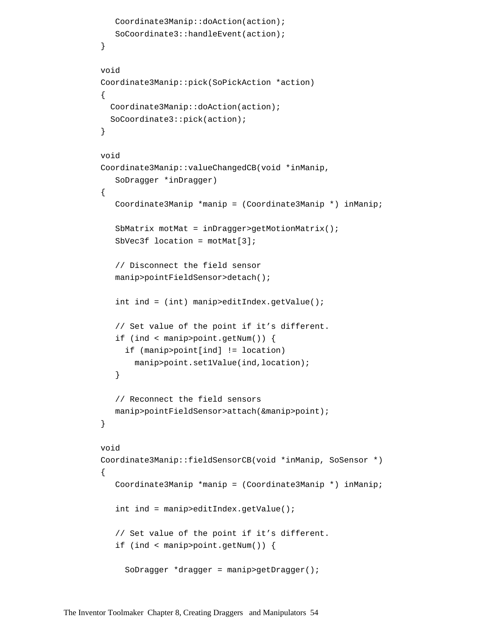```
 Coordinate3Manip::doAction(action); 
    SoCoordinate3::handleEvent(action);
}
void 
Coordinate3Manip::pick(SoPickAction *action)
{ 
  Coordinate3Manip::doAction(action); 
  SoCoordinate3::pick(action);
}
void
Coordinate3Manip::valueChangedCB(void *inManip, 
    SoDragger *inDragger)
{
    Coordinate3Manip *manip = (Coordinate3Manip *) inManip;
    SbMatrix motMat = inDraggerÿ>getMotionMatrix();
   SbVec3f location = motMat[3];
    // Disconnect the field sensor
    manipÿ>pointFieldSensorÿ>detach();
    int ind = (int) manipÿ>editIndex.getValue();
    // Set value of the point if it's different.
    if (ind < manipÿ>point.getNum()) {
      if (manipÿ>point[ind] != location)
        manipÿ>point.set1Value(ind,location);
    }
    // Reconnect the field sensors
    manipÿ>pointFieldSensorÿ>attach(&manipÿ>point);
}
void
Coordinate3Manip::fieldSensorCB(void *inManip, SoSensor *)
{
    Coordinate3Manip *manip = (Coordinate3Manip *) inManip;
    int ind = manipÿ>editIndex.getValue();
    // Set value of the point if it's different.
    if (ind < manipÿ>point.getNum()) {
      SoDragger *dragger = manipÿ>getDragger();
```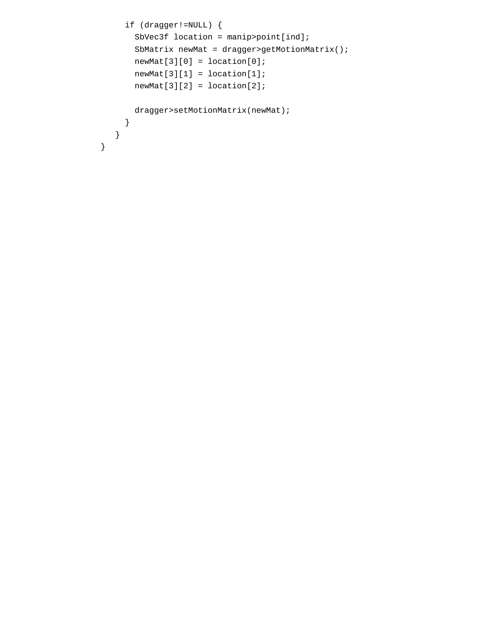```
 if (dragger!=NULL) {
       SbVec3f location = manipy>point[ind];
        SbMatrix newMat = draggerÿ>getMotionMatrix();
       newMat[3][0] = location[0];newMat[3][1] = location[1];newMat[3][2] = location[2]; draggerÿ>setMotionMatrix(newMat);
     }
    }
}
```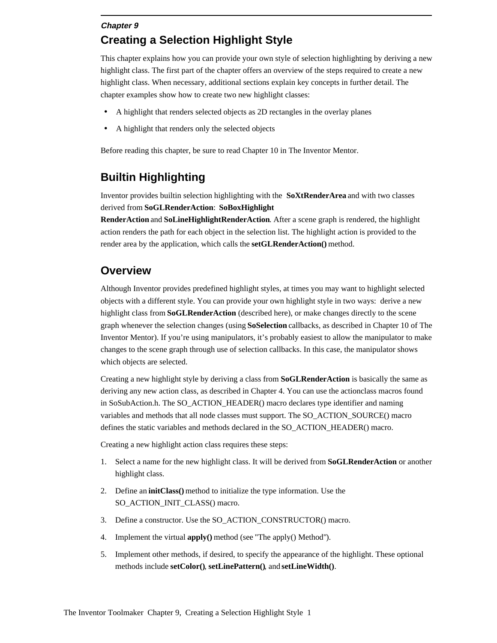## **Chapter 9 Creating a Selection Highlight Style**

This chapter explains how you can provide your own style of selection highlighting by deriving a new highlight class. The first part of the chapter offers an overview of the steps required to create a new highlight class. When necessary, additional sections explain key concepts in further detail. The chapter examples show how to create two new highlight classes:

- A highlight that renders selected objects as 2D rectangles in the overlay planes
- A highlight that renders only the selected objects

Before reading this chapter, be sure to read Chapter 10 in The Inventor Mentor.

# **Builtÿin Highlighting**

Inventor provides builtÿin selection highlighting with the **SoXtRenderArea** and with two classes derived from **SoGLRenderAction**: **SoBoxHighlight**

**RenderAction** and **SoLineHighlightRenderAction**. After a scene graph is rendered, the highlight action renders the path for each object in the selection list. The highlight action is provided to the render area by the application, which calls the **setGLRenderAction()** method.

## **Overview**

Although Inventor provides predefined highlight styles, at times you may want to highlight selected objects with a different style. You can provide your own highlight style in two ways: derive a new highlight class from **SoGLRenderAction** (described here), or make changes directly to the scene graph whenever the selection changes (using **SoSelection** callbacks, as described in Chapter 10 of The Inventor Mentor). If you're using manipulators, it's probably easiest to allow the manipulator to make changes to the scene graph through use of selection callbacks. In this case, the manipulator shows which objects are selected.

Creating a new highlight style by deriving a class from **SoGLRenderAction** is basically the same as deriving any new action class, as described in Chapter 4. You can use the action  $\ddot{\mathbf{y}}$  lass macros found in SoSubAction.h. The SO\_ACTION\_HEADER() macro declares type identifier and naming variables and methods that all node classes must support. The SO\_ACTION\_SOURCE() macro defines the static variables and methods declared in the SO\_ACTION\_HEADER() macro.

Creating a new highlight action class requires these steps:

- 1. Select a name for the new highlight class. It will be derived from **SoGLRenderAction** or another highlight class.
- 2. Define an **initClass()** method to initialize the type information. Use the SO\_ACTION\_INIT\_CLASS() macro.
- 3. Define a constructor. Use the SO\_ACTION\_CONSTRUCTOR() macro.
- 4. Implement the virtual **apply()** method (see "The apply() Method").
- 5. Implement other methods, if desired, to specify the appearance of the highlight. These optional methods include **setColor()**, **setLinePattern()**, and **setLineWidth()**.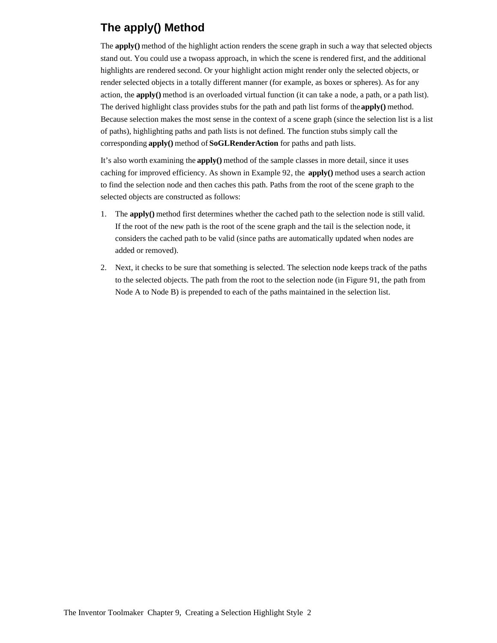# **The apply() Method**

The **apply()** method of the highlight action renders the scene graph in such a way that selected objects stand out. You could use a twoÿpass approach, in which the scene is rendered first, and the additional highlights are rendered second. Or your highlight action might render only the selected objects, or render selected objects in a totally different manner (for example, as boxes or spheres). As for any action, the **apply()** method is an overloaded virtual function (it can take a node, a path, or a path list). The derived highlight class provides stubs for the path and path list forms of the **apply()** method. Because selection makes the most sense in the context of a scene graph (since the selection list is a list of paths), highlighting paths and path lists is not defined. The function stubs simply call the corresponding **apply()** method of **SoGLRenderAction** for paths and path lists.

It's also worth examining the **apply()** method of the sample classes in more detail, since it uses caching for improved efficiency. As shown in Example 9ÿ2, the **apply()** method uses a search action to find the selection node and then caches this path. Paths from the root of the scene graph to the selected objects are constructed as follows:

- 1. The **apply()** method first determines whether the cached path to the selection node is still valid. If the root of the new path is the root of the scene graph and the tail is the selection node, it considers the cached path to be valid (since paths are automatically updated when nodes are added or removed).
- 2. Next, it checks to be sure that something is selected. The selection node keeps track of the paths to the selected objects. The path from the root to the selection node (in Figure 9ÿ1, the path from Node A to Node B) is prepended to each of the paths maintained in the selection list.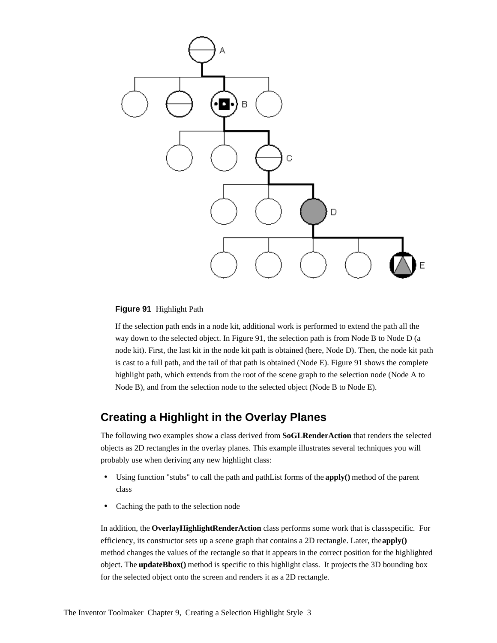

### **Figure 9ÿ1** Highlight Path

If the selection path ends in a node kit, additional work is performed to extend the path all the way down to the selected object. In Figure 9 $\ddot{y}$ , the selection path is from Node B to Node D (a node kit). First, the last kit in the node kit path is obtained (here, Node D). Then, the node kit path is cast to a full path, and the tail of that path is obtained (Node E). Figure 9ÿ1 shows the complete highlight path, which extends from the root of the scene graph to the selection node (Node A to Node B), and from the selection node to the selected object (Node B to Node E).

## **Creating a Highlight in the Overlay Planes**

The following two examples show a class derived from **SoGLRenderAction** that renders the selected objects as 2D rectangles in the overlay planes. This example illustrates several techniques you will probably use when deriving any new highlight class:

- Using function "stubs" to call the path and pathList forms of the **apply()** method of the parent class
- Caching the path to the selection node

In addition, the OverlayHighlightRenderAction class performs some work that is classÿspecific. For efficiency, its constructor sets up a scene graph that contains a 2D rectangle. Later, the **apply()** method changes the values of the rectangle so that it appears in the correct position for the highlighted object. The **updateBbox()** method is specific to this highlight class. It projects the 3D bounding box for the selected object onto the screen and renders it as a 2D rectangle.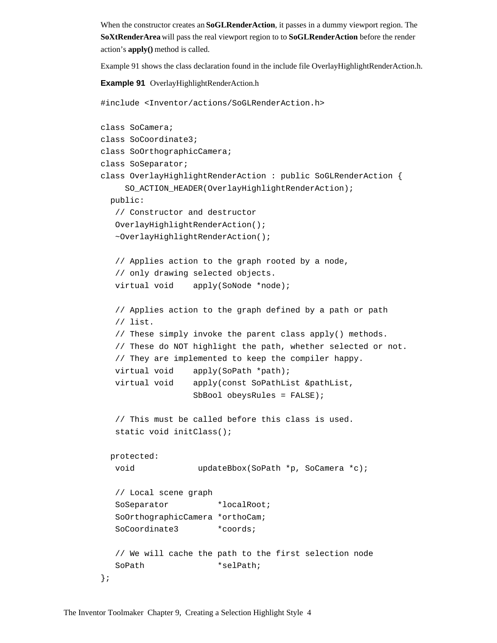When the constructor creates an **SoGLRenderAction**, it passes in a dummy viewport region. The **SoXtRenderArea** will pass the real viewport region to to **SoGLRenderAction** before the render action's **apply()** method is called.

Example 9 $\ddot{\text{y}}$  shows the class declaration found in the include file OverlayHighlightRenderAction.h.

**Example 9ÿ1** OverlayHighlightRenderAction.h

```
#include <Inventor/actions/SoGLRenderAction.h>
```

```
class SoCamera;
class SoCoordinate3;
class SoOrthographicCamera;
class SoSeparator;
class OverlayHighlightRenderAction : public SoGLRenderAction {
     SO_ACTION_HEADER(OverlayHighlightRenderAction);
  public:
   // Constructor and destructor
   OverlayHighlightRenderAction();
   ~OverlayHighlightRenderAction();
   // Applies action to the graph rooted by a node,
   // only drawing selected objects.
   virtual void apply(SoNode *node);
   // Applies action to the graph defined by a path or path
   // list.
    // These simply invoke the parent class apply() methods.
   // These do NOT highlight the path, whether selected or not.
   // They are implemented to keep the compiler happy.
   virtual void apply(SoPath *path);
   virtual void apply(const SoPathList &pathList,
                   SbBool obeysRules = FALSE);
   // This must be called before this class is used.
   static void initClass();
  protected:
   void updateBbox(SoPath *p, SoCamera *c);
   // Local scene graph
  SoSeparator *localRoot;
   SoOrthographicCamera *orthoCam;
   SoCoordinate3 *coords;
   // We will cache the path to the first selection node
  SoPath *selPath;
};
```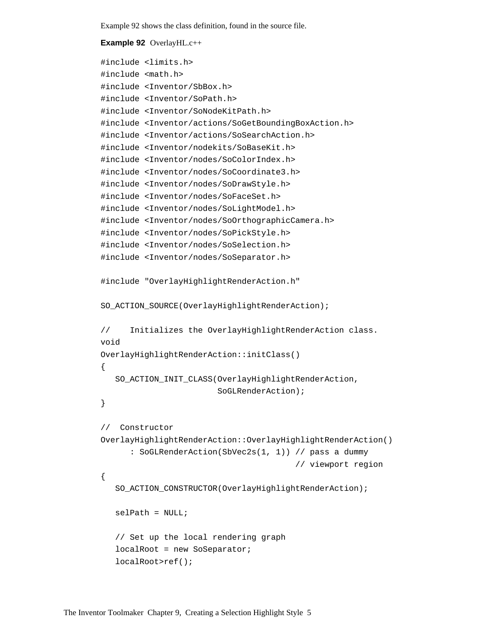Example 9 $\mathcal{P}$  shows the class definition, found in the source file.

#### **Example 9ÿ2** OverlayHL.c++

```
#include <limits.h>
#include <math.h>
#include <Inventor/SbBox.h>
#include <Inventor/SoPath.h>
#include <Inventor/SoNodeKitPath.h>
#include <Inventor/actions/SoGetBoundingBoxAction.h>
#include <Inventor/actions/SoSearchAction.h>
#include <Inventor/nodekits/SoBaseKit.h>
#include <Inventor/nodes/SoColorIndex.h>
#include <Inventor/nodes/SoCoordinate3.h>
#include <Inventor/nodes/SoDrawStyle.h>
#include <Inventor/nodes/SoFaceSet.h>
#include <Inventor/nodes/SoLightModel.h>
#include <Inventor/nodes/SoOrthographicCamera.h>
#include <Inventor/nodes/SoPickStyle.h>
#include <Inventor/nodes/SoSelection.h>
#include <Inventor/nodes/SoSeparator.h>
#include "OverlayHighlightRenderAction.h"
SO_ACTION_SOURCE(OverlayHighlightRenderAction);
// Initializes the OverlayHighlightRenderAction class.
void
OverlayHighlightRenderAction::initClass()
{
   SO_ACTION_INIT_CLASS(OverlayHighlightRenderAction,
                         SoGLRenderAction);
}
// Constructor
OverlayHighlightRenderAction::OverlayHighlightRenderAction()
       : SoGLRenderAction(SbVec2s(1, 1)) // pass a dummy
                                         // viewport region
{
    SO_ACTION_CONSTRUCTOR(OverlayHighlightRenderAction);
   selfath = NULL; // Set up the local rendering graph
    localRoot = new SoSeparator;
    localRootÿ>ref();
```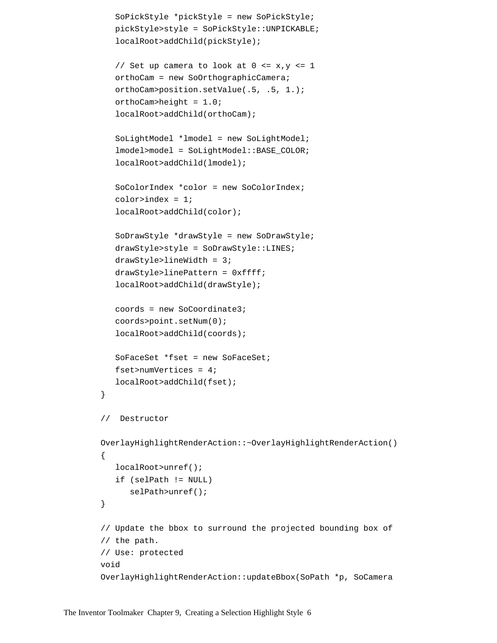```
SoPickStyle *pickStyle = new SoPickStyle;
   pickStyleÿ>style = SoPickStyle::UNPICKABLE;
   localRootÿ>addChild(pickStyle);
   // Set up camera to look at 0 \le x, y \le 1orthoCam = new SoOrthographicCamera;
   orthoCamÿ>position.setValue(.5, .5, 1.);
   orthoCam\ddot{y}>height = 1.0;
   localRootÿ>addChild(orthoCam);
   SoLightModel *lmodel = new SoLightModel;
   lmodel\ddot{y} >model = SoLightModel:: BASE_COLOR;
   localRootÿ>addChild(lmodel);
   SoColorIndex *color = new SoColorIndex;
   color\{red}{\text{color}}
   localRootÿ>addChild(color);
   SoDrawStyle *drawStyle = new SoDrawStyle;
   drawStyleÿ>style = SoDrawStyle::LINES;
   drawStyle\ddot{y}>lineWidth = 3;drawStyleÿ>linePattern = 0xffff;
   localRootÿ>addChild(drawStyle);
   coords = new SoCoordinate3;coordsy>point.setNum(0);
   localRootÿ>addChild(coords);
   SoFaceSet *fset = new SoFaceSet;
   fset\ddot{y}>numVertices = 4;
   localRootÿ>addChild(fset);
\}// Destructor
OverlayHighlightRenderAction::~OverlayHighlightRenderAction()
\{localRootÿ>unref();
   if (selPath != NULL)
      selPathÿ>unref();
\}// Update the bbox to surround the projected bounding box of
// the path.
// Use: protected
void
OverlayHighlightRenderAction::updateBbox(SoPath *p, SoCamera
```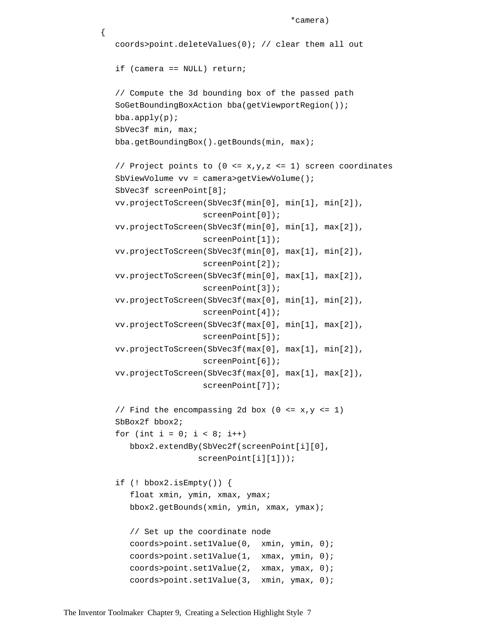```
 coordsÿ>point.deleteValues(0); // clear them all out
 if (camera == NULL) return;
 // Compute the 3d bounding box of the passed path
 SoGetBoundingBoxAction bba(getViewportRegion()); 
 bba.apply(p); 
 SbVec3f min, max;
 bba.getBoundingBox().getBounds(min, max); 
// Project points to (0 \le x,y,z \le 1) screen coordinates
 SbViewVolume vv = cameraÿ>getViewVolume();
 SbVec3f screenPoint[8];
 vv.projectToScreen(SbVec3f(min[0], min[1], min[2]),
                   screenPoint[0]);
 vv.projectToScreen(SbVec3f(min[0], min[1], max[2]),
                   screenPoint[1]);
 vv.projectToScreen(SbVec3f(min[0], max[1], min[2]),
                   screenPoint[2]);
 vv.projectToScreen(SbVec3f(min[0], max[1], max[2]),
                   screenPoint[3]);
 vv.projectToScreen(SbVec3f(max[0], min[1], min[2]),
                   screenPoint[4]);
 vv.projectToScreen(SbVec3f(max[0], min[1], max[2]),
                   screenPoint[5]);
 vv.projectToScreen(SbVec3f(max[0], max[1], min[2]),
                   screenPoint[6]);
 vv.projectToScreen(SbVec3f(max[0], max[1], max[2]),
                   screenPoint[7]);
// Find the encompassing 2d box (0 \le x, y \le 1) SbBox2f bbox2;
for (int i = 0; i < 8; i++) bbox2.extendBy(SbVec2f(screenPoint[i][0],
                 screenPoint[i][1]));
 if (! bbox2.isEmpty()) {
    float xmin, ymin, xmax, ymax;
    bbox2.getBounds(xmin, ymin, xmax, ymax);
    // Set up the coordinate node
    coordsÿ>point.set1Value(0, xmin, ymin, 0);
    coordsÿ>point.set1Value(1, xmax, ymin, 0);
    coordsÿ>point.set1Value(2, xmax, ymax, 0);
    coordsÿ>point.set1Value(3, xmin, ymax, 0);
```
{

\*camera)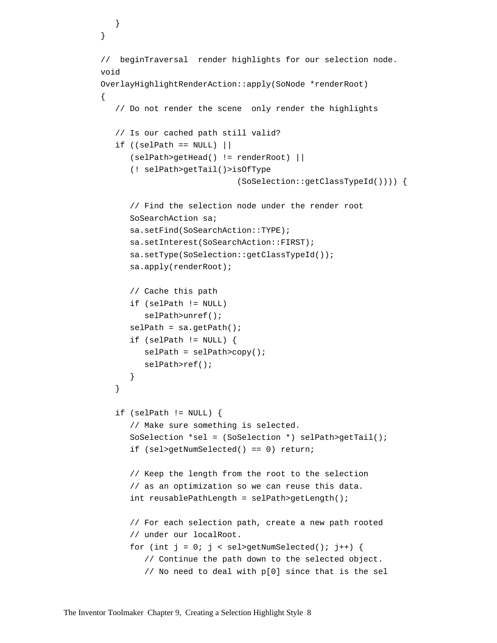```
 }
}
// beginTraversal ÿ render highlights for our selection node.
void
OverlayHighlightRenderAction::apply(SoNode *renderRoot)
{
    // Do not render the scene ÿ only render the highlights
    // Is our cached path still valid?
   if ((\text{selPath} == \text{NULL}) |
       (selPathÿ>getHead() != renderRoot) ||
       (! selPathÿ>getTail()ÿ>isOfType
                              (SoSelection::getClassTypeId()))) {
       // Find the selection node under the render root
       SoSearchAction sa;
       sa.setFind(SoSearchAction::TYPE);
      sa.setInterest(SoSearchAction::FIRST);
       sa.setType(SoSelection::getClassTypeId());
       sa.apply(renderRoot);
       // Cache this path
       if (selPath != NULL)
          selPathÿ>unref();
       selPath = sa.getPath();
      if (selPath != NULL) \{selPath = selPathÿ>copy();
          selPathÿ>ref();
       }
    }
   if (selPath != NULL) \{ // Make sure something is selected.
       SoSelection *sel = (SoSelection *) selPathÿ>getTail();
       if (selÿ>getNumSelected() == 0) return;
       // Keep the length from the root to the selection
       // as an optimization so we can reuse this data.
       int reusablePathLength = selPathÿ>getLength();
       // For each selection path, create a new path rooted 
       // under our localRoot.
      for (int j = 0; j < sely>getNumSelected(); j++) {
          // Continue the path down to the selected object.
          // No need to deal with p[0] since that is the sel
```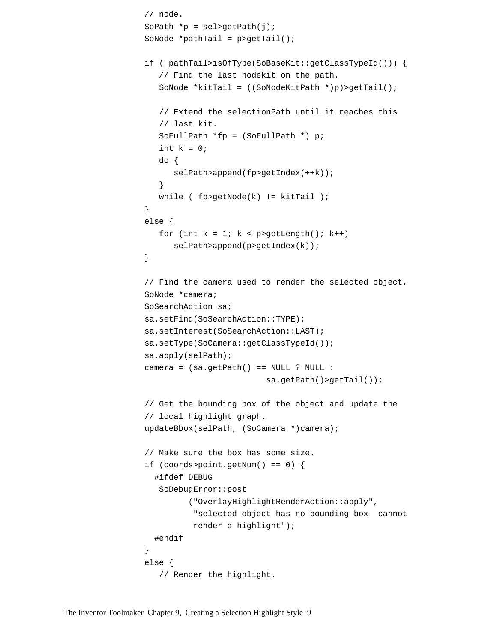```
// node.
SoPath *p = sel\ddot{y} > getPath(j);SoNode *pathTail = p\ddot{y}>getTail();
if ( pathTaily>isOfType(SoBaseKit::getClassTypeId())) {
   // Find the last nodekit on the path.
   SoNode *kitTail = ((SoNodeKitPath * )p)\ddot{y} > getTail();
   // Extend the selectionPath until it reaches this
   // last kit.
   SoFullPath *fp = (SoFullPath * ) p;
   int k = 0;
   do \{selPathÿ>append(fpÿ>getIndex(++k));
   \}while ( fp\ddot{y} > getNode(k) != kitTail );
\}else {
   for (int k = 1; k < p\ddot{y}>getLength(); k++)
      selPathÿ>append(pÿ>getIndex(k));
\}// Find the camera used to render the selected object.
SoNode *camera;
SoSearchAction sa;
sa.setFind(SoSearchAction::TYPE);
sa.setInterest(SoSearchAction::LAST);
sa.setType(SoCamera::getClassTypeId());
sa.appendy(selfPath);
\text{camera} = (\text{sa.getPath}() == \text{NULL} ? \text{NULL}sa.getPath()y>getTail());
// Get the bounding box of the object and update the
// local highlight graph.
updateBbox(selPath, (SoCamera *)camera);
// Make sure the box has some size.
if (coords\ddot{y} > point.getNum() == 0) {
  #ifdef DEBUG
   SoDebugError::post
          ("OverlayHighlightRenderAction::apply",
           "selected object has no bounding box ÿ cannot
          render a highlight");
  #endif
\mathcal{F}else {
   // Render the highlight.
```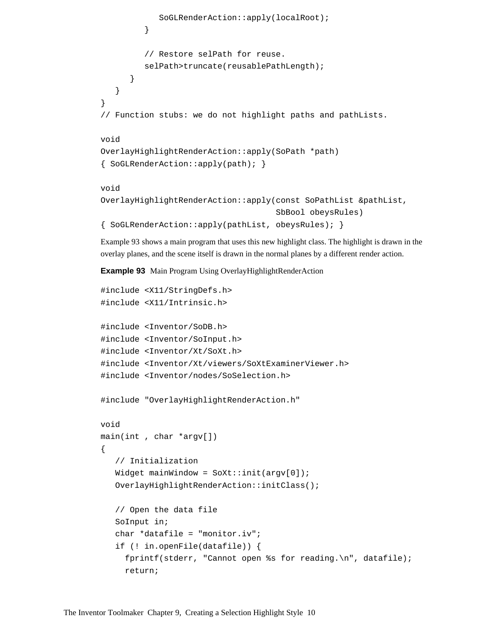```
 SoGLRenderAction::apply(localRoot);
 }
          // Restore selPath for reuse.
         selPathÿ>truncate(reusablePathLength);
       }
    }
} 
// Function stubs: we do not highlight paths and pathLists.
void
OverlayHighlightRenderAction::apply(SoPath *path)
{ SoGLRenderAction::apply(path); }
void
OverlayHighlightRenderAction::apply(const SoPathList &pathList,
                                      SbBool obeysRules)
{ SoGLRenderAction::apply(pathList, obeysRules); }
```
Example  $9\%$  shows a main program that uses this new highlight class. The highlight is drawn in the overlay planes, and the scene itself is drawn in the normal planes by a different render action.

**Example 9ÿ3** Main Program Using OverlayHighlightRenderAction

```
#include <X11/StringDefs.h>
#include <X11/Intrinsic.h>
#include <Inventor/SoDB.h>
#include <Inventor/SoInput.h>
#include <Inventor/Xt/SoXt.h>
#include <Inventor/Xt/viewers/SoXtExaminerViewer.h>
#include <Inventor/nodes/SoSelection.h>
#include "OverlayHighlightRenderAction.h"
void
main(int , char *argv[])
{
    // Initialization
  Widget mainWindow = Soxt::init(argv[0]);
    OverlayHighlightRenderAction::initClass();
    // Open the data file
    SoInput in; 
    char *datafile = "monitor.iv";
    if (! in.openFile(datafile)) {
      fprintf(stderr, "Cannot open %s for reading.\n", datafile);
      return;
```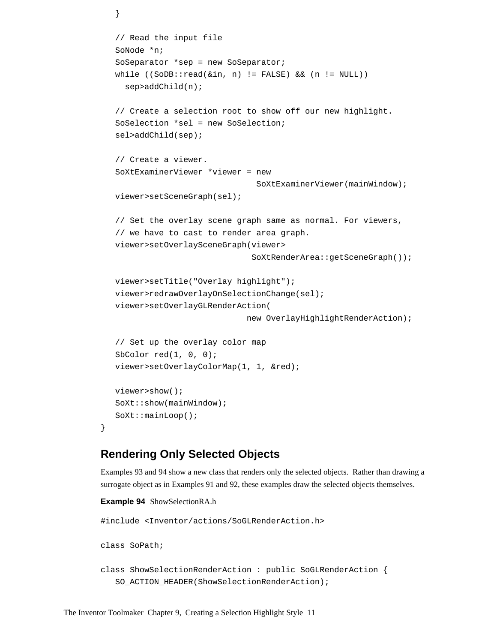```
\}// Read the input file
SoNode *n;
SoSeparator *sep = new SoSeparator;
while ((SoDB::read(&in, n) != FALSE) && (n != NULL))
  sep\ddot{y} > add Child(n);
// Create a selection root to show off our new highlight.
SoSelection *sel = new SoSelection;
self) addChild(sep);
// Create a viewer.
SoXtExaminerViewer *viewer = new
                              SoXtExaminerViewer(mainWindow);
viewerÿ>setSceneGraph(sel);
// Set the overlay scene graph same as normal. For viewers,
// we have to cast to render area graph.
viewerÿ>setOverlaySceneGraph(viewerÿ>
                             SoXtRenderArea::getSceneGraph());
viewerÿ>setTitle("Overlay highlight");
viewerÿ>redraw0verlayOnSelectionChange(sel);
viewerÿ>setOverlayGLRenderAction(
                            new OverlayHighlightRenderAction);
// Set up the overlay color map
SbColor red(1, 0, 0);
viewerÿ>setOverlayColorMap(1, 1, &red);
viewer\ddot{y}>show();
SoXt::show(mainWindow);
SoXt::mainLoop()
```
## **Rendering Only Selected Objects**

Examples 9 38 and 9 34 show a new class that renders only the selected objects. Rather than drawing a surrogate object as in Examples 9ÿ and 9ÿ, these examples draw the selected objects themselves.

#### Example 9\4 ShowSelectionRA.h

 $\}$ 

```
#include <Inventor/actions/SoGLRenderAction.h>
class SoPath;
class ShowSelectionRenderAction : public SoGLRenderAction {
   SO_ACTION_HEADER(ShowSelectionRenderAction);
```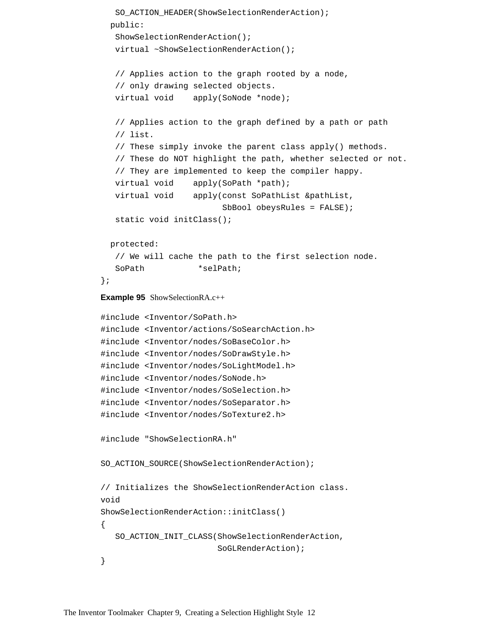```
SO ACTION HEADER(ShowSelectionRenderAction);
  public:
   ShowSelectionRenderAction();
   virtual ~ShowSelectionRenderAction();
   // Applies action to the graph rooted by a node,
   // only drawing selected objects.
   virtual void apply(SoNode *node);
   // Applies action to the graph defined by a path or path
   // list.
    // These simply invoke the parent class apply() methods.
   // These do NOT highlight the path, whether selected or not.
   // They are implemented to keep the compiler happy.
   virtual void apply(SoPath *path);
   virtual void apply(const SoPathList &pathList,
                          SbBool obeysRules = FALSE);
   static void initClass();
  protected:
   // We will cache the path to the first selection node.
   SoPath *selPath;
};
```

```
Example 9ÿ5 ShowSelectionRA.c++
```

```
#include <Inventor/SoPath.h>
#include <Inventor/actions/SoSearchAction.h>
#include <Inventor/nodes/SoBaseColor.h>
#include <Inventor/nodes/SoDrawStyle.h>
#include <Inventor/nodes/SoLightModel.h>
#include <Inventor/nodes/SoNode.h>
#include <Inventor/nodes/SoSelection.h>
#include <Inventor/nodes/SoSeparator.h>
#include <Inventor/nodes/SoTexture2.h>
#include "ShowSelectionRA.h"
SO_ACTION_SOURCE(ShowSelectionRenderAction);
// Initializes the ShowSelectionRenderAction class.
void
ShowSelectionRenderAction::initClass()
{
    SO_ACTION_INIT_CLASS(ShowSelectionRenderAction,
                         SoGLRenderAction);
}
```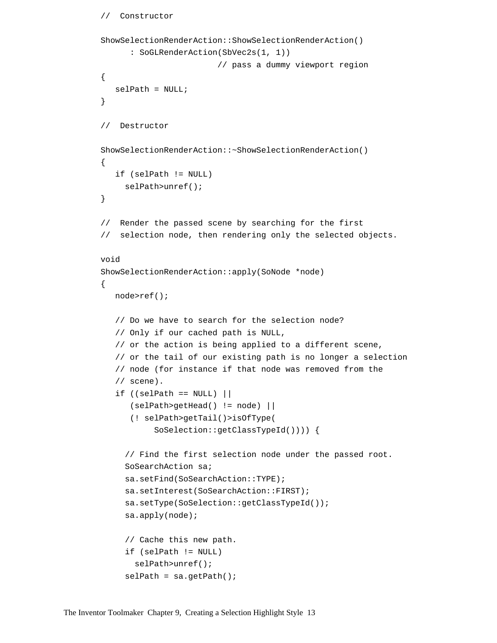```
// Constructor
```

```
ShowSelectionRenderAction::ShowSelectionRenderAction()
       : SoGLRenderAction(SbVec2s(1, 1)) 
                          // pass a dummy viewport region
{
    selPath = NULL;
} 
// Destructor
ShowSelectionRenderAction::~ShowSelectionRenderAction()
{
    if (selPath != NULL)
     selPathÿ>unref();
} 
// Render the passed scene by searching for the first
// selection node, then rendering only the selected objects.
void
ShowSelectionRenderAction::apply(SoNode *node)
{
    nodeÿ>ref();
    // Do we have to search for the selection node?
    // Only if our cached path is NULL, 
    // or the action is being applied to a different scene,
    // or the tail of our existing path is no longer a selection
    // node (for instance if that node was removed from the
    // scene).
   if ((\text{selPath} == \text{NULL}) |
       (selPathÿ>getHead() != node) ||
       (! selPathÿ>getTail()ÿ>isOfType(
            SoSelection::getClassTypeId()))) {
      // Find the first selection node under the passed root.
      SoSearchAction sa;
      sa.setFind(SoSearchAction::TYPE);
      sa.setInterest(SoSearchAction::FIRST);
      sa.setType(SoSelection::getClassTypeId());
      sa.apply(node);
      // Cache this new path.
      if (selPath != NULL)
       selPathÿ>unref();
      selPath = sa.getPath();
```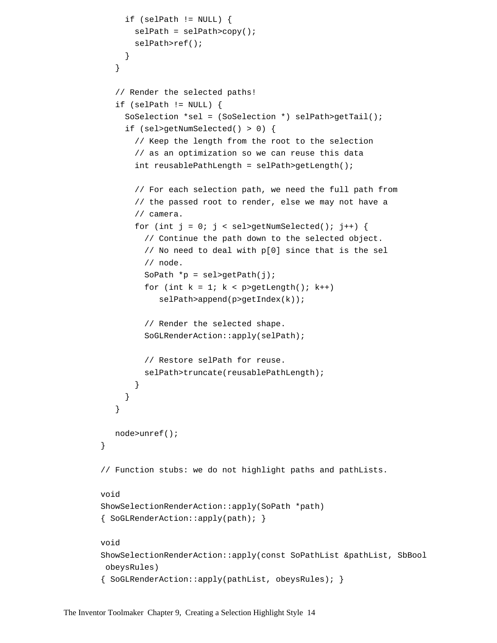```
if (selPath != NULL) {
       selfath = selfathy > copy()selfathij > ref()₹
   \}// Render the selected paths!
   if (selPath != NULL) {
     SoSelection *sel = (SoSelection *) selPathÿ>getTail();
     if (self \rightarrow \text{self}) (sely > getNumSelected() > 0) {
       // Keep the length from the root to the selection
       // as an optimization so we can reuse this data
       int reusablePathLength = selPathÿ>getLength();
       // For each selection path, we need the full path from
       // the passed root to render, else we may not have a
       // camera.
       for (int j = 0; j < selÿ>getNumSelected(); j++) {
         // Continue the path down to the selected object.
         // No need to deal with p[0] since that is the sel
         // node.
         SoPath *p = sel\ddot{y} > getPath(j);for (int k = 1; k < p\ddot{y}>getLength(); k++)
             selfath\ddot{y} > append(p\ddot{y} > getIndex(k));// Render the selected shape.
         SoGLRenderAction::apply(selPath);
         // Restore selPath for reuse.
         selPathy>truncate(reusablePathLength);
       \}\}\}nodeÿ>unref();
\}// Function stubs: we do not highlight paths and pathLists.
void
ShowSelectionRenderAction::apply(SoPath *path)
{ SoGLRenderAction::apply(path); }
void
ShowSelectionRenderAction::apply(const SoPathList &pathList, SbBool
 obeysRules)
{ SoGLRenderAction::apply(pathList, obeysRules); }
```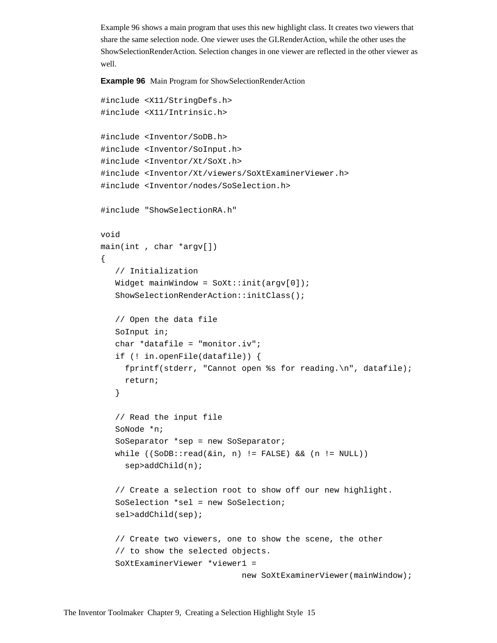Example 9ÿ6 shows a main program that uses this new highlight class. It creates two viewers that share the same selection node. One viewer uses the GLRenderAction, while the other uses the ShowSelectionRenderAction. Selection changes in one viewer are reflected in the other viewer as well.

**Example 9ÿ6** Main Program for ShowSelectionRenderAction

```
#include <X11/StringDefs.h>
#include <X11/Intrinsic.h>
#include <Inventor/SoDB.h>
#include <Inventor/SoInput.h>
#include <Inventor/Xt/SoXt.h>
#include <Inventor/Xt/viewers/SoXtExaminerViewer.h>
#include <Inventor/nodes/SoSelection.h>
#include "ShowSelectionRA.h"
void
main(int , char *argv[])
{
    // Initialization
   Widget mainWindow = Soxt::init(argv[0]);
    ShowSelectionRenderAction::initClass();
    // Open the data file
    SoInput in; 
    char *datafile = "monitor.iv";
    if (! in.openFile(datafile)) {
      fprintf(stderr, "Cannot open %s for reading.\n", datafile);
     return;
    }
    // Read the input file
    SoNode *n;
    SoSeparator *sep = new SoSeparator;
   while ((SODB::read(\&in, n) != FALSE) \&& (n != NULL)) sepÿ>addChild(n);
    // Create a selection root to show off our new highlight.
    SoSelection *sel = new SoSelection;
    selÿ>addChild(sep);
    // Create two viewers, one to show the scene, the other
    // to show the selected objects.
    SoXtExaminerViewer *viewer1 = 
                               new SoXtExaminerViewer(mainWindow);
```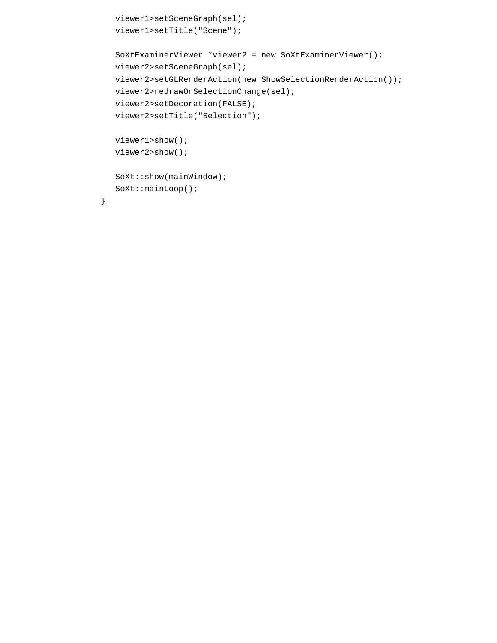```
 viewer1ÿ>setSceneGraph(sel);
 viewer1ÿ>setTitle("Scene");
 SoXtExaminerViewer *viewer2 = new SoXtExaminerViewer();
 viewer2ÿ>setSceneGraph(sel);
 viewer2ÿ>setGLRenderAction(new ShowSelectionRenderAction()); 
 viewer2ÿ>redrawOnSelectionChange(sel);
 viewer2ÿ>setDecoration(FALSE);
 viewer2ÿ>setTitle("Selection");
 viewer1ÿ>show();
 viewer2ÿ>show();
 SoXt::show(mainWindow);
 SoXt::mainLoop();
```
}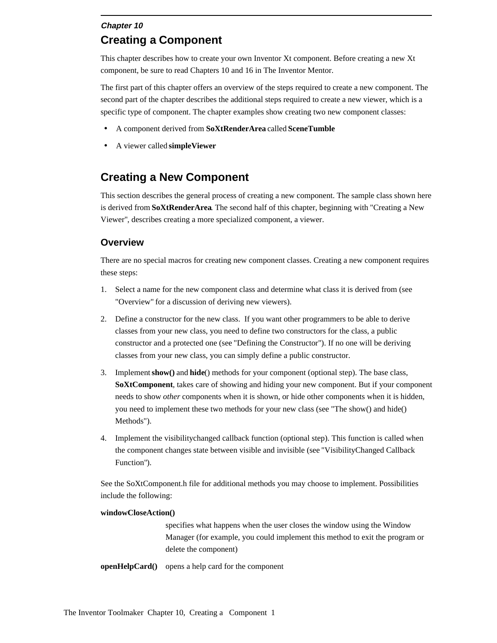## **Chapter 10 Creating a Component**

This chapter describes how to create your own Inventor Xt component. Before creating a new Xt component, be sure to read Chapters 10 and 16 in The Inventor Mentor.

The first part of this chapter offers an overview of the steps required to create a new component. The second part of the chapter describes the additional steps required to create a new viewer, which is a specific type of component. The chapter examples show creating two new component classes:

- A component derived from **SoXtRenderArea** called **SceneTumble**
- A viewer called **simpleViewer**

# **Creating a New Component**

This section describes the general process of creating a new component. The sample class shown here is derived from **SoXtRenderArea**. The second half of this chapter, beginning with "Creating a New Viewer", describes creating a more specialized component, a viewer.

## **Overview**

There are no special macros for creating new component classes. Creating a new component requires these steps:

- 1. Select a name for the new component class and determine what class it is derived from (see "Overview" for a discussion of deriving new viewers).
- 2. Define a constructor for the new class. If you want other programmers to be able to derive classes from your new class, you need to define two constructors for the class, a public constructor and a protected one (see "Defining the Constructor"). If no one will be deriving classes from your new class, you can simply define a public constructor.
- 3. Implement **show()** and **hide**() methods for your component (optional step). The base class, **SoXtComponent**, takes care of showing and hiding your new component. But if your component needs to show *other* components when it is shown, or hide other components when it is hidden, you need to implement these two methods for your new class (see "The show() and hide() Methods").
- 4. Implement the visibilityÿchanged callback function (optional step). This function is called when the component changes state between visible and invisible (see "VisibilityÿChanged Callback Function").

See the SoXtComponent.h file for additional methods you may choose to implement. Possibilities include the following:

### **windowCloseAction()**

specifies what happens when the user closes the window using the Window Manager (for example, you could implement this method to exit the program or delete the component)

**openHelpCard()** opens a help card for the component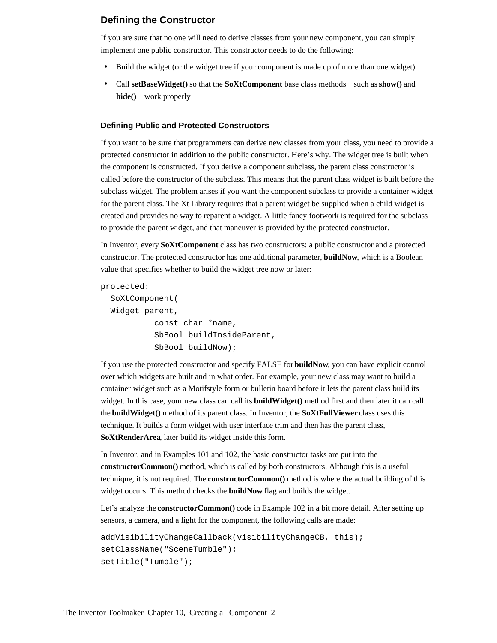### **Defining the Constructor**

If you are sure that no one will need to derive classes from your new component, you can simply implement one public constructor. This constructor needs to do the following:

- Build the widget (or the widget tree if your component is made up of more than one widget)
- Call **setBaseWidget**() so that the **SoXtComponent** base class methods—such as **show**() and hide()—work properly

#### **Defining Public and Protected Constructors**

If you want to be sure that programmers can derive new classes from your class, you need to provide a protected constructor in addition to the public constructor. Here's why. The widget tree is built when the component is constructed. If you derive a component subclass, the parent class constructor is called before the constructor of the subclass. This means that the parent class widget is built before the subclass widget. The problem arises if you want the component subclass to provide a container widget for the parent class. The Xt Library requires that a parent widget be supplied when a child widget is created and provides no way to reparent a widget. A little fancy footwork is required for the subclass to provide the parent widget, and that maneuver is provided by the protected constructor.

In Inventor, every **SoXtComponent** class has two constructors: a public constructor and a protected constructor. The protected constructor has one additional parameter, **buildNow**, which is a Boolean value that specifies whether to build the widget tree now or later:

```
protected:
```

```
 SoXtComponent(
 Widget parent,
          const char *name,
           SbBool buildInsideParent,
           SbBool buildNow);
```
If you use the protected constructor and specify FALSE for **buildNow**, you can have explicit control over which widgets are built and in what order. For example, your new class may want to build a container widget such as a Motifÿstyle form or bulletin board before it lets the parent class build its widget. In this case, your new class can call its **buildWidget()** method first and then later it can call the **buildWidget()** method of its parent class. In Inventor, the **SoXtFullViewer** class uses this technique. It builds a form widget with user interface trim and then has the parent class, **SoXtRenderArea**, later build its widget inside this form.

In Inventor, and in Examples 10ÿ1 and 10ÿ2, the basic constructor tasks are put into the **constructorCommon()** method, which is called by both constructors. Although this is a useful technique, it is not required. The **constructorCommon()** method is where the actual building of this widget occurs. This method checks the **buildNow** flag and builds the widget.

Let's analyze the **constructorCommon**() code in Example 10 $\ddot{\psi}$  in a bit more detail. After setting up sensors, a camera, and a light for the component, the following calls are made:

```
addVisibilityChangeCallback(visibilityChangeCB, this);
setClassName("SceneTumble");
setTitle("Tumble");
```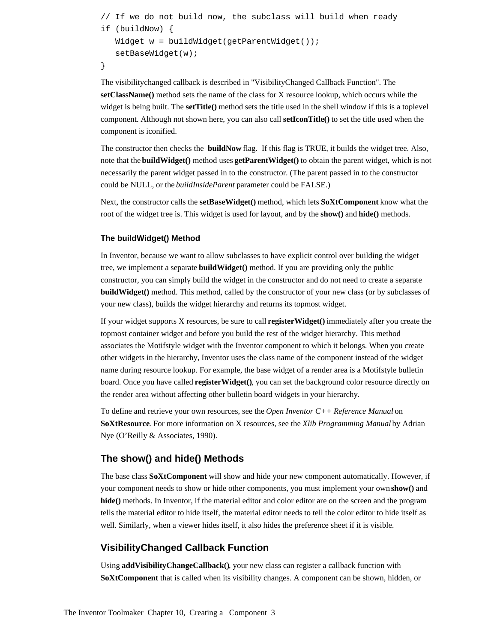```
// If we do not build now, the subclass will build when ready
if (buildNow) {
   Widget w = \text{buildWidget}(\text{getParentWidget}(\cdot)) ;
    setBaseWidget(w);
}
```
The visibilityÿchanged callback is described in "VisibilityÿChanged Callback Function". The **setClassName()** method sets the name of the class for X resource lookup, which occurs while the widget is being built. The **setTitle**() method sets the title used in the shell window if this is a topylevel component. Although not shown here, you can also call **setIconTitle()** to set the title used when the component is iconified.

The constructor then checks the **buildNow** flag. If this flag is TRUE, it builds the widget tree. Also, note that the **buildWidget()** method uses **getParentWidget()** to obtain the parent widget, which is not necessarily the parent widget passed in to the constructor. (The parent passed in to the constructor could be NULL, or the *buildInsideParent* parameter could be FALSE.)

Next, the constructor calls the **setBaseWidget()** method, which lets **SoXtComponent** know what the root of the widget tree is. This widget is used for layout, and by the **show()** and **hide()** methods.

#### **The buildWidget() Method**

In Inventor, because we want to allow subclasses to have explicit control over building the widget tree, we implement a separate **buildWidget()** method. If you are providing only the public constructor, you can simply build the widget in the constructor and do not need to create a separate **buildWidget()** method. This method, called by the constructor of your new class (or by subclasses of your new class), builds the widget hierarchy and returns its topmost widget.

If your widget supports X resources, be sure to call **registerWidget()** immediately after you create the topmost container widget and before you build the rest of the widget hierarchy. This method associates the Motifÿstyle widget with the Inventor component to which it belongs. When you create other widgets in the hierarchy, Inventor uses the class name of the component instead of the widget name during resource lookup. For example, the base widget of a render area is a Motifÿstyle bulletin board. Once you have called **registerWidget()**, you can set the background color resource directly on the render area without affecting other bulletin board widgets in your hierarchy.

To define and retrieve your own resources, see the *Open Inventor C++ Reference Manual* on **SoXtResource**. For more information on X resources, see the *Xlib Programming Manual* by Adrian Nye (O'Reilly & Associates, 1990).

## **The show() and hide() Methods**

The base class **SoXtComponent** will show and hide your new component automatically. However, if your component needs to show or hide other components, you must implement your own **show()** and **hide()** methods. In Inventor, if the material editor and color editor are on the screen and the program tells the material editor to hide itself, the material editor needs to tell the color editor to hide itself as well. Similarly, when a viewer hides itself, it also hides the preference sheet if it is visible.

### **VisibilityÿChanged Callback Function**

Using **addVisibilityChangeCallback()**, your new class can register a callback function with **SoXtComponent** that is called when its visibility changes. A component can be shown, hidden, or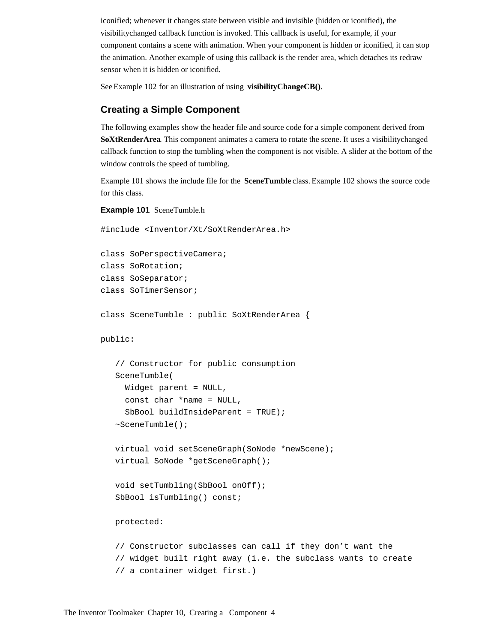iconified; whenever it changes state between visible and invisible (hidden or iconified), the visibilityÿchanged callback function is invoked. This callback is useful, for example, if your component contains a scene with animation. When your component is hidden or iconified, it can stop the animation. Another example of using this callback is the render area, which detaches its redraw sensor when it is hidden or iconified.

See Example 10ÿ2 for an illustration of using **visibilityChangeCB()**.

### **Creating a Simple Component**

The following examples show the header file and source code for a simple component derived from **SoXtRenderArea**. This component animates a camera to rotate the scene. It uses a visibilityÿchanged callback function to stop the tumbling when the component is not visible. A slider at the bottom of the window controls the speed of tumbling.

Example 10ÿ1 shows the include file for the **SceneTumble** class. Example 10ÿ2 shows the source code for this class.

#### **Example 10ÿ1** SceneTumble.h

```
#include <Inventor/Xt/SoXtRenderArea.h>
```

```
class SoPerspectiveCamera;
class SoRotation;
class SoSeparator;
class SoTimerSensor;
```
class SceneTumble : public SoXtRenderArea {

```
public:
```

```
 // Constructor for public consumption
 SceneTumble(
   Widget parent = NULL,
   const char *name = NULL, 
  SbBool buildInsideParent = TRUE);
 ~SceneTumble();
```

```
 virtual void setSceneGraph(SoNode *newScene);
 virtual SoNode *getSceneGraph();
```

```
 void setTumbling(SbBool onOff);
 SbBool isTumbling() const;
```
protected:

```
 // Constructor subclasses can call if they don't want the
 // widget built right away (i.e. the subclass wants to create
 // a container widget first.)
```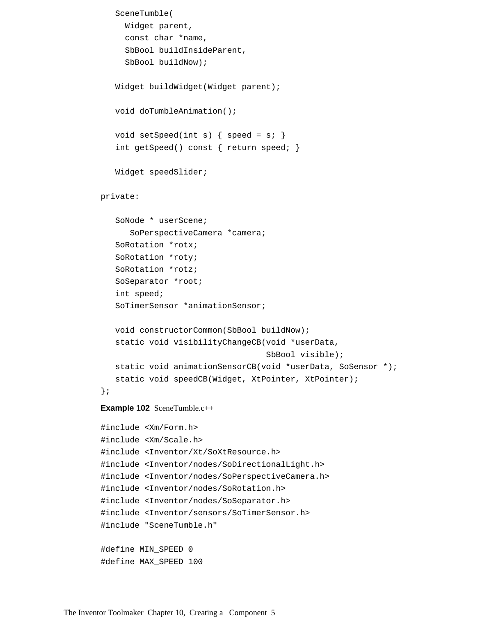```
 SceneTumble(
      Widget parent,
      const char *name, 
      SbBool buildInsideParent, 
      SbBool buildNow);
    Widget buildWidget(Widget parent);
    void doTumbleAnimation();
   void setspeed(int s) { speed = si } int getSpeed() const { return speed; }
    Widget speedSlider;
private:
    SoNode * userScene;
       SoPerspectiveCamera *camera;
    SoRotation *rotx;
    SoRotation *roty;
    SoRotation *rotz;
    SoSeparator *root;
    int speed;
    SoTimerSensor *animationSensor;
    void constructorCommon(SbBool buildNow);
    static void visibilityChangeCB(void *userData,
                                     SbBool visible);
    static void animationSensorCB(void *userData, SoSensor *);
    static void speedCB(Widget, XtPointer, XtPointer);
}; 
Example 10ÿ2 SceneTumble.c++
#include <Xm/Form.h>
#include <Xm/Scale.h>
#include <Inventor/Xt/SoXtResource.h>
#include <Inventor/nodes/SoDirectionalLight.h>
#include <Inventor/nodes/SoPerspectiveCamera.h>
#include <Inventor/nodes/SoRotation.h>
#include <Inventor/nodes/SoSeparator.h>
#include <Inventor/sensors/SoTimerSensor.h>
#include "SceneTumble.h"
#define MIN_SPEED 0
#define MAX_SPEED 100
```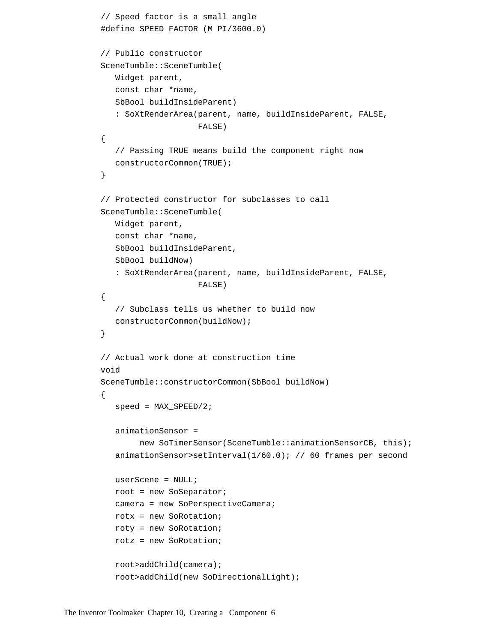```
// Speed factor is a small angle
#define SPEED_FACTOR (M_PI/3600.0)
// Public constructor
SceneTumble::SceneTumble(
    Widget parent,
    const char *name, 
    SbBool buildInsideParent)
    : SoXtRenderArea(parent, name, buildInsideParent, FALSE,
                      FALSE)
{
    // Passing TRUE means build the component right now
    constructorCommon(TRUE);
}
// Protected constructor for subclasses to call
SceneTumble::SceneTumble(
    Widget parent,
    const char *name, 
    SbBool buildInsideParent, 
    SbBool buildNow)
    : SoXtRenderArea(parent, name, buildInsideParent, FALSE,
                      FALSE)
{
    // Subclass tells us whether to build now
    constructorCommon(buildNow);
}
// Actual work done at construction time
void
SceneTumble::constructorCommon(SbBool buildNow)
{
    speed = MAX_SPEED/2;
    animationSensor = 
         new SoTimerSensor(SceneTumble::animationSensorCB, this);
    animationSensorÿ>setInterval(1/60.0); // 60 frames per second
    userScene = NULL;
    root = new SoSeparator;
    camera = new SoPerspectiveCamera;
    rotx = new SoRotation;
    roty = new SoRotation;
    rotz = new SoRotation;
    rootÿ>addChild(camera);
    rootÿ>addChild(new SoDirectionalLight);
```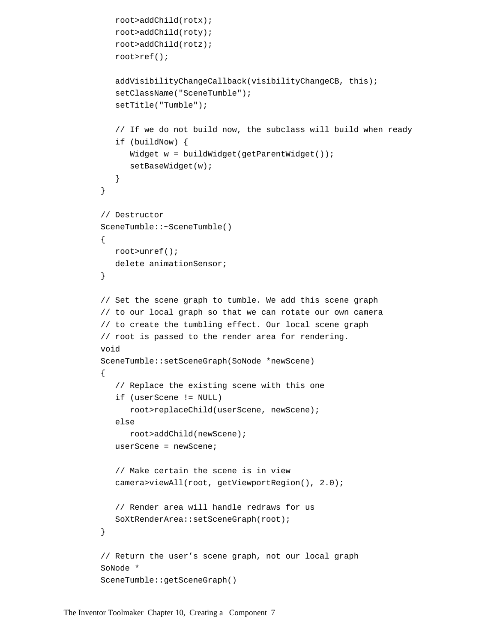```
 rootÿ>addChild(rotx);
    rootÿ>addChild(roty);
    rootÿ>addChild(rotz);
    rootÿ>ref();
    addVisibilityChangeCallback(visibilityChangeCB, this);
    setClassName("SceneTumble");
    setTitle("Tumble");
    // If we do not build now, the subclass will build when ready
    if (buildNow) {
      Widget w = \text{buildWidth}(getParentWidget());
       setBaseWidget(w);
    }
}
// Destructor
SceneTumble::~SceneTumble()
{
    rootÿ>unref();
   delete animationSensor;
}
// Set the scene graph to tumble. We add this scene graph
// to our local graph so that we can rotate our own camera
// to create the tumbling effect. Our local scene graph
// root is passed to the render area for rendering.
void
SceneTumble::setSceneGraph(SoNode *newScene)
{
    // Replace the existing scene with this one
    if (userScene != NULL)
       rootÿ>replaceChild(userScene, newScene);
    else 
       rootÿ>addChild(newScene);
    userScene = newScene;
    // Make certain the scene is in view
    cameraÿ>viewAll(root, getViewportRegion(), 2.0);
    // Render area will handle redraws for us
    SoXtRenderArea::setSceneGraph(root);
}
// Return the user's scene graph, not our local graph
SoNode *
SceneTumble::getSceneGraph()
```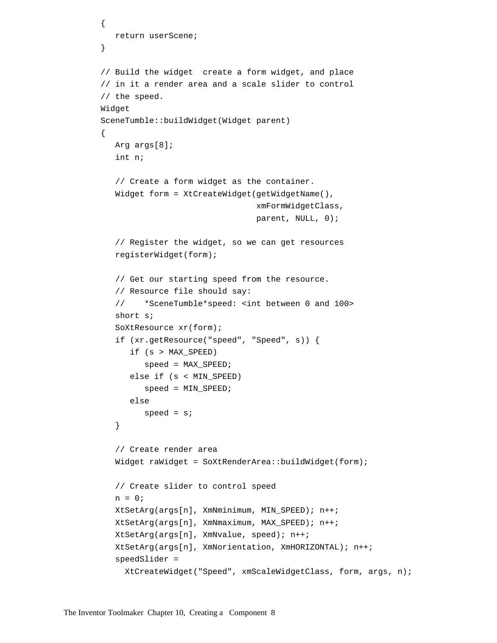```
{
    return userScene;
}
// Build the widget ÿ create a form widget, and place
// in it a render area and a scale slider to control
// the speed.
Widget
SceneTumble::buildWidget(Widget parent)
{
    Arg args[8];
    int n;
    // Create a form widget as the container.
    Widget form = XtCreateWidget(getWidgetName(),
                                  xmFormWidgetClass, 
                                  parent, NULL, 0);
    // Register the widget, so we can get resources
    registerWidget(form);
    // Get our starting speed from the resource.
    // Resource file should say:
    // *SceneTumble*speed: <int between 0 and 100>
    short s;
    SoXtResource xr(form);
    if (xr.getResource("speed", "Speed", s)) {
       if (s > MAX_SPEED)
          speed = MAX_SPEED;
       else if (s < MIN_SPEED)
          speed = MIN_SPEED;
       else 
         speed = si }
    // Create render area
   Widget raWidget = SoXtRenderArea::buildWidget(form);
    // Create slider to control speed
   n = 0; XtSetArg(args[n], XmNminimum, MIN_SPEED); n++;
    XtSetArg(args[n], XmNmaximum, MAX_SPEED); n++;
    XtSetArg(args[n], XmNvalue, speed); n++;
    XtSetArg(args[n], XmNorientation, XmHORIZONTAL); n++;
    speedSlider =
      XtCreateWidget("Speed", xmScaleWidgetClass, form, args, n);
```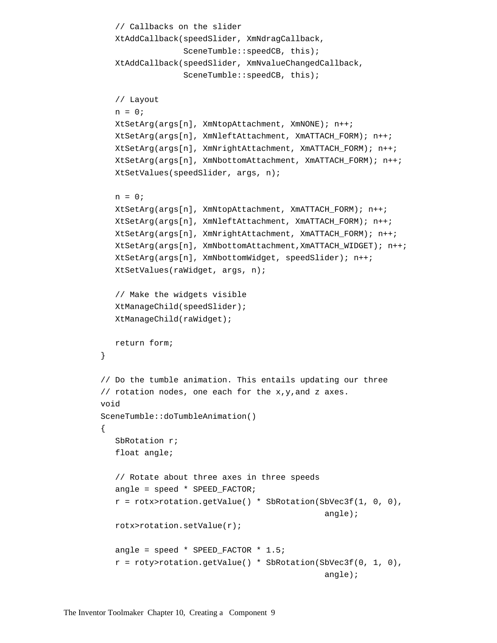```
 // Callbacks on the slider
    XtAddCallback(speedSlider, XmNdragCallback,
                  SceneTumble::speedCB, this);
    XtAddCallback(speedSlider, XmNvalueChangedCallback,
                  SceneTumble::speedCB, this);
    // Layout 
   n = 0; XtSetArg(args[n], XmNtopAttachment, XmNONE); n++;
    XtSetArg(args[n], XmNleftAttachment, XmATTACH_FORM); n++;
    XtSetArg(args[n], XmNrightAttachment, XmATTACH_FORM); n++;
    XtSetArg(args[n], XmNbottomAttachment, XmATTACH_FORM); n++;
    XtSetValues(speedSlider, args, n);
    n = 0;
    XtSetArg(args[n], XmNtopAttachment, XmATTACH_FORM); n++;
    XtSetArg(args[n], XmNleftAttachment, XmATTACH_FORM); n++;
    XtSetArg(args[n], XmNrightAttachment, XmATTACH_FORM); n++;
    XtSetArg(args[n], XmNbottomAttachment,XmATTACH_WIDGET); n++;
    XtSetArg(args[n], XmNbottomWidget, speedSlider); n++;
    XtSetValues(raWidget, args, n);
    // Make the widgets visible
    XtManageChild(speedSlider);
    XtManageChild(raWidget);
    return form;
}
// Do the tumble animation. This entails updating our three
// rotation nodes, one each for the x, y, and z axes.
void
SceneTumble::doTumbleAnimation()
{ 
   SbRotation r;
    float angle;
    // Rotate about three axes in three speeds
   angle = speed * SPEED_FACTOR;
    r = rotxÿ>rotation.getValue() * SbRotation(SbVec3f(1, 0, 0),
                                                 angle);
    rotxÿ>rotation.setValue(r);
   angle = speed * SPEED FACTOR * 1.5; r = rotyÿ>rotation.getValue() * SbRotation(SbVec3f(0, 1, 0),
                                                 angle);
```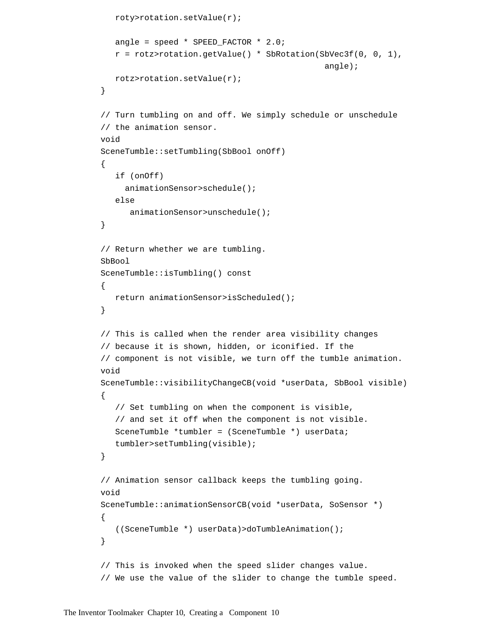```
 rotyÿ>rotation.setValue(r);
    angle = speed * SPEED_FACTOR * 2.0;
   r = \text{rotz}\ddot{y} > \text{rotation.getValue}() * \text{SBrotation}(\text{SbVec3f}(0, 0, 1)), angle);
    rotzÿ>rotation.setValue(r);
}
// Turn tumbling on and off. We simply schedule or unschedule
// the animation sensor.
void
SceneTumble::setTumbling(SbBool onOff)
{ 
    if (onOff) 
     animationSensor\ddot{y}>schedule();
    else 
      animationSensorÿ>unschedule();
}
// Return whether we are tumbling.
SbBool
SceneTumble::isTumbling() const
{
   return animationSensorÿ>isScheduled();
}
// This is called when the render area visibility changes
// because it is shown, hidden, or iconified. If the 
// component is not visible, we turn off the tumble animation.
void
SceneTumble::visibilityChangeCB(void *userData, SbBool visible)
{
    // Set tumbling on when the component is visible,
    // and set it off when the component is not visible.
    SceneTumble *tumbler = (SceneTumble *) userData; 
    tumblerÿ>setTumbling(visible);
}
// Animation sensor callback keeps the tumbling going.
void
SceneTumble::animationSensorCB(void *userData, SoSensor *)
{ 
    ((SceneTumble *) userData)ÿ>doTumbleAnimation();
}
// This is invoked when the speed slider changes value.
// We use the value of the slider to change the tumble speed.
```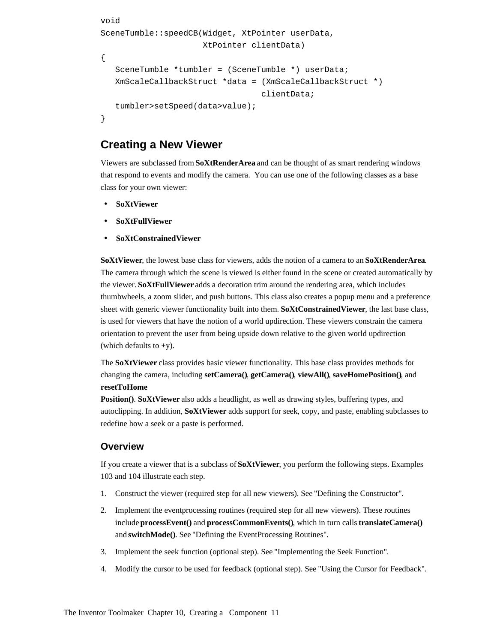```
void
SceneTumble::speedCB(Widget, XtPointer userData, 
                      XtPointer clientData)
{
    SceneTumble *tumbler = (SceneTumble *) userData;
    XmScaleCallbackStruct *data = (XmScaleCallbackStruct *)
                                   clientData;
    tumblerÿ>setSpeed(dataÿ>value);
}
```
## **Creating a New Viewer**

Viewers are subclassed from **SoXtRenderArea** and can be thought of as smart rendering windows that respond to events and modify the camera. You can use one of the following classes as a base class for your own viewer:

- **SoXtViewer**
- **SoXtFullViewer**
- **SoXtConstrainedViewer**

**SoXtViewer**, the lowest base class for viewers, adds the notion of a camera to an **SoXtRenderArea**. The camera through which the scene is viewed is either found in the scene or created automatically by the viewer. **SoXtFullViewer** adds a decoration trim around the rendering area, which includes thumbwheels, a zoom slider, and push buttons. This class also creates a popÿup menu and a preference sheet with generic viewer functionality built into them. **SoXtConstrainedViewer**, the last base class, is used for viewers that have the notion of a world upÿdirection. These viewers constrain the camera orientation to prevent the user from being upside down relative to the given world upÿdirection (which defaults to  $+y$ ).

The **SoXtViewer** class provides basic viewer functionality. This base class provides methods for changing the camera, including **setCamera()**, **getCamera()**, **viewAll()**, **saveHomePosition()**, and **resetToHomeÿ**

**Position()**. **SoXtViewer** also adds a headlight, as well as drawing styles, buffering types, and autoclipping. In addition, **SoXtViewer** adds support for seek, copy, and paste, enabling subclasses to redefine how a seek or a paste is performed.

### **Overview**

If you create a viewer that is a subclass of **SoXtViewer**, you perform the following steps. Examples 10ÿ3 and 10ÿ4 illustrate each step.

- 1. Construct the viewer (required step for all new viewers). See "Defining the Constructor".
- 2. Implement the eventÿprocessing routines (required step for all new viewers). These routines include **processEvent()** and **processCommonEvents()**, which in turn calls **translateCamera()** and switchMode(). See "Defining the EventyProcessing Routines".
- 3. Implement the seek function (optional step). See "Implementing the Seek Function".
- 4. Modify the cursor to be used for feedback (optional step). See "Using the Cursor for Feedback".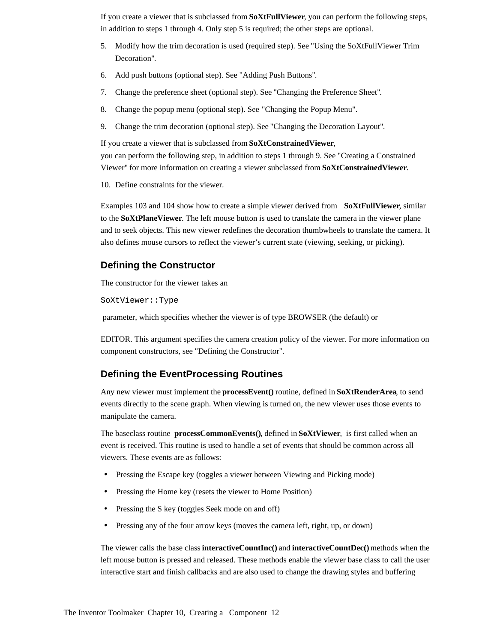If you create a viewer that is subclassed from **SoXtFullViewer**, you can perform the following steps, in addition to steps 1 through 4. Only step 5 is required; the other steps are optional.

- 5. Modify how the trim decoration is used (required step). See "Using the SoXtFullViewer Trim Decoration".
- 6. Add push buttons (optional step). See "Adding Push Buttons".
- 7. Change the preference sheet (optional step). See "Changing the Preference Sheet".
- 8. Change the popÿup menu (optional step). See "Changing the Popÿup Menu".
- 9. Change the trim decoration (optional step). See "Changing the Decoration Layout".

If you create a viewer that is subclassed from **SoXtConstrainedViewer**, you can perform the following step, in addition to steps 1 through 9. See "Creating a Constrained Viewer" for more information on creating a viewer subclassed from **SoXtConstrainedViewer**.

10. Define constraints for the viewer.

Examples 10 $\ddot{\phi}$  and 10 $\ddot{\phi}$  show how to create a simple viewer derived from **SoXtFullViewer**, similar to the **SoXtPlaneViewer**. The left mouse button is used to translate the camera in the viewer plane and to seek objects. This new viewer redefines the decoration thumbwheels to translate the camera. It also defines mouse cursors to reflect the viewer's current state (viewing, seeking, or picking).

### **Defining the Constructor**

The constructor for the viewer takes an

SoXtViewer::Type

parameter, which specifies whether the viewer is of type BROWSER (the default) or

EDITOR. This argument specifies the camera creation policy of the viewer. For more information on component constructors, see "Defining the Constructor".

## **Defining the EventÿProcessing Routines**

Any new viewer must implement the **processEvent()** routine, defined in **SoXtRenderArea**, to send events directly to the scene graph. When viewing is turned on, the new viewer uses those events to manipulate the camera.

The base *i*class routine **processCommonEvents**(), defined in **SoXtViewer**, is first called when an event is received. This routine is used to handle a set of events that should be common across all viewers. These events are as follows:

- Pressing the Escape key (toggles a viewer between Viewing and Picking mode)
- Pressing the Home key (resets the viewer to Home Position)
- Pressing the S key (toggles Seek mode on and off)
- Pressing any of the four arrow keys (moves the camera left, right, up, or down)

The viewer calls the base class **interactiveCountInc()** and **interactiveCountDec()** methods when the left mouse button is pressed and released. These methods enable the viewer base class to call the user interactive start and finish callbacks and are also used to change the drawing styles and buffering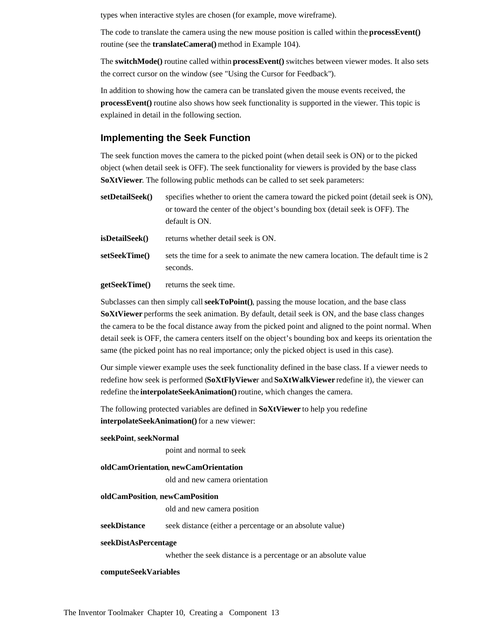types when interactive styles are chosen (for example, move wireframe).

The code to translate the camera using the new mouse position is called within the **processEvent()** routine (see the **translateCamera()** method in Example 10ÿ4).

The **switchMode()** routine called within **processEvent()** switches between viewer modes. It also sets the correct cursor on the window (see "Using the Cursor for Feedback").

In addition to showing how the camera can be translated given the mouse events received, the **processEvent()** routine also shows how seek functionality is supported in the viewer. This topic is explained in detail in the following section.

### **Implementing the Seek Function**

The seek function moves the camera to the picked point (when detail seek is ON) or to the picked object (when detail seek is OFF). The seek functionality for viewers is provided by the base class **SoXtViewer**. The following public methods can be called to set seek parameters:

- **setDetailSeek()** specifies whether to orient the camera toward the picked point (detail seek is ON), or toward the center of the object's bounding box (detail seek is OFF). The default is ON.
- **isDetailSeek()** returns whether detail seek is ON.
- **setSeekTime()** sets the time for a seek to animate the new camera location. The default time is 2 seconds.

**getSeekTime()** returns the seek time.

Subclasses can then simply call **seekToPoint()**, passing the mouse location, and the base class **SoXtViewer** performs the seek animation. By default, detail seek is ON, and the base class changes the camera to be the focal distance away from the picked point and aligned to the point normal. When detail seek is OFF, the camera centers itself on the object's bounding box and keeps its orientation the same (the picked point has no real importance; only the picked object is used in this case).

Our simple viewer example uses the seek functionality defined in the base class. If a viewer needs to redefine how seek is performed (**SoXtFlyViewe**r and **SoXtWalkViewer** redefine it), the viewer can redefine the **interpolateSeekAnimation()** routine, which changes the camera.

The following protected variables are defined in **SoXtViewer** to help you redefine **interpolateSeekAnimation()** for a new viewer:

#### **seekPoint**, **seekNormal**

point and normal to seek

#### **oldCamOrientation**, **newCamOrientation**

old and new camera orientation

#### **oldCamPosition**, **newCamPosition**

old and new camera position

seekDistance seek distance (either a percentage or an absolute value)

#### **seekDistAsPercentage**

whether the seek distance is a percentage or an absolute value

#### **computeSeekVariables**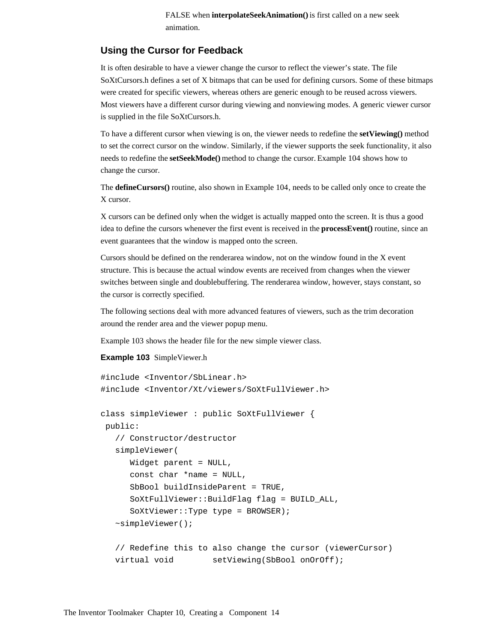FALSE when **interpolateSeekAnimation()** is first called on a new seek animation.

## **Using the Cursor for Feedback**

It is often desirable to have a viewer change the cursor to reflect the viewer's state. The file SoXtCursors.h defines a set of X bitmaps that can be used for defining cursors. Some of these bitmaps were created for specific viewers, whereas others are generic enough to be reused across viewers. Most viewers have a different cursor during viewing and nonviewing modes. A generic viewer cursor is supplied in the file SoXtCursors.h.

To have a different cursor when viewing is on, the viewer needs to redefine the **setViewing()** method to set the correct cursor on the window. Similarly, if the viewer supports the seek functionality, it also needs to redefine the **setSeekMode()** method to change the cursor. Example 10ÿ4 shows how to change the cursor.

The **defineCursors()** routine, also shown in Example 10ÿ4, needs to be called only once to create the X cursor.

X cursors can be defined only when the widget is actually mapped onto the screen. It is thus a good idea to define the cursors whenever the first event is received in the **processEvent()** routine, since an event guarantees that the window is mapped onto the screen.

Cursors should be defined on the renderÿarea window, not on the window found in the X event structure. This is because the actual window events are received from changes when the viewer switches between singleÿand doubleÿbuffering. The renderÿarea window, however, stays constant, so the cursor is correctly specified.

The following sections deal with more advanced features of viewers, such as the trim decoration around the render area and the viewer popÿup menu.

Example 10 $\beta$  shows the header file for the new simple viewer class.

#### **Example 10ÿ3** SimpleViewer.h

```
#include <Inventor/SbLinear.h>
#include <Inventor/Xt/viewers/SoXtFullViewer.h>
class simpleViewer : public SoXtFullViewer {
 public:
    // Constructor/destructor
   simpleViewer(
       Widget parent = NULL,
       const char *name = NULL, 
       SbBool buildInsideParent = TRUE, 
       SoXtFullViewer::BuildFlag flag = BUILD_ALL, 
       SoXtViewer::Type type = BROWSER);
    ~simpleViewer();
    // Redefine this to also change the cursor (viewerCursor)
  virtual void setViewing(SbBool onOrOff);
```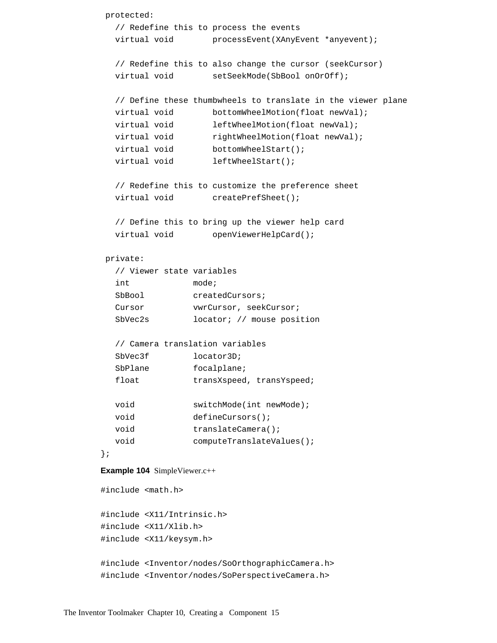```
 protected:
   // Redefine this to process the events
  virtual void processEvent(XAnyEvent *anyevent);
   // Redefine this to also change the cursor (seekCursor)
  virtual void setSeekMode(SbBool onOrOff);
   // Define these thumbwheels to translate in the viewer plane
  virtual void bottomWheelMotion(float newVal);
  virtual void leftWheelMotion(float newVal);
  virtual void rightWheelMotion(float newVal);
  virtual void bottomWheelStart();
  virtual void leftWheelStart();
   // Redefine this to customize the preference sheet
  virtual void createPrefSheet();
   // Define this to bring up the viewer help card
  virtual void openViewerHelpCard();
 private:
   // Viewer state variables
   int mode;
  SbBool createdCursors;
   Cursor vwrCursor, seekCursor;
   SbVec2s locator; // mouse position
   // Camera translation variables
   SbVec3f locator3D;
  SbPlane focalplane;
  float transXspeed, transYspeed;
  void switchMode(int newMode);
  void defineCursors();
  void translateCamera();
  void computeTranslateValues();
};
Example 10ÿ4 SimpleViewer.c++
#include <math.h>
#include <X11/Intrinsic.h>
#include <X11/Xlib.h>
#include <X11/keysym.h>
#include <Inventor/nodes/SoOrthographicCamera.h>
```

```
#include <Inventor/nodes/SoPerspectiveCamera.h>
```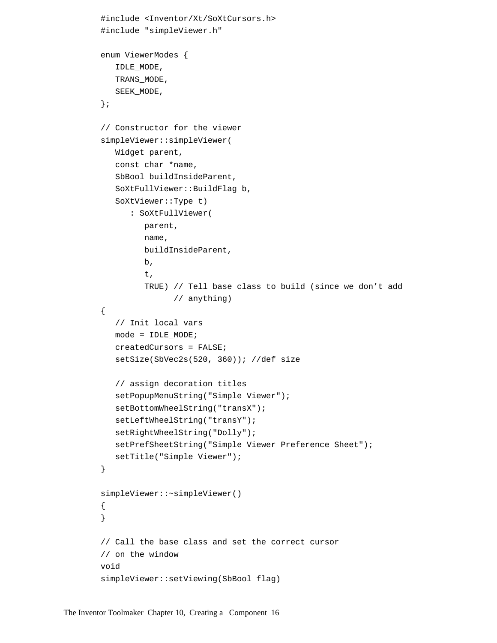```
#include <Inventor/Xt/SoXtCursors.h>
#include "simpleViewer.h"
enum ViewerModes {
    IDLE_MODE, 
    TRANS_MODE, 
    SEEK_MODE, 
};
// Constructor for the viewer
simpleViewer::simpleViewer(
    Widget parent,
    const char *name, 
    SbBool buildInsideParent, 
    SoXtFullViewer::BuildFlag b, 
    SoXtViewer::Type t)
       : SoXtFullViewer(
          parent,
          name, 
          buildInsideParent, 
          b, 
          t, 
          TRUE) // Tell base class to build (since we don't add
                 // anything)
{
    // Init local vars
    mode = IDLE_MODE;
    createdCursors = FALSE;
    setSize(SbVec2s(520, 360)); //def size
    // assign decoration titles
    setPopupMenuString("Simple Viewer");
    setBottomWheelString("transX");
    setLeftWheelString("transY");
    setRightWheelString("Dolly");
    setPrefSheetString("Simple Viewer Preference Sheet");
    setTitle("Simple Viewer");
}
simpleViewer::~simpleViewer()
{
}
// Call the base class and set the correct cursor 
// on the window
void
simpleViewer::setViewing(SbBool flag)
```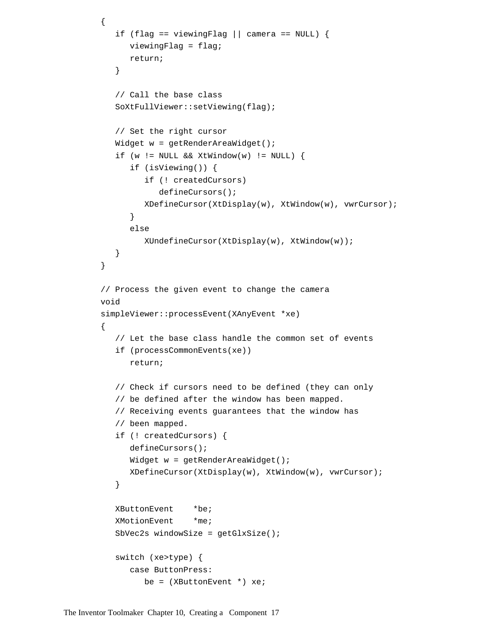```
{
   if (flag == viewingFlag || camera == NULL) {
       viewingFlag = flag;
       return;
    }
    // Call the base class
    SoXtFullViewer::setViewing(flag);
    // Set the right cursor
    Widget w = getRenderAreaWidget();
   if (w != NULL && XtWindow(w) != NULL) {
       if (isViewing()) {
          if (! createdCursors)
             defineCursors();
          XDefineCursor(XtDisplay(w), XtWindow(w), vwrCursor);
       }
       else
          XUndefineCursor(XtDisplay(w), XtWindow(w));
    }
}
// Process the given event to change the camera
void
simpleViewer::processEvent(XAnyEvent *xe)
{
    // Let the base class handle the common set of events
    if (processCommonEvents(xe))
       return;
    // Check if cursors need to be defined (they can only
    // be defined after the window has been mapped. 
    // Receiving events guarantees that the window has 
    // been mapped.
    if (! createdCursors) {
       defineCursors();
       Widget w = getRenderAreaWidget();
       XDefineCursor(XtDisplay(w), XtWindow(w), vwrCursor);
    }
    XButtonEvent *be;
    XMotionEvent *me;
   SbVec2s windowSize = getGlxSize();
    switch (xeÿ>type) {
       case ButtonPress:
          be = (XButtonEvent *) xe;
```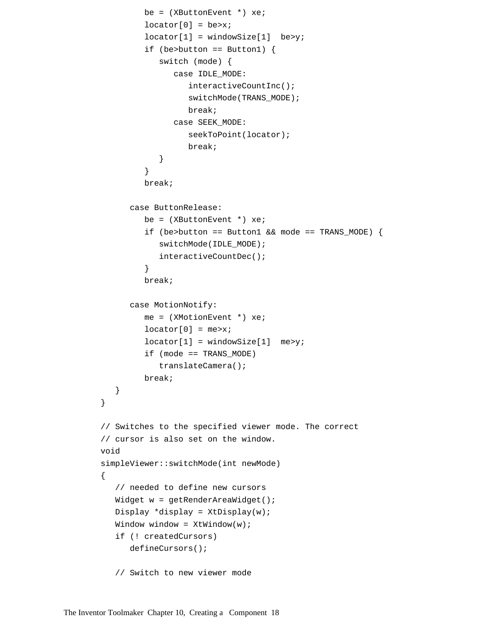```
be = (XButtonEvent * ) xe;
          locator[0] = be\ddot{y} > x;locator[1] = windowSize[1] \ddot{y} be\ddot{y} > y;
          if (be\ddot{y}>button == Button1) {
              switch (mode) {
                 case IDLE_MODE: 
                     interactiveCountInc();
                     switchMode(TRANS_MODE);
                     break;
                 case SEEK_MODE:
                     seekToPoint(locator);
                     break;
 }
           }
           break;
       case ButtonRelease:
          be = (XButtonEvent * ) xe;
          if (be\ddot{y}>button == Button1 && mode == TRANS_MODE) {
              switchMode(IDLE_MODE);
              interactiveCountDec();
           }
           break;
       case MotionNotify:
           me = (XMotionEvent *) xe;
          locator[0] = me\ddot{y} > x;location[1] = windowSize[1] \ddot{y} me\ddot{y} > y;
           if (mode == TRANS_MODE)
              translateCamera();
          break;
    }
}
// Switches to the specified viewer mode. The correct
// cursor is also set on the window.
void
simpleViewer::switchMode(int newMode)
{
    // needed to define new cursors
   Widget w = getRenderAreaWidget();
   Display *display = XtDisplay(w);Window window = XtWindow(w); if (! createdCursors)
       defineCursors();
    // Switch to new viewer mode
```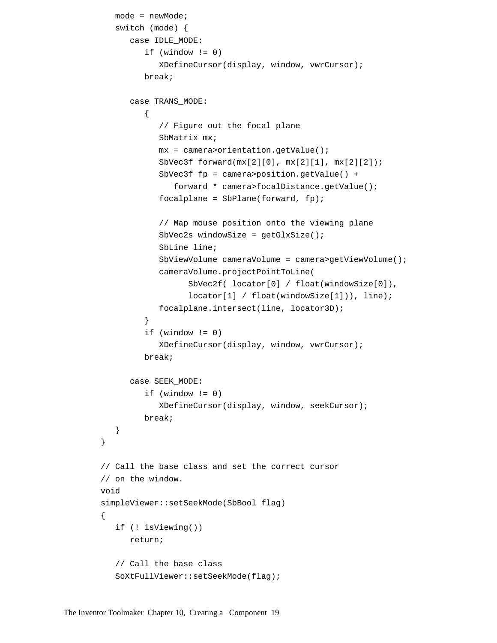```
 mode = newMode;
    switch (mode) {
       case IDLE_MODE:
          if (window != 0)
             XDefineCursor(display, window, vwrCursor);
          break;
       case TRANS_MODE:
          {
             // Figure out the focal plane
             SbMatrix mx;
             mx = cameraÿ>orientation.getValue();
             SbVec3f forward(ÿmx[2][0], ÿmx[2][1], ÿmx[2][2]);
             SbVec3f fp = cameraÿ>position.getValue() + 
                 forward * cameraÿ>focalDistance.getValue();
            focalplane = SbPlane(forward, fp); // Map mouse position onto the viewing plane
             SbVec2s windowSize = getGlxSize();
             SbLine line;
             SbViewVolume cameraVolume = cameraÿ>getViewVolume();
             cameraVolume.projectPointToLine(
                    SbVec2f( locator[0] / float(windowSize[0]), 
                    locator[1] / float(windowSize[1])), line);
             focalplane.intersect(line, locator3D);
          }
          if (window != 0)
             XDefineCursor(display, window, vwrCursor);
          break;
       case SEEK_MODE:
         if (window != 0)
             XDefineCursor(display, window, seekCursor);
          break;
    }
}
// Call the base class and set the correct cursor 
// on the window.
void
simpleViewer::setSeekMode(SbBool flag)
\left\{ \right. if (! isViewing())
       return;
    // Call the base class
    SoXtFullViewer::setSeekMode(flag);
```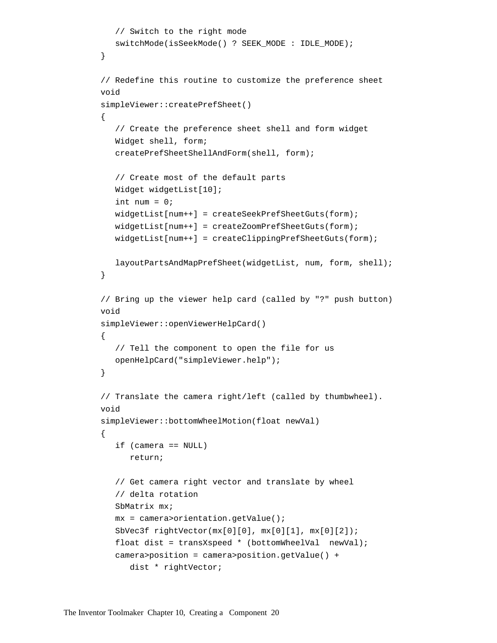```
 // Switch to the right mode
    switchMode(isSeekMode() ? SEEK_MODE : IDLE_MODE);
}
// Redefine this routine to customize the preference sheet
void
simpleViewer::createPrefSheet()
{
    // Create the preference sheet shell and form widget
    Widget shell, form;
    createPrefSheetShellAndForm(shell, form);
    // Create most of the default parts
    Widget widgetList[10];
   int num = 0;
    widgetList[num++] = createSeekPrefSheetGuts(form);
    widgetList[num++] = createZoomPrefSheetGuts(form);
    widgetList[num++] = createClippingPrefSheetGuts(form);
    layoutPartsAndMapPrefSheet(widgetList, num, form, shell);
}
// Bring up the viewer help card (called by "?" push button)
void
simpleViewer::openViewerHelpCard()
{
    // Tell the component to open the file for us
    openHelpCard("simpleViewer.help");
}
// Translate the camera right/left (called by thumbwheel).
void
simpleViewer::bottomWheelMotion(float newVal)
{
    if (camera == NULL)
       return;
    // Get camera right vector and translate by wheel 
    // delta rotation
    SbMatrix mx;
    mx = cameraÿ>orientation.getValue();
    SbVec3f rightVector(mx[0][0], mx[0][1], mx[0][2]);
   float dist = transXspeed * (bottomWheelVal \ddot{y} newVal);
    cameraÿ>position = cameraÿ>position.getValue() + 
       dist * rightVector;
```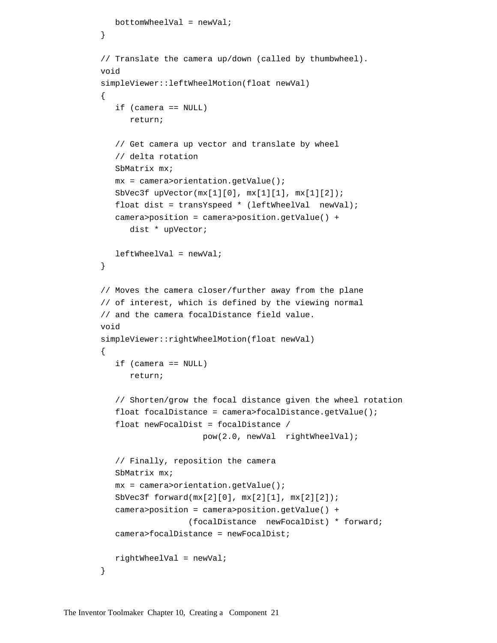```
 bottomWheelVal = newVal;
}
// Translate the camera up/down (called by thumbwheel).
void
simpleViewer::leftWheelMotion(float newVal)
{
    if (camera == NULL)
       return;
    // Get camera up vector and translate by wheel 
    // delta rotation
    SbMatrix mx;
    mx = cameraÿ>orientation.getValue();
    SbVec3f upVector(mx[1][0], mx[1][1], mx[1][2]);
    float dist = transYspeed * (leftWheelVal ÿ newVal);
    cameraÿ>position = cameraÿ>position.getValue() + 
       dist * upVector;
   leftWheelVal = newVal;}
// Moves the camera closer/further away from the plane 
// of interest, which is defined by the viewing normal 
// and the camera focalDistance field value.
void
simpleViewer::rightWheelMotion(float newVal)
{
    if (camera == NULL)
       return;
    // Shorten/grow the focal distance given the wheel rotation
    float focalDistance = cameraÿ>focalDistance.getValue();
    float newFocalDist = focalDistance / 
                      pow(2.0, newVal ÿ rightWheelVal);
    // Finally, reposition the camera
    SbMatrix mx;
    mx = cameraÿ>orientation.getValue();
    SbVec3f forward(ÿmx[2][0], ÿmx[2][1], ÿmx[2][2]);
    cameraÿ>position = cameraÿ>position.getValue() + 
                    (focalDistance ÿ newFocalDist) * forward;
    cameraÿ>focalDistance = newFocalDist;
   rightWheelVal = newVal;}
```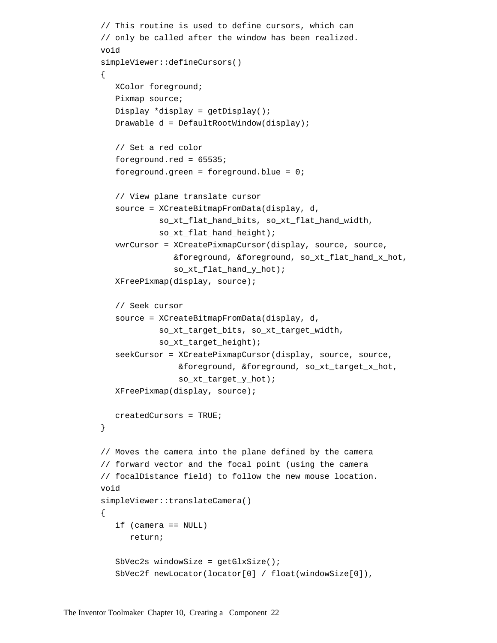```
// This routine is used to define cursors, which can 
// only be called after the window has been realized.
void
simpleViewer::defineCursors()
{
    XColor foreground;
    Pixmap source;
    Display *display = getDisplay();
    Drawable d = DefaultRootWindow(display);
    // Set a red color
   foreground.red = 65535;
    foreground.green = foreground.blue = 0;
    // View plane translate cursor
    source = XCreateBitmapFromData(display, d, 
             so_xt_flat_hand_bits, so_xt_flat_hand_width,
             so_xt_flat_hand_height);
    vwrCursor = XCreatePixmapCursor(display, source, source, 
                &foreground, &foreground, so_xt_flat_hand_x_hot, 
                so_xt_flat_hand_y_hot);
    XFreePixmap(display, source);
    // Seek cursor
    source = XCreateBitmapFromData(display, d,
             so_xt_target_bits, so_xt_target_width,
             so_xt_target_height);
    seekCursor = XCreatePixmapCursor(display, source, source, 
                 &foreground, &foreground, so_xt_target_x_hot,
                 so_xt_target_y_hot);
    XFreePixmap(display, source);
    createdCursors = TRUE;
}
// Moves the camera into the plane defined by the camera 
// forward vector and the focal point (using the camera
// focalDistance field) to follow the new mouse location.
void
simpleViewer::translateCamera()
{
    if (camera == NULL)
       return;
    SbVec2s windowSize = getGlxSize();
    SbVec2f newLocator(locator[0] / float(windowSize[0]),
```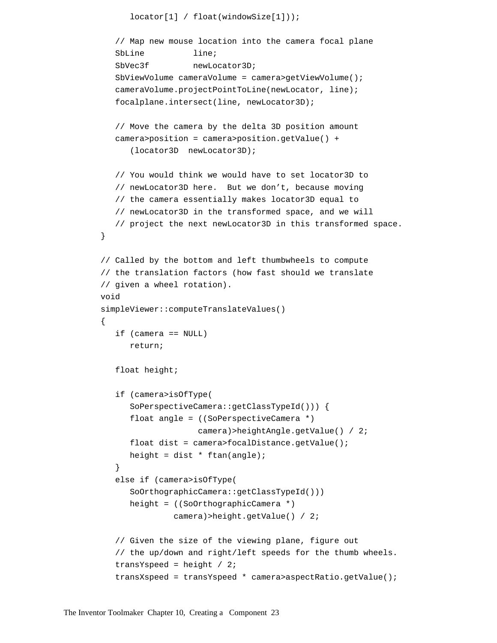```
 locator[1] / float(windowSize[1]));
    // Map new mouse location into the camera focal plane
   SbLine line;
   SbVec3f newLocator3D;
    SbViewVolume cameraVolume = cameraÿ>getViewVolume();
    cameraVolume.projectPointToLine(newLocator, line);
    focalplane.intersect(line, newLocator3D);
    // Move the camera by the delta 3D position amount
    cameraÿ>position = cameraÿ>position.getValue() + 
       (locator3D ÿ newLocator3D);
    // You would think we would have to set locator3D to
    // newLocator3D here. But we don't, because moving 
    // the camera essentially makes locator3D equal to 
    // newLocator3D in the transformed space, and we will 
    // project the next newLocator3D in this transformed space.
}
// Called by the bottom and left thumbwheels to compute 
// the translation factors (how fast should we translate 
// given a wheel rotation).
void
simpleViewer::computeTranslateValues()
{
    if (camera == NULL)
       return;
    float height;
    if (cameraÿ>isOfType( 
       SoPerspectiveCamera::getClassTypeId())) {
       float angle = ((SoPerspectiveCamera *) 
                     camera)ÿ>heightAngle.getValue() / 2;
       float dist = cameraÿ>focalDistance.getValue();
       height = dist * ftan(angle);
    }
    else if (cameraÿ>isOfType( 
       SoOrthographicCamera::getClassTypeId()))
       height = ((SoOrthographicCamera *) 
               camera)\ddot{y}>height.getValue() / 2;
    // Given the size of the viewing plane, figure out 
    // the up/down and right/left speeds for the thumb wheels.
    transYspeed = height / 2;
    transXspeed = transYspeed * cameraÿ>aspectRatio.getValue();
```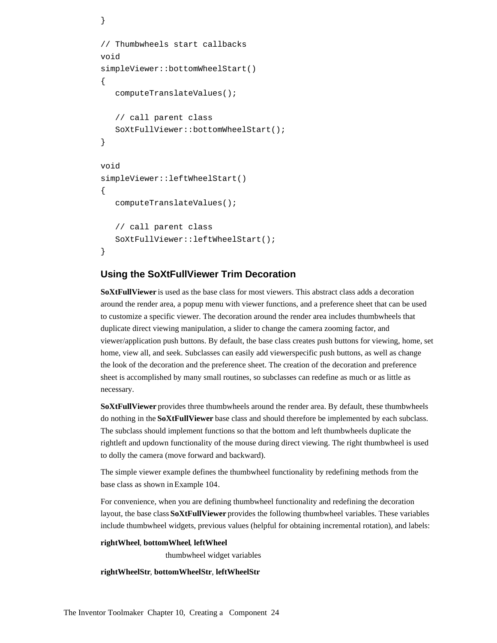```
}
// Thumbwheels start callbacks
void
simpleViewer::bottomWheelStart()
{
    computeTranslateValues();
    // call parent class
    SoXtFullViewer::bottomWheelStart();
}
void
simpleViewer::leftWheelStart()
{
    computeTranslateValues();
    // call parent class
    SoXtFullViewer::leftWheelStart();
}
```
## **Using the SoXtFullViewer Trim Decoration**

**SoXtFullViewer** is used as the base class for most viewers. This abstract class adds a decoration around the render area, a popÿup menu with viewer functions, and a preference sheet that can be used to customize a specific viewer. The decoration around the render area includes thumbwheels that duplicate direct viewing manipulation, a slider to change the camera zooming factor, and viewer/application push buttons. By default, the base class creates push buttons for viewing, home, set home, view all, and seek. Subclasses can easily add viewerÿspecific push buttons, as well as change the look of the decoration and the preference sheet. The creation of the decoration and preference sheet is accomplished by many small routines, so subclasses can redefine as much or as little as necessary.

**SoXtFullViewer** provides three thumbwheels around the render area. By default, these thumbwheels do nothing in the **SoXtFullViewer** base class and should therefore be implemented by each subclass. The subclass should implement functions so that the bottom and left thumbwheels duplicate the right $\ddot{\psi}$ eft and up $\ddot{\psi}$ down functionality of the mouse during direct viewing. The right thumbwheel is used to dolly the camera (move forward and backward).

The simple viewer example defines the thumbwheel functionality by redefining methods from the base class as shown in Example 10ÿ4.

For convenience, when you are defining thumbwheel functionality and redefining the decoration layout, the base class **SoXtFullViewer** provides the following thumbwheel variables. These variables include thumbwheel widgets, previous values (helpful for obtaining incremental rotation), and labels:

#### **rightWheel**, **bottomWheel**, **leftWheel**

thumbwheel widget variables

**rightWheelStr**, **bottomWheelStr**, **leftWheelStr**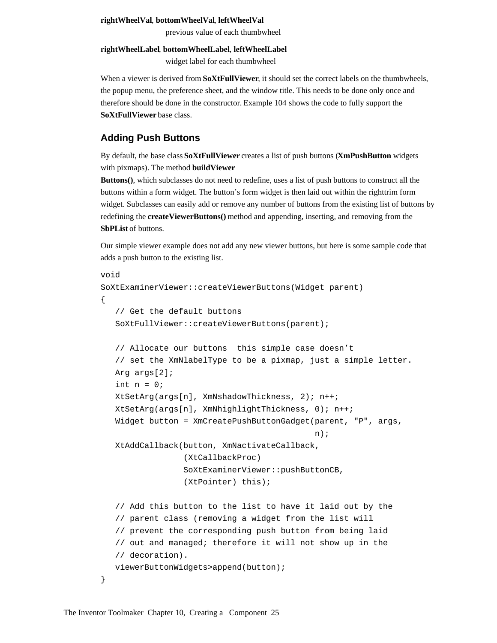#### **rightWheelVal**, **bottomWheelVal**, **leftWheelVal**

previous value of each thumbwheel

**rightWheelLabel**, **bottomWheelLabel**, **leftWheelLabel**

widget label for each thumbwheel

When a viewer is derived from **SoXtFullViewer**, it should set the correct labels on the thumbwheels, the popÿup menu, the preference sheet, and the window title. This needs to be done only once and therefore should be done in the constructor. Example 10ÿ4 shows the code to fully support the **SoXtFullViewer** base class.

## **Adding Push Buttons**

By default, the base class **SoXtFullViewer** creates a list of push buttons (**XmPushButton** widgets with pixmaps). The method **buildViewerÿ**

**Buttons()**, which subclasses do not need to redefine, uses a list of push buttons to construct all the buttons within a form widget. The button's form widget is then laid out within the rightÿtrim form widget. Subclasses can easily add or remove any number of buttons from the existing list of buttons by redefining the **createViewerButtons()** method and appending, inserting, and removing from the **SbPList** of buttons.

Our simple viewer example does not add any new viewer buttons, but here is some sample code that adds a push button to the existing list.

```
void
SoXtExaminerViewer::createViewerButtons(Widget parent)
{
    // Get the default buttons
   SoXtFullViewer::createViewerButtons(parent);
   // Allocate our buttons ÿ this simple case doesn't
    // set the XmNlabelType to be a pixmap, just a simple letter.
   Arg args[2];
  int n = 0;
   XtSetArg(args[n], XmNshadowThickness, 2); n++;
   XtSetArg(args[n], XmNhighlightThickness, 0); n++;
   Widget button = XmCreatePushButtonGadget(parent, "P", args,
 n);
   XtAddCallback(button, XmNactivateCallback,
                  (XtCallbackProc)
                 SoXtExaminerViewer::pushButtonCB, 
                  (XtPointer) this);
    // Add this button to the list to have it laid out by the
    // parent class (removing a widget from the list will
    // prevent the corresponding push button from being laid
    // out and managed; therefore it will not show up in the
    // decoration).
   viewerButtonWidgetsÿ>append(button);
}
```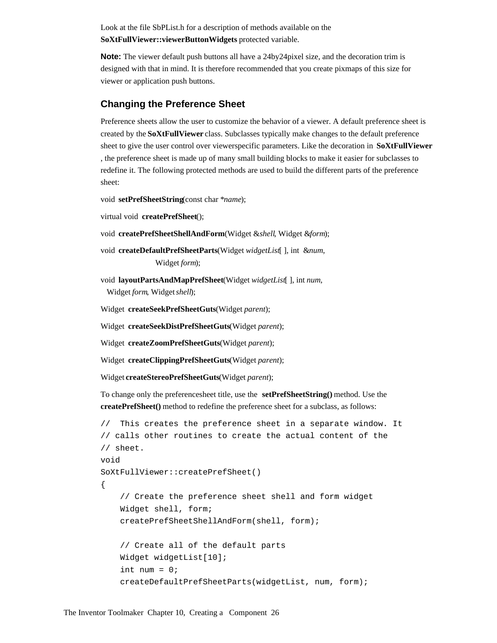Look at the file SbPList.h for a description of methods available on the **SoXtFullViewer::viewerButtonWidgets** protected variable.

**Note:** The viewer default push buttons all have a 24 $\dot{\phi}$ y $\ddot{\phi}$  a and the decoration trim is designed with that in mind. It is therefore recommended that you create pixmaps of this size for viewer or application push buttons.

## **Changing the Preference Sheet**

Preference sheets allow the user to customize the behavior of a viewer. A default preference sheet is created by the **SoXtFullViewer** class. Subclasses typically make changes to the default preference sheet to give the user control over viewerÿspecific parameters. Like the decoration in **SoXtFullViewer** , the preference sheet is made up of many small building blocks to make it easier for subclasses to redefine it. The following protected methods are used to build the different parts of the preference sheet:

void **setPrefSheetString**(const char \**name*);

virtual void **createPrefSheet**();

void **createPrefSheetShellAndForm**(Widget &*shell*, Widget &*form*);

void **createDefaultPrefSheetParts**(Widget *widgetList*[ ], int &*num*, Widget *form*);

void **layoutPartsAndMapPrefSheet**(Widget *widgetList*[ ], int *num*, Widget *form*, Widget *shell*);

Widget **createSeekPrefSheetGuts**(Widget *parent*);

Widget **createSeekDistPrefSheetGuts**(Widget *parent*);

Widget **createZoomPrefSheetGuts**(Widget *parent*);

Widget **createClippingPrefSheetGuts**(Widget *parent*);

Widget **createStereoPrefSheetGuts**(Widget *parent*);

To change only the preferenceÿsheet title, use the **setPrefSheetString()** method. Use the **createPrefSheet()** method to redefine the preference sheet for a subclass, as follows:

```
// This creates the preference sheet in a separate window. It
// calls other routines to create the actual content of the 
// sheet.
void
SoXtFullViewer::createPrefSheet()
{
     // Create the preference sheet shell and form widget
     Widget shell, form;
     createPrefSheetShellAndForm(shell, form);
     // Create all of the default parts
     Widget widgetList[10];
    int num = 0;
     createDefaultPrefSheetParts(widgetList, num, form);
```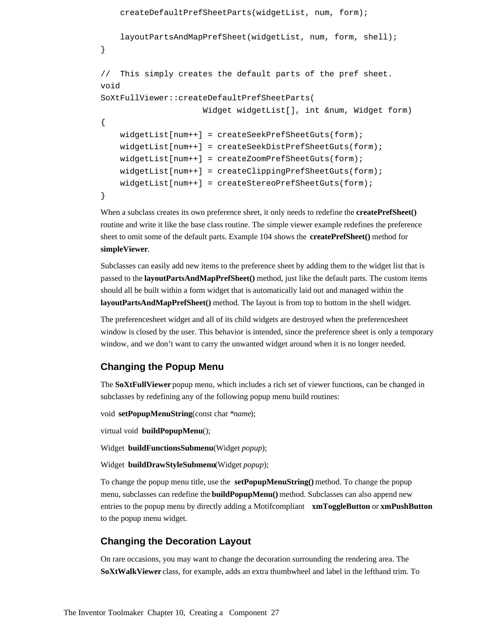```
 createDefaultPrefSheetParts(widgetList, num, form);
     layoutPartsAndMapPrefSheet(widgetList, num, form, shell);
}
// This simply creates the default parts of the pref sheet.
void
SoXtFullViewer::createDefaultPrefSheetParts(
                      Widget widgetList[], int &num, Widget form)
{
     widgetList[num++] = createSeekPrefSheetGuts(form);
     widgetList[num++] = createSeekDistPrefSheetGuts(form);
     widgetList[num++] = createZoomPrefSheetGuts(form);
     widgetList[num++] = createClippingPrefSheetGuts(form);
     widgetList[num++] = createStereoPrefSheetGuts(form);
}
```
When a subclass creates its own preference sheet, it only needs to redefine the **createPrefSheet**() routine and write it like the base class routine. The simple viewer example redefines the preference sheet to omit some of the default parts. Example 10ÿ4 shows the **createPrefSheet()** method for **simpleViewer**.

Subclasses can easily add new items to the preference sheet by adding them to the widget list that is passed to the **layoutPartsAndMapPrefSheet()** method, just like the default parts. The custom items should all be built within a form widget that is automatically laid out and managed within the **layoutPartsAndMapPrefSheet()** method. The layout is from top to bottom in the shell widget.

The preferenceÿsheet widget and all of its child widgets are destroyed when the preferenceÿsheet window is closed by the user. This behavior is intended, since the preference sheet is only a temporary window, and we don't want to carry the unwanted widget around when it is no longer needed.

## **Changing the Popÿup Menu**

The **SoXtFullViewer** popÿup menu, which includes a rich set of viewer functions, can be changed in subclasses by redefining any of the following popyup menu build routines:

void **setPopupMenuString**(const char \**name*);

virtual void **buildPopupMenu**();

Widget **buildFunctionsSubmenu**(Widget *popup*);

Widget **buildDrawStyleSubmenu**(Widget *popup*);

To change the popÿup menu title, use the **setPopupMenuString()** method. To change the popÿup menu, subclasses can redefine the **buildPopupMenu()** method. Subclasses can also append new entries to the popÿup menu by directly adding a Motifÿcompliant **xmToggleButton** or **xmPushButton** to the popÿup menu widget.

## **Changing the Decoration Layout**

On rare occasions, you may want to change the decoration surrounding the rendering area. The **SoXtWalkViewer** class, for example, adds an extra thumbwheel and label in the leftÿhand trim. To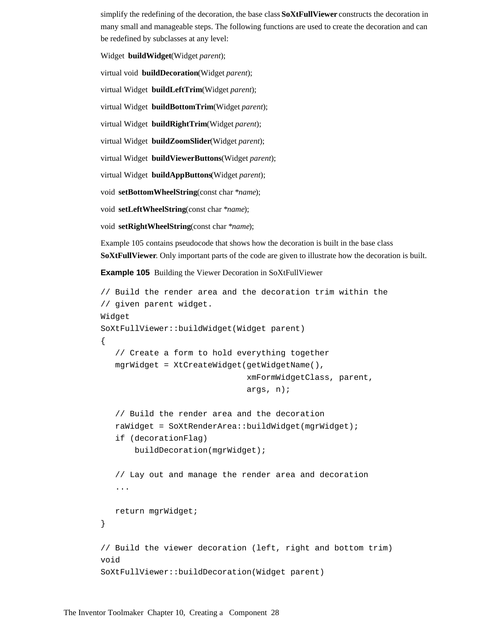simplify the redefining of the decoration, the base class **SoXtFullViewer** constructs the decoration in many small and manageable steps. The following functions are used to create the decoration and can be redefined by subclasses at any level:

Widget **buildWidget**(Widget *parent*);

virtual void **buildDecoration**(Widget *parent*);

virtual Widget **buildLeftTrim**(Widget *parent*);

virtual Widget **buildBottomTrim**(Widget *parent*);

virtual Widget **buildRightTrim**(Widget *parent*);

virtual Widget **buildZoomSlider**(Widget *parent*);

virtual Widget **buildViewerButtons**(Widget *parent*);

virtual Widget **buildAppButtons**(Widget *parent*);

void **setBottomWheelString**(const char \**name*);

void **setLeftWheelString**(const char \**name*);

void **setRightWheelString**(const char \**name*);

Example 10 $\overline{p}$  contains pseudocode that shows how the decoration is built in the base class **SoXtFullViewer**. Only important parts of the code are given to illustrate how the decoration is built.

**Example 10ÿ5** Building the Viewer Decoration in SoXtFullViewer

```
// Build the render area and the decoration trim within the
// given parent widget.
Widget
SoXtFullViewer::buildWidget(Widget parent)
{
    // Create a form to hold everything together
    mgrWidget = XtCreateWidget(getWidgetName(),
                                xmFormWidgetClass, parent, 
                                args, n);
    // Build the render area and the decoration
    raWidget = SoXtRenderArea::buildWidget(mgrWidget);
    if (decorationFlag)
        buildDecoration(mgrWidget);
    // Lay out and manage the render area and decoration
    ...
    return mgrWidget;
}
// Build the viewer decoration (left, right and bottom trim)
void
SoXtFullViewer::buildDecoration(Widget parent)
```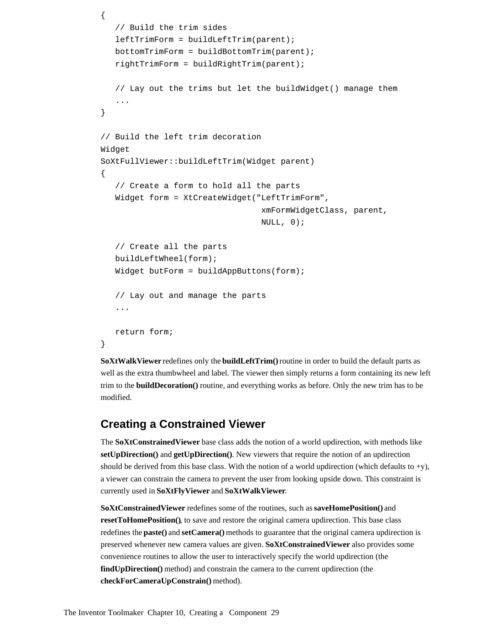```
{
    // Build the trim sides
    leftTrimForm = buildLeftTrim(parent);
   bottomTrimForm = buildBottomTrim(parent); rightTrimForm = buildRightTrim(parent);
    // Lay out the trims but let the buildWidget() manage them
    ...
}
// Build the left trim decoration
Widget
SoXtFullViewer::buildLeftTrim(Widget parent)
{
    // Create a form to hold all the parts
    Widget form = XtCreateWidget("LeftTrimForm",
                                   xmFormWidgetClass, parent,
                                   NULL, 0);
    // Create all the parts
    buildLeftWheel(form);
    Widget butForm = buildAppButtons(form);
    // Lay out and manage the parts
 ...
    return form;
}
```
**SoXtWalkViewer** redefines only the **buildLeftTrim()** routine in order to build the default parts as well as the extra thumbwheel and label. The viewer then simply returns a form containing its new left trim to the **buildDecoration()** routine, and everything works as before. Only the new trim has to be modified.

## **Creating a Constrained Viewer**

The **SoXtConstrainedViewer** base class adds the notion of a world upÿdirection, with methods like **setUpDirection()** and **getUpDirection()**. New viewers that require the notion of an upÿdirection should be derived from this base class. With the notion of a world up direction (which defaults to +y), a viewer can constrain the camera to prevent the user from looking upside down. This constraint is currently used in **SoXtFlyViewer** and **SoXtWalkViewer**.

**SoXtConstrainedViewer** redefines some of the routines, such as **saveHomePosition()** and **resetToHomePosition()**, to save and restore the original camera upÿdirection. This base class redefines the **paste()** and **setCamera()** methods to guarantee that the original camera upÿdirection is preserved whenever new camera values are given. **SoXtConstrainedViewer** also provides some convenience routines to allow the user to interactively specify the world upÿdirection (the **findUpDirection()** method) and constrain the camera to the current upÿdirection (the **checkForCameraUpConstrain()** method).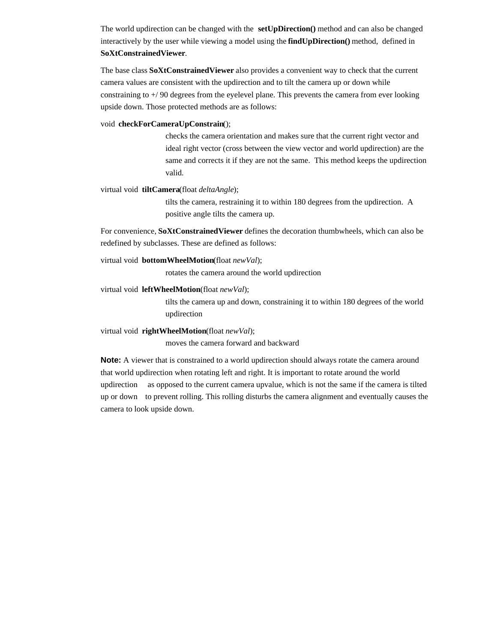The world upÿdirection can be changed with the **setUpDirection()** method and can also be changed interactively by the user while viewing a model using the **findUpDirection()** method, defined in **SoXtConstrainedViewer**.

The base class **SoXtConstrainedViewer** also provides a convenient way to check that the current camera values are consistent with the upÿdirection and to tilt the camera up or down while constraining to  $+\sqrt{y}90$  degrees from the eye $\sqrt{y}$ evel plane. This prevents the camera from ever looking upside down. Those protected methods are as follows:

#### void **checkForCameraUpConstrain**();

checks the camera orientation and makes sure that the current right vector and ideal right vector (cross between the view vector and world upÿdirection) are the same and corrects it if they are not the same. This method keeps the upydirection valid.

virtual void **tiltCamera**(float *deltaAngle*);

tilts the camera, restraining it to within 180 degrees from the upÿdirection. A positive angle tilts the camera up.

For convenience, **SoXtConstrainedViewer** defines the decoration thumbwheels, which can also be redefined by subclasses. These are defined as follows:

#### virtual void **bottomWheelMotion**(float *newVal*);

rotates the camera around the world upÿdirection

virtual void **leftWheelMotion**(float *newVal*);

tilts the camera up and down, constraining it to within 180 degrees of the world upÿdirection

virtual void **rightWheelMotion**(float *newVal*);

moves the camera forward and backward

**Note:** A viewer that is constrained to a world up ilitection should always rotate the camera around that world upÿdirection when rotating left and right. It is important to rotate around the world upÿdirection—as opposed to the current camera upÿvalue, which is not the same if the camera is tilted up or down—to prevent rolling. This rolling disturbs the camera alignment and eventually causes the camera to look upside down.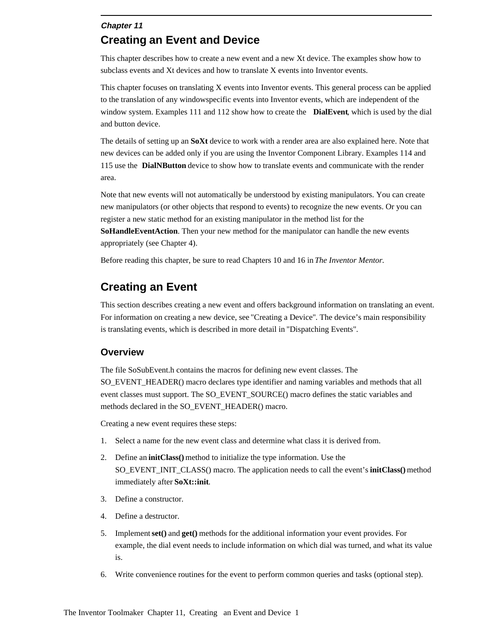## **Chapter 11 Creating an Event and Device**

This chapter describes how to create a new event and a new Xt device. The examples show how to subclass events and Xt devices and how to translate X events into Inventor events.

This chapter focuses on translating X events into Inventor events. This general process can be applied to the translation of any windowÿspecific events into Inventor events, which are independent of the window system. Examples 11 $\ddot{y}$  and 11 $\ddot{y}$  show how to create the **DialEvent**, which is used by the dial and button device.

The details of setting up an **SoXt** device to work with a render area are also explained here. Note that new devices can be added only if you are using the Inventor Component Library. Examples 11ÿ4 and 11ÿ5 use the **DialNButton** device to show how to translate events and communicate with the render area.

Note that new events will not automatically be understood by existing manipulators. You can create new manipulators (or other objects that respond to events) to recognize the new events. Or you can register a new static method for an existing manipulator in the method list for the **SoHandleEventAction**. Then your new method for the manipulator can handle the new events appropriately (see Chapter 4).

Before reading this chapter, be sure to read Chapters 10 and 16 in *The Inventor Mentor*.

# **Creating an Event**

This section describes creating a new event and offers background information on translating an event. For information on creating a new device, see "Creating a Device". The device's main responsibility is translating events, which is described in more detail in "Dispatching Events".

## **Overview**

The file SoSubEvent.h contains the macros for defining new event classes. The SO\_EVENT\_HEADER() macro declares type identifier and naming variables and methods that all event classes must support. The SO\_EVENT\_SOURCE() macro defines the static variables and methods declared in the SO\_EVENT\_HEADER() macro.

Creating a new event requires these steps:

- 1. Select a name for the new event class and determine what class it is derived from.
- 2. Define an **initClass()** method to initialize the type information. Use the SO\_EVENT\_INIT\_CLASS() macro. The application needs to call the event's **initClass()** method immediately after **SoXt::init**.
- 3. Define a constructor.
- 4. Define a destructor.
- 5. Implement **set()** and **get()** methods for the additional information your event provides. For example, the dial event needs to include information on which dial was turned, and what its value is.
- 6. Write convenience routines for the event to perform common queries and tasks (optional step).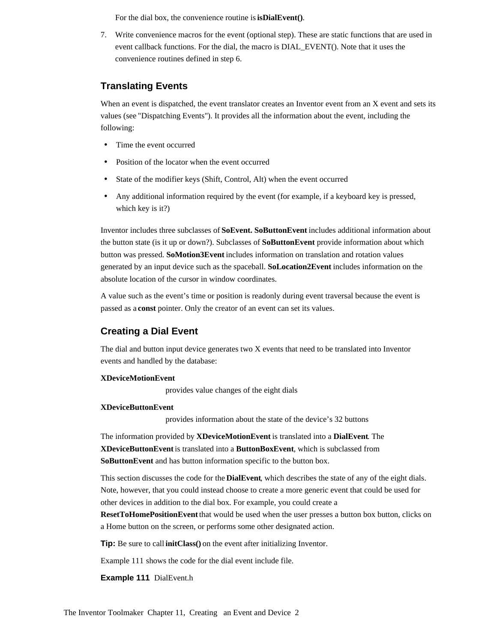For the dial box, the convenience routine is **isDialEvent()**.

7. Write convenience macros for the event (optional step). These are static functions that are used in event callback functions. For the dial, the macro is DIAL\_EVENT(). Note that it uses the convenience routines defined in step 6.

## **Translating Events**

When an event is dispatched, the event translator creates an Inventor event from an X event and sets its values (see "Dispatching Events"). It provides all the information about the event, including the following:

- Time the event occurred
- Position of the locator when the event occurred
- State of the modifier keys (Shift, Control, Alt) when the event occurred
- Any additional information required by the event (for example, if a keyboard key is pressed, which key is it?)

Inventor includes three subclasses of **SoEvent. SoButtonEvent** includes additional information about the button state (is it up or down?). Subclasses of **SoButtonEvent** provide information about which button was pressed. **SoMotion3Event** includes information on translation and rotation values generated by an input device such as the spaceball. **SoLocation2Event** includes information on the absolute location of the cursor in window coordinates.

A value such as the event's time or position is readÿonly during event traversal because the event is passed as a **const** pointer. Only the creator of an event can set its values.

## **Creating a Dial Event**

The dial and button input device generates two X events that need to be translated into Inventor events and handled by the database:

#### **XDeviceMotionEvent**

provides value changes of the eight dials

#### **XDeviceButtonEvent**

provides information about the state of the device's 32 buttons

The information provided by **XDeviceMotionEvent** is translated into a **DialEvent**. The **XDeviceButtonEvent** is translated into a **ButtonBoxEvent**, which is subclassed from **SoButtonEvent** and has button information specific to the button box.

This section discusses the code for the **DialEvent**, which describes the state of any of the eight dials. Note, however, that you could instead choose to create a more generic event that could be used for other devices in addition to the dial box. For example, you could create a

**ResetToHomePositionEvent** that would be used when the user presses a button box button, clicks on a Home button on the screen, or performs some other designated action.

**Tip:** Be sure to call **initClass()** on the event after initializing Inventor.

Example 11 $\ddot{y}$  shows the code for the dial event include file.

**Example 11ÿ1** DialEvent.h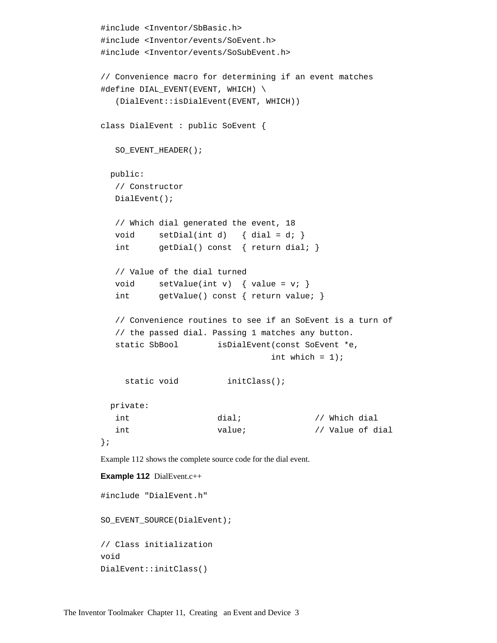```
#include <Inventor/SbBasic.h>
#include <Inventor/events/SoEvent.h>
#include <Inventor/events/SoSubEvent.h>
// Convenience macro for determining if an event matches
#define DIAL_EVENT(EVENT, WHICH) \
    (DialEvent::isDialEvent(EVENT, WHICH))
class DialEvent : public SoEvent {
    SO_EVENT_HEADER();
   public:
    // Constructor
    DialEvent();
    // Which dial generated the event, 1ÿ8
   void setDial(int d) { dia1 = d; } int getDial() const { return dial; }
    // Value of the dial turned
   void setValue(int v) { value = v; }
    int getValue() const { return value; }
    // Convenience routines to see if an SoEvent is a turn of
    // the passed dial. Passing ÿ1 matches any button.
   static SbBool isDialEvent(const SoEvent *e,
                                   int which = \ddot{y}1);
     static void initClass();
   private:
   int dial; \frac{1}{2} dial; \frac{1}{2} // Which dial
   int value; \sqrt{} // Value of dial
};
Example 11\ddot{\psi} shows the complete source code for the dial event.
```

```
Example 11ÿ2 DialEvent.c++
```

```
#include "DialEvent.h"
SO_EVENT_SOURCE(DialEvent);
// Class initialization
void
DialEvent::initClass()
```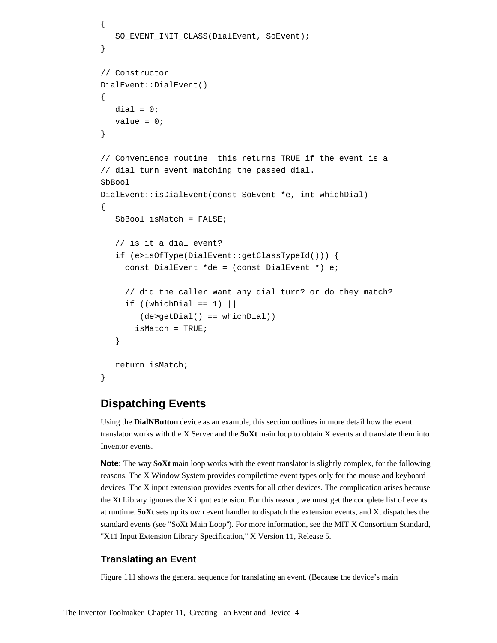```
{
    SO_EVENT_INIT_CLASS(DialEvent, SoEvent);
}
// Constructor
DialEvent::DialEvent()
{
   dia1 = 0;value = 0;
}
// Convenience routine ÿ this returns TRUE if the event is a
// dial turn event matching the passed dial.
SbBool
DialEvent::isDialEvent(const SoEvent *e, int whichDial)
{
    SbBool isMatch = FALSE;
    // is it a dial event?
    if (eÿ>isOfType(DialEvent::getClassTypeId())) {
      const DialEvent *de = (const DialEvent *) e;
      // did the caller want any dial turn? or do they match?
     if ((whichDial == \ddot{y}1) ||
         (deÿ>getDial() == whichDial))
        isMatch = TRUE;
    }
    return isMatch;
}
```
## **Dispatching Events**

Using the **DialNButton** device as an example, this section outlines in more detail how the event translator works with the X Server and the **SoXt** main loop to obtain X events and translate them into Inventor events.

**Note:** The way **SoXt** main loop works with the event translator is slightly complex, for the following reasons. The X Window System provides compileÿtime event types only for the mouse and keyboard devices. The X input extension provides events for all other devices. The complication arises because the Xt Library ignores the X input extension. For this reason, we must get the complete list of events at runtime. **SoXt** sets up its own event handler to dispatch the extension events, and Xt dispatches the standard events (see "SoXt Main Loop"). For more information, see the MIT X Consortium Standard, "X11 Input Extension Library Specification," X Version 11, Release 5.

## **Translating an Event**

Figure 11ÿ1 shows the general sequence for translating an event. (Because the device's main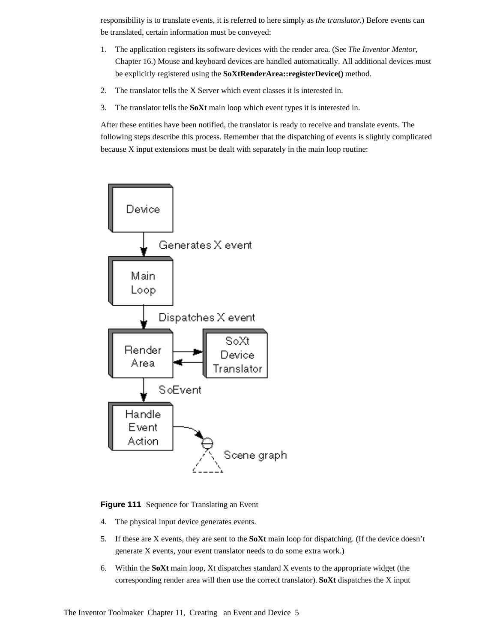responsibility is to translate events, it is referred to here simply as *the translator*.) Before events can be translated, certain information must be conveyed:

- 1. The application registers its software devices with the render area. (See *The Inventor Mentor*, Chapter 16.) Mouse and keyboard devices are handled automatically. All additional devices must be explicitly registered using the **SoXtRenderArea::registerDevice()** method.
- 2. The translator tells the X Server which event classes it is interested in.
- 3. The translator tells the **SoXt** main loop which event types it is interested in.

After these entities have been notified, the translator is ready to receive and translate events. The following steps describe this process. Remember that the dispatching of events is slightly complicated because X input extensions must be dealt with separately in the main loop routine:



**Figure 11ÿ1** Sequence for Translating an Event

- 4. The physical input device generates events.
- 5. If these are X events, they are sent to the **SoXt** main loop for dispatching. (If the device doesn't generate X events, your event translator needs to do some extra work.)
- 6. Within the **SoXt** main loop, Xt dispatches standard X events to the appropriate widget (the corresponding render area will then use the correct translator). **SoXt** dispatches the X input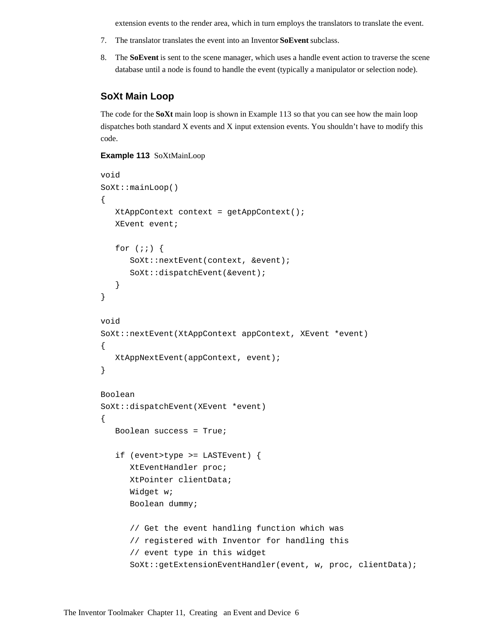extension events to the render area, which in turn employs the translators to translate the event.

- 7. The translator translates the event into an Inventor **SoEvent** subclass.
- 8. The **SoEvent** is sent to the scene manager, which uses a handle event action to traverse the scene database until a node is found to handle the event (typically a manipulator or selection node).

### **SoXt Main Loop**

The code for the **SoXt** main loop is shown in Example  $11\ddot{\beta}$  so that you can see how the main loop dispatches both standard X events and X input extension events. You shouldn't have to modify this code.

#### **Example 11ÿ3** SoXtMainLoop

```
void
SoXt::mainLoop()
{
   XtAppContext content = getAppContext();
    XEvent event;
   for (i; j) {
       SoXt::nextEvent(context, &event);
       SoXt::dispatchEvent(&event);
    }
}
void
SoXt::nextEvent(XtAppContext appContext, XEvent *event)
{
    XtAppNextEvent(appContext, event);
}
Boolean
SoXt::dispatchEvent(XEvent *event)
{
    Boolean success = True;
    if (eventÿ>type >= LASTEvent) {
       XtEventHandler proc;
       XtPointer clientData;
       Widget w;
       Boolean dummy;
       // Get the event handling function which was
       // registered with Inventor for handling this
       // event type in this widget
       SoXt::getExtensionEventHandler(event, w, proc, clientData);
```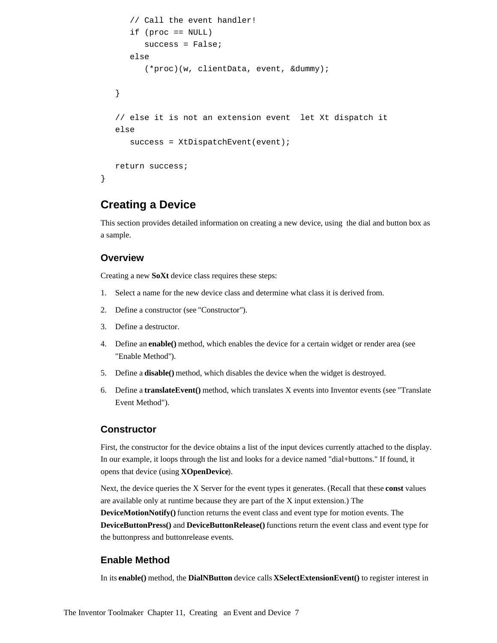```
 // Call the event handler!
       if (proc == NULL)
         success = False; else
          (*proc)(w, clientData, event, &dummy);
    }
   // else it is not an extension event ÿ let Xt dispatch it
   else 
      success = XtDispatchEvent(event); return success;
}
```
## **Creating a Device**

This section provides detailed information on creating a new device, using the dial and button box as a sample.

## **Overview**

Creating a new **SoXt** device class requires these steps:

- 1. Select a name for the new device class and determine what class it is derived from.
- 2. Define a constructor (see "Constructor").
- 3. Define a destructor.
- 4. Define an **enable()** method, which enables the device for a certain widget or render area (see "Enable Method").
- 5. Define a **disable()** method, which disables the device when the widget is destroyed.
- 6. Define a **translateEvent()** method, which translates X events into Inventor events (see "Translate Event Method").

### **Constructor**

First, the constructor for the device obtains a list of the input devices currently attached to the display. In our example, it loops through the list and looks for a device named "dial+buttons." If found, it opens that device (using **XOpenDevice**).

Next, the device queries the X Server for the event types it generates. (Recall that these **const** values are available only at runtime because they are part of the X input extension.) The **DeviceMotionNotify()** function returns the event class and event type for motion events. The **DeviceButtonPress()** and **DeviceButtonRelease()** functions return the event class and event type for the buttonÿress and buttonÿrelease events.

## **Enable Method**

In its **enable()** method, the **DialNButton** device calls **XSelectExtensionEvent()** to register interest in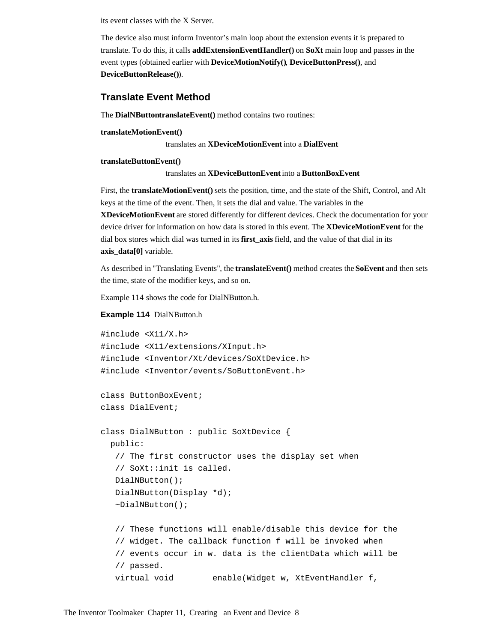its event classes with the X Server.

The device also must inform Inventor's main loop about the extension events it is prepared to translate. To do this, it calls **addExtensionEventHandler()** on **SoXt** main loop and passes in the event types (obtained earlier with **DeviceMotionNotify()**, **DeviceButtonPress()**, and **DeviceButtonRelease()**).

### **Translate Event Method**

The **DialNButtontranslateEvent()** method contains two routines:

**translateMotionEvent()**

translates an **XDeviceMotionEvent** into a **DialEvent**

#### **translateButtonEvent()**

#### translates an **XDeviceButtonEvent** into a **ButtonBoxEvent**

First, the **translateMotionEvent()** sets the position, time, and the state of the Shift, Control, and Alt keys at the time of the event. Then, it sets the dial and value. The variables in the **XDeviceMotionEvent** are stored differently for different devices. Check the documentation for your device driver for information on how data is stored in this event. The **XDeviceMotionEvent** for the dial box stores which dial was turned in its **first\_axis** field, and the value of that dial in its **axis** data[0] variable.

As described in "Translating Events", the **translateEvent()** method creates the **SoEvent** and then sets the time, state of the modifier keys, and so on.

Example 11\, if  $\ddot{\mathbf{v}}$  shows the code for DialNButton.h.

#### **Example 11ÿ4** DialNButton.h

```
#include <X11/X.h>
#include <X11/extensions/XInput.h>
#include <Inventor/Xt/devices/SoXtDevice.h>
#include <Inventor/events/SoButtonEvent.h>
class ButtonBoxEvent;
class DialEvent;
class DialNButton : public SoXtDevice {
  public:
   // The first constructor uses the display set when 
    // SoXt::init is called.
   DialNButton();
    DialNButton(Display *d);
    ~DialNButton();
    // These functions will enable/disable this device for the 
    // widget. The callback function f will be invoked when 
    // events occur in w. data is the clientData which will be
    // passed.
    virtual void enable(Widget w, XtEventHandler f,
```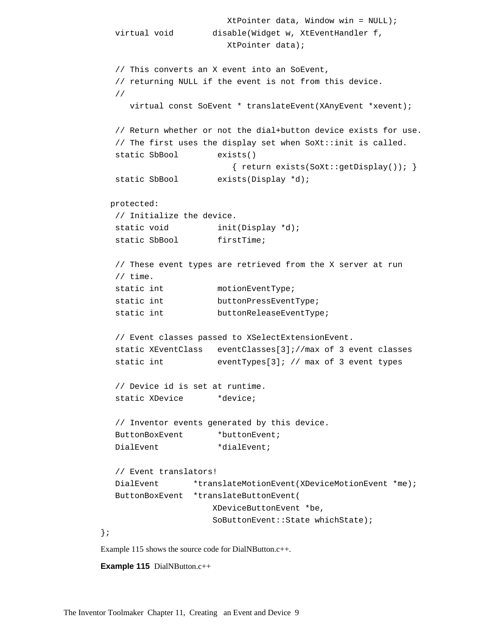```
XtPointer data, Window win = NULL);
   virtual void disable(Widget w, XtEventHandler f,
                         XtPointer data);
   // This converts an X event into an SoEvent,
   // returning NULL if the event is not from this device.
    //
      virtual const SoEvent * translateEvent(XAnyEvent *xevent);
   // Return whether or not the dial+button device exists for use.
   // The first uses the display set when SoXt::init is called.
   static SbBool exists() 
                          { return exists(SoXt::getDisplay()); }
  static SbBool exists(Display *d);
  protected:
   // Initialize the device.
  static void init(Display *d);
  static SbBool firstTime;
   // These event types are retrieved from the X server at run
   // time.
  static int motionEventType;
  static int buttonPressEventType;
  static int buttonReleaseEventType;
   // Event classes passed to XSelectExtensionEvent.
   static XEventClass eventClasses[3];//max of 3 event classes
   static int eventTypes[3]; // max of 3 event types
   // Device id is set at runtime.
  static XDevice *device;
   // Inventor events generated by this device.
  ButtonBoxEvent *buttonEvent;
  DialEvent *dialEvent;
   // Event translators!
  DialEvent *translateMotionEvent(XDeviceMotionEvent *me);
   ButtonBoxEvent *translateButtonEvent(
                      XDeviceButtonEvent *be,
                      SoButtonEvent::State whichState);
};
```
Example 11 $\ddot{\phi}$  shows the source code for DialNButton.c++.

**Example 11ÿ5** DialNButton.c++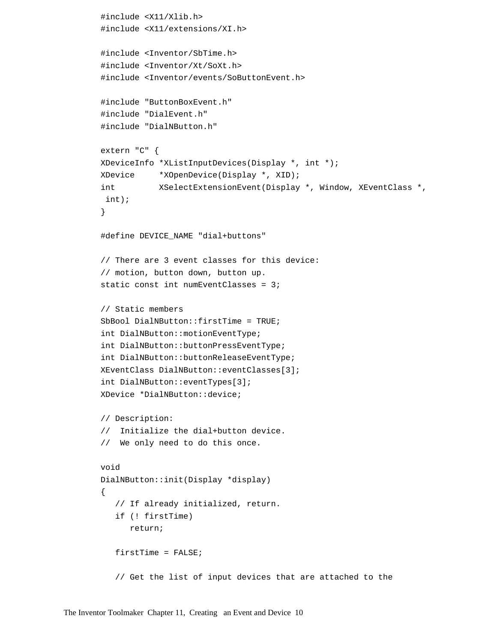```
#include <X11/Xlib.h>
#include <X11/extensions/XI.h>
#include <Inventor/SbTime.h>
#include <Inventor/Xt/SoXt.h>
#include <Inventor/events/SoButtonEvent.h>
#include "ButtonBoxEvent.h"
#include "DialEvent.h"
#include "DialNButton.h"
extern "C" {
XDeviceInfo *XListInputDevices(Display *, int *);
XDevice *XOpenDevice(Display *, XID);
int XSelectExtensionEvent(Display *, Window, XEventClass *,
  int);
}
#define DEVICE_NAME "dial+buttons"
// There are 3 event classes for this device:
// motion, button down, button up.
static const int numEventClasses = 3;
// Static members
SbBool DialNButton::firstTime = TRUE;
int DialNButton::motionEventType;
int DialNButton::buttonPressEventType;
int DialNButton::buttonReleaseEventType;
XEventClass DialNButton::eventClasses[3];
int DialNButton::eventTypes[3];
XDevice *DialNButton::device;
// Description:
// Initialize the dial+button device. 
// We only need to do this once.
void
DialNButton::init(Display *display)
{ 
    // If already initialized, return.
    if (! firstTime) 
       return;
    firstTime = FALSE;
    // Get the list of input devices that are attached to the
```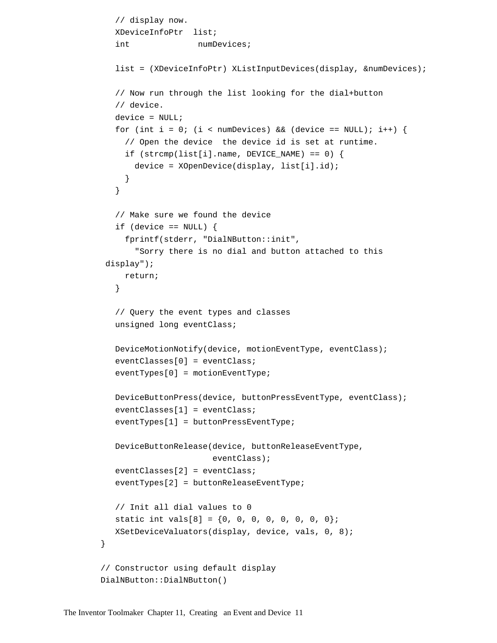```
 // display now.
    XDeviceInfoPtr list;
   int numDevices;
    list = (XDeviceInfoPtr) XListInputDevices(display, &numDevices);
    // Now run through the list looking for the dial+button
    // device.
   device = NULL;for (int i = 0; (i < numDevices) && (device == NULL); i++) {
      // Open the device ÿ the device id is set at runtime.
     if (strcmp(list[i].name, DEVICE NAME) == 0) {
        device = XOpenDevice(display, list[i].id);
      }
    }
    // Make sure we found the device
  if (device == NULL) {
      fprintf(stderr, "DialNButton::init",
        "Sorry there is no dial and button attached to this
  display");
     return;
    }
    // Query the event types and classes
    unsigned long eventClass;
    DeviceMotionNotify(device, motionEventType, eventClass);
    eventClasses[0] = eventClass;
    eventTypes[0] = motionEventType;
    DeviceButtonPress(device, buttonPressEventType, eventClass);
    eventClasses[1] = eventClass;
   eventTypes[1] = buttonPressEventType; DeviceButtonRelease(device, buttonReleaseEventType, 
                        eventClass);
    eventClasses[2] = eventClass;
    eventTypes[2] = buttonReleaseEventType; 
    // Init all dial values to 0
  static int vals[8] = \{0, 0, 0, 0, 0, 0, 0, 0\};
    XSetDeviceValuators(display, device, vals, 0, 8); 
}
// Constructor using default display
DialNButton::DialNButton()
```